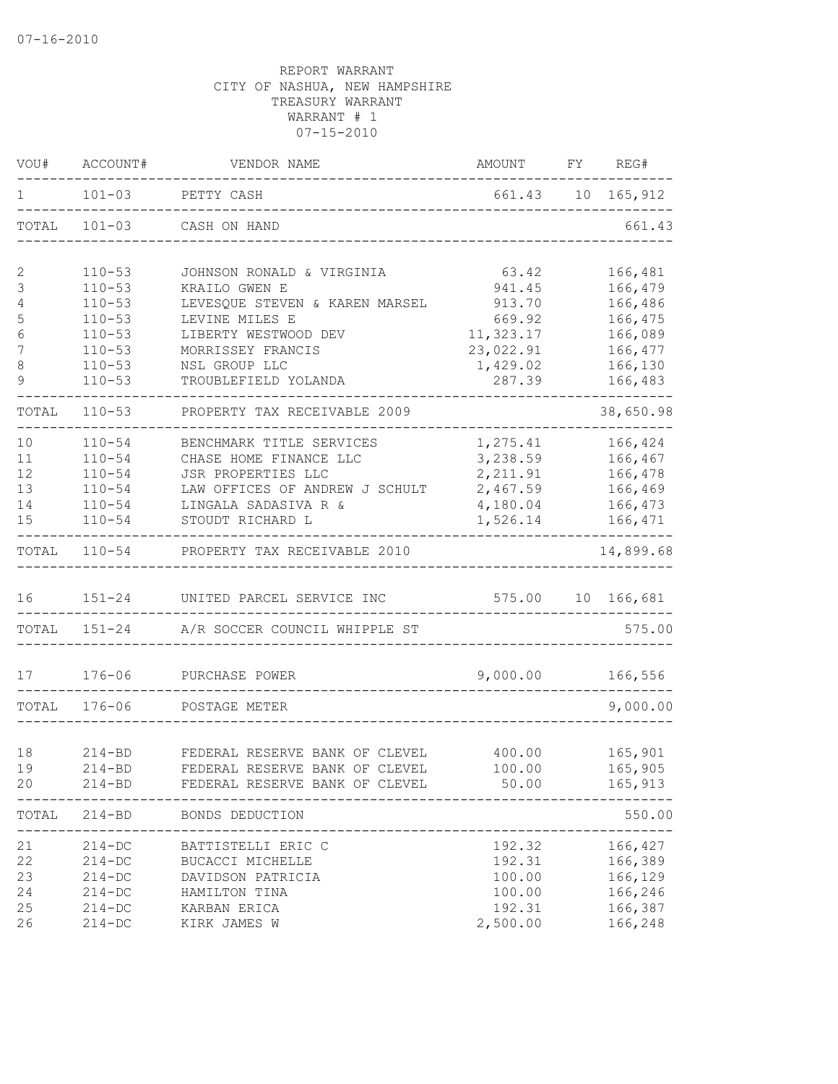| VOU#                                       | ACCOUNT#                                                                                                     | VENDOR NAME                                                                                                                                                                          | AMOUNT                                                                              | FY | REG#                                                                                 |
|--------------------------------------------|--------------------------------------------------------------------------------------------------------------|--------------------------------------------------------------------------------------------------------------------------------------------------------------------------------------|-------------------------------------------------------------------------------------|----|--------------------------------------------------------------------------------------|
| 1                                          | $101 - 03$                                                                                                   | PETTY CASH                                                                                                                                                                           |                                                                                     |    | 661.43 10 165,912                                                                    |
| TOTAL                                      | $101 - 03$                                                                                                   | CASH ON HAND                                                                                                                                                                         |                                                                                     |    | 661.43                                                                               |
| 2<br>3<br>4<br>5<br>6<br>7<br>$\,8\,$<br>9 | $110 - 53$<br>$110 - 53$<br>$110 - 53$<br>$110 - 53$<br>$110 - 53$<br>$110 - 53$<br>$110 - 53$<br>$110 - 53$ | JOHNSON RONALD & VIRGINIA<br>KRAILO GWEN E<br>LEVESQUE STEVEN & KAREN MARSEL<br>LEVINE MILES E<br>LIBERTY WESTWOOD DEV<br>MORRISSEY FRANCIS<br>NSL GROUP LLC<br>TROUBLEFIELD YOLANDA | 63.42<br>941.45<br>913.70<br>669.92<br>11,323.17<br>23,022.91<br>1,429.02<br>287.39 |    | 166,481<br>166,479<br>166,486<br>166,475<br>166,089<br>166,477<br>166,130<br>166,483 |
| TOTAL                                      | $110 - 53$                                                                                                   | PROPERTY TAX RECEIVABLE 2009                                                                                                                                                         |                                                                                     |    | 38,650.98                                                                            |
| 10<br>11<br>12<br>13<br>14<br>15           | $110 - 54$<br>$110 - 54$<br>$110 - 54$<br>$110 - 54$<br>$110 - 54$<br>$110 - 54$                             | BENCHMARK TITLE SERVICES<br>CHASE HOME FINANCE LLC<br>JSR PROPERTIES LLC<br>LAW OFFICES OF ANDREW J SCHULT<br>LINGALA SADASIVA R &<br>STOUDT RICHARD L                               | 1,275.41<br>3,238.59<br>2, 211.91<br>2,467.59<br>4,180.04<br>1,526.14               |    | 166,424<br>166,467<br>166,478<br>166,469<br>166,473<br>166,471                       |
| TOTAL                                      |                                                                                                              | 110-54 PROPERTY TAX RECEIVABLE 2010                                                                                                                                                  |                                                                                     |    | 14,899.68                                                                            |
| 16<br>TOTAL                                | $151 - 24$<br>$151 - 24$                                                                                     | UNITED PARCEL SERVICE INC<br>A/R SOCCER COUNCIL WHIPPLE ST                                                                                                                           | 575.00                                                                              |    | 10 166,681<br>575.00                                                                 |
|                                            |                                                                                                              |                                                                                                                                                                                      |                                                                                     |    |                                                                                      |
| 17                                         | $176 - 06$                                                                                                   | PURCHASE POWER                                                                                                                                                                       | 9,000.00                                                                            |    | 166,556                                                                              |
| TOTAL                                      | $176 - 06$                                                                                                   | POSTAGE METER                                                                                                                                                                        |                                                                                     |    | 9,000.00                                                                             |
| 18<br>19<br>20                             | $214 - BD$<br>$214 - BD$<br>$214 - BD$                                                                       | FEDERAL RESERVE BANK OF CLEVEL<br>FEDERAL RESERVE BANK OF CLEVEL<br>FEDERAL RESERVE BANK OF CLEVEL 50.00                                                                             | 400.00<br>100.00<br>______________                                                  |    | 165,901<br>165,905<br>165,913<br>. _ _ _ _ _ _ _ _ _ _ _ _                           |
| TOTAL                                      | $214 - BD$                                                                                                   | BONDS DEDUCTION<br>________________________                                                                                                                                          |                                                                                     |    | 550.00                                                                               |
| 21<br>22<br>23<br>24<br>25<br>26           | $214 - DC$<br>$214 - DC$<br>$214 - DC$<br>$214 - DC$<br>$214 - DC$<br>$214 - DC$                             | BATTISTELLI ERIC C<br>BUCACCI MICHELLE<br>DAVIDSON PATRICIA<br>HAMILTON TINA<br>KARBAN ERICA<br>KIRK JAMES W                                                                         | 192.32<br>192.31<br>100.00<br>100.00<br>192.31<br>2,500.00                          |    | 166,427<br>166,389<br>166,129<br>166,246<br>166,387<br>166,248                       |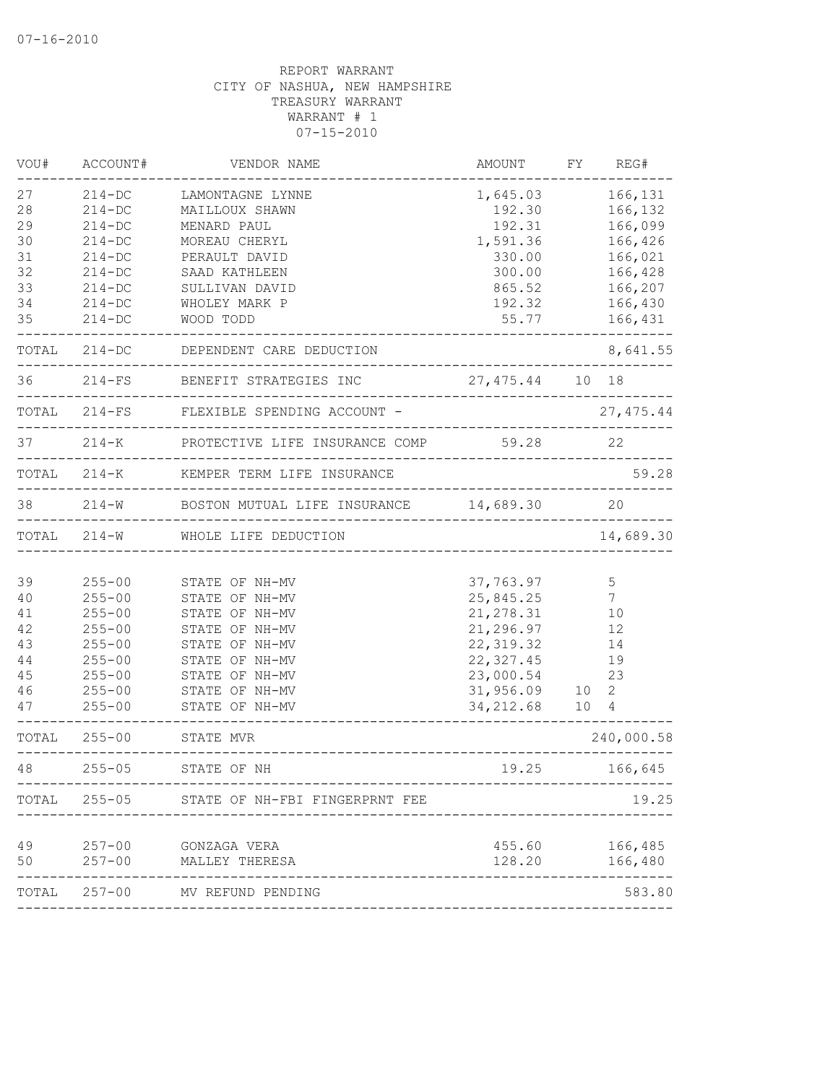| VOU#  | ACCOUNT#   | VENDOR NAME                                             | AMOUNT                     |                 | FY REG#         |
|-------|------------|---------------------------------------------------------|----------------------------|-----------------|-----------------|
| 27    | $214 - DC$ | LAMONTAGNE LYNNE                                        | 1,645.03                   |                 | 166,131         |
| 28    | $214 - DC$ | MAILLOUX SHAWN                                          | 192.30                     |                 | 166,132         |
| 29    | $214 - DC$ | MENARD PAUL                                             | 192.31                     |                 | 166,099         |
| 30    | $214-DC$   | MOREAU CHERYL                                           | 1,591.36                   |                 | 166,426         |
| 31    | $214-DC$   | PERAULT DAVID                                           | 330.00                     |                 | 166,021         |
| 32    | $214-DC$   | SAAD KATHLEEN                                           | 300.00                     |                 | 166,428         |
| 33    | $214 - DC$ | SULLIVAN DAVID                                          | 865.52                     |                 | 166,207         |
| 34    | $214 - DC$ | WHOLEY MARK P                                           | 192.32                     |                 | 166,430         |
| 35    | $214 - DC$ | WOOD TODD                                               | 55.77<br>----------------- |                 | 166,431         |
|       |            | TOTAL 214-DC DEPENDENT CARE DEDUCTION                   | -------------------------  |                 | 8,641.55        |
| 36    |            | 214-FS BENEFIT STRATEGIES INC 27,475.44 10 18           |                            |                 |                 |
|       |            | TOTAL 214-FS FLEXIBLE SPENDING ACCOUNT -                |                            |                 | 27, 475.44      |
|       |            | 37 214-K PROTECTIVE LIFE INSURANCE COMP 59.28           |                            |                 | 22              |
|       |            | TOTAL 214-K KEMPER TERM LIFE INSURANCE                  |                            |                 | 59.28           |
| 38 38 |            | 214-W BOSTON MUTUAL LIFE INSURANCE 14,689.30            |                            |                 | 20              |
|       |            | TOTAL 214-W WHOLE LIFE DEDUCTION                        |                            |                 | 14,689.30       |
|       |            |                                                         |                            |                 |                 |
| 39    | $255 - 00$ | STATE OF NH-MV                                          | 37,763.97                  |                 | $\mathsf S$     |
| 40    | $255 - 00$ | STATE OF NH-MV                                          | 25,845.25                  |                 | $7\phantom{.0}$ |
| 41    | $255 - 00$ | STATE OF NH-MV                                          | 21, 278.31                 |                 | 10              |
| 42    | $255 - 00$ | STATE OF NH-MV                                          | 21,296.97                  |                 | 12              |
| 43    | $255 - 00$ | STATE OF NH-MV                                          | 22, 319.32                 |                 | 14              |
| 44    | $255 - 00$ | STATE OF NH-MV                                          | 22, 327.45                 |                 | 19              |
| 45    | $255 - 00$ | STATE OF NH-MV                                          | 23,000.54                  |                 | 23              |
| 46    | $255 - 00$ | STATE OF NH-MV                                          | 31,956.09                  | 10              | 2               |
| 47    | $255 - 00$ | STATE OF NH-MV                                          | 34, 212.68                 | 10 <sub>4</sub> |                 |
|       |            | TOTAL 255-00 STATE MVR<br>_____________________________ |                            |                 | 240,000.58      |
| 48    | $255 - 05$ | STATE OF NH                                             | 19.25                      |                 | 166,645         |
|       |            | TOTAL 255-05 STATE OF NH-FBI FINGERPRNT FEE             |                            |                 | 19.25           |
| 49    | $257 - 00$ | GONZAGA VERA                                            | 455.60                     |                 | 166,485         |
| 50    | $257 - 00$ | MALLEY THERESA                                          | 128.20                     |                 | 166,480         |
| TOTAL |            | 257-00 MV REFUND PENDING                                |                            |                 | 583.80          |
|       |            |                                                         |                            |                 |                 |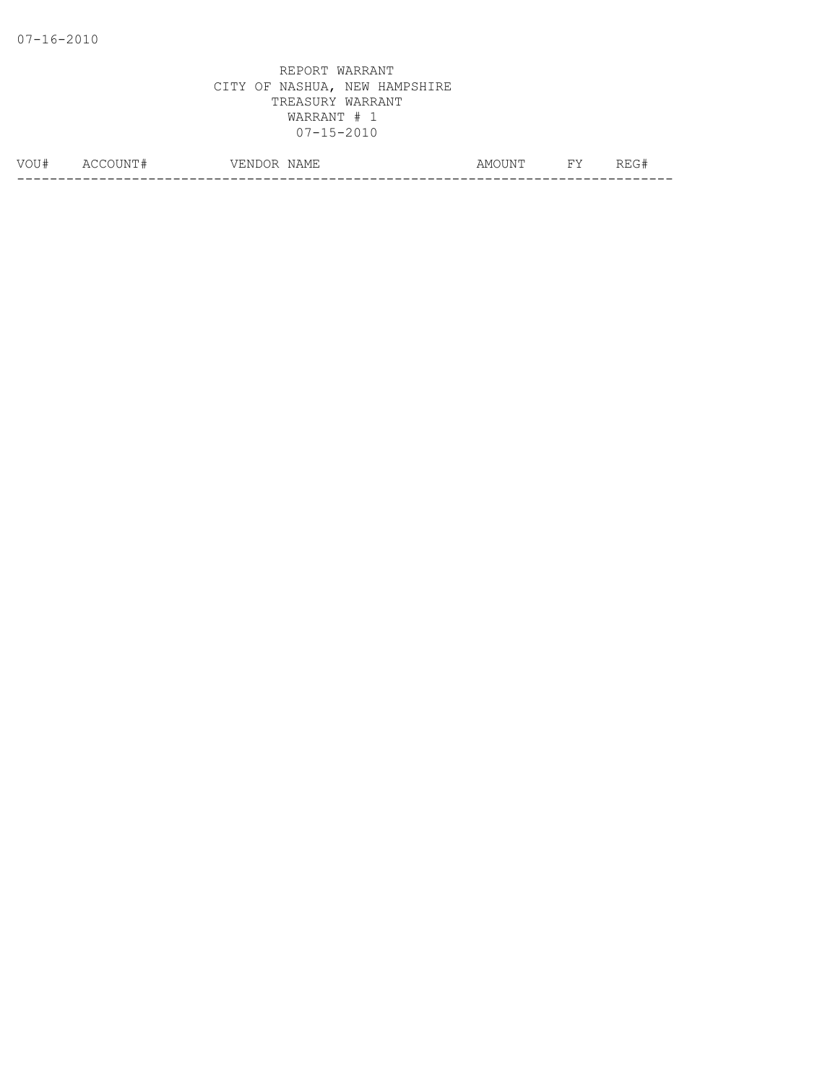| $\ldots$<br>- 4 | $\Delta$<br>IМ<br>__ | NAME<br>7F.<br>$\mathcal{U}$<br>' N L<br>یں د | . IN!'<br>ΔM | $\overline{\phantom{a}}$ | - 11 |
|-----------------|----------------------|-----------------------------------------------|--------------|--------------------------|------|
|                 |                      |                                               |              |                          |      |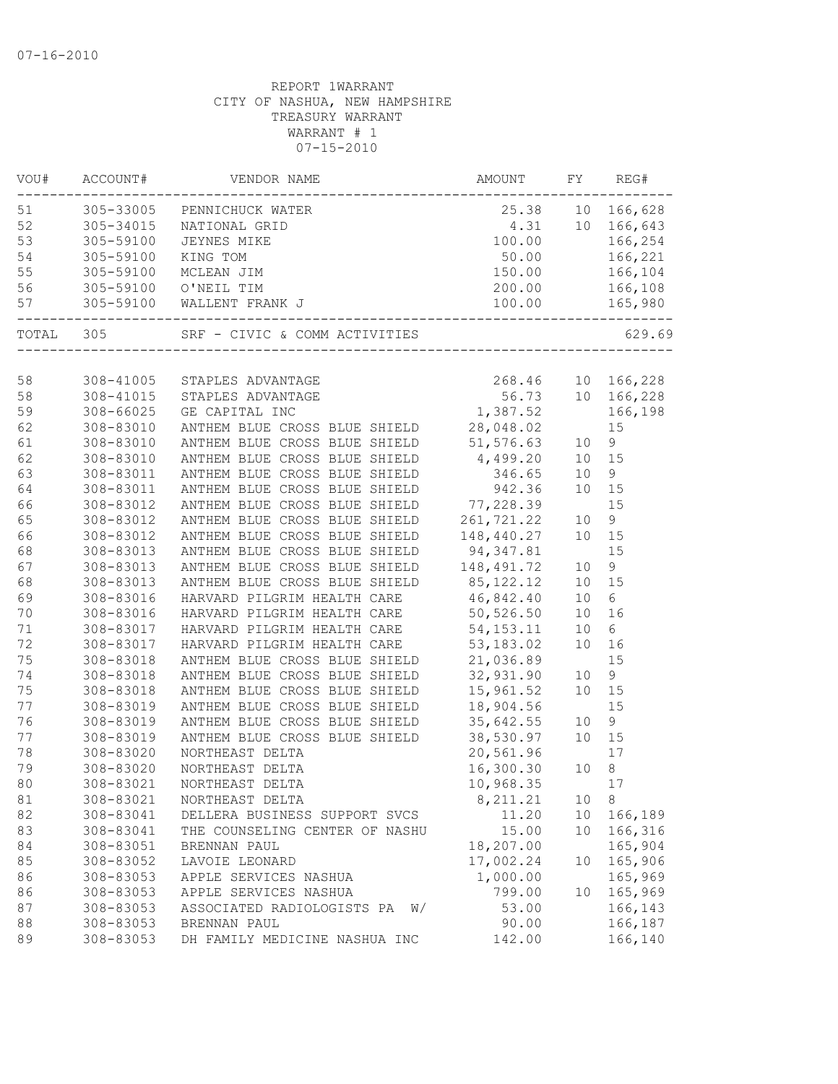| VOU# | ACCOUNT#             | VENDOR NAME                                                                                                                                                                                                                                      | AMOUNT       | FY              | REG#          |
|------|----------------------|--------------------------------------------------------------------------------------------------------------------------------------------------------------------------------------------------------------------------------------------------|--------------|-----------------|---------------|
| 51   |                      | 305-33005 PENNICHUCK WATER<br>305-33005 PENNICHUCK WATER<br>305-34015 NATIONAL GRID<br>305-59100 JEYNES MIKE<br>305-59100 KING TOM<br>305-59100 MCLEAN JIM<br>305-59100 O'NEIL TIM<br>305-59100 O'NEIL TIM<br>305-59100 WALLENT FRANK J<br>305-5 |              |                 |               |
| 52   |                      |                                                                                                                                                                                                                                                  |              |                 |               |
| 53   |                      |                                                                                                                                                                                                                                                  |              |                 |               |
| 54   |                      |                                                                                                                                                                                                                                                  |              |                 |               |
| 55   |                      |                                                                                                                                                                                                                                                  |              |                 |               |
| 56   |                      |                                                                                                                                                                                                                                                  |              |                 |               |
| 57   | ____________________ |                                                                                                                                                                                                                                                  |              |                 |               |
|      |                      | TOTAL 305 SRF - CIVIC & COMM ACTIVITIES 6                                                                                                                                                                                                        |              |                 | 629.69        |
|      |                      |                                                                                                                                                                                                                                                  |              |                 |               |
| 58   | 308-41005            | STAPLES ADVANTAGE                                                                                                                                                                                                                                | 268.46       |                 | 10 166,228    |
| 58   |                      | 308-41015 STAPLES ADVANTAGE                                                                                                                                                                                                                      | 56.73        |                 | 10 166,228    |
| 59   | 308-66025            | GE CAPITAL INC                                                                                                                                                                                                                                   | 1,387.52     |                 | 166,198       |
| 62   | 308-83010            | ANTHEM BLUE CROSS BLUE SHIELD                                                                                                                                                                                                                    | 28,048.02    |                 | 15            |
| 61   | 308-83010            | ANTHEM BLUE CROSS BLUE SHIELD                                                                                                                                                                                                                    | 51,576.63    | 10              | $\mathsf 9$   |
| 62   | 308-83010            | ANTHEM BLUE CROSS BLUE SHIELD                                                                                                                                                                                                                    | 4,499.20     | 10              | 15            |
| 63   | 308-83011            | ANTHEM BLUE CROSS BLUE SHIELD                                                                                                                                                                                                                    | 346.65       | 10              | $\mathcal{G}$ |
| 64   | 308-83011            | ANTHEM BLUE CROSS BLUE SHIELD 942.36                                                                                                                                                                                                             |              | 10 <sup>°</sup> | 15            |
| 66   | 308-83012            | ANTHEM BLUE CROSS BLUE SHIELD 77,228.39                                                                                                                                                                                                          |              |                 | 15            |
| 65   | 308-83012            | ANTHEM BLUE CROSS BLUE SHIELD                                                                                                                                                                                                                    | 261,721.22   | 10              | 9             |
| 66   | 308-83012            | ANTHEM BLUE CROSS BLUE SHIELD                                                                                                                                                                                                                    | 148,440.27   | 10 <sup>°</sup> | 15            |
| 68   | 308-83013            | ANTHEM BLUE CROSS BLUE SHIELD 94,347.81                                                                                                                                                                                                          |              |                 | 15            |
| 67   | 308-83013            | ANTHEM BLUE CROSS BLUE SHIELD<br>ANTHEM BLUE CROSS BLUE SHIELD                                                                                                                                                                                   | 148, 491. 72 | 10              | $\mathsf 9$   |
| 68   | 308-83013            |                                                                                                                                                                                                                                                  | 85, 122. 12  | 10              | 15            |
| 69   | 308-83016            | HARVARD PILGRIM HEALTH CARE 46,842.40                                                                                                                                                                                                            |              | 10              | 6             |
| 70   | 308-83016            | HARVARD PILGRIM HEALTH CARE 50,526.50                                                                                                                                                                                                            |              | 10              | 16            |
| 71   | 308-83017            | HARVARD PILGRIM HEALTH CARE 54,153.11                                                                                                                                                                                                            |              | 10              | 6             |
| 72   | 308-83017            | HARVARD PILGRIM HEALTH CARE 53,183.02                                                                                                                                                                                                            |              | 10              | 16            |
| 75   | 308-83018            | ANTHEM BLUE CROSS BLUE SHIELD 21,036.89                                                                                                                                                                                                          |              |                 | 15            |
| 74   | 308-83018            | ANTHEM BLUE CROSS BLUE SHIELD                                                                                                                                                                                                                    | 32,931.90    | 10              | $\mathsf 9$   |
| 75   | 308-83018            | ANTHEM BLUE CROSS BLUE SHIELD                                                                                                                                                                                                                    | 15,961.52    | 10              | 15            |
| 77   | 308-83019            | ANTHEM BLUE CROSS BLUE SHIELD                                                                                                                                                                                                                    | 18,904.56    |                 | 15            |
| 76   | 308-83019            | ANTHEM BLUE CROSS BLUE SHIELD                                                                                                                                                                                                                    | 35,642.55    | 10              | $\mathsf 9$   |
| 77   | 308-83019            | ANTHEM BLUE CROSS BLUE SHIELD                                                                                                                                                                                                                    | 38,530.97    | 10 <sup>°</sup> | 15            |
| 78   | 308-83020            | NORTHEAST DELTA                                                                                                                                                                                                                                  | 20,561.96    |                 | 17            |
| 79   | 308-83020            | NORTHEAST DELTA                                                                                                                                                                                                                                  | 16,300.30    | 10              | 8             |
| 80   | 308-83021            | NORTHEAST DELTA                                                                                                                                                                                                                                  | 10,968.35    |                 | 17            |
| 81   | 308-83021            | NORTHEAST DELTA                                                                                                                                                                                                                                  | 8, 211.21    | 10              | 8             |
| 82   | 308-83041            | DELLERA BUSINESS SUPPORT SVCS                                                                                                                                                                                                                    | 11.20        | 10              | 166,189       |
| 83   | 308-83041            | THE COUNSELING CENTER OF NASHU                                                                                                                                                                                                                   | 15.00        | 10              | 166,316       |
| 84   | 308-83051            | BRENNAN PAUL                                                                                                                                                                                                                                     | 18,207.00    |                 | 165,904       |
| 85   | 308-83052            | LAVOIE LEONARD                                                                                                                                                                                                                                   | 17,002.24    | 10              | 165,906       |
| 86   | 308-83053            | APPLE SERVICES NASHUA                                                                                                                                                                                                                            | 1,000.00     |                 | 165,969       |
| 86   | 308-83053            | APPLE SERVICES NASHUA                                                                                                                                                                                                                            | 799.00       | 10              | 165,969       |
| 87   | 308-83053            | ASSOCIATED RADIOLOGISTS PA<br>W/                                                                                                                                                                                                                 | 53.00        |                 | 166,143       |
| 88   | 308-83053            | BRENNAN PAUL                                                                                                                                                                                                                                     | 90.00        |                 | 166,187       |
| 89   | 308-83053            | DH FAMILY MEDICINE NASHUA INC                                                                                                                                                                                                                    | 142.00       |                 | 166,140       |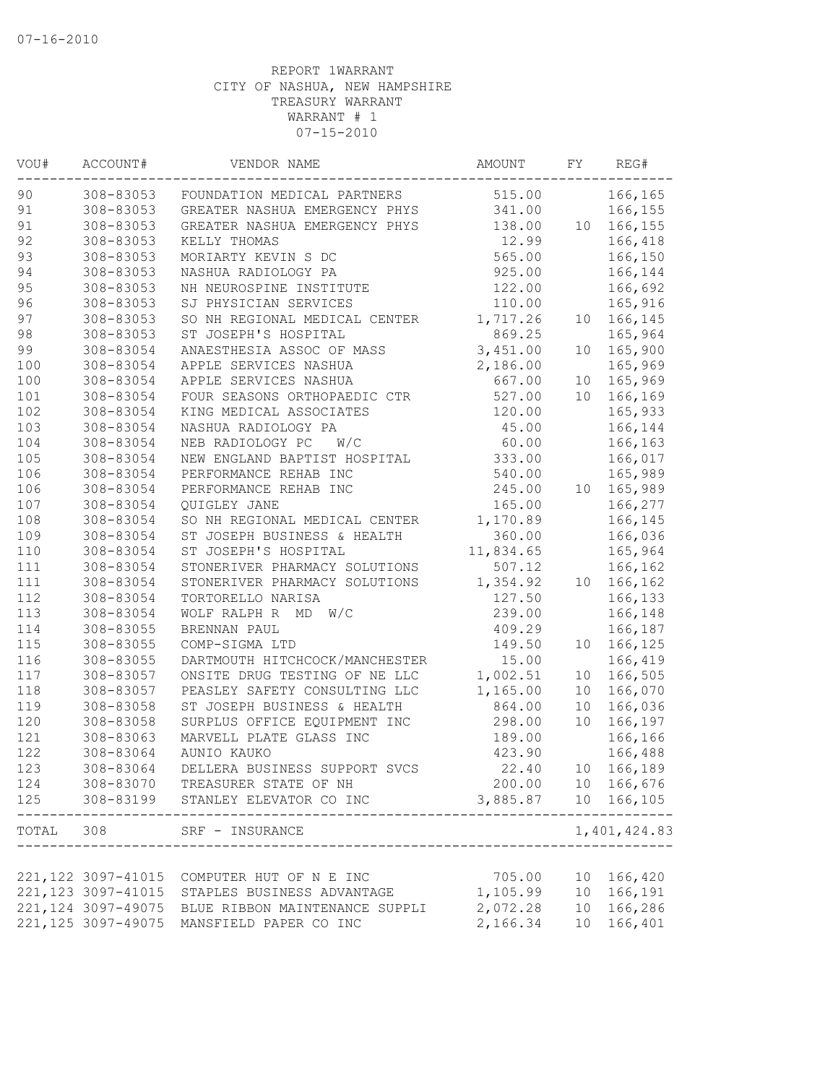| VOU#      | ACCOUNT#            | VENDOR NAME                       | AMOUNT              | FY              | REG#              |
|-----------|---------------------|-----------------------------------|---------------------|-----------------|-------------------|
| 90        | 308-83053           | FOUNDATION MEDICAL PARTNERS       | 515.00              |                 | 166,165           |
| 91        | 308-83053           | GREATER NASHUA EMERGENCY PHYS     | 341.00              |                 | 166,155           |
| 91        | 308-83053           | GREATER NASHUA EMERGENCY PHYS     | 138.00              | 10              | 166,155           |
| 92        | 308-83053           | KELLY THOMAS                      | 12.99               |                 | 166,418           |
| 93        | 308-83053           | MORIARTY KEVIN S DC               | 565.00              |                 | 166,150           |
| 94        | 308-83053           | NASHUA RADIOLOGY PA               | 925.00              |                 | 166,144           |
| 95        | 308-83053           | NH NEUROSPINE INSTITUTE           | 122.00              |                 | 166,692           |
| 96        | 308-83053           | SJ PHYSICIAN SERVICES             | 110.00              |                 | 165,916           |
| 97        | 308-83053           | SO NH REGIONAL MEDICAL CENTER     | 1,717.26            | 10 <sup>°</sup> | 166,145           |
| 98        | 308-83053           | ST JOSEPH'S HOSPITAL              | 869.25              |                 | 165,964           |
| 99        | 308-83054           | ANAESTHESIA ASSOC OF MASS         | 3,451.00            | 10              | 165,900           |
| 100       | 308-83054           | APPLE SERVICES NASHUA             | 2,186.00            |                 | 165,969           |
| 100       | 308-83054           | APPLE SERVICES NASHUA             | 667.00              | 10              | 165,969           |
| 101       | 308-83054           | FOUR SEASONS ORTHOPAEDIC CTR      | 527.00              | 10              | 166,169           |
| 102       | 308-83054           | KING MEDICAL ASSOCIATES           | 120.00              |                 | 165,933           |
| 103       | 308-83054           | NASHUA RADIOLOGY PA               | 45.00               |                 | 166,144           |
| 104       | 308-83054           | NEB RADIOLOGY PC<br>W/C           | 60.00               |                 | 166,163           |
| 105       | 308-83054           | NEW ENGLAND BAPTIST HOSPITAL      | 333.00              |                 | 166,017           |
| 106       | 308-83054           | PERFORMANCE REHAB INC             | 540.00              |                 | 165,989           |
| 106       | 308-83054           | PERFORMANCE REHAB INC             | 245.00              | 10              | 165,989           |
| 107       | 308-83054           | QUIGLEY JANE                      | 165.00              |                 | 166,277           |
| 108       | 308-83054           | SO NH REGIONAL MEDICAL CENTER     | 1,170.89            |                 | 166,145           |
| 109       | 308-83054           | ST JOSEPH BUSINESS & HEALTH       | 360.00              |                 | 166,036           |
| 110       | 308-83054           | ST JOSEPH'S HOSPITAL              | 11,834.65           |                 | 165,964           |
| 111       | 308-83054           | STONERIVER PHARMACY SOLUTIONS     | 507.12              |                 | 166,162           |
| 111       | 308-83054           | STONERIVER PHARMACY SOLUTIONS     | 1,354.92            | 10              | 166,162           |
| 112       | 308-83054           | TORTORELLO NARISA                 | 127.50              |                 | 166,133           |
| 113       | 308-83054           | WOLF RALPH R MD<br>W/C            | 239.00              |                 | 166,148           |
| 114       | 308-83055           | BRENNAN PAUL                      | 409.29              |                 | 166,187           |
| 115       | 308-83055           | COMP-SIGMA LTD                    | 149.50              | 10              | 166,125           |
| 116       | 308-83055           | DARTMOUTH HITCHCOCK/MANCHESTER    | 15.00               |                 | 166,419           |
| 117       | 308-83057           | ONSITE DRUG TESTING OF NE LLC     | 1,002.51            | 10              | 166,505           |
| 118       | 308-83057           | PEASLEY SAFETY CONSULTING LLC     | 1,165.00            | 10              | 166,070           |
| 119       | 308-83058           | ST JOSEPH BUSINESS & HEALTH       | 864.00              | 10              | 166,036           |
| 120       | 308-83058           | SURPLUS OFFICE EQUIPMENT INC      | 298.00              | 10 <sup>°</sup> | 166,197           |
| 121       | 308-83063           | MARVELL PLATE GLASS INC           | 189.00              |                 | 166,166           |
| 122       | 308-83064           | AUNIO KAUKO                       | 423.90              |                 | 166,488           |
| 123       | 308-83064           | DELLERA BUSINESS SUPPORT SVCS     | 22.40               |                 | 10 166,189        |
| 124       |                     | 308-83070 TREASURER STATE OF NH   |                     |                 | 200.00 10 166,676 |
| 125       |                     | 308-83199 STANLEY ELEVATOR CO INC | 3,885.87 10 166,105 |                 | . <u>.</u>        |
| TOTAL 308 |                     | SRF - INSURANCE                   |                     |                 | 1,401,424.83      |
|           |                     |                                   |                     |                 |                   |
|           | 221, 122 3097-41015 | COMPUTER HUT OF N E INC           | 705.00              |                 | 10 166,420        |
|           | 221, 123 3097-41015 | STAPLES BUSINESS ADVANTAGE        | 1,105.99            |                 | 10 166,191        |
|           | 221, 124 3097-49075 | BLUE RIBBON MAINTENANCE SUPPLI    | 2,072.28            |                 | 10 166,286        |
|           | 221, 125 3097-49075 | MANSFIELD PAPER CO INC            | 2,166.34            |                 | 10 166,401        |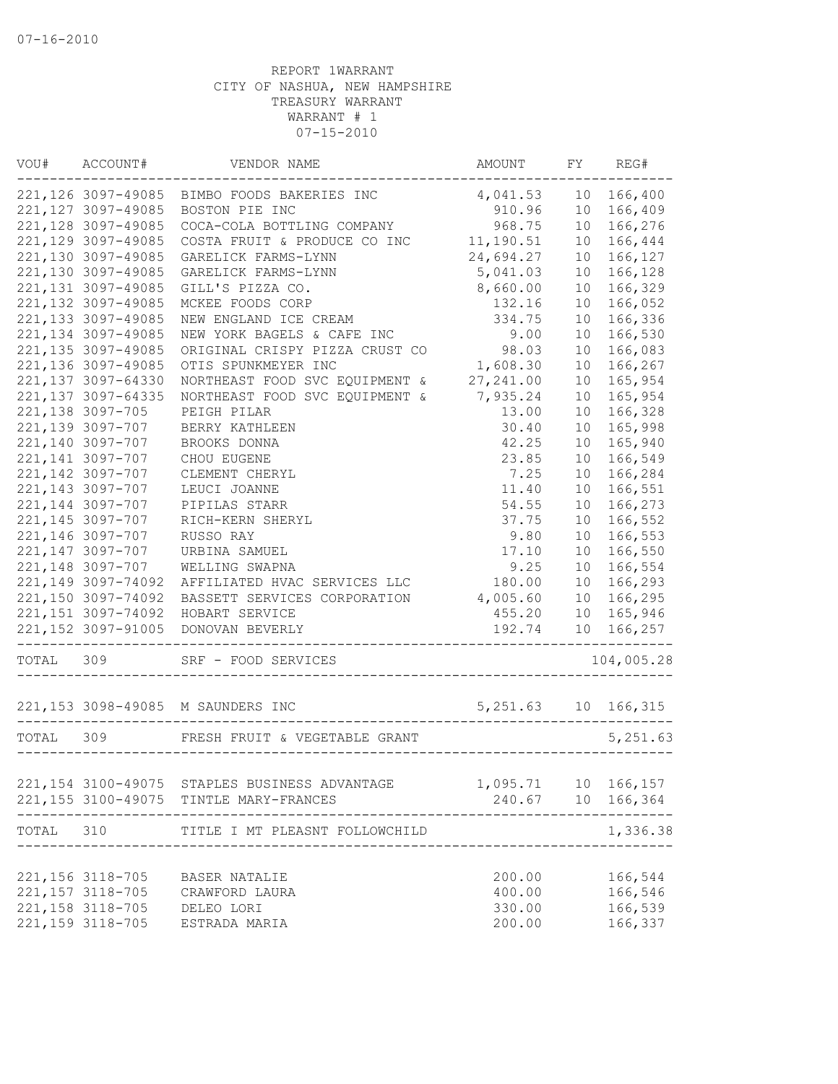| WOU#      | ACCOUNT#            | VENDOR NAME                                   | AMOUNT                | FY              | REG#                             |
|-----------|---------------------|-----------------------------------------------|-----------------------|-----------------|----------------------------------|
|           | 221,126 3097-49085  | BIMBO FOODS BAKERIES INC                      | 4,041.53              | 10              | 166,400                          |
|           | 221, 127 3097-49085 | BOSTON PIE INC                                | 910.96                | 10              | 166,409                          |
|           | 221, 128 3097-49085 | COCA-COLA BOTTLING COMPANY                    | 968.75                | 10              | 166,276                          |
|           | 221, 129 3097-49085 | COSTA FRUIT & PRODUCE CO INC                  | 11,190.51             | 10              | 166,444                          |
|           | 221,130 3097-49085  | GARELICK FARMS-LYNN                           | 24,694.27             | 10              | 166,127                          |
|           | 221,130 3097-49085  | GARELICK FARMS-LYNN                           | 5,041.03              | 10              | 166,128                          |
|           | 221, 131 3097-49085 | GILL'S PIZZA CO.                              | 8,660.00              | 10              | 166,329                          |
|           | 221, 132 3097-49085 | MCKEE FOODS CORP                              | 132.16                | 10              | 166,052                          |
|           | 221,133 3097-49085  | NEW ENGLAND ICE CREAM                         | 334.75                | 10              | 166,336                          |
|           | 221, 134 3097-49085 | NEW YORK BAGELS & CAFE INC                    | 9.00                  | 10              | 166,530                          |
|           | 221, 135 3097-49085 | ORIGINAL CRISPY PIZZA CRUST CO                | 98.03                 | 10              | 166,083                          |
|           | 221,136 3097-49085  | OTIS SPUNKMEYER INC                           | 1,608.30              | 10              | 166,267                          |
|           | 221,137 3097-64330  | NORTHEAST FOOD SVC EQUIPMENT &                | 27, 241.00            | 10              | 165,954                          |
|           | 221, 137 3097-64335 | NORTHEAST FOOD SVC EQUIPMENT &                | 7,935.24              | 10              | 165,954                          |
|           | 221, 138 3097-705   | PEIGH PILAR                                   | 13.00                 | 10              | 166,328                          |
|           | 221,139 3097-707    | BERRY KATHLEEN                                | 30.40                 | 10              | 165,998                          |
|           | 221,140 3097-707    | BROOKS DONNA                                  | 42.25                 | 10              | 165,940                          |
|           | 221, 141 3097-707   | CHOU EUGENE                                   | 23.85                 | 10              | 166,549                          |
|           | 221, 142 3097-707   | CLEMENT CHERYL                                | 7.25                  | 10              | 166,284                          |
|           | 221, 143 3097-707   | LEUCI JOANNE                                  | 11.40                 | 10              | 166,551                          |
|           | 221, 144 3097-707   | PIPILAS STARR                                 | 54.55                 | 10              | 166,273                          |
|           | 221, 145 3097-707   | RICH-KERN SHERYL                              | 37.75                 | 10              | 166,552                          |
|           | 221,146 3097-707    | RUSSO RAY                                     | 9.80                  | 10              | 166,553                          |
|           | 221, 147 3097-707   | URBINA SAMUEL                                 | 17.10                 | 10              | 166,550                          |
|           | 221, 148 3097-707   | WELLING SWAPNA                                | 9.25                  | 10              | 166,554                          |
|           | 221,149 3097-74092  | AFFILIATED HVAC SERVICES LLC                  | 180.00                | 10 <sup>°</sup> | 166,293                          |
|           | 221,150 3097-74092  | BASSETT SERVICES CORPORATION                  | 4,005.60              | 10              | 166,295                          |
|           | 221, 151 3097-74092 | HOBART SERVICE                                | 455.20                | 10 <sup>°</sup> | 165,946                          |
|           | 221, 152 3097-91005 | DONOVAN BEVERLY                               | 192.74                | 10 <sup>1</sup> | 166,257                          |
| TOTAL     | 309                 | SRF - FOOD SERVICES                           |                       |                 | 104,005.28                       |
|           |                     |                                               | 5, 251.63 10 166, 315 |                 |                                  |
|           |                     |                                               |                       |                 |                                  |
| TOTAL 309 |                     | FRESH FRUIT & VEGETABLE GRANT                 |                       |                 | 5,251.63                         |
|           |                     |                                               |                       |                 |                                  |
|           |                     | 221,154 3100-49075 STAPLES BUSINESS ADVANTAGE | 1,095.71 10 166,157   |                 |                                  |
|           |                     | 221,155 3100-49075 TINTLE MARY-FRANCES        |                       |                 | 240.67 10 166,364<br>$- - - - -$ |
| TOTAL     | 310                 | TITLE I MT PLEASNT FOLLOWCHILD                |                       |                 | 1,336.38                         |
|           |                     |                                               |                       |                 |                                  |
|           | 221, 156 3118-705   | BASER NATALIE                                 | 200.00                |                 | 166,544                          |
|           | 221, 157 3118-705   | CRAWFORD LAURA                                | 400.00                |                 | 166,546                          |
|           | 221, 158 3118-705   | DELEO LORI                                    | 330.00                |                 | 166,539                          |
|           | 221, 159 3118-705   | ESTRADA MARIA                                 | 200.00                |                 | 166,337                          |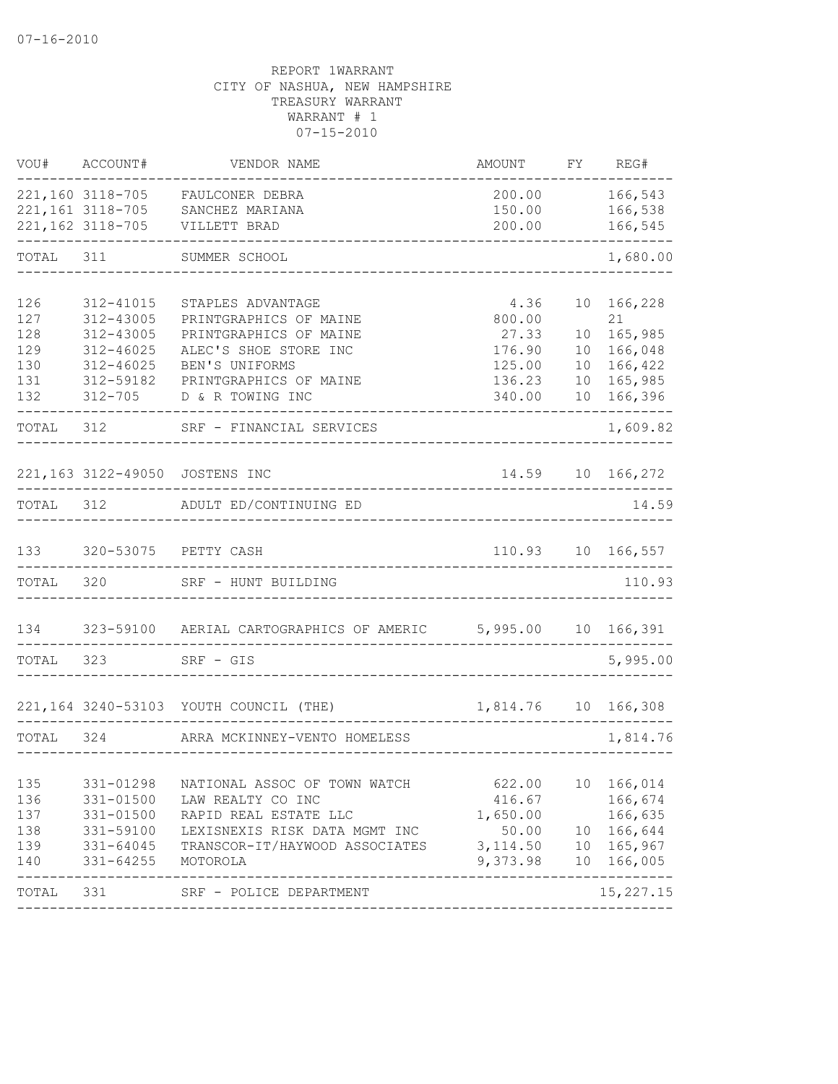| VOU#      | ACCOUNT#          | VENDOR NAME                                                  | AMOUNT                | FY              | REG#                          |
|-----------|-------------------|--------------------------------------------------------------|-----------------------|-----------------|-------------------------------|
|           |                   | 221,160 3118-705 FAULCONER DEBRA                             | 200.00                |                 | 166,543                       |
|           |                   | 221,161 3118-705 SANCHEZ MARIANA                             | 150.00                |                 | 166,538                       |
|           | 221, 162 3118-705 | VILLETT BRAD                                                 | 200.00                |                 | 166,545                       |
| TOTAL 311 |                   | SUMMER SCHOOL                                                |                       |                 | 1,680.00                      |
| 126       | 312-41015         | STAPLES ADVANTAGE                                            | 4.36                  | 10 <sup>°</sup> | 166,228                       |
| 127       | 312-43005         | PRINTGRAPHICS OF MAINE                                       | 800.00                |                 | 21                            |
| 128       | 312-43005         | PRINTGRAPHICS OF MAINE                                       | 27.33                 | 10              | 165,985                       |
| 129       | $312 - 46025$     | ALEC'S SHOE STORE INC                                        | 176.90                | 10 <sup>°</sup> | 166,048                       |
| 130       | $312 - 46025$     | BEN'S UNIFORMS                                               | 125.00                | 10              | 166,422                       |
| 131       | 312-59182         | PRINTGRAPHICS OF MAINE                                       | 136.23                | 10              | 165,985                       |
| 132       | $312 - 705$       | D & R TOWING INC                                             | 340.00                |                 | 10 166,396                    |
| TOTAL 312 |                   | SRF - FINANCIAL SERVICES                                     |                       |                 | 1,609.82                      |
|           |                   |                                                              |                       |                 |                               |
|           |                   | 221,163 3122-49050 JOSTENS INC                               | 14.59                 |                 | 10 166,272                    |
| TOTAL 312 |                   | ADULT ED/CONTINUING ED                                       |                       |                 | 14.59                         |
|           |                   |                                                              |                       |                 |                               |
| 133       |                   | 320-53075 PETTY CASH                                         |                       |                 | 110.93 10 166,557             |
| TOTAL     | 320               | SRF - HUNT BUILDING                                          |                       |                 | 110.93                        |
| 134       |                   | 323-59100 AERIAL CARTOGRAPHICS OF AMERIC 5,995.00 10 166,391 |                       |                 |                               |
| TOTAL 323 |                   | SRF - GIS                                                    |                       |                 | 5,995.00                      |
|           |                   |                                                              |                       |                 |                               |
|           |                   | 221,164 3240-53103 YOUTH COUNCIL (THE)                       | 1,814.76  10  166,308 |                 |                               |
| TOTAL 324 |                   | ARRA MCKINNEY-VENTO HOMELESS                                 |                       |                 | 1,814.76                      |
| 135       | 331-01298         | NATIONAL ASSOC OF TOWN WATCH                                 | 622.00                |                 | 10 166,014                    |
| 136       | 331-01500         | LAW REALTY CO INC                                            | 416.67                |                 | 166,674                       |
| 137       | 331-01500         | RAPID REAL ESTATE LLC                                        | 1,650.00              |                 | 166,635                       |
| 138       | 331-59100         | LEXISNEXIS RISK DATA MGMT INC                                | 50.00                 |                 | 10 166,644                    |
| 139       | 331-64045         | TRANSCOR-IT/HAYWOOD ASSOCIATES                               | 3, 114.50             |                 | 10 165,967                    |
| 140       | $331 - 64255$     | MOTOROLA                                                     | 9,373.98              |                 | 10 166,005                    |
| TOTAL     | 331               | SRF - POLICE DEPARTMENT                                      |                       |                 | --------------<br>15, 227. 15 |
|           |                   |                                                              |                       |                 |                               |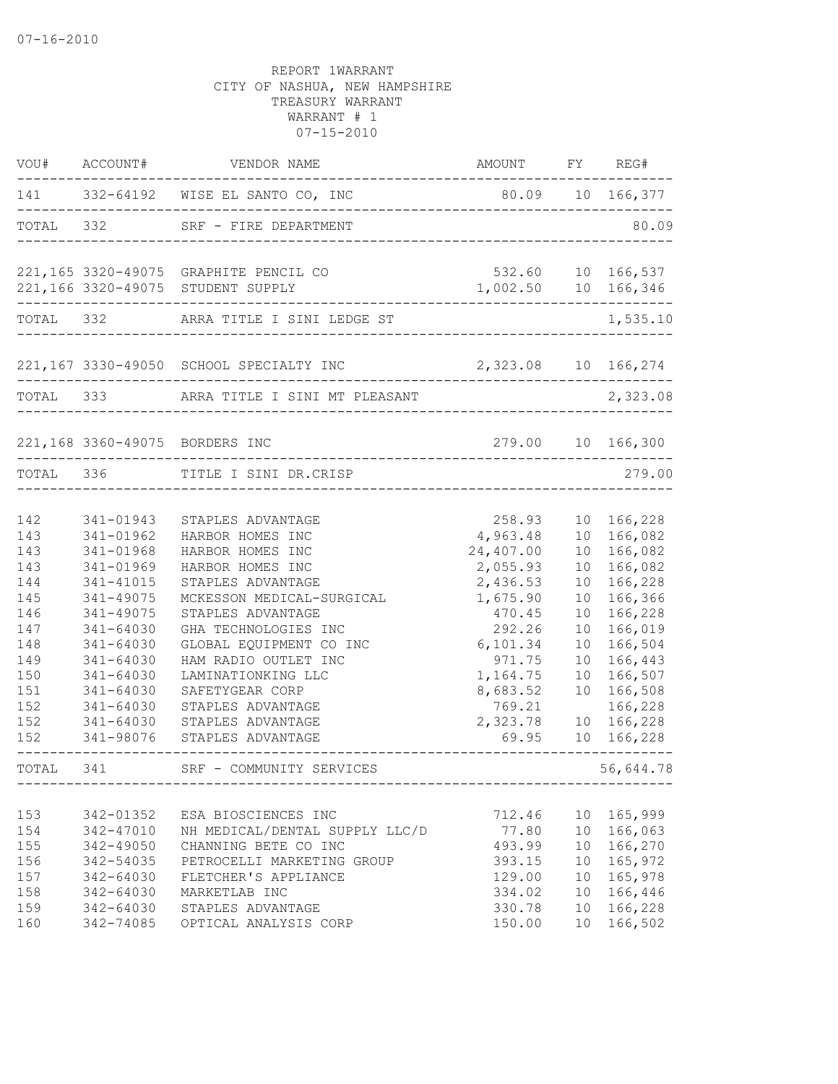| VOU#                     | ACCOUNT#                                             | VENDOR NAME                                                                                                 | AMOUNT                                     |                                   | FY REG#                                        |
|--------------------------|------------------------------------------------------|-------------------------------------------------------------------------------------------------------------|--------------------------------------------|-----------------------------------|------------------------------------------------|
|                          |                                                      | 141 332-64192 WISE EL SANTO CO, INC                                                                         | 80.09 10 166,377                           |                                   |                                                |
|                          | TOTAL 332                                            | SRF - FIRE DEPARTMENT                                                                                       |                                            |                                   | 80.09                                          |
|                          |                                                      | 221,165 3320-49075 GRAPHITE PENCIL CO<br>221,166 3320-49075 STUDENT SUPPLY                                  | 532.60 10 166,537<br>1,002.50 10 166,346   |                                   |                                                |
|                          |                                                      | TOTAL 332 ARRA TITLE I SINI LEDGE ST                                                                        |                                            |                                   | 1,535.10                                       |
|                          |                                                      | 221,167 3330-49050 SCHOOL SPECIALTY INC 2,323.08 10 166,274                                                 |                                            |                                   |                                                |
| TOTAL 333                |                                                      | ARRA TITLE I SINI MT PLEASANT                                                                               |                                            |                                   | 2,323.08                                       |
|                          |                                                      | 221,168 3360-49075 BORDERS INC                                                                              |                                            |                                   | 279.00 10 166,300                              |
|                          |                                                      | TOTAL 336 TITLE I SINI DR.CRISP<br>------------------                                                       |                                            |                                   | 279.00                                         |
| 142<br>143<br>143        | 341-01943<br>341-01962<br>341-01968                  | STAPLES ADVANTAGE<br>HARBOR HOMES INC<br>HARBOR HOMES INC                                                   | 258.93<br>4,963.48<br>24,407.00            | 10 <sup>°</sup><br>10             | 166,228<br>10 166,082<br>166,082               |
| 143<br>144<br>145        | 341-01969<br>341-41015<br>341-49075                  | HARBOR HOMES INC<br>STAPLES ADVANTAGE<br>MCKESSON MEDICAL-SURGICAL                                          | 2,055.93<br>2,436.53<br>1,675.90           | 10<br>10<br>10                    | 166,082<br>166,228<br>166,366                  |
| 146<br>147<br>148<br>149 | 341-49075<br>341-64030<br>341-64030<br>341-64030     | STAPLES ADVANTAGE<br>GHA TECHNOLOGIES INC<br>GLOBAL EQUIPMENT CO INC<br>HAM RADIO OUTLET INC                | 470.45<br>292.26<br>6,101.34<br>971.75     | 10<br>10<br>10<br>10              | 166,228<br>166,019<br>166,504<br>166,443       |
| 150<br>151<br>152<br>152 | 341-64030<br>341-64030<br>341-64030<br>$341 - 64030$ | LAMINATIONKING LLC<br>SAFETYGEAR CORP<br>STAPLES ADVANTAGE<br>STAPLES ADVANTAGE                             | 1,164.75<br>8,683.52<br>769.21<br>2,323.78 | 10<br>10<br>10                    | 166,507<br>166,508<br>166,228<br>166,228       |
| 152                      | 341-98076                                            | STAPLES ADVANTAGE                                                                                           | 69.95                                      | 10                                | 166,228                                        |
| TOTAL                    | 341                                                  | SRF - COMMUNITY SERVICES                                                                                    |                                            |                                   | 56,644.78                                      |
| 153<br>154<br>155<br>156 | 342-01352<br>342-47010<br>342-49050<br>342-54035     | ESA BIOSCIENCES INC<br>NH MEDICAL/DENTAL SUPPLY LLC/D<br>CHANNING BETE CO INC<br>PETROCELLI MARKETING GROUP | 712.46<br>77.80<br>493.99<br>393.15        | 10<br>10 <sup>°</sup>             | 10 165,999<br>10 166,063<br>166,270<br>165,972 |
| 157<br>158<br>159<br>160 | 342-64030<br>342-64030<br>342-64030<br>342-74085     | FLETCHER'S APPLIANCE<br>MARKETLAB INC<br>STAPLES ADVANTAGE<br>OPTICAL ANALYSIS CORP                         | 129.00<br>334.02<br>330.78<br>150.00       | 10<br>10 <sup>°</sup><br>10<br>10 | 165,978<br>166,446<br>166,228<br>166,502       |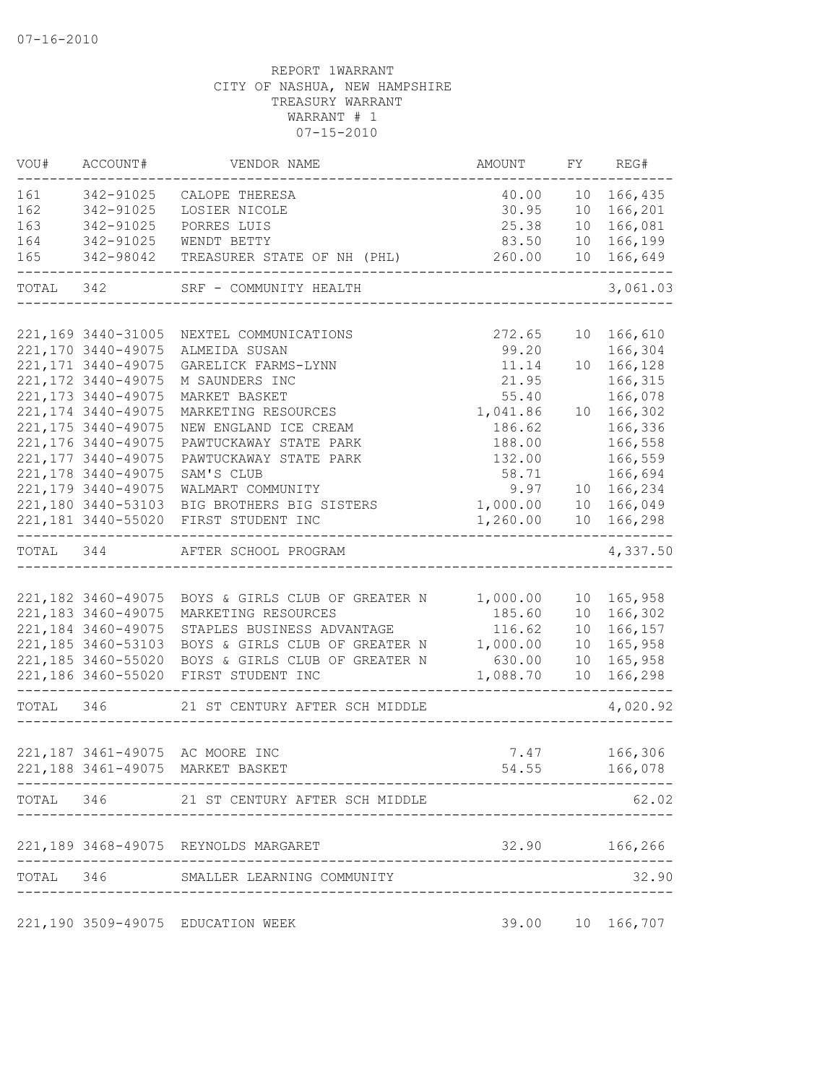| VOU#      | ACCOUNT#            | VENDOR NAME                              | AMOUNT                          |                 | FY REG#          |
|-----------|---------------------|------------------------------------------|---------------------------------|-----------------|------------------|
| 161       | 342-91025           | CALOPE THERESA                           | 40.00                           | 10              | 166,435          |
| 162       | 342-91025           | LOSIER NICOLE                            | 30.95                           |                 | 10 166,201       |
| 163       | 342-91025           | PORRES LUIS                              | 25.38                           | 10              | 166,081          |
| 164       | 342-91025           | WENDT BETTY                              | 83.50                           | 10              | 166,199          |
| 165       | 342-98042           | TREASURER STATE OF NH (PHL)              | 260.00                          |                 | 10 166,649       |
| TOTAL 342 |                     | SRF - COMMUNITY HEALTH                   |                                 |                 | 3,061.03         |
|           |                     |                                          |                                 |                 |                  |
|           | 221,169 3440-31005  | NEXTEL COMMUNICATIONS                    | 272.65                          |                 | 10 166,610       |
|           | 221,170 3440-49075  | ALMEIDA SUSAN                            | 99.20                           |                 | 166,304          |
|           | 221, 171 3440-49075 | GARELICK FARMS-LYNN                      | 11.14                           |                 | 10 166,128       |
|           | 221, 172 3440-49075 | M SAUNDERS INC                           | 21.95                           |                 | 166,315          |
|           | 221, 173 3440-49075 | MARKET BASKET                            | 55.40                           |                 | 166,078          |
|           | 221, 174 3440-49075 | MARKETING RESOURCES                      | 1,041.86                        |                 | 10 166,302       |
|           | 221, 175 3440-49075 | NEW ENGLAND ICE CREAM                    | 186.62                          |                 | 166,336          |
|           | 221, 176 3440-49075 | PAWTUCKAWAY STATE PARK                   | 188.00                          |                 | 166,558          |
|           | 221, 177 3440-49075 | PAWTUCKAWAY STATE PARK                   | 132.00                          |                 | 166,559          |
|           | 221, 178 3440-49075 | SAM'S CLUB                               | 58.71                           |                 | 166,694          |
|           | 221,179 3440-49075  | WALMART COMMUNITY                        | 9.97                            |                 | 10 166,234       |
|           | 221,180 3440-53103  | BIG BROTHERS BIG SISTERS                 | 1,000.00                        |                 | 10 166,049       |
|           | 221,181 3440-55020  | FIRST STUDENT INC                        | 1,260.00                        | 10              | 166,298          |
|           | TOTAL 344           | AFTER SCHOOL PROGRAM                     |                                 |                 | 4,337.50         |
|           |                     |                                          |                                 |                 |                  |
|           | 221,182 3460-49075  | BOYS & GIRLS CLUB OF GREATER N           | 1,000.00                        |                 | 10 165,958       |
|           | 221, 183 3460-49075 | MARKETING RESOURCES                      | 185.60                          | 10 <sup>°</sup> | 166,302          |
|           | 221,184 3460-49075  | STAPLES BUSINESS ADVANTAGE               | 116.62                          | 10              | 166,157          |
|           | 221,185 3460-53103  | BOYS & GIRLS CLUB OF GREATER N           | 1,000.00                        | 10              | 165,958          |
|           | 221,185 3460-55020  | BOYS & GIRLS CLUB OF GREATER N           | 630.00                          | 10              | 165,958          |
|           |                     | 221,186 3460-55020 FIRST STUDENT INC     | 1,088.70                        | 10 <sup>°</sup> | 166,298          |
| TOTAL 346 |                     | 21 ST CENTURY AFTER SCH MIDDLE           |                                 |                 | 4,020.92         |
|           |                     |                                          |                                 |                 |                  |
|           |                     | 221,187 3461-49075 AC MOORE INC          |                                 |                 | 7.47 166,306     |
|           |                     | 221,188 3461-49075 MARKET BASKET         | 54.55                           |                 | 166,078          |
|           |                     | TOTAL 346 21 ST CENTURY AFTER SCH MIDDLE |                                 |                 | 62.02            |
|           |                     | 221,189 3468-49075 REYNOLDS MARGARET     |                                 |                 | 32.90 166,266    |
|           |                     |                                          |                                 |                 |                  |
|           |                     | TOTAL 346 SMALLER LEARNING COMMUNITY     | ------------------------------- |                 | 32.90            |
|           |                     | 221,190 3509-49075 EDUCATION WEEK        |                                 |                 | 39.00 10 166,707 |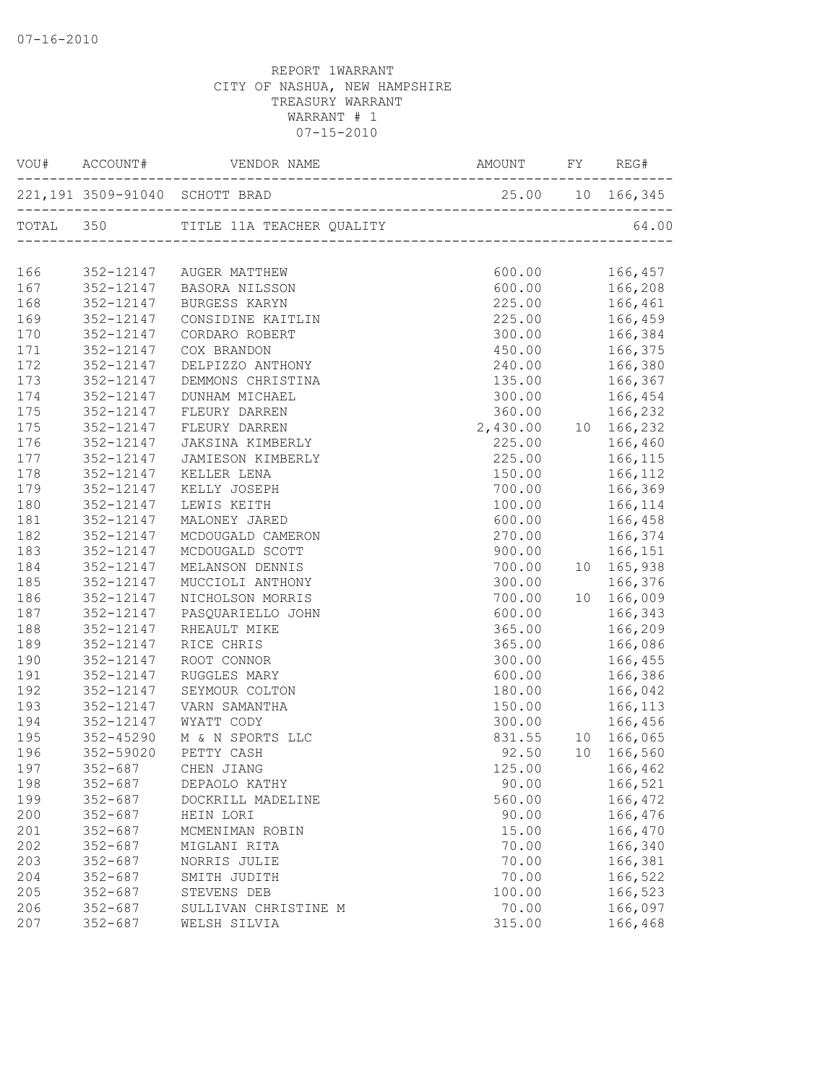| VOU#       | ACCOUNT#                   |                                    |                                                                                                   | REG#                                                                                     |
|------------|----------------------------|------------------------------------|---------------------------------------------------------------------------------------------------|------------------------------------------------------------------------------------------|
|            |                            | 221,191 3509-91040 SCHOTT BRAD     | 25.00                                                                                             | 10 166,345                                                                               |
|            |                            |                                    |                                                                                                   | 64.00                                                                                    |
| 166        |                            | 352-12147 AUGER MATTHEW            |                                                                                                   |                                                                                          |
| 167        |                            | 352-12147 BASORA NILSSON           |                                                                                                   |                                                                                          |
| 168        | 352-12147                  | BURGESS KARYN                      |                                                                                                   | $\begin{array}{cc} 600.00 & 166,457 \\ 600.00 & 166,208 \\ 225.00 & 166,461 \end{array}$ |
| 169        | 352-12147                  | CONSIDINE KAITLIN                  |                                                                                                   | 225.00 166,459                                                                           |
| 170        | 352-12147                  | CORDARO ROBERT                     |                                                                                                   | 300.00 166,384                                                                           |
| 171        | 352-12147                  | COX BRANDON                        |                                                                                                   | 450.00 166,375                                                                           |
| 172        | 352-12147                  | DELPIZZO ANTHONY                   |                                                                                                   | 240.00 166,380                                                                           |
| 173        | 352-12147                  | DEMMONS CHRISTINA                  |                                                                                                   | 135.00 166,367                                                                           |
| 174        | 352-12147                  | DUNHAM MICHAEL                     | 300.00                                                                                            | 166,454                                                                                  |
| 175        | 352-12147                  | FLEURY DARREN                      |                                                                                                   |                                                                                          |
| 175        | 352-12147                  | FLEURY DARREN                      | $\begin{array}{cccc} 360.00 & 166,232 \\ 2,430.00 & 10 & 166,232 \\ 225.00 & 166,460 \end{array}$ |                                                                                          |
| 176        | 352-12147                  | JAKSINA KIMBERLY                   |                                                                                                   |                                                                                          |
| 177        | 352-12147                  | JAMIESON KIMBERLY                  | 225.00                                                                                            | 166,115                                                                                  |
| 178        | 352-12147                  | KELLER LENA                        | 150.00                                                                                            | 166,112                                                                                  |
| 179        | 352-12147                  | KELLY JOSEPH                       |                                                                                                   | 700.00 166,369                                                                           |
| 180        | 352-12147                  | LEWIS KEITH                        |                                                                                                   | 100.00    166,114                                                                        |
| 181        | 352-12147                  | MALONEY JARED                      |                                                                                                   | 600.00 166,458                                                                           |
| 182        | 352-12147                  | MCDOUGALD CAMERON                  | 270.00                                                                                            | 166,374                                                                                  |
| 183        | 352-12147                  | MCDOUGALD SCOTT                    | 900.00                                                                                            | 166,151                                                                                  |
| 184        | 352-12147                  | MELANSON DENNIS                    | 700.00                                                                                            | 10 165,938                                                                               |
| 185        | 352-12147                  | MUCCIOLI ANTHONY                   | 300.00                                                                                            | 166,376                                                                                  |
| 186        | 352-12147                  | NICHOLSON MORRIS                   | 700.00                                                                                            | 10 166,009                                                                               |
| 187        | 352-12147                  | PASQUARIELLO JOHN                  | 600.00                                                                                            | 166,343                                                                                  |
| 188        | 352-12147                  | RHEAULT MIKE                       | 365.00                                                                                            | 166,209                                                                                  |
| 189        | 352-12147                  | RICE CHRIS                         |                                                                                                   | 365.00 166,086                                                                           |
| 190        | 352-12147                  | ROOT CONNOR                        |                                                                                                   | 300.00 166,455                                                                           |
| 191        | 352-12147                  | RUGGLES MARY                       | 600.00                                                                                            | 166,386                                                                                  |
| 192        | 352-12147                  | SEYMOUR COLTON                     | 180.00                                                                                            | 166,042                                                                                  |
| 193        | 352-12147                  | VARN SAMANTHA                      | 150.00                                                                                            | 166,113                                                                                  |
| 194        | 352-12147                  | WYATT CODY                         | 300.00                                                                                            | 166,456                                                                                  |
| 195        | 352-45290                  | M & N SPORTS LLC                   |                                                                                                   | 831.55 10 166,065                                                                        |
| 196        | 352-59020                  | PETTY CASH                         | 92.50                                                                                             | 10 166,560                                                                               |
| 197        | $352 - 687$                | CHEN JIANG                         | 125.00                                                                                            | 166,462                                                                                  |
| 198        | $352 - 687$                |                                    | 90.00                                                                                             | 166,521                                                                                  |
| 199        | $352 - 687$                | DEPAOLO KATHY<br>DOCKRILL MADELINE | 560.00                                                                                            | 166,472                                                                                  |
| 200        | $352 - 687$                | HEIN LORI                          | 90.00                                                                                             | 166,476                                                                                  |
| 201        | $352 - 687$                | MCMENIMAN ROBIN                    | 15.00                                                                                             | 166,470                                                                                  |
| 202        | $352 - 687$                | MIGLANI RITA                       | 70.00                                                                                             | 166,340                                                                                  |
| 203        |                            |                                    |                                                                                                   |                                                                                          |
|            | $352 - 687$                | NORRIS JULIE                       | 70.00                                                                                             | 166,381                                                                                  |
| 204<br>205 | $352 - 687$<br>$352 - 687$ | SMITH JUDITH<br>STEVENS DEB        | 70.00<br>100.00                                                                                   | 166,522<br>166,523                                                                       |
| 206        | $352 - 687$                | SULLIVAN CHRISTINE M               | 70.00                                                                                             | 166,097                                                                                  |
| 207        | $352 - 687$                | WELSH SILVIA                       | 315.00                                                                                            | 166,468                                                                                  |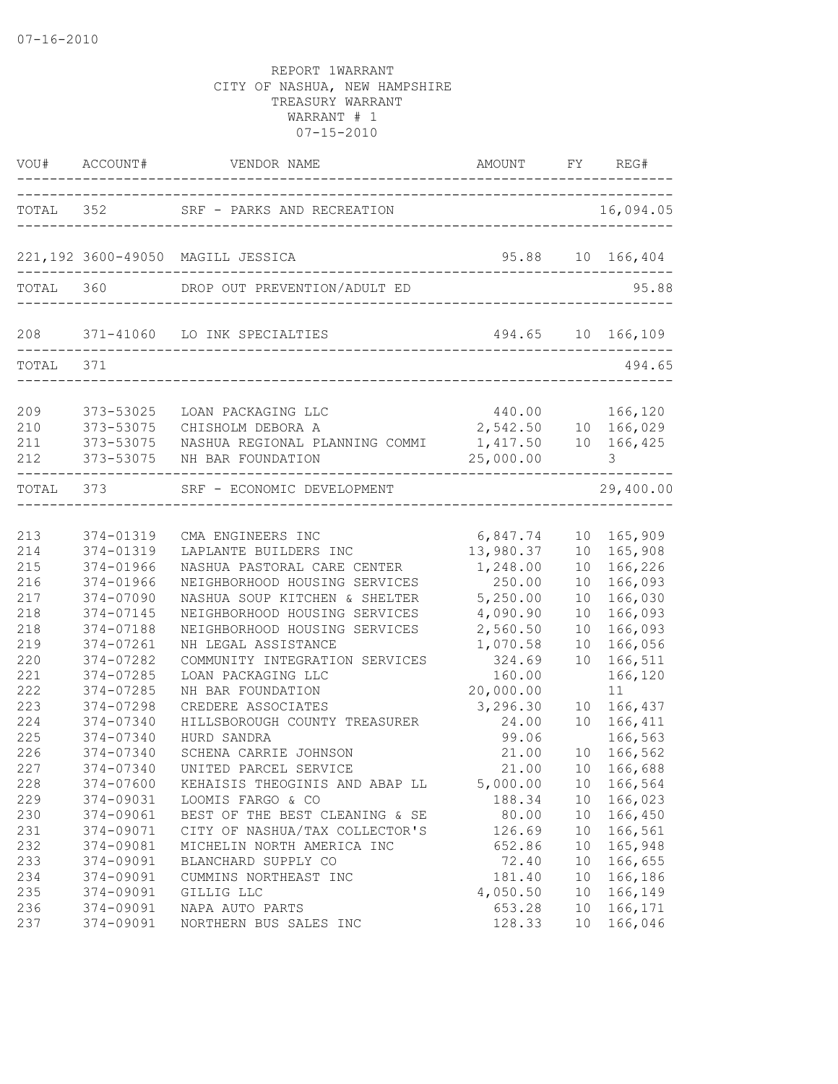|                          |                                                                 | TOTAL 352 SRF - PARKS AND RECREATION   |                   |                 | 16,094.05  |
|--------------------------|-----------------------------------------------------------------|----------------------------------------|-------------------|-----------------|------------|
|                          |                                                                 | 221,192 3600-49050 MAGILL JESSICA      | 95.88 10 166,404  |                 |            |
|                          |                                                                 | TOTAL 360 DROP OUT PREVENTION/ADULT ED |                   |                 | 95.88      |
|                          |                                                                 | 208 371-41060 LO INK SPECIALTIES       | 494.65 10 166,109 |                 |            |
| TOTAL 371                |                                                                 | _______________________                |                   |                 | 494.65     |
| 209<br>210<br>211<br>212 | 373-53025<br>373-53075<br>373-53075<br>------------------------ | 373-53075 NH BAR FOUNDATION            | 25,000.00         |                 | 3          |
|                          |                                                                 | TOTAL 373 SRF - ECONOMIC DEVELOPMENT   |                   |                 | 29,400.00  |
| 213                      | 374-01319                                                       | CMA ENGINEERS INC                      | 6,847.74          |                 | 10 165,909 |
| 214                      | 374-01319                                                       | LAPLANTE BUILDERS INC                  | 13,980.37         |                 | 10 165,908 |
| 215                      | 374-01966                                                       | NASHUA PASTORAL CARE CENTER            | 1,248.00          |                 | 10 166,226 |
| 216                      | 374-01966                                                       | NEIGHBORHOOD HOUSING SERVICES          | 250.00            |                 | 10 166,093 |
| 217                      | 374-07090                                                       | NASHUA SOUP KITCHEN & SHELTER          | 5,250.00          |                 | 10 166,030 |
| 218                      | 374-07145                                                       | NEIGHBORHOOD HOUSING SERVICES          | 4,090.90          | 10              | 166,093    |
| 218                      | 374-07188                                                       | NEIGHBORHOOD HOUSING SERVICES          | 2,560.50          | 10              | 166,093    |
| 219                      | 374-07261                                                       | NH LEGAL ASSISTANCE                    | 1,070.58          | 10 <sub>1</sub> | 166,056    |
| 220                      | 374-07282                                                       | COMMUNITY INTEGRATION SERVICES         | 324.69            | 10              | 166,511    |
| 221                      | 374-07285                                                       | LOAN PACKAGING LLC                     | 160.00            |                 | 166,120    |
| 222                      | 374-07285                                                       | NH BAR FOUNDATION                      | 20,000.00         |                 | 11         |
| 223                      | 374-07298                                                       | CREDERE ASSOCIATES                     | 3,296.30          |                 | 10 166,437 |
| 224                      | 374-07340                                                       | HILLSBOROUGH COUNTY TREASURER          | 24.00             |                 | 10 166,411 |
| 225                      | 374-07340                                                       | HURD SANDRA                            | 99.06             |                 | 166,563    |
| 226                      | 374-07340                                                       | SCHENA CARRIE JOHNSON                  | 21.00             | 10              | 10 166,562 |
| 227                      | 374-07340                                                       | UNITED PARCEL SERVICE                  | 21.00             |                 | 10 166,688 |
| 228                      | 374-07600                                                       | KEHAISIS THEOGINIS AND ABAP LL         | 5,000.00          |                 | 166,564    |
| 229                      | 374-09031                                                       | LOOMIS FARGO & CO                      | 188.34            | 10              | 166,023    |
| 230                      | 374-09061                                                       | BEST OF THE BEST CLEANING & SE         | 80.00             | 10              | 166,450    |
| 231                      | 374-09071                                                       | CITY OF NASHUA/TAX COLLECTOR'S         | 126.69            | 10              | 166,561    |
| 232                      | 374-09081                                                       | MICHELIN NORTH AMERICA INC             | 652.86            | 10              | 165,948    |
| 233                      | 374-09091                                                       | BLANCHARD SUPPLY CO                    | 72.40             | 10              | 166,655    |
| 234                      | 374-09091                                                       | CUMMINS NORTHEAST INC                  | 181.40            | 10              | 166,186    |
| 235                      | 374-09091                                                       | GILLIG LLC                             | 4,050.50          | 10              | 166,149    |
| 236                      | 374-09091                                                       | NAPA AUTO PARTS                        | 653.28            | 10              | 166,171    |
| 237                      | 374-09091                                                       | NORTHERN BUS SALES INC                 | 128.33            | 10              | 166,046    |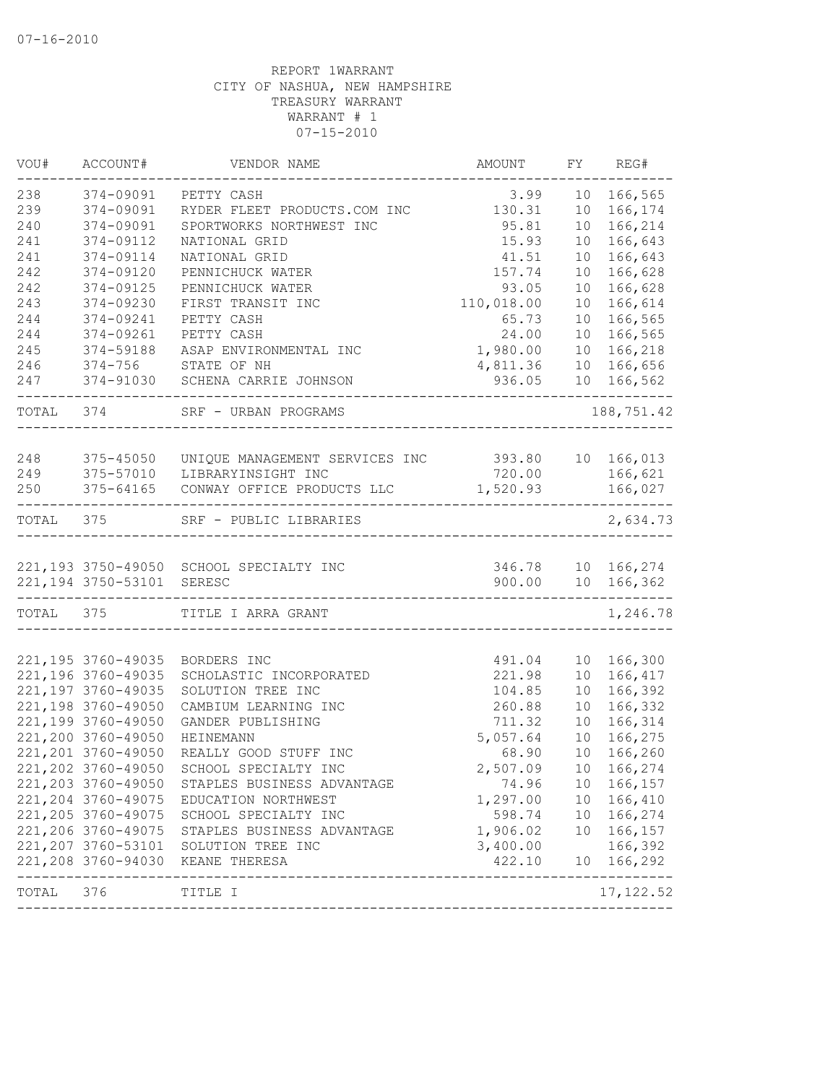| VOU#      | ACCOUNT#                  | VENDOR NAME                                               | AMOUNT     | FY              | REG#                                   |
|-----------|---------------------------|-----------------------------------------------------------|------------|-----------------|----------------------------------------|
| 238       | 374-09091                 | PETTY CASH                                                | 3.99       | 10              | 166,565                                |
| 239       | 374-09091                 | RYDER FLEET PRODUCTS.COM INC                              | 130.31     | 10 <sup>°</sup> | 166,174                                |
| 240       | 374-09091                 | SPORTWORKS NORTHWEST INC                                  | 95.81      | 10              | 166,214                                |
| 241       | 374-09112                 | NATIONAL GRID                                             | 15.93      | 10              | 166,643                                |
| 241       | 374-09114                 | NATIONAL GRID                                             | 41.51      | 10              | 166,643                                |
| 242       | 374-09120                 | PENNICHUCK WATER                                          | 157.74     | 10              | 166,628                                |
| 242       | 374-09125                 | PENNICHUCK WATER                                          | 93.05      | 10              | 166,628                                |
| 243       | 374-09230                 | FIRST TRANSIT INC                                         | 110,018.00 | 10              | 166,614                                |
| 244       | 374-09241                 | PETTY CASH                                                | 65.73      | 10              | 166,565                                |
| 244       | 374-09261                 | PETTY CASH                                                | 24.00      | 10              | 166,565                                |
| 245       | 374-59188                 | ASAP ENVIRONMENTAL INC                                    | 1,980.00   | 10 <sub>o</sub> | 166,218                                |
| 246       | $374 - 756$               | STATE OF NH                                               | 4,811.36   | 10 <sup>°</sup> | 166,656                                |
| 247       |                           | 374-91030 SCHENA CARRIE JOHNSON<br>---------------------  | 936.05     |                 | 10 166,562                             |
| TOTAL 374 |                           | SRF - URBAN PROGRAMS                                      |            |                 | 188,751.42                             |
|           |                           |                                                           |            |                 |                                        |
| 248       | 375-45050                 | UNIQUE MANAGEMENT SERVICES INC 393.80 10 166,013          |            |                 |                                        |
| 249       | 375-57010                 | LIBRARYINSIGHT INC                                        | 720.00     |                 | 166,621                                |
| 250       | 375-64165                 | CONWAY OFFICE PRODUCTS LLC                                | 1,520.93   |                 | 166,027<br>$- - - - - -$               |
| TOTAL 375 |                           | SRF - PUBLIC LIBRARIES                                    |            |                 | 2,634.73                               |
|           |                           |                                                           |            |                 |                                        |
|           |                           | 221,193 3750-49050 SCHOOL SPECIALTY INC                   |            |                 | 346.78 10 166,274<br>900.00 10 166,362 |
|           | 221,194 3750-53101 SERESC | ---------------------------------                         |            |                 |                                        |
|           | TOTAL 375                 | TITLE I ARRA GRANT                                        |            |                 | 1,246.78                               |
|           | 221,195 3760-49035        | BORDERS INC                                               | 491.04     | 10 <sup>°</sup> | 166,300                                |
|           | 221,196 3760-49035        | SCHOLASTIC INCORPORATED                                   | 221.98     | 10              | 166,417                                |
|           | 221, 197 3760-49035       | SOLUTION TREE INC                                         | 104.85     | 10              | 166,392                                |
|           | 221,198 3760-49050        | CAMBIUM LEARNING INC                                      | 260.88     | 10              | 166,332                                |
|           | 221,199 3760-49050        | GANDER PUBLISHING                                         | 711.32     | 10              | 166,314                                |
|           | 221,200 3760-49050        | HEINEMANN                                                 | 5,057.64   | 10              | 166,275                                |
|           | 221, 201 3760-49050       | REALLY GOOD STUFF INC                                     | 68.90      | 10              | 166,260                                |
|           | 221,202 3760-49050        | SCHOOL SPECIALTY INC                                      | 2,507.09   | 10              | 166,274                                |
|           | 221, 203 3760-49050       | STAPLES BUSINESS ADVANTAGE                                | 74.96      |                 | 10 166, 157                            |
|           | 221, 204 3760-49075       | EDUCATION NORTHWEST                                       | 1,297.00   |                 | 10 166,410                             |
|           | 221, 205 3760-49075       | SCHOOL SPECIALTY INC                                      | 598.74     |                 | 10 166,274                             |
|           | 221,206 3760-49075        | STAPLES BUSINESS ADVANTAGE                                | 1,906.02   |                 | 10 166,157                             |
|           | 221, 207 3760-53101       | SOLUTION TREE INC                                         | 3,400.00   |                 | 166,392                                |
|           |                           | 221,208 3760-94030 KEANE THERESA                          | 422.10     |                 | 10 166,292                             |
| TOTAL     | 376                       | ----------------------------<br>--------------<br>TITLE I |            |                 | ---------------<br>17, 122.52          |
|           |                           |                                                           |            |                 |                                        |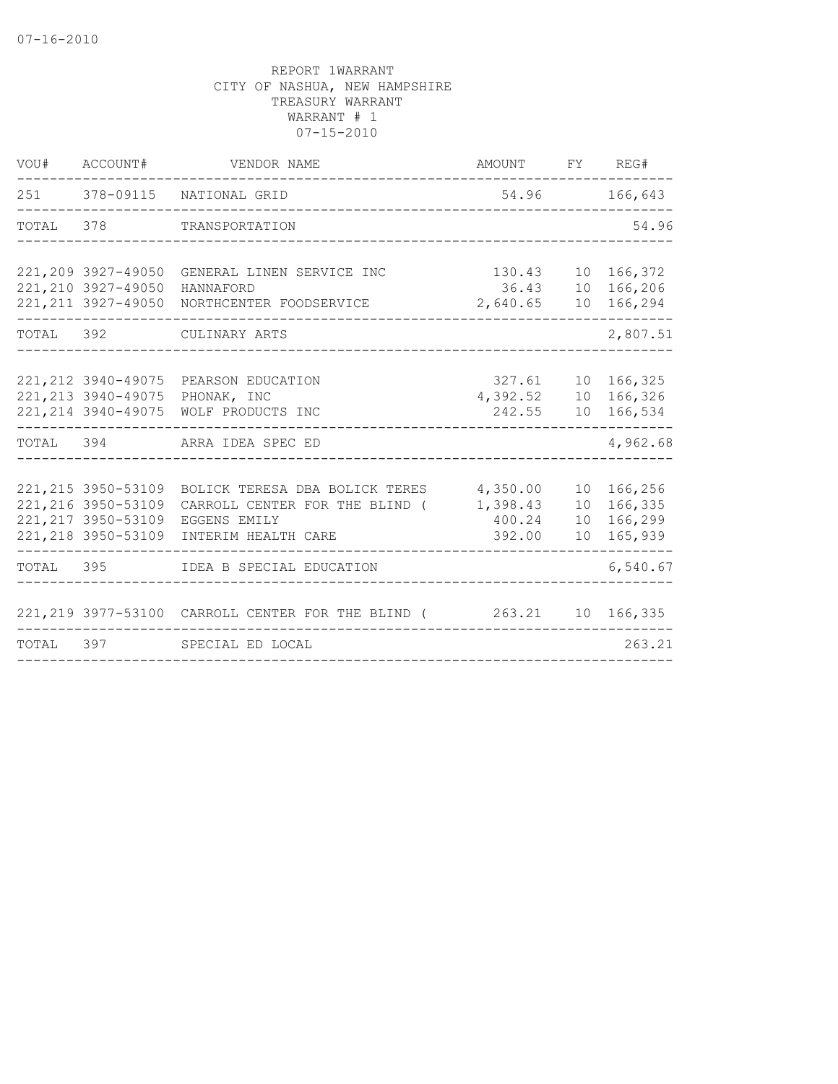| VOU#  | ACCOUNT#                                                                                 | VENDOR NAME                                                                                             | AMOUNT                                   |                       | FY REG#                                        |
|-------|------------------------------------------------------------------------------------------|---------------------------------------------------------------------------------------------------------|------------------------------------------|-----------------------|------------------------------------------------|
|       |                                                                                          | 251 378-09115 NATIONAL GRID                                                                             |                                          |                       | 54.96 166,643                                  |
| TOTAL | 378                                                                                      | TRANSPORTATION                                                                                          |                                          |                       | 54.96                                          |
|       | 221,209 3927-49050<br>221, 210 3927-49050<br>221, 211 3927-49050                         | GENERAL LINEN SERVICE INC<br>HANNAFORD<br>NORTHCENTER FOODSERVICE                                       | 130.43<br>36.43<br>2,640.65              |                       | 10 166,372<br>10 166,206<br>10 166,294         |
|       |                                                                                          | TOTAL 392 CULINARY ARTS                                                                                 |                                          |                       | 2,807.51                                       |
|       | 221, 212 3940-49075<br>221, 213 3940-49075<br>221, 214 3940-49075                        | PEARSON EDUCATION<br>PHONAK, INC<br>WOLF PRODUCTS INC                                                   | 327.61<br>4,392.52<br>242.55             |                       | 10 166,325<br>10 166,326<br>10 166,534         |
|       |                                                                                          | TOTAL 394 ARRA IDEA SPEC ED                                                                             |                                          |                       | 4,962.68                                       |
|       | 221, 215 3950-53109<br>221, 216 3950-53109<br>221, 217 3950-53109<br>221, 218 3950-53109 | BOLICK TERESA DBA BOLICK TERES<br>CARROLL CENTER FOR THE BLIND (<br>EGGENS EMILY<br>INTERIM HEALTH CARE | 4,350.00<br>1,398.43<br>400.24<br>392.00 | 10 <sup>°</sup><br>10 | 166,256<br>166,335<br>10 166,299<br>10 165,939 |
| TOTAL |                                                                                          | 395 IDEA B SPECIAL EDUCATION                                                                            |                                          |                       | 6,540.67                                       |
|       |                                                                                          | 221, 219 3977-53100 CARROLL CENTER FOR THE BLIND (263.21 10 166, 335                                    |                                          |                       |                                                |
| TOTAL | 397 — 100                                                                                | SPECIAL ED LOCAL                                                                                        |                                          |                       | 263.21                                         |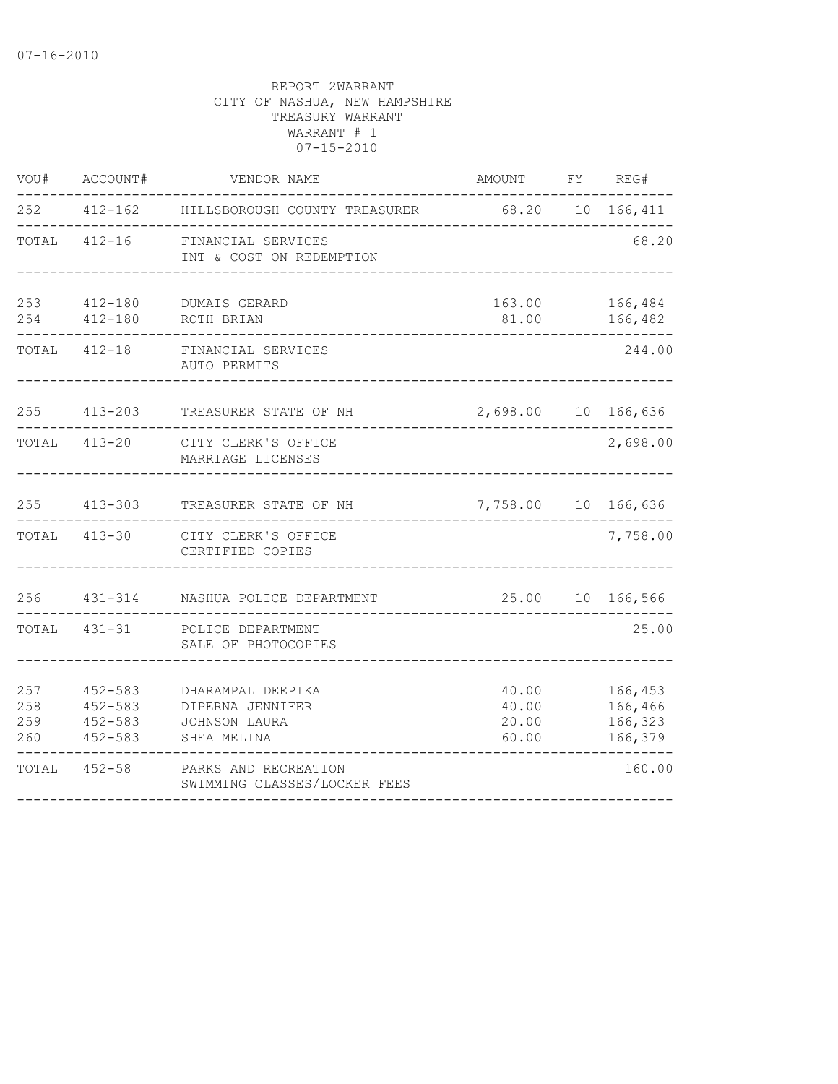| VOU#                     | ACCOUNT#                                                 | VENDOR NAME                                                           | AMOUNT                           | FY REG#                                  |
|--------------------------|----------------------------------------------------------|-----------------------------------------------------------------------|----------------------------------|------------------------------------------|
| 252                      |                                                          | 412-162 HILLSBOROUGH COUNTY TREASURER                                 | 68.20 10 166,411                 |                                          |
| TOTAL                    |                                                          | 412-16 FINANCIAL SERVICES<br>INT & COST ON REDEMPTION                 |                                  | 68.20                                    |
| 253                      | 412-180                                                  | DUMAIS GERARD<br>254  412-180  ROTH BRIAN                             | 163.00<br>81.00                  | 166,484<br>166,482                       |
|                          | TOTAL 412-18                                             | FINANCIAL SERVICES<br>AUTO PERMITS                                    |                                  | 244.00                                   |
| 255                      | $413 - 203$                                              | TREASURER STATE OF NH                                                 | 2,698.00 10                      | 166,636                                  |
| TOTAL                    | 413-20                                                   | CITY CLERK'S OFFICE<br>MARRIAGE LICENSES                              |                                  | 2,698.00                                 |
|                          | 255 413-303                                              | TREASURER STATE OF NH                                                 | 7,758.00 10 166,636              |                                          |
|                          | TOTAL 413-30                                             | CITY CLERK'S OFFICE<br>CERTIFIED COPIES                               |                                  | 7,758.00                                 |
| 256                      |                                                          | 431-314 NASHUA POLICE DEPARTMENT                                      | 25.00                            | 10 166,566                               |
| TOTAL                    | 431-31                                                   | POLICE DEPARTMENT<br>SALE OF PHOTOCOPIES                              |                                  | 25.00                                    |
| 257<br>258<br>259<br>260 | $452 - 583$<br>$452 - 583$<br>$452 - 583$<br>$452 - 583$ | DHARAMPAL DEEPIKA<br>DIPERNA JENNIFER<br>JOHNSON LAURA<br>SHEA MELINA | 40.00<br>40.00<br>20.00<br>60.00 | 166,453<br>166,466<br>166,323<br>166,379 |
| TOTAL                    | $452 - 58$                                               | PARKS AND RECREATION<br>SWIMMING CLASSES/LOCKER FEES                  |                                  | 160.00                                   |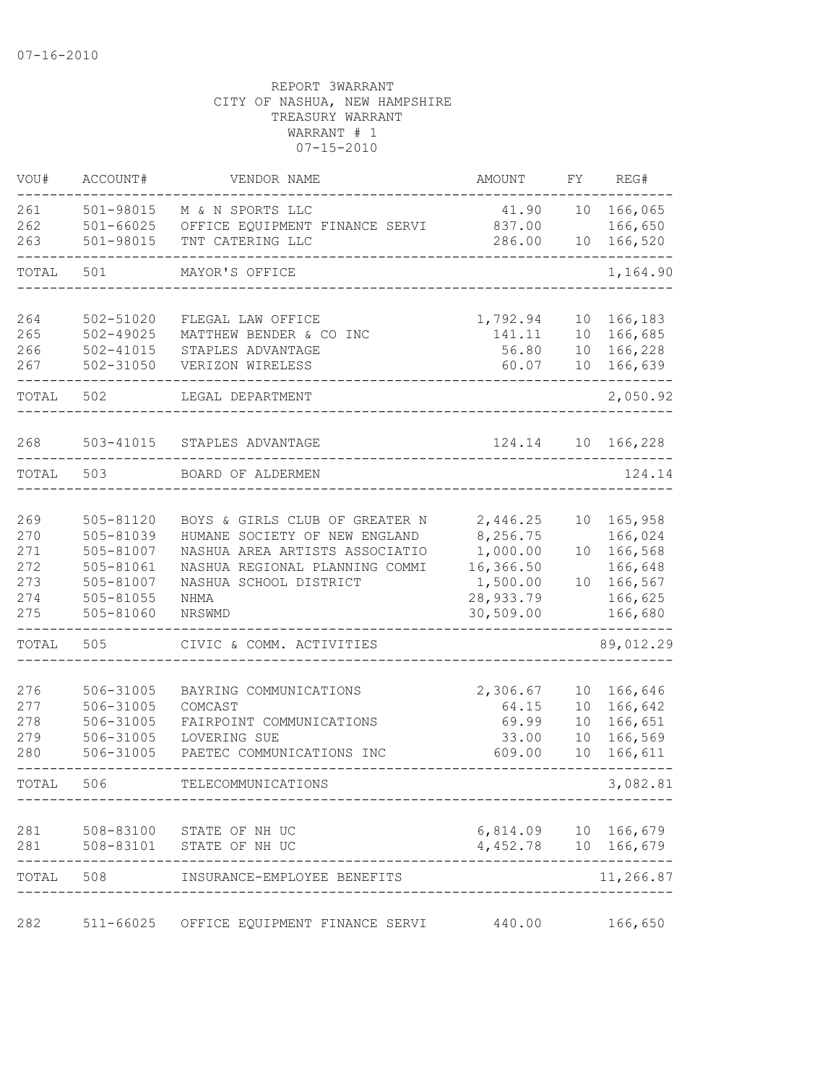| VOU#  | ACCOUNT#      | VENDOR NAME                    | AMOUNT                                     | FΥ | REG#                  |
|-------|---------------|--------------------------------|--------------------------------------------|----|-----------------------|
| 261   | 501-98015     | M & N SPORTS LLC               | 41.90                                      | 10 | 166,065               |
| 262   | $501 - 66025$ | OFFICE EQUIPMENT FINANCE SERVI | 837.00                                     |    | 166,650               |
| 263   | 501-98015     | TNT CATERING LLC               | 286.00                                     | 10 | 166,520               |
| TOTAL | 501           | MAYOR'S OFFICE                 |                                            |    | 1,164.90              |
| 264   | 502-51020     | FLEGAL LAW OFFICE              | 1,792.94                                   | 10 | 166,183               |
| 265   | $502 - 49025$ | MATTHEW BENDER & CO INC        | 141.11                                     | 10 | 166,685               |
| 266   | $502 - 41015$ | STAPLES ADVANTAGE              | 56.80                                      | 10 | 166,228               |
| 267   | $502 - 31050$ | VERIZON WIRELESS               | 60.07                                      | 10 | 166,639               |
| TOTAL | 502           | LEGAL DEPARTMENT               |                                            |    | 2,050.92              |
| 268   | 503-41015     | STAPLES ADVANTAGE              | 124.14                                     | 10 | 166,228               |
| TOTAL | 503           | BOARD OF ALDERMEN              |                                            |    | 124.14                |
|       |               |                                |                                            |    |                       |
| 269   | 505-81120     | BOYS & GIRLS CLUB OF GREATER N | 2,446.25                                   | 10 | 165,958               |
| 270   | 505-81039     | HUMANE SOCIETY OF NEW ENGLAND  | 8,256.75                                   |    | 166,024               |
| 271   | 505-81007     | NASHUA AREA ARTISTS ASSOCIATIO | 1,000.00                                   | 10 | 166,568               |
| 272   | 505-81061     | NASHUA REGIONAL PLANNING COMMI | 16,366.50                                  |    | 166,648               |
| 273   | 505-81007     | NASHUA SCHOOL DISTRICT         | 1,500.00                                   | 10 | 166,567               |
| 274   | 505-81055     | NHMA                           | 28,933.79                                  |    | 166,625               |
| 275   | 505-81060     | NRSWMD                         | 30,509.00                                  |    | 166,680               |
| TOTAL | 505           | CIVIC & COMM. ACTIVITIES       |                                            |    | 89,012.29             |
| 276   | 506-31005     | BAYRING COMMUNICATIONS         | 2,306.67                                   | 10 | 166,646               |
| 277   | 506-31005     | COMCAST                        | 64.15                                      | 10 | 166,642               |
| 278   | 506-31005     | FAIRPOINT COMMUNICATIONS       | 69.99                                      | 10 | 166,651               |
| 279   | 506-31005     | LOVERING SUE                   | 33.00                                      | 10 | 166,569               |
| 280   | 506-31005     | PAETEC COMMUNICATIONS INC      | 609.00                                     | 10 | 166,611               |
| TOTAL | 506           | TELECOMMUNICATIONS             |                                            |    | 3,082.81              |
| 281   |               | 508-83100 STATE OF NH UC       |                                            |    |                       |
| 281   | 508-83101     | STATE OF NH UC                 | 6,814.09 10 166,679<br>4,452.78 10 166,679 |    |                       |
| TOTAL | 508           | INSURANCE-EMPLOYEE BENEFITS    |                                            |    | --------<br>11,266.87 |
|       |               |                                |                                            |    |                       |
| 282   | $511 - 66025$ | OFFICE EQUIPMENT FINANCE SERVI | 440.00                                     |    | 166,650               |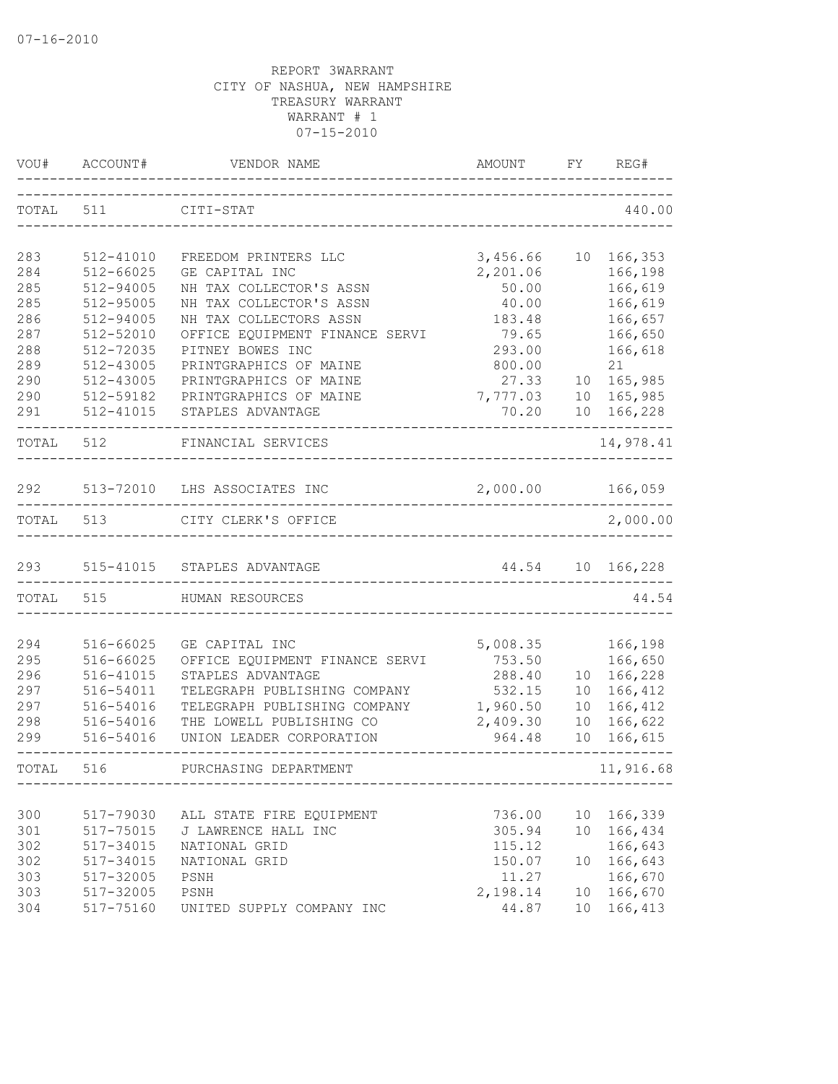| VOU#              | ACCOUNT#                            | VENDOR NAME                                                                          | AMOUNT                         | FY                    | REG#                          |
|-------------------|-------------------------------------|--------------------------------------------------------------------------------------|--------------------------------|-----------------------|-------------------------------|
| TOTAL             | 511                                 | CITI-STAT                                                                            |                                |                       | 440.00                        |
| 283<br>284        | 512-41010<br>512-66025              | FREEDOM PRINTERS LLC<br>GE CAPITAL INC                                               | 3,456.66<br>2,201.06           |                       | 10 166, 353                   |
| 285<br>285        | 512-94005<br>512-95005              | NH TAX COLLECTOR'S ASSN<br>NH TAX COLLECTOR'S ASSN                                   | 50.00<br>40.00                 |                       | 166,198<br>166,619<br>166,619 |
| 286<br>287<br>288 | 512-94005<br>512-52010<br>512-72035 | NH TAX COLLECTORS ASSN<br>OFFICE EQUIPMENT FINANCE SERVI<br>PITNEY BOWES INC         | 183.48<br>79.65<br>293.00      |                       | 166,657<br>166,650<br>166,618 |
| 289<br>290        | 512-43005<br>512-43005              | PRINTGRAPHICS OF MAINE<br>PRINTGRAPHICS OF MAINE                                     | 800.00<br>27.33                | 10                    | 21<br>165,985                 |
| 290<br>291        | 512-59182<br>512-41015              | PRINTGRAPHICS OF MAINE<br>STAPLES ADVANTAGE                                          | 7,777.03<br>70.20              | 10                    | 165,985<br>10 166,228         |
| TOTAL             | 512                                 | FINANCIAL SERVICES                                                                   |                                |                       | 14,978.41                     |
| 292               |                                     | 513-72010 LHS ASSOCIATES INC                                                         | 2,000.00                       |                       | 166,059                       |
| TOTAL             | 513                                 | CITY CLERK'S OFFICE                                                                  |                                |                       | 2,000.00                      |
| 293               | 515-41015                           | STAPLES ADVANTAGE                                                                    | 44.54<br>___________           |                       | 10 166,228                    |
| TOTAL             | 515                                 | HUMAN RESOURCES                                                                      |                                |                       | 44.54                         |
| 294<br>295        | 516-66025<br>516-66025              | GE CAPITAL INC<br>OFFICE EQUIPMENT FINANCE SERVI                                     | 5,008.35<br>753.50             |                       | 166,198<br>166,650            |
| 296<br>297        | 516-41015<br>516-54011              | STAPLES ADVANTAGE<br>TELEGRAPH PUBLISHING COMPANY                                    | 288.40<br>532.15               | 10<br>10 <sup>°</sup> | 166,228<br>166,412            |
| 297<br>298<br>299 | 516-54016<br>516-54016<br>516-54016 | TELEGRAPH PUBLISHING COMPANY<br>THE LOWELL PUBLISHING CO<br>UNION LEADER CORPORATION | 1,960.50<br>2,409.30<br>964.48 | 10<br>10<br>10        | 166,412<br>166,622<br>166,615 |
| TOTAL             | 516                                 | PURCHASING DEPARTMENT                                                                |                                |                       | 11,916.68                     |
|                   |                                     |                                                                                      |                                |                       |                               |
| 300<br>301<br>302 | 517-79030<br>517-75015<br>517-34015 | ALL STATE FIRE EQUIPMENT<br>J LAWRENCE HALL INC<br>NATIONAL GRID                     | 736.00<br>305.94<br>115.12     | 10<br>10              | 166,339<br>166,434<br>166,643 |
| 302<br>303        | 517-34015<br>517-32005              | NATIONAL GRID<br>PSNH                                                                | 150.07<br>11.27                | 10                    | 166,643<br>166,670            |
| 303<br>304        | 517-32005<br>517-75160              | PSNH<br>UNITED SUPPLY COMPANY INC                                                    | 2,198.14<br>44.87              | 10<br>10              | 166,670<br>166,413            |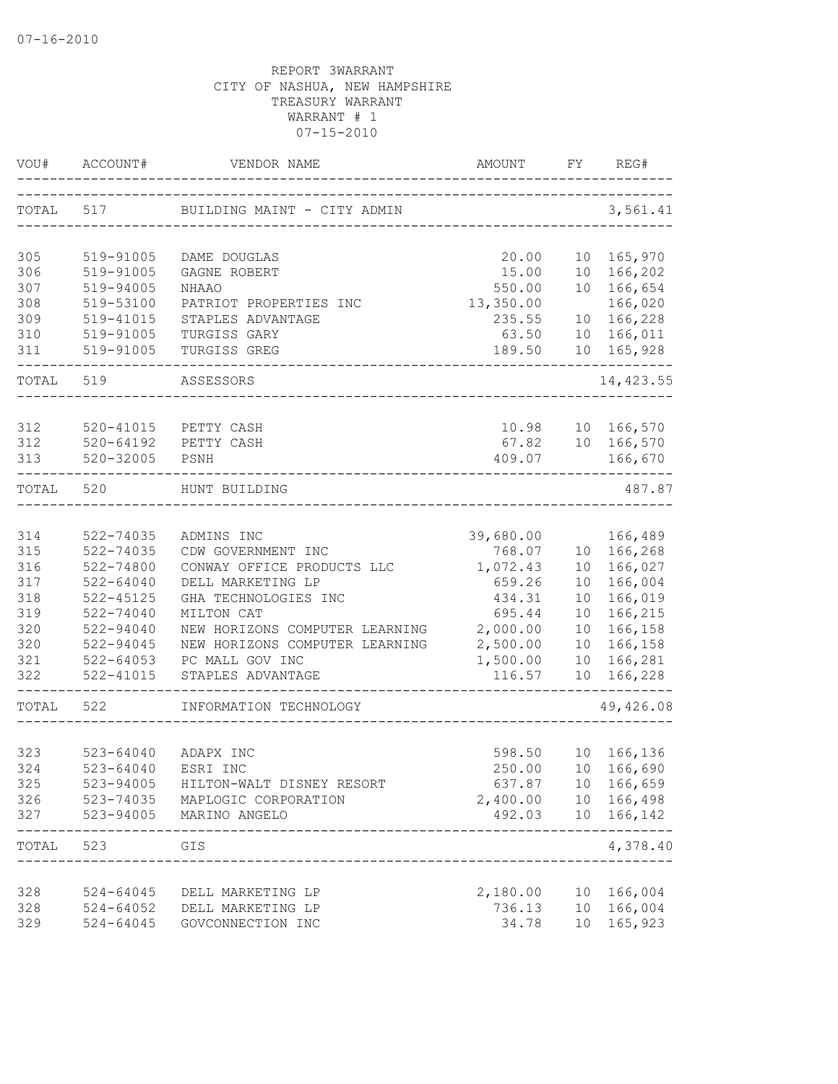| VOU#  | ACCOUNT#      | VENDOR NAME                             | <b>AMOUNT</b> | FY.             | REG#                        |
|-------|---------------|-----------------------------------------|---------------|-----------------|-----------------------------|
| TOTAL | 517           | BUILDING MAINT - CITY ADMIN             |               |                 | 3,561.41                    |
| 305   | 519-91005     | DAME DOUGLAS                            | 20.00         |                 | 10 165,970                  |
| 306   | 519-91005     | GAGNE ROBERT                            | 15.00         | 10              | 166,202                     |
| 307   | 519-94005     | <b>NHAAO</b>                            | 550.00        |                 | 10 166,654                  |
| 308   | 519-53100     | PATRIOT PROPERTIES INC                  | 13,350.00     |                 | 166,020                     |
| 309   | 519-41015     | STAPLES ADVANTAGE                       | 235.55        | 10              | 166,228                     |
| 310   | 519-91005     | TURGISS GARY                            | 63.50         | 10              | 166,011                     |
| 311   | 519-91005     | TURGISS GREG                            | 189.50        | 10              | 165,928                     |
| TOTAL | 519           | ASSESSORS                               |               |                 | 14, 423.55                  |
|       |               |                                         |               |                 |                             |
| 312   | 520-41015     | PETTY CASH                              | 10.98         |                 | 10 166,570                  |
| 312   | $520 - 64192$ | PETTY CASH                              | 67.82         |                 | 10 166,570                  |
| 313   | $520 - 32005$ | PSNH                                    | 409.07        |                 | 166,670                     |
| TOTAL | 520           | HUNT BUILDING                           |               |                 | 487.87                      |
| 314   | 522-74035     | ADMINS INC                              | 39,680.00     |                 | 166,489                     |
| 315   | 522-74035     | CDW GOVERNMENT INC                      | 768.07        | 10              | 166,268                     |
| 316   | 522-74800     | CONWAY OFFICE PRODUCTS LLC              | 1,072.43      | 10 <sup>°</sup> | 166,027                     |
| 317   | $522 - 64040$ | DELL MARKETING LP                       | 659.26        | 10              | 166,004                     |
| 318   | $522 - 45125$ | GHA TECHNOLOGIES INC                    | 434.31        | 10              | 166,019                     |
| 319   | 522-74040     | MILTON CAT                              | 695.44        | 10              | 166,215                     |
| 320   | 522-94040     | NEW HORIZONS COMPUTER LEARNING          | 2,000.00      | 10              | 166,158                     |
| 320   | 522-94045     | NEW HORIZONS COMPUTER LEARNING          | 2,500.00      | 10              | 166,158                     |
| 321   | $522 - 64053$ | PC MALL GOV INC                         | 1,500.00      | 10              | 166,281                     |
| 322   | 522-41015     | STAPLES ADVANTAGE                       | 116.57        | 10              | 166,228                     |
| TOTAL | 522           | INFORMATION TECHNOLOGY                  |               |                 | 49,426.08                   |
|       |               |                                         |               |                 |                             |
| 323   | $523 - 64040$ | ADAPX INC                               | 598.50        |                 | 10 166,136                  |
| 324   | $523 - 64040$ | ESRI INC                                | 250.00        |                 | 10 166,690                  |
| 325   | 523-94005     | HILTON-WALT DISNEY RESORT               | 637.87        | 10              | 166,659                     |
| 326   | 523-74035     | MAPLOGIC CORPORATION                    | 2,400.00      |                 | 10 166,498                  |
| 327   | 523-94005     | MARINO ANGELO<br>--------------         | 492.03        |                 | 10 166,142<br>$- - - - - -$ |
| TOTAL | 523           | GIS<br>-------------------------------- |               |                 | 4,378.40                    |
| 328   | 524-64045     | DELL MARKETING LP                       | 2,180.00      |                 | 10 166,004                  |
| 328   | $524 - 64052$ | DELL MARKETING LP                       | 736.13        | 10              | 166,004                     |
| 329   | $524 - 64045$ | GOVCONNECTION INC                       | 34.78         | 10              | 165,923                     |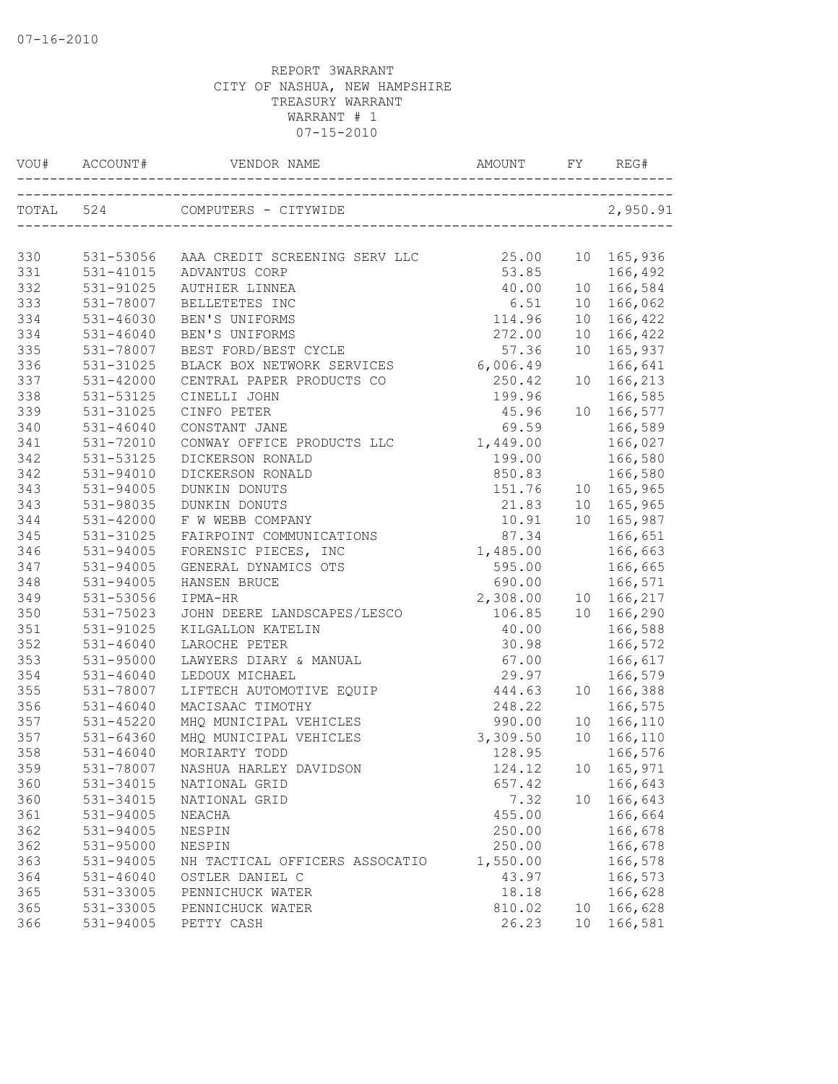| VOU# |               |                                         |          |    |            |
|------|---------------|-----------------------------------------|----------|----|------------|
|      | TOTAL 524     | COMPUTERS - CITYWIDE                    |          |    | 2,950.91   |
|      |               |                                         |          |    |            |
| 330  |               | 531-53056 AAA CREDIT SCREENING SERV LLC | 25.00    |    | 10 165,936 |
| 331  | 531-41015     | ADVANTUS CORP                           | 53.85    |    | 166,492    |
| 332  | 531-91025     | AUTHIER LINNEA                          | 40.00    |    | 10 166,584 |
| 333  | 531-78007     | BELLETETES INC                          | 6.51     |    | 10 166,062 |
| 334  | $531 - 46030$ | BEN'S UNIFORMS                          | 114.96   |    | 10 166,422 |
| 334  | $531 - 46040$ | BEN'S UNIFORMS                          | 272.00   |    | 10 166,422 |
| 335  | 531-78007     | BEST FORD/BEST CYCLE                    | 57.36    |    | 10 165,937 |
| 336  | 531-31025     | BLACK BOX NETWORK SERVICES 6,006.49     |          |    | 166,641    |
| 337  | $531 - 42000$ | CENTRAL PAPER PRODUCTS CO               | 250.42   |    | 10 166,213 |
| 338  | 531-53125     | CINELLI JOHN                            | 199.96   |    | 166,585    |
| 339  | 531-31025     | CINFO PETER                             | 45.96    |    | 10 166,577 |
| 340  | $531 - 46040$ | CONSTANT JANE                           | 69.59    |    | 166,589    |
| 341  | 531-72010     | CONWAY OFFICE PRODUCTS LLC              | 1,449.00 |    | 166,027    |
| 342  | 531-53125     | DICKERSON RONALD                        | 199.00   |    | 166,580    |
| 342  | 531-94010     | DICKERSON RONALD                        | 850.83   |    | 166,580    |
| 343  | 531-94005     | DUNKIN DONUTS                           | 151.76   |    | 10 165,965 |
| 343  | 531-98035     | DUNKIN DONUTS                           | 21.83    |    | 10 165,965 |
| 344  | $531 - 42000$ | F W WEBB COMPANY                        | 10.91    |    | 10 165,987 |
| 345  | 531-31025     | FAIRPOINT COMMUNICATIONS                | 87.34    |    | 166,651    |
| 346  | 531-94005     | FORENSIC PIECES, INC                    | 1,485.00 |    | 166,663    |
| 347  | 531-94005     | GENERAL DYNAMICS OTS                    | 595.00   |    | 166,665    |
| 348  | 531-94005     | HANSEN BRUCE                            | 690.00   |    | 166,571    |
| 349  | 531-53056     | IPMA-HR                                 | 2,308.00 |    | 10 166,217 |
| 350  | 531-75023     | JOHN DEERE LANDSCAPES/LESCO             | 106.85   |    | 10 166,290 |
| 351  | 531-91025     | KILGALLON KATELIN                       | 40.00    |    | 166,588    |
| 352  | $531 - 46040$ | LAROCHE PETER                           | 30.98    |    | 166,572    |
| 353  | 531-95000     | LAWYERS DIARY & MANUAL                  | 67.00    |    | 166,617    |
| 354  | $531 - 46040$ | LEDOUX MICHAEL                          | 29.97    |    | 166,579    |
| 355  | 531-78007     | LIFTECH AUTOMOTIVE EQUIP                | 444.63   |    | 10 166,388 |
| 356  | $531 - 46040$ | MACISAAC TIMOTHY                        | 248.22   |    | 166,575    |
| 357  | 531-45220     | MHQ MUNICIPAL VEHICLES                  | 990.00   |    | 10 166,110 |
| 357  | 531-64360     | MHQ MUNICIPAL VEHICLES                  | 3,309.50 |    | 10 166,110 |
| 358  | $531 - 46040$ | MORIARTY TODD                           | 128.95   |    | 166,576    |
| 359  | 531-78007     | NASHUA HARLEY DAVIDSON                  | 124.12   |    | 10 165,971 |
| 360  | 531-34015     | NATIONAL GRID                           | 657.42   |    | 166,643    |
| 360  | 531-34015     | NATIONAL GRID                           | 7.32     | 10 | 166,643    |
| 361  | 531-94005     | NEACHA                                  | 455.00   |    | 166,664    |
| 362  | 531-94005     | NESPIN                                  | 250.00   |    | 166,678    |
| 362  | 531-95000     | NESPIN                                  | 250.00   |    | 166,678    |
| 363  | 531-94005     | NH TACTICAL OFFICERS ASSOCATIO          | 1,550.00 |    | 166,578    |
| 364  | $531 - 46040$ | OSTLER DANIEL C                         | 43.97    |    | 166,573    |
| 365  | 531-33005     | PENNICHUCK WATER                        | 18.18    |    | 166,628    |
| 365  | 531-33005     | PENNICHUCK WATER                        | 810.02   | 10 | 166,628    |
| 366  | 531-94005     | PETTY CASH                              | 26.23    | 10 | 166,581    |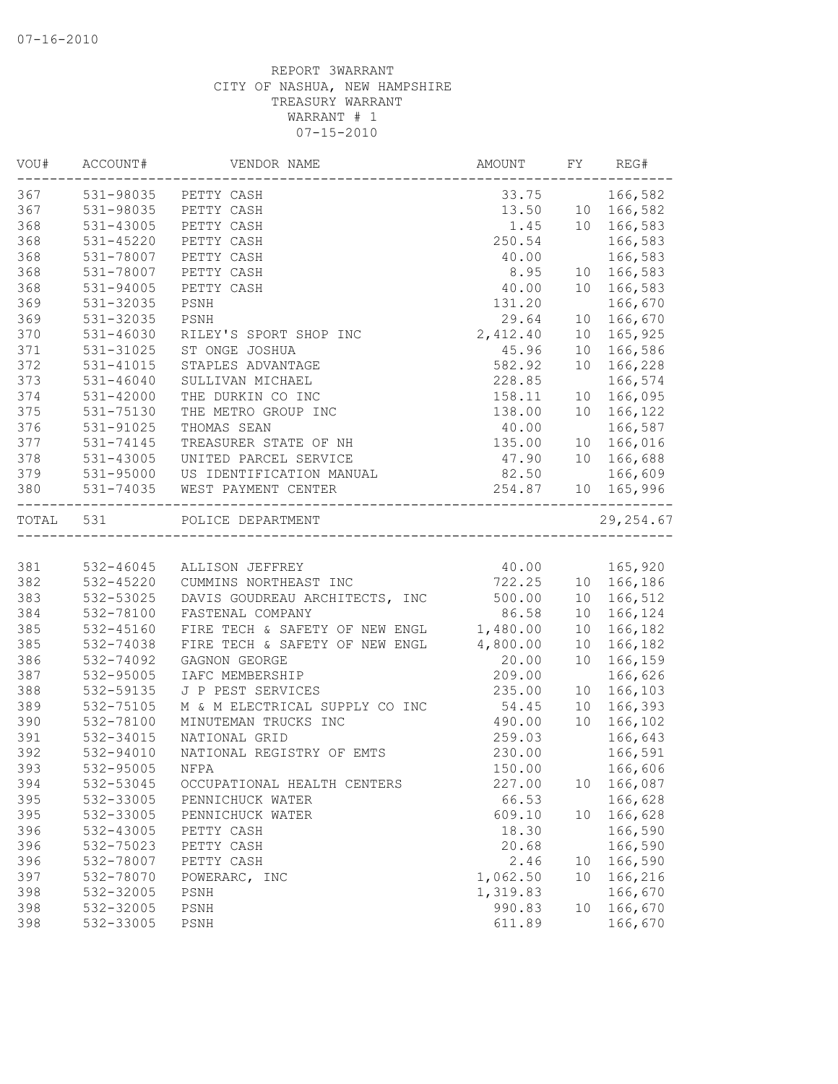| VOU#      | ACCOUNT#  | VENDOR NAME                                         | AMOUNT                              | FY              | REG#       |
|-----------|-----------|-----------------------------------------------------|-------------------------------------|-----------------|------------|
| 367       |           | 531-98035 PETTY CASH                                | 33.75                               |                 | 166,582    |
| 367       | 531-98035 | PETTY CASH                                          | 13.50                               |                 | 10 166,582 |
| 368       | 531-43005 | PETTY CASH                                          | 1.45                                |                 | 10 166,583 |
| 368       | 531-45220 | PETTY CASH                                          | 250.54                              |                 | 166,583    |
| 368       | 531-78007 | PETTY CASH                                          | 40.00                               |                 | 166,583    |
| 368       | 531-78007 | PETTY CASH                                          | 8.95                                | 10              | 166,583    |
| 368       | 531-94005 | PETTY CASH                                          | 40.00                               | 10              | 166,583    |
| 369       | 531-32035 | PSNH                                                | 131.20                              |                 | 166,670    |
| 369       | 531-32035 | PSNH                                                | 29.64                               | 10              | 166,670    |
| 370       | 531-46030 | RILEY'S SPORT SHOP INC                              | 2,412.40                            | 10              | 165,925    |
| 371       | 531-31025 | ST ONGE JOSHUA                                      | 45.96                               | 10 <sub>1</sub> | 166,586    |
| 372       | 531-41015 | STAPLES ADVANTAGE                                   | 582.92                              | 10              | 166,228    |
| 373       | 531-46040 | SULLIVAN MICHAEL                                    | 228.85                              |                 | 166,574    |
| 374       | 531-42000 | THE DURKIN CO INC                                   | 158.11                              |                 | 10 166,095 |
| 375       | 531-75130 | THE METRO GROUP INC                                 | 138.00                              | 10              | 166,122    |
| 376       | 531-91025 | THOMAS SEAN                                         | 40.00                               |                 | 166,587    |
| 377       | 531-74145 | TREASURER STATE OF NH                               | 135.00                              |                 | 10 166,016 |
| 378       | 531-43005 | UNITED PARCEL SERVICE                               | 47.90                               | 10              | 166,688    |
| 379       | 531-95000 | US IDENTIFICATION MANUAL                            | 82.50                               |                 | 166,609    |
| 380       | 531-74035 | WEST PAYMENT CENTER                                 | 254.87<br>_________________________ |                 | 10 165,996 |
| TOTAL 531 |           | POLICE DEPARTMENT<br>______________________________ |                                     |                 | 29, 254.67 |
|           |           |                                                     |                                     |                 |            |
| 381       | 532-46045 | ALLISON JEFFREY                                     | 40.00                               |                 | 165,920    |
| 382       | 532-45220 | CUMMINS NORTHEAST INC                               | 722.25                              |                 | 10 166,186 |
| 383       | 532-53025 | DAVIS GOUDREAU ARCHITECTS, INC                      | 500.00                              |                 | 10 166,512 |
| 384       | 532-78100 | FASTENAL COMPANY                                    | 86.58                               | 10              | 166,124    |
| 385       | 532-45160 | FIRE TECH & SAFETY OF NEW ENGL                      | 1,480.00                            | 10              | 166,182    |
| 385       | 532-74038 | FIRE TECH & SAFETY OF NEW ENGL                      | 4,800.00                            | 10 <sup>°</sup> | 166,182    |
| 386       | 532-74092 | GAGNON GEORGE                                       | 20.00                               | 10              | 166,159    |
| 387       | 532-95005 | IAFC MEMBERSHIP                                     | 209.00                              |                 | 166,626    |
| 388       | 532-59135 | J P PEST SERVICES                                   | 235.00                              | 10              | 166,103    |
| 389       | 532-75105 | M & M ELECTRICAL SUPPLY CO INC                      | 54.45                               | 10              | 166,393    |
| 390       | 532-78100 | MINUTEMAN TRUCKS INC                                | 490.00                              | 10              | 166,102    |
| 391       | 532-34015 | NATIONAL GRID                                       | 259.03                              |                 | 166,643    |
| 392       | 532-94010 | NATIONAL REGISTRY OF EMTS                           | 230.00                              |                 | 166,591    |
| 393       | 532-95005 | NFPA                                                | 150.00                              |                 | 166,606    |
| 394       | 532-53045 | OCCUPATIONAL HEALTH CENTERS                         | 227.00                              | 10              | 166,087    |
| 395       | 532-33005 | PENNICHUCK WATER                                    | 66.53                               |                 | 166,628    |
| 395       | 532-33005 | PENNICHUCK WATER                                    | 609.10                              | 10              | 166,628    |
| 396       | 532-43005 | PETTY CASH                                          | 18.30                               |                 | 166,590    |
| 396       | 532-75023 | PETTY CASH                                          | 20.68                               |                 | 166,590    |
| 396       | 532-78007 | PETTY CASH                                          | 2.46                                | 10              | 166,590    |
| 397       | 532-78070 | POWERARC, INC                                       | 1,062.50                            | 10              | 166,216    |
| 398       | 532-32005 | PSNH                                                | 1,319.83                            |                 | 166,670    |
| 398       | 532-32005 | PSNH                                                | 990.83                              | 10              | 166,670    |
| 398       | 532-33005 | PSNH                                                | 611.89                              |                 | 166,670    |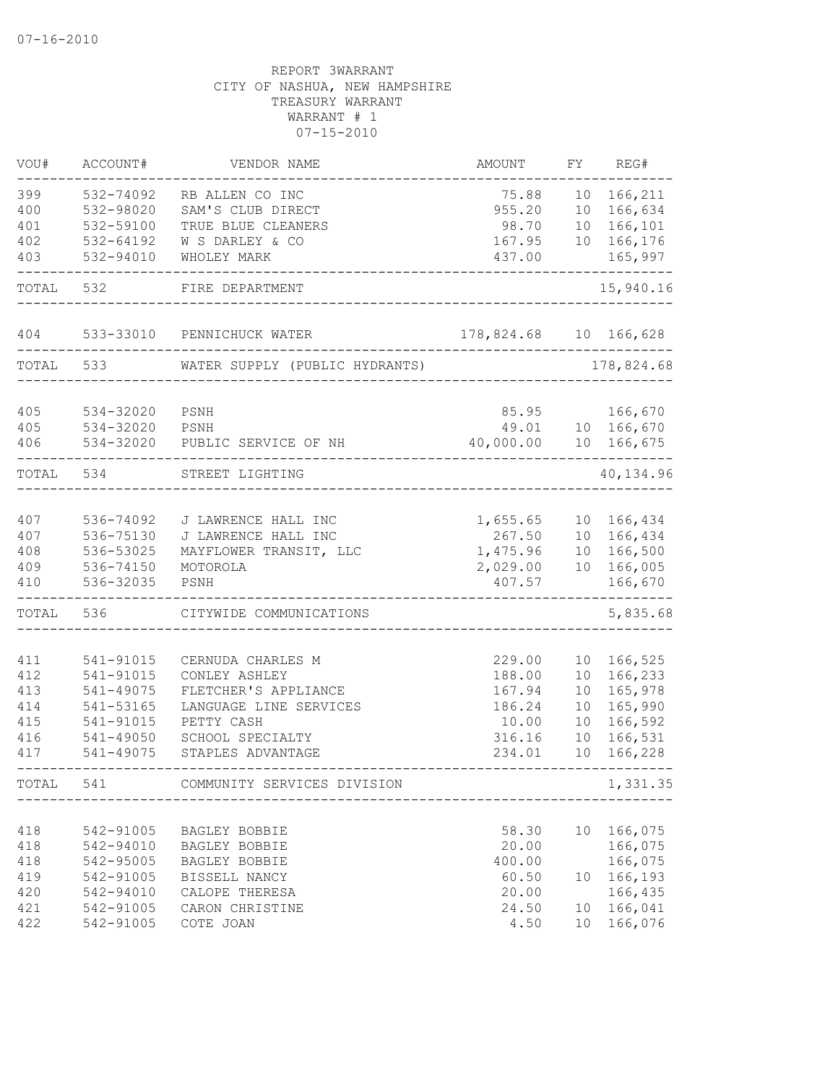| VOU#       | ACCOUNT#               | VENDOR NAME                     | AMOUNT         | FΥ | REG#               |
|------------|------------------------|---------------------------------|----------------|----|--------------------|
| 399        | 532-74092              | RB ALLEN CO INC                 | 75.88          | 10 | 166,211            |
| 400        | 532-98020              | SAM'S CLUB DIRECT               | 955.20         | 10 | 166,634            |
| 401        | 532-59100              | TRUE BLUE CLEANERS              | 98.70          | 10 | 166,101            |
| 402        | 532-64192              | W S DARLEY & CO                 | 167.95         | 10 | 166,176            |
| 403        | 532-94010              | WHOLEY MARK                     | 437.00         |    | 165,997            |
| TOTAL      | 532                    | FIRE DEPARTMENT                 |                |    | 15,940.16          |
| 404        | 533-33010              | PENNICHUCK WATER                | 178,824.68     |    | 10 166,628         |
| TOTAL      | 533                    | WATER SUPPLY (PUBLIC HYDRANTS)  |                |    | 178,824.68         |
| 405        | 534-32020              | PSNH                            | 85.95          |    | 166,670            |
| 405        | 534-32020              | PSNH                            | 49.01          |    | 10 166,670         |
| 406        | 534-32020              | PUBLIC SERVICE OF NH            | 40,000.00      | 10 | 166,675            |
| TOTAL      | 534                    | STREET LIGHTING                 |                |    | 40,134.96          |
| 407        | 536-74092              | J LAWRENCE HALL INC             | 1,655.65       | 10 | 166,434            |
| 407        | 536-75130              | J LAWRENCE HALL INC             | 267.50         | 10 | 166,434            |
| 408        | 536-53025              | MAYFLOWER TRANSIT, LLC          | 1,475.96       | 10 | 166,500            |
| 409        | 536-74150              | MOTOROLA                        | 2,029.00       | 10 | 166,005            |
| 410        | 536-32035              | PSNH                            | 407.57         |    | 166,670            |
| TOTAL      | 536                    | CITYWIDE COMMUNICATIONS         |                |    | 5,835.68           |
| 411        | 541-91015              | CERNUDA CHARLES M               | 229.00         | 10 | 166,525            |
| 412        | 541-91015              | CONLEY ASHLEY                   | 188.00         | 10 | 166,233            |
| 413        | 541-49075              | FLETCHER'S APPLIANCE            | 167.94         | 10 | 165,978            |
| 414        | 541-53165              | LANGUAGE LINE SERVICES          | 186.24         | 10 | 165,990            |
| 415        | 541-91015              | PETTY CASH                      | 10.00          | 10 | 166,592            |
| 416        | 541-49050              | SCHOOL SPECIALTY                | 316.16         | 10 | 166,531            |
| 417        | 541-49075              | STAPLES ADVANTAGE               | 234.01         | 10 | 166,228            |
| TOTAL      | 541                    | COMMUNITY SERVICES DIVISION     |                |    | 1,331.35           |
|            |                        |                                 |                |    |                    |
| 418        | 542-91005              | BAGLEY BOBBIE                   | 58.30          | 10 | 166,075            |
| 418        | 542-94010              | BAGLEY BOBBIE                   | 20.00          |    | 166,075            |
| 418        | 542-95005              | BAGLEY BOBBIE                   | 400.00         |    | 166,075            |
| 419<br>420 | 542-91005<br>542-94010 | BISSELL NANCY<br>CALOPE THERESA | 60.50<br>20.00 | 10 | 166,193<br>166,435 |
| 421        | 542-91005              | CARON CHRISTINE                 | 24.50          | 10 | 166,041            |
| 422        | 542-91005              | COTE JOAN                       | 4.50           | 10 | 166,076            |
|            |                        |                                 |                |    |                    |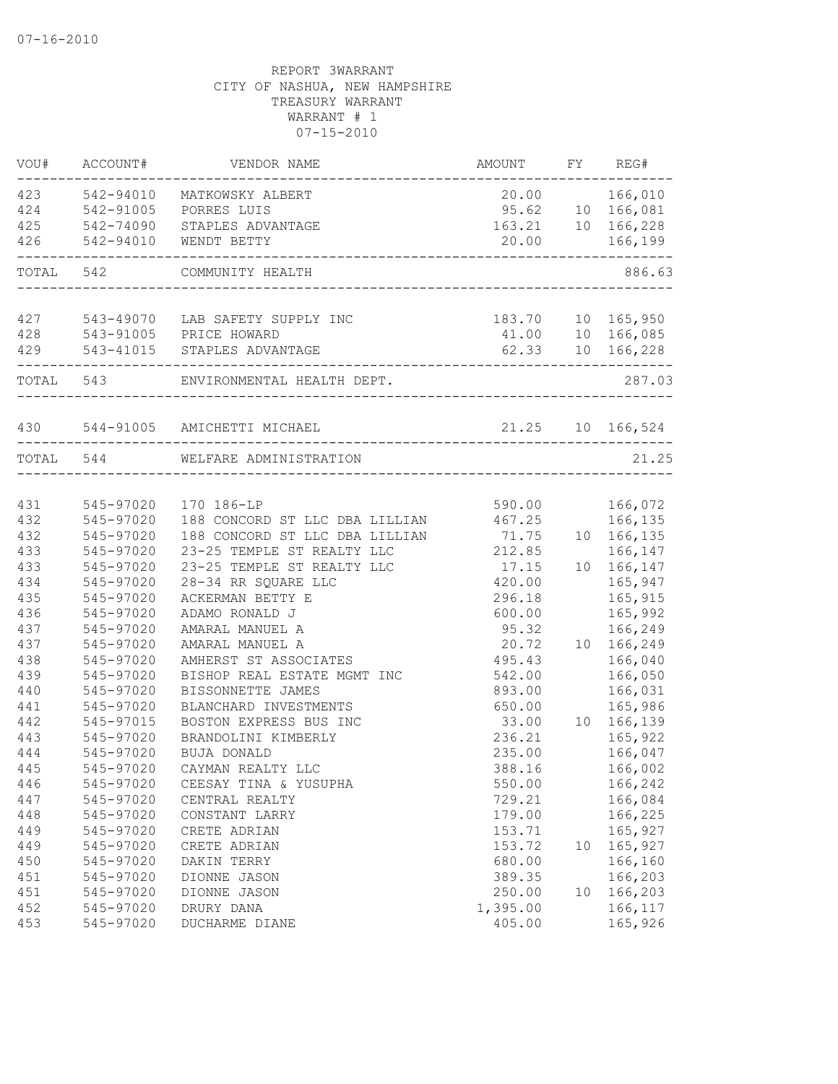| WOU#      | ACCOUNT#      | VENDOR NAME                     | AMOUNT                | FY | REG#                |
|-----------|---------------|---------------------------------|-----------------------|----|---------------------|
| 423       | 542-94010     | MATKOWSKY ALBERT                | 20.00 166,010         |    |                     |
|           | 424 542-91005 | PORRES LUIS                     |                       |    | 95.62 10 166,081    |
| 425       | 542-74090     | STAPLES ADVANTAGE               |                       |    | 163.21  10  166,228 |
| 426       | 542-94010     | WENDT BETTY                     | 20.00                 |    | 166,199             |
| TOTAL 542 |               | COMMUNITY HEALTH                |                       |    | 886.63              |
| 427       |               | 543-49070 LAB SAFETY SUPPLY INC |                       |    | 183.70 10 165,950   |
| 428       |               | 543-91005 PRICE HOWARD          |                       |    | 41.00 10 166,085    |
|           |               | 429 543-41015 STAPLES ADVANTAGE |                       |    | 62.33 10 166,228    |
|           |               |                                 |                       |    |                     |
| TOTAL 543 |               | ENVIRONMENTAL HEALTH DEPT.      | _____________________ |    | 287.03              |
| 430       |               | 544-91005 AMICHETTI MICHAEL     | 21.25 10 166,524      |    |                     |
|           | TOTAL 544     | WELFARE ADMINISTRATION          |                       |    | 21.25               |
|           |               |                                 |                       |    |                     |
| 431       | 545-97020     | 170 186-LP                      | 590.00                |    | 166,072             |
| 432       | 545-97020     | 188 CONCORD ST LLC DBA LILLIAN  | 467.25                |    | 166,135             |
| 432       | 545-97020     | 188 CONCORD ST LLC DBA LILLIAN  | 71.75                 |    | 10 166,135          |
| 433       | 545-97020     | 23-25 TEMPLE ST REALTY LLC      | 212.85                |    | 166,147             |
| 433       | 545-97020     | 23-25 TEMPLE ST REALTY LLC      | 17.15                 |    | 10 166,147          |
| 434       | 545-97020     | 28-34 RR SQUARE LLC             | 420.00                |    | 165,947             |
| 435       | 545-97020     | ACKERMAN BETTY E                | 296.18                |    | 165,915             |
| 436       | 545-97020     | ADAMO RONALD J                  | 600.00                |    | 165,992             |
| 437       | 545-97020     | AMARAL MANUEL A                 | 95.32                 |    | 166,249             |
| 437       | 545-97020     | AMARAL MANUEL A                 | 20.72                 |    | 10 166,249          |
| 438       | 545-97020     | AMHERST ST ASSOCIATES           | 495.43                |    | 166,040             |
| 439       | 545-97020     | BISHOP REAL ESTATE MGMT INC     | 542.00                |    | 166,050             |
| 440       | 545-97020     | BISSONNETTE JAMES               | 893.00                |    | 166,031             |
| 441       | 545-97020     | BLANCHARD INVESTMENTS           | 650.00                |    | 165,986             |
| 442       | 545-97015     | BOSTON EXPRESS BUS INC          | 33.00                 |    | 10 166,139          |
| 443       | 545-97020     | BRANDOLINI KIMBERLY             | 236.21                |    | 165,922             |
| 444       | 545-97020     | BUJA DONALD                     | 235.00                |    | 166,047             |
| 445       | 545-97020     | CAYMAN REALTY LLC               | 388.16                |    | 166,002             |
| 446       | 545-97020     | CEESAY TINA & YUSUPHA           | 550.00                |    | 166,242             |
| 447       | 545-97020     | CENTRAL REALTY                  | 729.21                |    | 166,084             |
| 448       | 545-97020     | CONSTANT LARRY                  | 179.00                |    | 166,225             |
| 449       | 545-97020     | CRETE ADRIAN                    | 153.71                |    | 165,927             |
| 449       | 545-97020     | CRETE ADRIAN                    | 153.72                | 10 | 165,927             |
| 450       | 545-97020     | DAKIN TERRY                     | 680.00                |    | 166,160             |
| 451       | 545-97020     | DIONNE JASON                    | 389.35                |    | 166,203             |
| 451       | 545-97020     | DIONNE JASON                    | 250.00                | 10 | 166,203             |
| 452       | 545-97020     | DRURY DANA                      | 1,395.00              |    | 166,117             |
| 453       | 545-97020     | DUCHARME DIANE                  | 405.00                |    | 165,926             |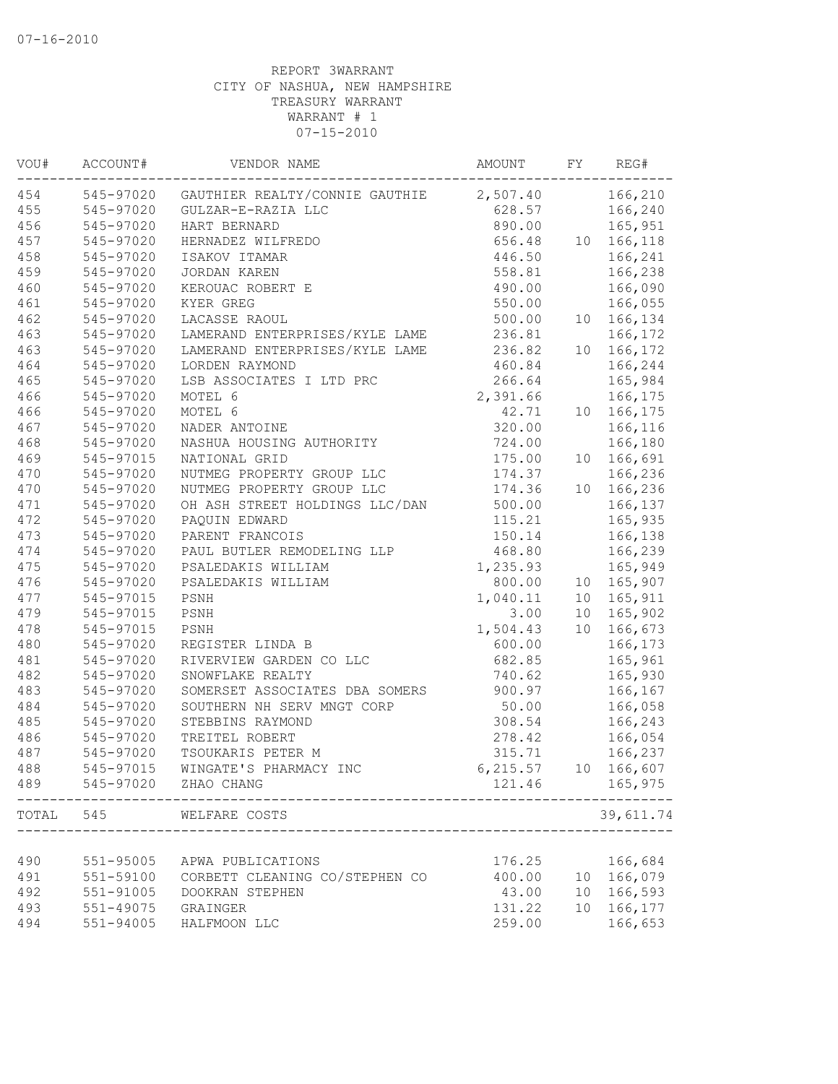| VOU#  | ACCOUNT#  | VENDOR NAME                    | AMOUNT   | FY | REG#        |
|-------|-----------|--------------------------------|----------|----|-------------|
| 454   | 545-97020 | GAUTHIER REALTY/CONNIE GAUTHIE | 2,507.40 |    | 166,210     |
| 455   | 545-97020 | GULZAR-E-RAZIA LLC             | 628.57   |    | 166,240     |
| 456   | 545-97020 | HART BERNARD                   | 890.00   |    | 165,951     |
| 457   | 545-97020 | HERNADEZ WILFREDO              | 656.48   | 10 | 166,118     |
| 458   | 545-97020 | ISAKOV ITAMAR                  | 446.50   |    | 166,241     |
| 459   | 545-97020 | JORDAN KAREN                   | 558.81   |    | 166,238     |
| 460   | 545-97020 | KEROUAC ROBERT E               | 490.00   |    | 166,090     |
| 461   | 545-97020 | KYER GREG                      | 550.00   |    | 166,055     |
| 462   | 545-97020 | LACASSE RAOUL                  | 500.00   |    | 10 166,134  |
| 463   | 545-97020 | LAMERAND ENTERPRISES/KYLE LAME | 236.81   |    | 166,172     |
| 463   | 545-97020 | LAMERAND ENTERPRISES/KYLE LAME | 236.82   | 10 | 166,172     |
| 464   | 545-97020 | LORDEN RAYMOND                 | 460.84   |    | 166,244     |
| 465   | 545-97020 | LSB ASSOCIATES I LTD PRC       | 266.64   |    | 165,984     |
| 466   | 545-97020 | MOTEL 6                        | 2,391.66 |    | 166,175     |
| 466   | 545-97020 | MOTEL 6                        | 42.71    |    | 10 166, 175 |
| 467   | 545-97020 | NADER ANTOINE                  | 320.00   |    | 166,116     |
| 468   | 545-97020 | NASHUA HOUSING AUTHORITY       | 724.00   |    | 166,180     |
| 469   | 545-97015 | NATIONAL GRID                  | 175.00   | 10 | 166,691     |
| 470   | 545-97020 | NUTMEG PROPERTY GROUP LLC      | 174.37   |    | 166,236     |
| 470   | 545-97020 | NUTMEG PROPERTY GROUP LLC      | 174.36   | 10 | 166,236     |
| 471   | 545-97020 | OH ASH STREET HOLDINGS LLC/DAN | 500.00   |    | 166,137     |
| 472   | 545-97020 | PAQUIN EDWARD                  | 115.21   |    | 165,935     |
| 473   | 545-97020 | PARENT FRANCOIS                | 150.14   |    | 166,138     |
| 474   | 545-97020 | PAUL BUTLER REMODELING LLP     | 468.80   |    | 166,239     |
| 475   | 545-97020 | PSALEDAKIS WILLIAM             | 1,235.93 |    | 165,949     |
| 476   | 545-97020 | PSALEDAKIS WILLIAM             | 800.00   |    | 10 165,907  |
| 477   | 545-97015 | PSNH                           | 1,040.11 |    | 10 165, 911 |
| 479   | 545-97015 | PSNH                           | 3.00     | 10 | 165,902     |
| 478   | 545-97015 | PSNH                           | 1,504.43 | 10 | 166,673     |
| 480   | 545-97020 | REGISTER LINDA B               | 600.00   |    | 166,173     |
| 481   | 545-97020 | RIVERVIEW GARDEN CO LLC        | 682.85   |    | 165,961     |
| 482   | 545-97020 | SNOWFLAKE REALTY               | 740.62   |    | 165,930     |
| 483   | 545-97020 | SOMERSET ASSOCIATES DBA SOMERS | 900.97   |    | 166,167     |
| 484   | 545-97020 | SOUTHERN NH SERV MNGT CORP     | 50.00    |    | 166,058     |
|       |           | STEBBINS RAYMOND               | 308.54   |    |             |
| 485   | 545-97020 |                                |          |    | 166,243     |
| 486   | 545-97020 | TREITEL ROBERT                 | 278.42   |    | 166,054     |
| 487   | 545-97020 | TSOUKARIS PETER M              | 315.71   |    | 166,237     |
| 488   | 545-97015 | WINGATE'S PHARMACY INC         | 6,215.57 |    | 10 166,607  |
| 489   |           | 545-97020 ZHAO CHANG           | 121.46   |    | 165,975     |
| TOTAL | 545       | WELFARE COSTS                  |          |    | 39,611.74   |
|       |           |                                |          |    |             |
| 490   | 551-95005 | APWA PUBLICATIONS              | 176.25   |    | 166,684     |
| 491   | 551-59100 | CORBETT CLEANING CO/STEPHEN CO | 400.00   |    | 10 166,079  |
| 492   | 551-91005 | DOOKRAN STEPHEN                | 43.00    | 10 | 166,593     |
| 493   | 551-49075 | GRAINGER                       | 131.22   | 10 | 166,177     |
| 494   | 551-94005 | HALFMOON LLC                   | 259.00   |    | 166,653     |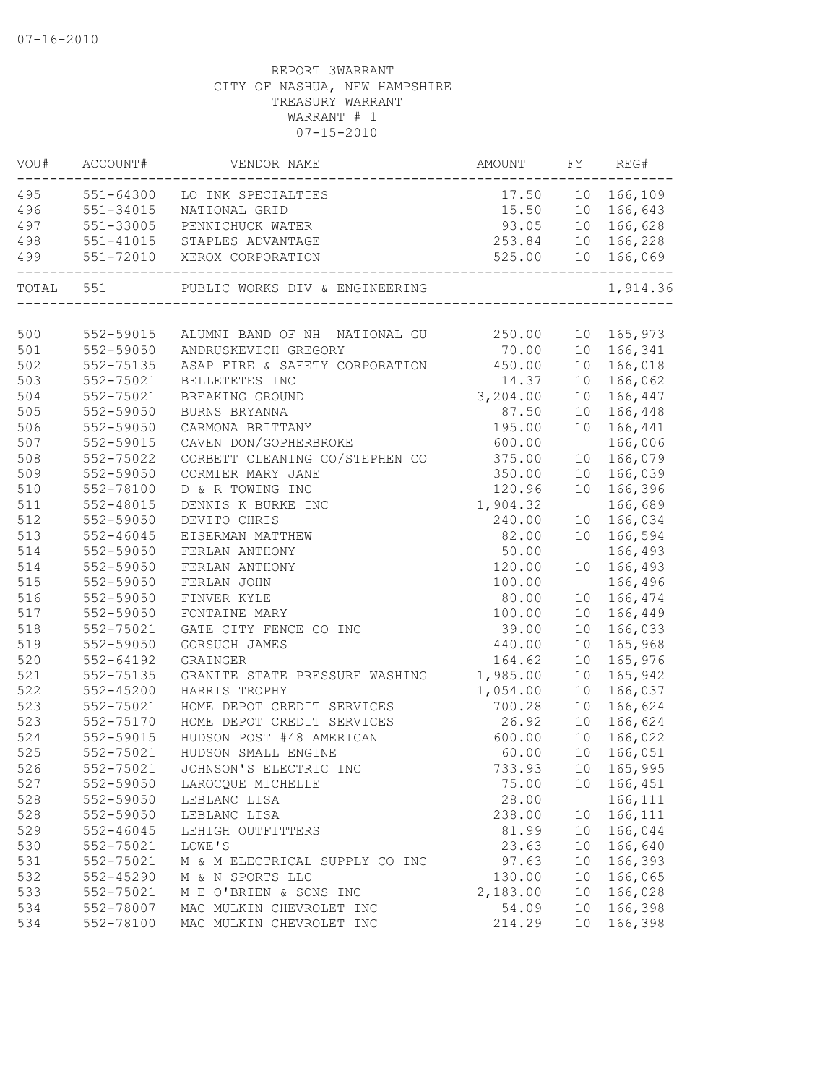| VOU# | ACCOUNT#               | VENDOR NAME                                          | AMOUNT           | FY       | REG#              |
|------|------------------------|------------------------------------------------------|------------------|----------|-------------------|
|      |                        | 495 551-64300 LO INK SPECIALTIES                     | 17.50 10 166,109 |          |                   |
| 496  | 551-34015              | NATIONAL GRID                                        | 15.50 10 166,643 |          |                   |
| 497  | 551-33005              | PENNICHUCK WATER                                     | 93.05 10 166,628 |          |                   |
| 498  |                        | 551-41015 STAPLES ADVANTAGE                          |                  |          | 253.84 10 166,228 |
| 499  |                        | 551-72010 XEROX CORPORATION                          |                  |          | 525.00 10 166,069 |
|      | TOTAL 551              | PUBLIC WORKS DIV & ENGINEERING                       |                  |          | 1,914.36          |
|      |                        |                                                      |                  |          |                   |
| 500  | 552-59015              | ALUMNI BAND OF NH NATIONAL GU 250.00                 |                  |          | 10 165,973        |
| 501  | 552-59050              | ANDRUSKEVICH GREGORY                                 | 70.00            |          | 10 166,341        |
| 502  | 552-75135              | ASAP FIRE & SAFETY CORPORATION 450.00                |                  |          | 10 166,018        |
| 503  | 552-75021              | BELLETETES INC                                       | 14.37            |          | 10 166,062        |
| 504  | 552-75021              | BREAKING GROUND                                      | 3,204.00         | 10       | 166,447           |
| 505  | 552-59050              | BURNS BRYANNA                                        | 87.50            | 10       | 166,448           |
| 506  | 552-59050              | CARMONA BRITTANY                                     | 195.00           | 10       | 166,441           |
| 507  | 552-59015              | CAVEN DON/GOPHERBROKE                                | 600.00           |          | 166,006           |
| 508  | 552-75022              | CORBETT CLEANING CO/STEPHEN CO                       | 375.00           |          | 10 166,079        |
| 509  | 552-59050              | CORMIER MARY JANE                                    | 350.00           |          | 10 166,039        |
| 510  | 552-78100              | D & R TOWING INC                                     | 120.96           | 10       | 166,396           |
| 511  | 552-48015              | DENNIS K BURKE INC                                   | 1,904.32         |          | 166,689           |
| 512  | 552-59050              | DEVITO CHRIS                                         | 240.00           | 10       | 166,034           |
| 513  | $552 - 46045$          | EISERMAN MATTHEW                                     | 82.00            |          | 10 166,594        |
| 514  | 552-59050              | FERLAN ANTHONY                                       | 50.00            |          | 166,493           |
| 514  | 552-59050              | FERLAN ANTHONY                                       | 120.00           |          | 10 166,493        |
| 515  | 552-59050              | FERLAN JOHN                                          | 100.00           |          | 166,496           |
| 516  | 552-59050              | FINVER KYLE                                          | 80.00            |          | 10 166,474        |
| 517  | 552-59050              | FONTAINE MARY                                        | 100.00           | 10       | 166,449           |
| 518  | 552-75021              | GATE CITY FENCE CO INC                               | 39.00            |          | 10 166,033        |
| 519  | 552-59050              | GORSUCH JAMES                                        | 440.00           | 10       | 165,968           |
| 520  | $552 - 64192$          | GRAINGER                                             | 164.62           | 10       | 165,976           |
| 521  | 552-75135              | GRANITE STATE PRESSURE WASHING                       | 1,985.00         | 10       | 165,942           |
| 522  | $552 - 45200$          | HARRIS TROPHY                                        | 1,054.00         | 10       | 166,037           |
| 523  | 552-75021              | HOME DEPOT CREDIT SERVICES                           | 700.28           | 10       | 166,624           |
| 523  | 552-75170              | HOME DEPOT CREDIT SERVICES                           | 26.92            | 10       | 166,624           |
| 524  | 552-59015              | HUDSON POST #48 AMERICAN                             | 600.00           | 10       | 166,022           |
| 525  | 552-75021              | HUDSON SMALL ENGINE                                  | 60.00            | 10       | 166,051           |
| 526  | 552-75021              | JOHNSON'S ELECTRIC INC                               | 733.93           |          | 10 165,995        |
| 527  | 552-59050              | LAROCQUE MICHELLE                                    | 75.00            | 10       | 166,451           |
| 528  | 552-59050              | LEBLANC LISA                                         | 28.00            |          | 166,111           |
| 528  | 552-59050              | LEBLANC LISA                                         | 238.00           | 10       | 166,111           |
| 529  | $552 - 46045$          | LEHIGH OUTFITTERS                                    | 81.99            | 10       | 166,044           |
| 530  | 552-75021              | LOWE'S                                               | 23.63            | 10       | 166,640           |
| 531  | 552-75021              | M & M ELECTRICAL SUPPLY CO INC                       | 97.63            | 10       | 166,393           |
| 532  | 552-45290              | M & N SPORTS LLC                                     | 130.00           | 10       | 166,065           |
| 533  | 552-75021              | M E O'BRIEN & SONS INC                               | 2,183.00         | 10       | 166,028           |
| 534  | 552-78007<br>552-78100 | MAC MULKIN CHEVROLET INC<br>MAC MULKIN CHEVROLET INC | 54.09            | 10<br>10 | 166,398           |
| 534  |                        |                                                      | 214.29           |          | 166,398           |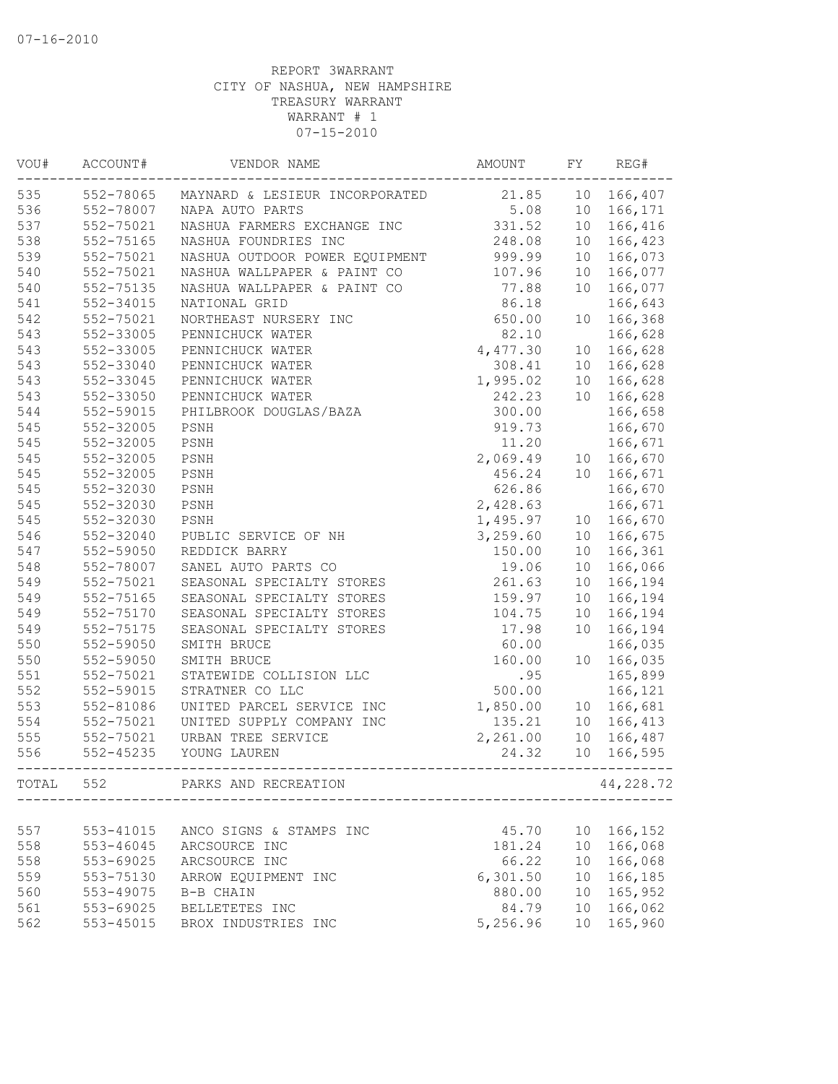| VOU#  | ACCOUNT#               | VENDOR NAME                                            | AMOUNT   | FY              | REG#      |
|-------|------------------------|--------------------------------------------------------|----------|-----------------|-----------|
| 535   | 552-78065              | MAYNARD & LESIEUR INCORPORATED                         | 21.85    | 10              | 166,407   |
| 536   | 552-78007              | NAPA AUTO PARTS                                        | 5.08     | 10              | 166,171   |
| 537   | 552-75021              | NASHUA FARMERS EXCHANGE INC                            | 331.52   | 10              | 166,416   |
| 538   | 552-75165              | NASHUA FOUNDRIES INC                                   | 248.08   | 10 <sub>o</sub> | 166,423   |
| 539   | 552-75021              | NASHUA OUTDOOR POWER EQUIPMENT                         | 999.99   | 10              | 166,073   |
| 540   | 552-75021              | NASHUA WALLPAPER & PAINT CO                            | 107.96   | 10              | 166,077   |
| 540   | 552-75135              | NASHUA WALLPAPER & PAINT CO                            | 77.88    | 10              | 166,077   |
| 541   | 552-34015              | NATIONAL GRID                                          | 86.18    |                 | 166,643   |
| 542   | 552-75021              | NORTHEAST NURSERY INC                                  | 650.00   | 10              | 166,368   |
| 543   | 552-33005              | PENNICHUCK WATER                                       | 82.10    |                 | 166,628   |
| 543   | 552-33005              | PENNICHUCK WATER                                       | 4,477.30 | 10 <sup>°</sup> | 166,628   |
| 543   | 552-33040              | PENNICHUCK WATER                                       | 308.41   | 10              | 166,628   |
| 543   | 552-33045              | PENNICHUCK WATER                                       | 1,995.02 | 10              | 166,628   |
| 543   | 552-33050              | PENNICHUCK WATER                                       | 242.23   | 10              | 166,628   |
| 544   | 552-59015              | PHILBROOK DOUGLAS/BAZA                                 | 300.00   |                 | 166,658   |
| 545   | 552-32005              | PSNH                                                   | 919.73   |                 | 166,670   |
| 545   | 552-32005              | PSNH                                                   | 11.20    |                 | 166,671   |
| 545   | 552-32005              | PSNH                                                   | 2,069.49 | 10 <sub>o</sub> | 166,670   |
| 545   | 552-32005              | PSNH                                                   | 456.24   | 10 <sup>°</sup> | 166,671   |
| 545   | 552-32030              | PSNH                                                   | 626.86   |                 | 166,670   |
| 545   | 552-32030              | PSNH                                                   | 2,428.63 |                 | 166,671   |
| 545   | 552-32030              | PSNH                                                   | 1,495.97 | 10              | 166,670   |
| 546   | 552-32040              | PUBLIC SERVICE OF NH                                   | 3,259.60 | 10              | 166,675   |
| 547   | 552-59050              | REDDICK BARRY                                          | 150.00   | 10              | 166,361   |
| 548   | 552-78007              | SANEL AUTO PARTS CO                                    | 19.06    | 10              | 166,066   |
| 549   | 552-75021              | SEASONAL SPECIALTY STORES                              | 261.63   | 10              | 166,194   |
| 549   | 552-75165              | SEASONAL SPECIALTY STORES                              | 159.97   | 10              | 166,194   |
| 549   | 552-75170              | SEASONAL SPECIALTY STORES                              | 104.75   | 10              | 166,194   |
| 549   | 552-75175              | SEASONAL SPECIALTY STORES                              | 17.98    | 10              | 166,194   |
| 550   | 552-59050              | SMITH BRUCE                                            | 60.00    |                 | 166,035   |
| 550   | 552-59050              | SMITH BRUCE                                            | 160.00   | 10              | 166,035   |
| 551   | 552-75021              | STATEWIDE COLLISION LLC                                | .95      |                 | 165,899   |
| 552   | 552-59015              | STRATNER CO LLC                                        | 500.00   |                 |           |
| 553   |                        |                                                        |          |                 | 166,121   |
|       | 552-81086<br>552-75021 | UNITED PARCEL SERVICE INC<br>UNITED SUPPLY COMPANY INC | 1,850.00 | 10 <sub>o</sub> | 166,681   |
| 554   |                        |                                                        | 135.21   | 10 <sub>o</sub> | 166,413   |
| 555   | 552-75021              | URBAN TREE SERVICE                                     | 2,261.00 | 10 <sup>°</sup> | 166,487   |
| 556   | 552-45235              | YOUNG LAUREN                                           | 24.32    | 10              | 166,595   |
| TOTAL | 552                    | PARKS AND RECREATION                                   |          |                 | 44,228.72 |
|       |                        |                                                        |          |                 |           |
| 557   | 553-41015              | ANCO SIGNS & STAMPS INC                                | 45.70    | 10 <sub>o</sub> | 166,152   |
| 558   | 553-46045              | ARCSOURCE INC                                          | 181.24   | 10              | 166,068   |
| 558   | 553-69025              | ARCSOURCE INC                                          | 66.22    | 10              | 166,068   |
| 559   | 553-75130              | ARROW EQUIPMENT INC                                    | 6,301.50 | 10              | 166,185   |
| 560   | 553-49075              | B-B CHAIN                                              | 880.00   | 10              | 165,952   |
| 561   | 553-69025              | BELLETETES INC                                         | 84.79    | 10 <sup>°</sup> | 166,062   |
| 562   | 553-45015              | BROX INDUSTRIES INC                                    | 5,256.96 | 10 <sup>°</sup> | 165,960   |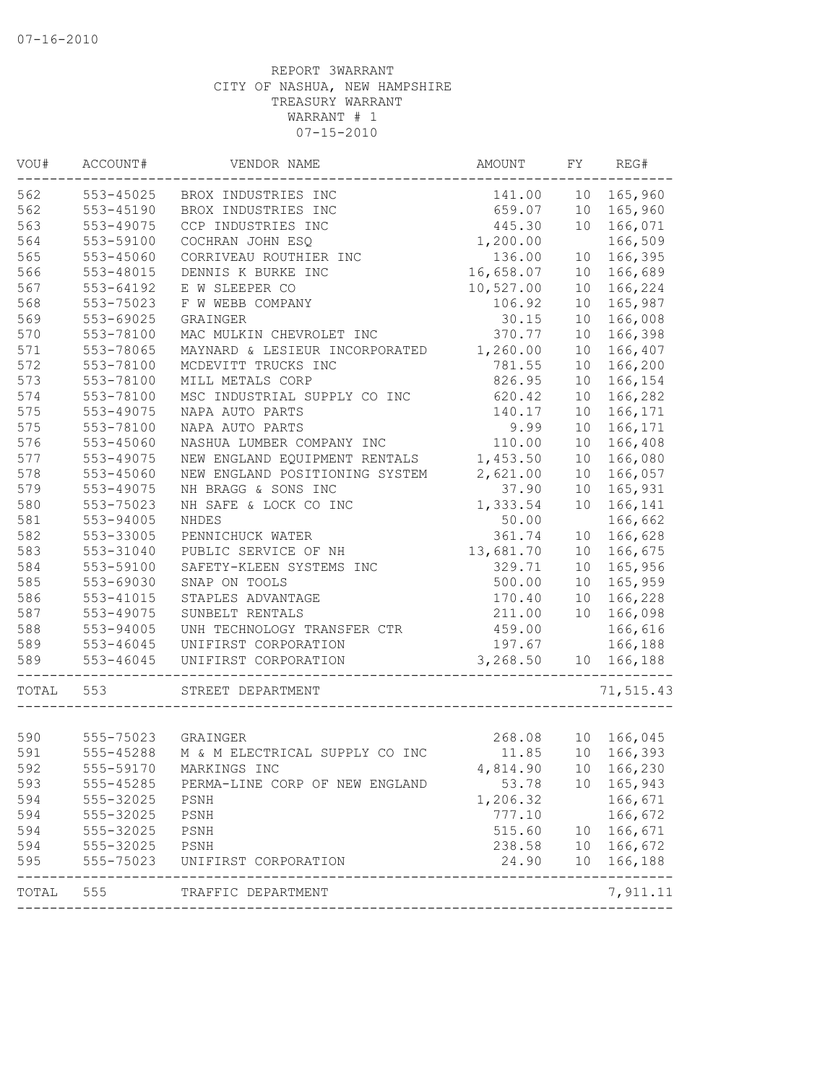| WOU#  | ACCOUNT#           | VENDOR NAME                    | AMOUNT    | FY              | REG#       |
|-------|--------------------|--------------------------------|-----------|-----------------|------------|
| 562   | 553-45025          | BROX INDUSTRIES INC            | 141.00    | 10              | 165,960    |
| 562   | 553-45190          | BROX INDUSTRIES INC            | 659.07    |                 | 10 165,960 |
| 563   | 553-49075          | CCP INDUSTRIES INC             | 445.30    | 10              | 166,071    |
| 564   | 553-59100          | COCHRAN JOHN ESQ               | 1,200.00  |                 | 166,509    |
| 565   | 553-45060          | CORRIVEAU ROUTHIER INC         | 136.00    | 10              | 166,395    |
| 566   | 553-48015          | DENNIS K BURKE INC             | 16,658.07 | 10              | 166,689    |
| 567   | 553-64192          | E W SLEEPER CO                 | 10,527.00 | 10              | 166,224    |
| 568   | 553-75023          | F W WEBB COMPANY               | 106.92    | 10              | 165,987    |
| 569   | 553-69025          | GRAINGER                       | 30.15     | 10              | 166,008    |
| 570   | 553-78100          | MAC MULKIN CHEVROLET INC       | 370.77    | 10              | 166,398    |
| 571   | 553-78065          | MAYNARD & LESIEUR INCORPORATED | 1,260.00  | 10              | 166,407    |
| 572   | 553-78100          | MCDEVITT TRUCKS INC            | 781.55    | 10              | 166,200    |
| 573   | 553-78100          | MILL METALS CORP               | 826.95    | 10 <sup>°</sup> | 166,154    |
| 574   | 553-78100          | MSC INDUSTRIAL SUPPLY CO INC   | 620.42    | 10              | 166,282    |
| 575   | 553-49075          | NAPA AUTO PARTS                | 140.17    | 10              | 166,171    |
| 575   | 553-78100          | NAPA AUTO PARTS                | 9.99      | 10              | 166,171    |
| 576   | 553-45060          | NASHUA LUMBER COMPANY INC      | 110.00    | 10              | 166,408    |
| 577   | 553-49075          | NEW ENGLAND EQUIPMENT RENTALS  | 1,453.50  | 10              | 166,080    |
| 578   | 553-45060          | NEW ENGLAND POSITIONING SYSTEM | 2,621.00  | 10              | 166,057    |
| 579   | 553-49075          | NH BRAGG & SONS INC            | 37.90     | 10              | 165,931    |
| 580   | 553-75023          | NH SAFE & LOCK CO INC          | 1,333.54  | 10              | 166,141    |
| 581   | 553-94005          | <b>NHDES</b>                   | 50.00     |                 | 166,662    |
| 582   | 553-33005          | PENNICHUCK WATER               | 361.74    | 10              | 166,628    |
| 583   | 553-31040          | PUBLIC SERVICE OF NH           | 13,681.70 | 10              | 166,675    |
| 584   | 553-59100          | SAFETY-KLEEN SYSTEMS INC       | 329.71    | 10              | 165,956    |
| 585   | 553-69030          | SNAP ON TOOLS                  | 500.00    | 10 <sup>°</sup> | 165,959    |
| 586   | 553-41015          | STAPLES ADVANTAGE              | 170.40    | 10              | 166,228    |
| 587   | 553-49075          | SUNBELT RENTALS                | 211.00    | 10 <sub>o</sub> | 166,098    |
| 588   | 553-94005          | UNH TECHNOLOGY TRANSFER CTR    | 459.00    |                 | 166,616    |
| 589   | $553 - 46045$      | UNIFIRST CORPORATION           | 197.67    |                 | 166,188    |
| 589   | $553 - 46045$      | UNIFIRST CORPORATION           | 3,268.50  | 10              | 166,188    |
| TOTAL | 553                | STREET DEPARTMENT              |           |                 | 71,515.43  |
|       |                    |                                |           |                 |            |
| 590   | 555-75023 GRAINGER |                                | 268.08    |                 | 10 166,045 |
| 591   | 555-45288          | M & M ELECTRICAL SUPPLY CO INC | 11.85     |                 | 10 166,393 |
| 592   | 555-59170          | MARKINGS INC                   | 4,814.90  |                 | 10 166,230 |
| 593   | 555-45285          | PERMA-LINE CORP OF NEW ENGLAND | 53.78     | 10              | 165,943    |
| 594   | 555-32025          | PSNH                           | 1,206.32  |                 | 166,671    |
| 594   | 555-32025          | PSNH                           | 777.10    |                 | 166,672    |
| 594   | 555-32025          | PSNH                           | 515.60    | 10 <sup>°</sup> | 166,671    |
| 594   | 555-32025          | PSNH                           | 238.58    |                 | 10 166,672 |
| 595   | 555-75023          | UNIFIRST CORPORATION           | 24.90     | 10              | 166,188    |
| TOTAL | 555                | TRAFFIC DEPARTMENT             |           |                 | 7,911.11   |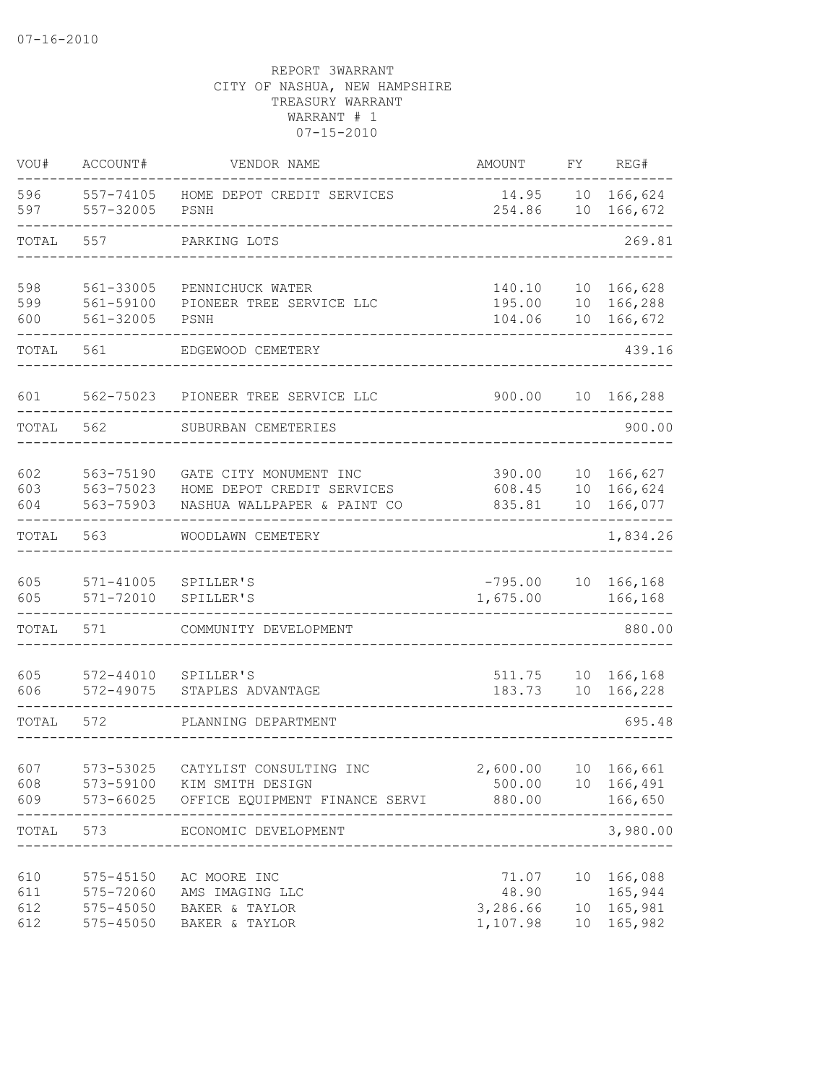| VOU#                     | ACCOUNT#                            | VENDOR NAME                                                                             | <b>AMOUNT</b>                          | FΥ                          | REG#                                              |
|--------------------------|-------------------------------------|-----------------------------------------------------------------------------------------|----------------------------------------|-----------------------------|---------------------------------------------------|
| 596<br>597               | 557-74105<br>557-32005              | HOME DEPOT CREDIT SERVICES<br>PSNH                                                      | 14.95<br>254.86                        | 10<br>10                    | 166,624<br>166,672                                |
| TOTAL                    | 557                                 | PARKING LOTS                                                                            |                                        |                             | 269.81                                            |
| 598<br>599<br>600        | 561-33005<br>561-59100<br>561-32005 | PENNICHUCK WATER<br>PIONEER TREE SERVICE LLC<br>PSNH                                    | 140.10<br>195.00<br>104.06             | 10<br>10<br>10              | 166,628<br>166,288<br>166,672                     |
| TOTAL                    | 561                                 | EDGEWOOD CEMETERY                                                                       |                                        |                             | 439.16                                            |
| 601                      | 562-75023                           | PIONEER TREE SERVICE LLC                                                                | 900.00                                 | 10                          | 166,288                                           |
| TOTAL                    | 562                                 | SUBURBAN CEMETERIES                                                                     |                                        |                             | 900.00                                            |
| 602<br>603<br>604        | 563-75190<br>563-75023<br>563-75903 | GATE CITY MONUMENT INC<br>HOME DEPOT CREDIT SERVICES<br>NASHUA WALLPAPER & PAINT CO     | 390.00<br>608.45<br>835.81             | 10<br>10 <sup>°</sup><br>10 | 166,627<br>166,624<br>166,077                     |
| TOTAL                    | 563                                 | WOODLAWN CEMETERY                                                                       |                                        |                             | 1,834.26                                          |
| 605<br>605               | $571 - 41005$<br>571-72010          | SPILLER'S<br>SPILLER'S                                                                  | $-795.00$<br>1,675.00                  | 10                          | 166,168<br>166,168                                |
| TOTAL                    | 571                                 | COMMUNITY DEVELOPMENT                                                                   |                                        |                             | 880.00                                            |
| 605<br>606               | $572 - 44010$<br>572-49075          | SPILLER'S<br>STAPLES ADVANTAGE                                                          | 511.75<br>183.73                       | 10<br>10                    | 166,168<br>166,228                                |
| TOTAL                    | 572                                 | PLANNING DEPARTMENT                                                                     |                                        |                             | 695.48                                            |
| 607<br>608<br>609        | 573-53025<br>573-59100              | CATYLIST CONSULTING INC<br>KIM SMITH DESIGN<br>573-66025 OFFICE EQUIPMENT FINANCE SERVI | 2,600.00<br>500.00<br>880.00           |                             | 10 166,661<br>10 166,491<br>166,650<br>-----      |
| TOTAL                    | 573 — 100                           | ECONOMIC DEVELOPMENT<br>______________________                                          |                                        |                             | 3,980.00                                          |
| 610<br>611<br>612<br>612 | 575-72060<br>575-45050<br>575-45050 | 575-45150 AC MOORE INC<br>AMS IMAGING LLC<br>BAKER & TAYLOR<br>BAKER & TAYLOR           | 71.07<br>48.90<br>3,286.66<br>1,107.98 |                             | 10 166,088<br>165,944<br>10 165,981<br>10 165,982 |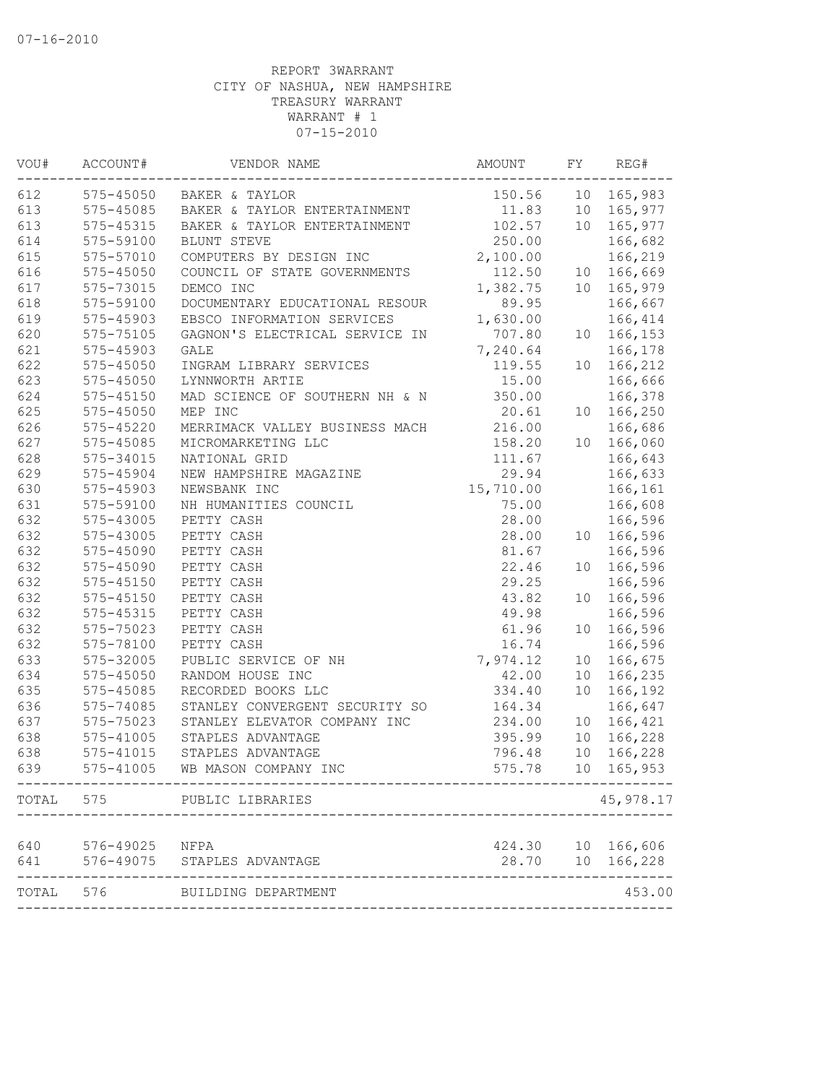| VOU#      | ACCOUNT#      | VENDOR NAME                            | AMOUNT    | FY              | REG#              |
|-----------|---------------|----------------------------------------|-----------|-----------------|-------------------|
| 612       |               | 575-45050 BAKER & TAYLOR               | 150.56    |                 | 10 165,983        |
| 613       |               | 575-45085 BAKER & TAYLOR ENTERTAINMENT | 11.83     |                 | 10 165,977        |
| 613       | 575-45315     | BAKER & TAYLOR ENTERTAINMENT           | 102.57    | 10              | 165,977           |
| 614       | 575-59100     | BLUNT STEVE                            | 250.00    |                 | 166,682           |
| 615       | 575-57010     | COMPUTERS BY DESIGN INC                | 2,100.00  |                 | 166,219           |
| 616       | $575 - 45050$ | COUNCIL OF STATE GOVERNMENTS           | 112.50    | 10              | 166,669           |
| 617       | 575-73015     | DEMCO INC                              | 1,382.75  | 10              | 165,979           |
| 618       | 575-59100     | DOCUMENTARY EDUCATIONAL RESOUR         | 89.95     |                 | 166,667           |
| 619       | 575-45903     | EBSCO INFORMATION SERVICES             | 1,630.00  |                 | 166,414           |
| 620       | 575-75105     | GAGNON'S ELECTRICAL SERVICE IN         | 707.80    | 10 <sub>1</sub> | 166,153           |
| 621       | 575-45903     | GALE                                   | 7,240.64  |                 | 166,178           |
| 622       | $575 - 45050$ | INGRAM LIBRARY SERVICES                | 119.55    | 10              | 166,212           |
| 623       | 575-45050     | LYNNWORTH ARTIE                        | 15.00     |                 | 166,666           |
| 624       | 575-45150     | MAD SCIENCE OF SOUTHERN NH & N         | 350.00    |                 | 166,378           |
| 625       | 575-45050     | MEP INC                                | 20.61     | 10 <sup>°</sup> | 166,250           |
| 626       | $575 - 45220$ | MERRIMACK VALLEY BUSINESS MACH         | 216.00    |                 | 166,686           |
| 627       | 575-45085     | MICROMARKETING LLC                     | 158.20    | 10 <sup>°</sup> | 166,060           |
| 628       | 575-34015     | NATIONAL GRID                          | 111.67    |                 | 166,643           |
| 629       | 575-45904     | NEW HAMPSHIRE MAGAZINE                 | 29.94     |                 | 166,633           |
| 630       | 575-45903     | NEWSBANK INC                           | 15,710.00 |                 | 166,161           |
| 631       | 575-59100     | NH HUMANITIES COUNCIL                  | 75.00     |                 | 166,608           |
| 632       | 575-43005     | PETTY CASH                             | 28.00     |                 | 166,596           |
| 632       | 575-43005     | PETTY CASH                             | 28.00     | 10 <sup>°</sup> | 166,596           |
| 632       | 575-45090     | PETTY CASH                             | 81.67     |                 | 166,596           |
| 632       | 575-45090     | PETTY CASH                             | 22.46     | 10              | 166,596           |
| 632       | 575-45150     | PETTY CASH                             | 29.25     |                 | 166,596           |
| 632       | 575-45150     | PETTY CASH                             | 43.82     | 10              | 166,596           |
| 632       | 575-45315     | PETTY CASH                             | 49.98     |                 | 166,596           |
| 632       | 575-75023     | PETTY CASH                             | 61.96     | 10              | 166,596           |
| 632       | 575-78100     | PETTY CASH                             | 16.74     |                 | 166,596           |
| 633       | 575-32005     | PUBLIC SERVICE OF NH                   | 7,974.12  | 10              | 166,675           |
| 634       | 575-45050     | RANDOM HOUSE INC                       | 42.00     | 10              | 166,235           |
| 635       | 575-45085     | RECORDED BOOKS LLC                     | 334.40    | 10              | 166,192           |
| 636       | 575-74085     | STANLEY CONVERGENT SECURITY SO         | 164.34    |                 | 166,647           |
| 637       | 575-75023     | STANLEY ELEVATOR COMPANY INC           | 234.00    | 10 <sub>o</sub> | 166,421           |
| 638       | 575-41005     | STAPLES ADVANTAGE                      | 395.99    | 10              | 166,228           |
| 638       | $575 - 41015$ | STAPLES ADVANTAGE                      | 796.48    | 10              | 166,228           |
| 639       |               | 575-41005 WB MASON COMPANY INC         | 575.78    |                 | 10 165,953        |
| TOTAL     | 575           | PUBLIC LIBRARIES                       |           |                 | 45,978.17         |
|           |               |                                        |           |                 |                   |
| 640       | 576-49025     | NFPA                                   |           |                 | 424.30 10 166,606 |
| 641       | 576-49075     | STAPLES ADVANTAGE                      | 28.70     |                 | 10 166,228        |
| TOTAL 576 |               | BUILDING DEPARTMENT                    |           |                 | 453.00            |
|           |               |                                        |           |                 |                   |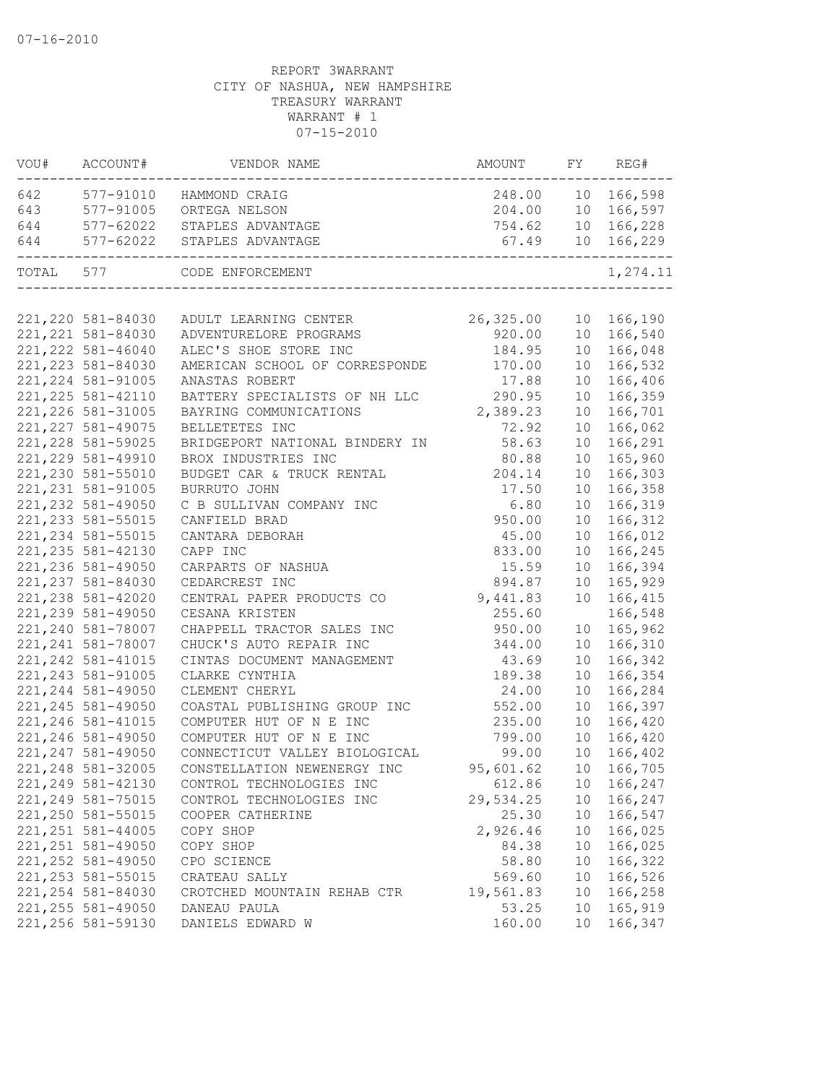| VOU#      | ACCOUNT#           | VENDOR NAME                     | AMOUNT               | FY              | REG#              |
|-----------|--------------------|---------------------------------|----------------------|-----------------|-------------------|
|           |                    | 642 577-91010 HAMMOND CRAIG     |                      |                 | 248.00 10 166,598 |
| 643       |                    | 577-91005 ORTEGA NELSON         |                      |                 | 204.00 10 166,597 |
| 644       |                    | 577-62022 STAPLES ADVANTAGE     |                      |                 | 754.62 10 166,228 |
| 644       | 577-62022          | STAPLES ADVANTAGE<br>---------- |                      |                 | 67.49 10 166,229  |
| TOTAL 577 |                    | CODE ENFORCEMENT                | ____________________ |                 | 1,274.11          |
|           |                    |                                 |                      |                 |                   |
|           | 221,220 581-84030  | ADULT LEARNING CENTER 26,325.00 |                      |                 | 10 166,190        |
|           | 221, 221 581-84030 | ADVENTURELORE PROGRAMS          | 920.00               |                 | 10 166,540        |
|           | 221, 222 581-46040 | ALEC'S SHOE STORE INC           | 184.95               | 10              | 166,048           |
|           | 221, 223 581-84030 | AMERICAN SCHOOL OF CORRESPONDE  | 170.00               | 10              | 166,532           |
|           | 221, 224 581-91005 | ANASTAS ROBERT                  | 17.88                | 10              | 166,406           |
|           | 221, 225 581-42110 | BATTERY SPECIALISTS OF NH LLC   | 290.95               | 10              | 166,359           |
|           | 221, 226 581-31005 | BAYRING COMMUNICATIONS          | 2,389.23             | 10              | 166,701           |
|           | 221, 227 581-49075 | BELLETETES INC                  | 72.92                | 10              | 166,062           |
|           | 221, 228 581-59025 | BRIDGEPORT NATIONAL BINDERY IN  | 58.63                | 10              | 166,291           |
|           | 221, 229 581-49910 | BROX INDUSTRIES INC             | 80.88                | 10              | 165,960           |
|           | 221,230 581-55010  | BUDGET CAR & TRUCK RENTAL       | 204.14               | 10              | 166,303           |
|           | 221, 231 581-91005 | BURRUTO JOHN                    | 17.50                | 10              | 166,358           |
|           | 221, 232 581-49050 | C B SULLIVAN COMPANY INC        | 6.80                 | 10              | 166,319           |
|           | 221, 233 581-55015 | CANFIELD BRAD                   | 950.00               | 10              | 166,312           |
|           | 221, 234 581-55015 | CANTARA DEBORAH                 | 45.00                | 10              | 166,012           |
|           | 221, 235 581-42130 | CAPP INC                        | 833.00               | 10              | 166,245           |
|           | 221,236 581-49050  | CARPARTS OF NASHUA              | 15.59                | 10              | 166,394           |
|           | 221, 237 581-84030 | CEDARCREST INC                  | 894.87               | 10              | 165,929           |
|           | 221, 238 581-42020 | CENTRAL PAPER PRODUCTS CO       | 9,441.83             | 10              | 166,415           |
|           | 221, 239 581-49050 | CESANA KRISTEN                  | 255.60               |                 | 166,548           |
|           | 221,240 581-78007  | CHAPPELL TRACTOR SALES INC      | 950.00               | 10              | 165,962           |
|           | 221, 241 581-78007 | CHUCK'S AUTO REPAIR INC         | 344.00               | 10              | 166,310           |
|           | 221, 242 581-41015 | CINTAS DOCUMENT MANAGEMENT      | 43.69                | 10              | 166,342           |
|           | 221, 243 581-91005 | CLARKE CYNTHIA                  | 189.38               | 10              | 166,354           |
|           | 221, 244 581-49050 | CLEMENT CHERYL                  | 24.00                | 10              | 166,284           |
|           | 221, 245 581-49050 | COASTAL PUBLISHING GROUP INC    | 552.00               | 10              | 166,397           |
|           | 221, 246 581-41015 | COMPUTER HUT OF N E INC         | 235.00               | 10              | 166,420           |
|           | 221, 246 581-49050 | COMPUTER HUT OF N E INC         | 799.00               | 10              | 166,420           |
|           | 221, 247 581-49050 | CONNECTICUT VALLEY BIOLOGICAL   | 99.00                | 10              | 166,402           |
|           | 221, 248 581-32005 | CONSTELLATION NEWENERGY INC     | 95,601.62            |                 | 10 166,705        |
|           | 221,249 581-42130  | CONTROL TECHNOLOGIES INC        | 612.86               | 10              | 166,247           |
|           | 221, 249 581-75015 | CONTROL TECHNOLOGIES INC        | 29,534.25            | 10              | 166,247           |
|           | 221,250 581-55015  | COOPER CATHERINE                | 25.30                | 10              | 166,547           |
|           | 221, 251 581-44005 | COPY SHOP                       | 2,926.46             | 10              | 166,025           |
|           | 221, 251 581-49050 | COPY SHOP                       | 84.38                | 10              | 166,025           |
|           | 221, 252 581-49050 | CPO SCIENCE                     | 58.80                | 10              | 166,322           |
|           | 221, 253 581-55015 | CRATEAU SALLY                   | 569.60               | 10              | 166,526           |
|           | 221, 254 581-84030 | CROTCHED MOUNTAIN REHAB CTR     | 19,561.83            | 10 <sub>o</sub> | 166,258           |
|           | 221, 255 581-49050 | DANEAU PAULA                    | 53.25                | 10              | 165,919           |
|           | 221,256 581-59130  | DANIELS EDWARD W                | 160.00               | 10              | 166,347           |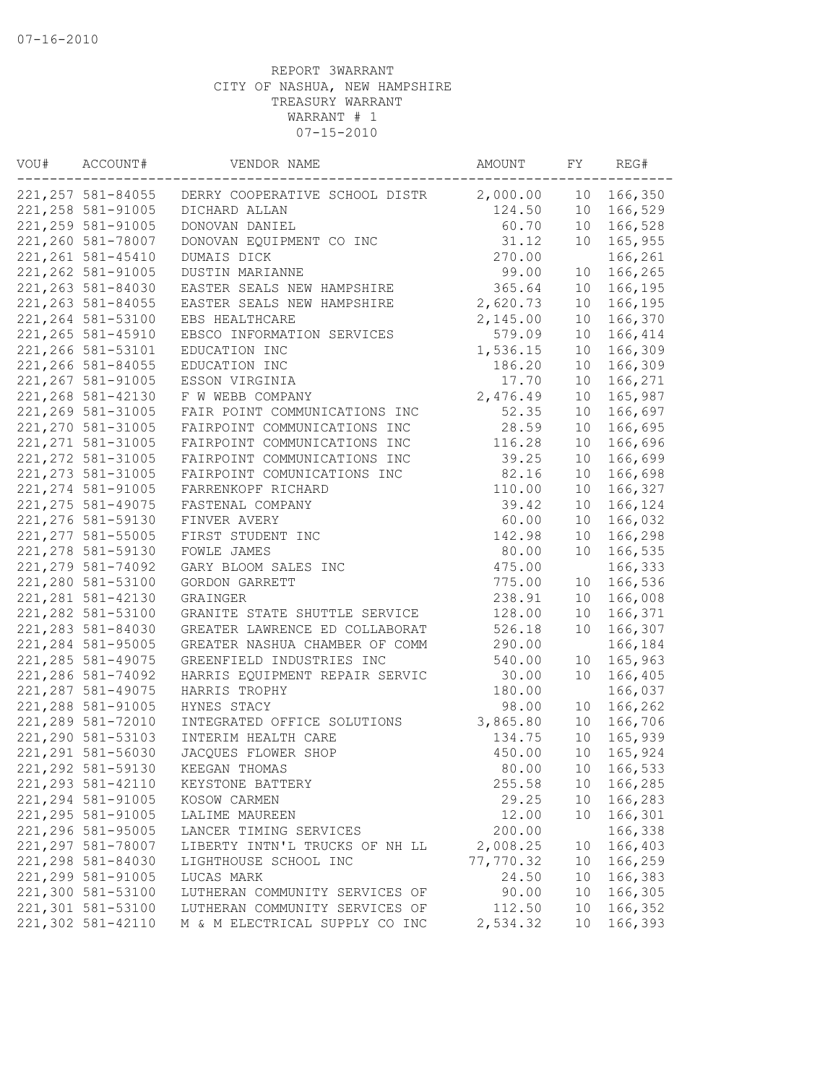| VOU# | ACCOUNT#           | VENDOR NAME                    | AMOUNT    | FY              | REG#       |
|------|--------------------|--------------------------------|-----------|-----------------|------------|
|      | 221, 257 581-84055 | DERRY COOPERATIVE SCHOOL DISTR | 2,000.00  | 10              | 166,350    |
|      | 221, 258 581-91005 | DICHARD ALLAN                  | 124.50    | 10              | 166,529    |
|      | 221, 259 581-91005 | DONOVAN DANIEL                 | 60.70     | 10 <sup>°</sup> | 166,528    |
|      | 221,260 581-78007  | DONOVAN EQUIPMENT CO INC       | 31.12     | 10              | 165,955    |
|      | 221, 261 581-45410 | DUMAIS DICK                    | 270.00    |                 | 166,261    |
|      | 221, 262 581-91005 | DUSTIN MARIANNE                | 99.00     | 10              | 166,265    |
|      | 221, 263 581-84030 | EASTER SEALS NEW HAMPSHIRE     | 365.64    | 10              | 166,195    |
|      | 221, 263 581-84055 | EASTER SEALS NEW HAMPSHIRE     | 2,620.73  | 10              | 166,195    |
|      | 221, 264 581-53100 | EBS HEALTHCARE                 | 2,145.00  | 10              | 166,370    |
|      | 221, 265 581-45910 | EBSCO INFORMATION SERVICES     | 579.09    | 10              | 166,414    |
|      | 221,266 581-53101  | EDUCATION INC                  | 1,536.15  | 10              | 166,309    |
|      | 221,266 581-84055  | EDUCATION INC                  | 186.20    | 10              | 166,309    |
|      | 221, 267 581-91005 | ESSON VIRGINIA                 | 17.70     | 10              | 166,271    |
|      | 221, 268 581-42130 | F W WEBB COMPANY               | 2,476.49  | 10              | 165,987    |
|      | 221, 269 581-31005 | FAIR POINT COMMUNICATIONS INC  | 52.35     | 10              | 166,697    |
|      | 221,270 581-31005  | FAIRPOINT COMMUNICATIONS INC   | 28.59     | 10              | 166,695    |
|      | 221, 271 581-31005 | FAIRPOINT COMMUNICATIONS INC   | 116.28    | 10              | 166,696    |
|      | 221, 272 581-31005 | FAIRPOINT COMMUNICATIONS INC   | 39.25     | 10              | 166,699    |
|      | 221, 273 581-31005 | FAIRPOINT COMUNICATIONS INC    | 82.16     | 10              | 166,698    |
|      | 221, 274 581-91005 | FARRENKOPF RICHARD             | 110.00    | 10              | 166,327    |
|      | 221, 275 581-49075 | FASTENAL COMPANY               | 39.42     | 10              | 166,124    |
|      | 221, 276 581-59130 | FINVER AVERY                   | 60.00     | 10              | 166,032    |
|      | 221, 277 581-55005 | FIRST STUDENT INC              | 142.98    | 10              | 166,298    |
|      | 221, 278 581-59130 | FOWLE JAMES                    | 80.00     | 10              | 166,535    |
|      | 221, 279 581-74092 | GARY BLOOM SALES INC           | 475.00    |                 | 166,333    |
|      | 221,280 581-53100  | GORDON GARRETT                 | 775.00    | 10              | 166,536    |
|      | 221, 281 581-42130 | GRAINGER                       | 238.91    | 10              | 166,008    |
|      | 221, 282 581-53100 | GRANITE STATE SHUTTLE SERVICE  | 128.00    | 10              | 166,371    |
|      | 221, 283 581-84030 | GREATER LAWRENCE ED COLLABORAT | 526.18    | 10              | 166,307    |
|      | 221,284 581-95005  | GREATER NASHUA CHAMBER OF COMM | 290.00    |                 | 166,184    |
|      | 221, 285 581-49075 | GREENFIELD INDUSTRIES INC      | 540.00    | 10              | 165,963    |
|      | 221,286 581-74092  | HARRIS EQUIPMENT REPAIR SERVIC | 30.00     | 10              | 166,405    |
|      | 221, 287 581-49075 | HARRIS TROPHY                  | 180.00    |                 | 166,037    |
|      | 221,288 581-91005  | HYNES STACY                    | 98.00     | 10              | 166,262    |
|      | 221,289 581-72010  | INTEGRATED OFFICE SOLUTIONS    | 3,865.80  | 10              | 166,706    |
|      | 221,290 581-53103  | INTERIM HEALTH CARE            | 134.75    | 10 <sub>o</sub> | 165,939    |
|      | 221, 291 581-56030 | JACQUES FLOWER SHOP            | 450.00    | 10              | 165,924    |
|      | 221, 292 581-59130 | KEEGAN THOMAS                  | 80.00     |                 | 10 166,533 |
|      | 221, 293 581-42110 | KEYSTONE BATTERY               | 255.58    | 10              | 166,285    |
|      | 221, 294 581-91005 | KOSOW CARMEN                   | 29.25     | 10 <sub>o</sub> | 166,283    |
|      | 221, 295 581-91005 | LALIME MAUREEN                 | 12.00     | 10              | 166,301    |
|      | 221,296 581-95005  | LANCER TIMING SERVICES         | 200.00    |                 | 166,338    |
|      | 221, 297 581-78007 | LIBERTY INTN'L TRUCKS OF NH LL | 2,008.25  | 10              | 166,403    |
|      | 221,298 581-84030  | LIGHTHOUSE SCHOOL INC          | 77,770.32 | 10              | 166,259    |
|      | 221,299 581-91005  | LUCAS MARK                     | 24.50     | 10              | 166,383    |
|      | 221,300 581-53100  | LUTHERAN COMMUNITY SERVICES OF | 90.00     | 10 <sub>o</sub> | 166,305    |
|      | 221,301 581-53100  | LUTHERAN COMMUNITY SERVICES OF | 112.50    | 10              | 166,352    |
|      | 221,302 581-42110  | M & M ELECTRICAL SUPPLY CO INC | 2,534.32  | 10              | 166,393    |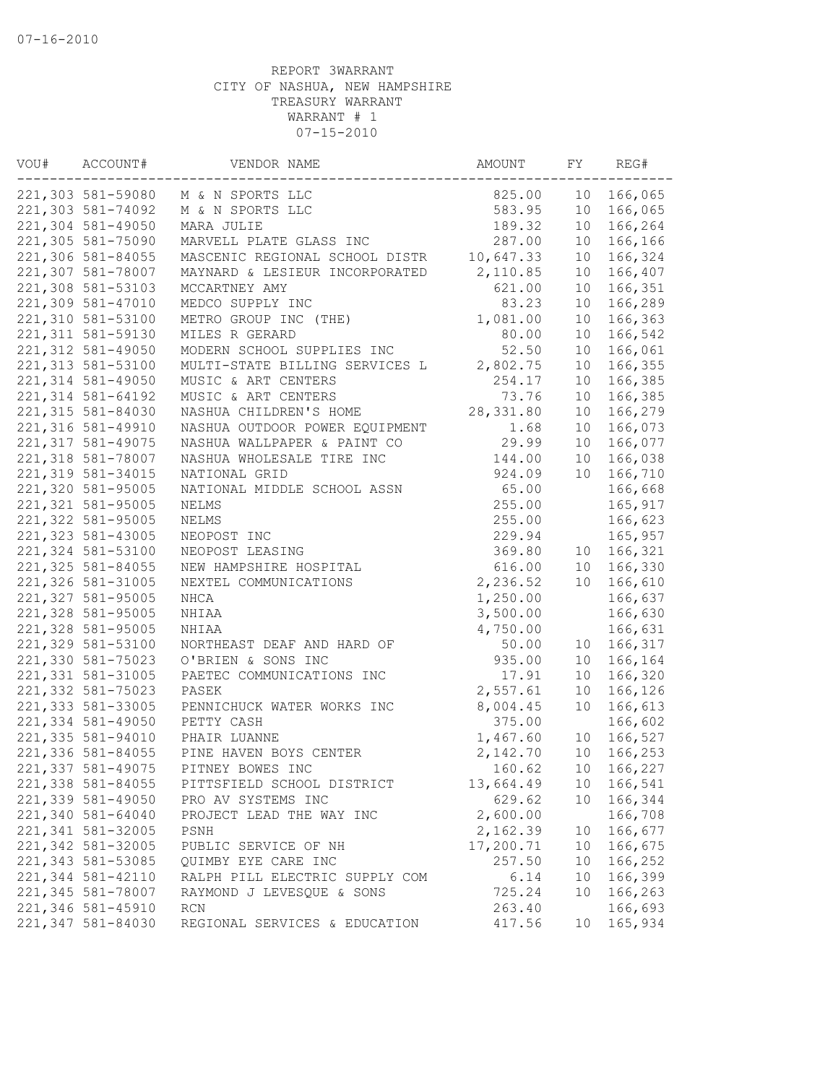| VOU# | ACCOUNT#           | VENDOR NAME                    | AMOUNT    | FY              | REG#    |
|------|--------------------|--------------------------------|-----------|-----------------|---------|
|      | 221,303 581-59080  | M & N SPORTS LLC               | 825.00    | 10              | 166,065 |
|      | 221,303 581-74092  | M & N SPORTS LLC               | 583.95    | 10              | 166,065 |
|      | 221,304 581-49050  | MARA JULIE                     | 189.32    | 10              | 166,264 |
|      | 221,305 581-75090  | MARVELL PLATE GLASS INC        | 287.00    | 10              | 166,166 |
|      | 221,306 581-84055  | MASCENIC REGIONAL SCHOOL DISTR | 10,647.33 | 10              | 166,324 |
|      | 221,307 581-78007  | MAYNARD & LESIEUR INCORPORATED | 2,110.85  | 10              | 166,407 |
|      | 221,308 581-53103  | MCCARTNEY AMY                  | 621.00    | 10              | 166,351 |
|      | 221,309 581-47010  | MEDCO SUPPLY INC               | 83.23     | 10              | 166,289 |
|      | 221,310 581-53100  | METRO GROUP INC (THE)          | 1,081.00  | 10              | 166,363 |
|      | 221, 311 581-59130 | MILES R GERARD                 | 80.00     | 10              | 166,542 |
|      | 221,312 581-49050  | MODERN SCHOOL SUPPLIES INC     | 52.50     | 10              | 166,061 |
|      | 221, 313 581-53100 | MULTI-STATE BILLING SERVICES L | 2,802.75  | 10              | 166,355 |
|      | 221, 314 581-49050 | MUSIC & ART CENTERS            | 254.17    | 10              | 166,385 |
|      | 221, 314 581-64192 | MUSIC & ART CENTERS            | 73.76     | 10              | 166,385 |
|      | 221, 315 581-84030 | NASHUA CHILDREN'S HOME         | 28,331.80 | 10              | 166,279 |
|      | 221,316 581-49910  | NASHUA OUTDOOR POWER EQUIPMENT | 1.68      | 10              | 166,073 |
|      | 221, 317 581-49075 | NASHUA WALLPAPER & PAINT CO    | 29.99     | 10              | 166,077 |
|      | 221,318 581-78007  | NASHUA WHOLESALE TIRE INC      | 144.00    | 10              | 166,038 |
|      | 221,319 581-34015  | NATIONAL GRID                  | 924.09    | 10              | 166,710 |
|      | 221,320 581-95005  | NATIONAL MIDDLE SCHOOL ASSN    | 65.00     |                 | 166,668 |
|      | 221, 321 581-95005 | NELMS                          | 255.00    |                 | 165,917 |
|      | 221,322 581-95005  | NELMS                          | 255.00    |                 | 166,623 |
|      | 221, 323 581-43005 | NEOPOST INC                    | 229.94    |                 | 165,957 |
|      | 221,324 581-53100  | NEOPOST LEASING                | 369.80    | 10              | 166,321 |
|      | 221, 325 581-84055 | NEW HAMPSHIRE HOSPITAL         | 616.00    | 10              | 166,330 |
|      | 221,326 581-31005  | NEXTEL COMMUNICATIONS          | 2,236.52  | 10              | 166,610 |
|      | 221,327 581-95005  |                                |           |                 |         |
|      |                    | NHCA                           | 1,250.00  |                 | 166,637 |
|      | 221,328 581-95005  | NHIAA                          | 3,500.00  |                 | 166,630 |
|      | 221,328 581-95005  | NHIAA                          | 4,750.00  |                 | 166,631 |
|      | 221,329 581-53100  | NORTHEAST DEAF AND HARD OF     | 50.00     | 10              | 166,317 |
|      | 221,330 581-75023  | O'BRIEN & SONS INC             | 935.00    | 10              | 166,164 |
|      | 221, 331 581-31005 | PAETEC COMMUNICATIONS INC      | 17.91     | 10              | 166,320 |
|      | 221, 332 581-75023 | PASEK                          | 2,557.61  | 10              | 166,126 |
|      | 221, 333 581-33005 | PENNICHUCK WATER WORKS INC     | 8,004.45  | 10              | 166,613 |
|      | 221,334 581-49050  | PETTY CASH                     | 375.00    |                 | 166,602 |
|      | 221,335 581-94010  | PHAIR LUANNE                   | 1,467.60  | 10              | 166,527 |
|      | 221,336 581-84055  | PINE HAVEN BOYS CENTER         | 2,142.70  | 10              | 166,253 |
|      | 221,337 581-49075  | PITNEY BOWES INC               | 160.62    | 10              | 166,227 |
|      | 221,338 581-84055  | PITTSFIELD SCHOOL DISTRICT     | 13,664.49 | 10              | 166,541 |
|      | 221,339 581-49050  | PRO AV SYSTEMS INC             | 629.62    | 10 <sup>°</sup> | 166,344 |
|      | 221,340 581-64040  | PROJECT LEAD THE WAY INC       | 2,600.00  |                 | 166,708 |
|      | 221,341 581-32005  | PSNH                           | 2,162.39  | 10              | 166,677 |
|      | 221,342 581-32005  | PUBLIC SERVICE OF NH           | 17,200.71 | 10              | 166,675 |
|      | 221, 343 581-53085 | QUIMBY EYE CARE INC            | 257.50    | 10              | 166,252 |
|      | 221,344 581-42110  | RALPH PILL ELECTRIC SUPPLY COM | 6.14      | 10 <sub>o</sub> | 166,399 |
|      | 221,345 581-78007  | RAYMOND J LEVESQUE & SONS      | 725.24    | 10              | 166,263 |
|      | 221,346 581-45910  | RCN                            | 263.40    |                 | 166,693 |
|      | 221,347 581-84030  | REGIONAL SERVICES & EDUCATION  | 417.56    | 10              | 165,934 |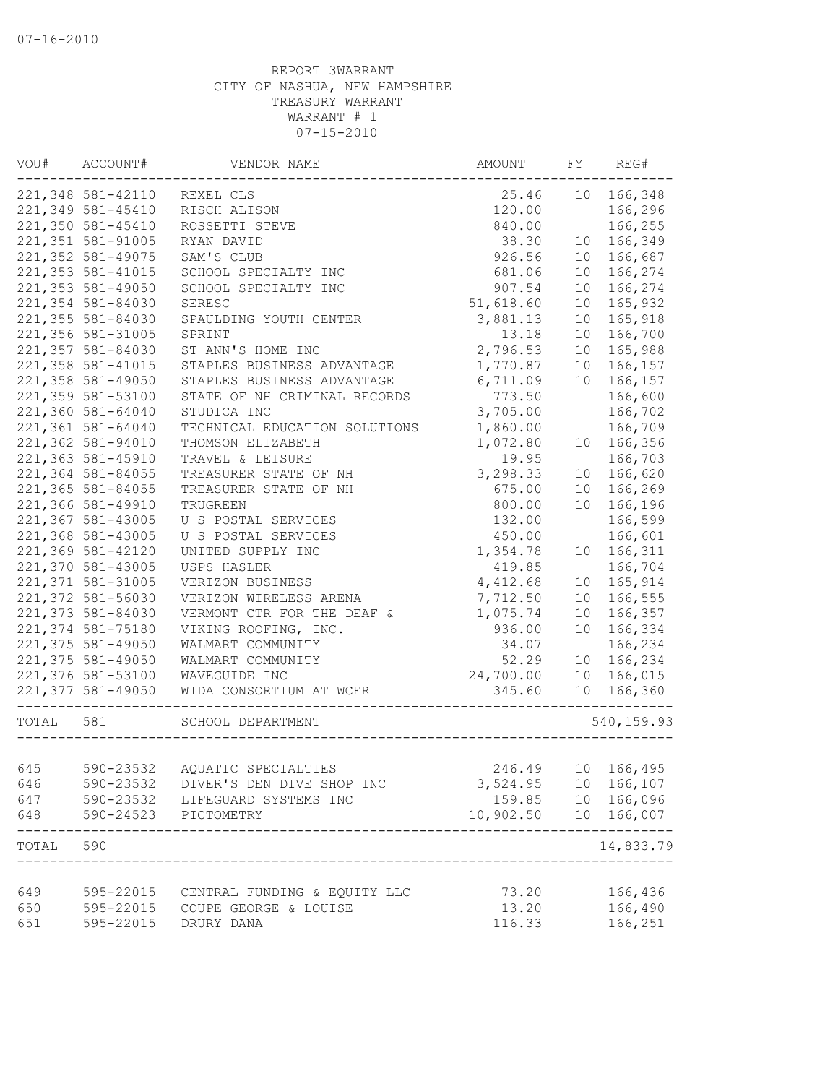| VOU#      | ACCOUNT#          | VENDOR NAME                                           | AMOUNT                 | FY | REG#              |
|-----------|-------------------|-------------------------------------------------------|------------------------|----|-------------------|
|           | 221,348 581-42110 | REXEL CLS                                             | 25.46                  | 10 | 166,348           |
|           | 221,349 581-45410 | RISCH ALISON                                          | 120.00                 |    | 166,296           |
|           | 221,350 581-45410 | ROSSETTI STEVE                                        | 840.00                 |    | 166,255           |
|           | 221,351 581-91005 | RYAN DAVID                                            | 38.30                  | 10 | 166,349           |
|           | 221,352 581-49075 | SAM'S CLUB                                            | 926.56                 | 10 | 166,687           |
|           | 221,353 581-41015 | SCHOOL SPECIALTY INC                                  | 681.06                 | 10 | 166,274           |
|           | 221,353 581-49050 | SCHOOL SPECIALTY INC                                  | 907.54                 | 10 | 166,274           |
|           | 221,354 581-84030 | SERESC                                                | 51,618.60              | 10 | 165,932           |
|           | 221,355 581-84030 | SPAULDING YOUTH CENTER                                | 3,881.13               | 10 | 165,918           |
|           | 221,356 581-31005 | SPRINT                                                | 13.18                  | 10 | 166,700           |
|           | 221,357 581-84030 | ST ANN'S HOME INC                                     | 2,796.53               | 10 | 165,988           |
|           | 221,358 581-41015 | STAPLES BUSINESS ADVANTAGE                            | 1,770.87               | 10 | 166,157           |
|           | 221,358 581-49050 | STAPLES BUSINESS ADVANTAGE                            | 6,711.09               | 10 | 166,157           |
|           | 221,359 581-53100 | STATE OF NH CRIMINAL RECORDS                          | 773.50                 |    | 166,600           |
|           | 221,360 581-64040 | STUDICA INC                                           | 3,705.00               |    | 166,702           |
|           | 221,361 581-64040 | TECHNICAL EDUCATION SOLUTIONS                         | 1,860.00               |    | 166,709           |
|           | 221,362 581-94010 | THOMSON ELIZABETH                                     | 1,072.80               | 10 | 166,356           |
|           | 221,363 581-45910 | TRAVEL & LEISURE                                      | 19.95                  |    | 166,703           |
|           | 221,364 581-84055 | TREASURER STATE OF NH                                 | 3,298.33               | 10 | 166,620           |
|           | 221,365 581-84055 | TREASURER STATE OF NH                                 | 675.00                 | 10 | 166,269           |
|           | 221,366 581-49910 | TRUGREEN                                              | 800.00                 | 10 | 166,196           |
|           | 221,367 581-43005 | U S POSTAL SERVICES                                   | 132.00                 |    | 166,599           |
|           | 221,368 581-43005 | U S POSTAL SERVICES                                   | 450.00                 |    | 166,601           |
|           | 221,369 581-42120 | UNITED SUPPLY INC                                     | 1,354.78               | 10 | 166,311           |
|           | 221,370 581-43005 | USPS HASLER                                           | 419.85                 |    | 166,704           |
|           | 221,371 581-31005 |                                                       | 4,412.68               | 10 | 165,914           |
|           | 221,372 581-56030 | VERIZON BUSINESS                                      | 7,712.50               |    |                   |
|           |                   | VERIZON WIRELESS ARENA                                |                        | 10 | 166,555           |
|           | 221,373 581-84030 | VERMONT CTR FOR THE DEAF &                            | 1,075.74               | 10 | 166,357           |
|           | 221,374 581-75180 | VIKING ROOFING, INC.                                  | 936.00                 | 10 | 166,334           |
|           | 221,375 581-49050 | WALMART COMMUNITY                                     | 34.07                  |    | 166,234           |
|           | 221,375 581-49050 | WALMART COMMUNITY                                     | 52.29                  | 10 | 166,234           |
|           | 221,376 581-53100 | WAVEGUIDE INC                                         | 24,700.00              | 10 | 166,015           |
|           | 221,377 581-49050 | WIDA CONSORTIUM AT WCER<br>_________________          | 345.60                 | 10 | 166,360           |
| TOTAL 581 |                   | SCHOOL DEPARTMENT<br>__________________               |                        |    | 540, 159.93       |
|           |                   |                                                       |                        |    |                   |
| 645       | 590-23532         | AQUATIC SPECIALTIES                                   | 246.49                 |    | 10 166,495        |
| 646       |                   | 590-23532 DIVER'S DEN DIVE SHOP INC                   | 3,524.95               |    | 10 166,107        |
| 647       |                   | 590-23532 LIFEGUARD SYSTEMS INC                       |                        |    | 159.85 10 166,096 |
| 648       |                   | 590-24523 PICTOMETRY<br>----------------------------- | 10,902.50  10  166,007 |    | -------------     |
| TOTAL     | 590               |                                                       |                        |    | 14,833.79         |
|           |                   |                                                       |                        |    |                   |
| 649       | 595-22015         | CENTRAL FUNDING & EQUITY LLC                          | 73.20                  |    | 166,436           |
| 650       | 595-22015         | COUPE GEORGE & LOUISE                                 | 13.20                  |    | 166,490           |
| 651       | 595-22015         | DRURY DANA                                            | 116.33                 |    | 166,251           |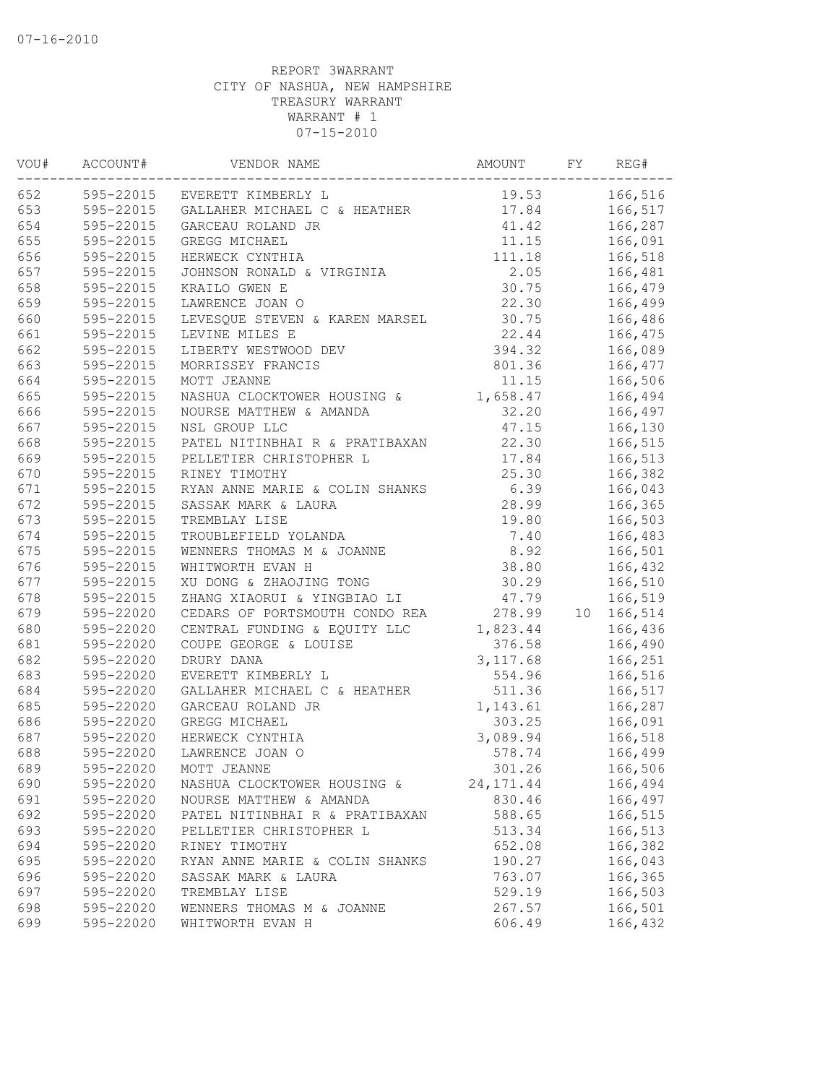| VOU# | ACCOUNT#<br>. <u>.</u> | VENDOR NAME                                  | AMOUNT     | FY | REG#    |
|------|------------------------|----------------------------------------------|------------|----|---------|
| 652  |                        | 595-22015 EVERETT KIMBERLY L                 | 19.53      |    | 166,516 |
| 653  |                        | 595-22015 GALLAHER MICHAEL C & HEATHER 17.84 |            |    | 166,517 |
| 654  | 595-22015              | GARCEAU ROLAND JR                            | 41.42      |    | 166,287 |
| 655  | 595-22015              | GREGG MICHAEL                                | 11.15      |    | 166,091 |
| 656  | 595-22015              | HERWECK CYNTHIA                              | 111.18     |    | 166,518 |
| 657  | 595-22015              | JOHNSON RONALD & VIRGINIA                    | 2.05       |    | 166,481 |
| 658  | 595-22015              | KRAILO GWEN E                                | 30.75      |    | 166,479 |
| 659  | 595-22015              | LAWRENCE JOAN O                              | 22.30      |    | 166,499 |
| 660  | 595-22015              | LEVESQUE STEVEN & KAREN MARSEL               | 30.75      |    | 166,486 |
| 661  | 595-22015              | LEVINE MILES E                               | 22.44      |    | 166,475 |
| 662  | 595-22015              | LIBERTY WESTWOOD DEV                         | 394.32     |    | 166,089 |
| 663  | 595-22015              | MORRISSEY FRANCIS                            | 801.36     |    | 166,477 |
| 664  | 595-22015              | MOTT JEANNE                                  | 11.15      |    | 166,506 |
| 665  | 595-22015              | NASHUA CLOCKTOWER HOUSING &                  | 1,658.47   |    | 166,494 |
| 666  | 595-22015              | NOURSE MATTHEW & AMANDA                      | 32.20      |    | 166,497 |
| 667  | 595-22015              | NSL GROUP LLC                                | 47.15      |    | 166,130 |
| 668  | 595-22015              | PATEL NITINBHAI R & PRATIBAXAN               | 22.30      |    | 166,515 |
| 669  | 595-22015              | PELLETIER CHRISTOPHER L                      | 17.84      |    | 166,513 |
| 670  | 595-22015              | RINEY TIMOTHY                                | 25.30      |    | 166,382 |
| 671  | 595-22015              | RYAN ANNE MARIE & COLIN SHANKS               | 6.39       |    | 166,043 |
| 672  | 595-22015              | SASSAK MARK & LAURA                          | 28.99      |    | 166,365 |
| 673  | 595-22015              | TREMBLAY LISE                                | 19.80      |    | 166,503 |
| 674  | 595-22015              | TROUBLEFIELD YOLANDA                         | 7.40       |    | 166,483 |
| 675  | 595-22015              | WENNERS THOMAS M & JOANNE                    | 8.92       |    | 166,501 |
| 676  | 595-22015              | WHITWORTH EVAN H                             | 38.80      |    | 166,432 |
| 677  | 595-22015              | XU DONG & ZHAOJING TONG                      | 30.29      |    | 166,510 |
| 678  | 595-22015              | ZHANG XIAORUI & YINGBIAO LI                  | 47.79      |    | 166,519 |
| 679  | 595-22020              | CEDARS OF PORTSMOUTH CONDO REA               | 278.99     | 10 | 166,514 |
| 680  | 595-22020              | CENTRAL FUNDING & EQUITY LLC                 | 1,823.44   |    | 166,436 |
| 681  | 595-22020              | COUPE GEORGE & LOUISE                        | 376.58     |    | 166,490 |
| 682  | 595-22020              | DRURY DANA                                   | 3, 117.68  |    | 166,251 |
| 683  | 595-22020              | EVERETT KIMBERLY L                           | 554.96     |    | 166,516 |
| 684  | 595-22020              | GALLAHER MICHAEL C & HEATHER                 | 511.36     |    | 166,517 |
| 685  | 595-22020              | GARCEAU ROLAND JR                            | 1,143.61   |    | 166,287 |
| 686  | 595-22020              | GREGG MICHAEL                                | 303.25     |    | 166,091 |
| 687  | 595-22020              | HERWECK CYNTHIA                              | 3,089.94   |    | 166,518 |
| 688  | 595-22020              | LAWRENCE JOAN O                              | 578.74     |    | 166,499 |
| 689  | 595-22020              | MOTT JEANNE                                  | 301.26     |    | 166,506 |
| 690  | 595-22020              | NASHUA CLOCKTOWER HOUSING &                  | 24, 171.44 |    | 166,494 |
| 691  | 595-22020              | NOURSE MATTHEW & AMANDA                      | 830.46     |    | 166,497 |
| 692  | 595-22020              | PATEL NITINBHAI R & PRATIBAXAN               | 588.65     |    | 166,515 |
| 693  | 595-22020              | PELLETIER CHRISTOPHER L                      | 513.34     |    | 166,513 |
| 694  | 595-22020              | RINEY TIMOTHY                                | 652.08     |    | 166,382 |
| 695  | 595-22020              | RYAN ANNE MARIE & COLIN SHANKS               | 190.27     |    | 166,043 |
| 696  | 595-22020              | SASSAK MARK & LAURA                          | 763.07     |    | 166,365 |
| 697  | 595-22020              | TREMBLAY LISE                                | 529.19     |    | 166,503 |
| 698  | 595-22020              | WENNERS THOMAS M & JOANNE                    | 267.57     |    | 166,501 |
| 699  | 595-22020              | WHITWORTH EVAN H                             | 606.49     |    | 166,432 |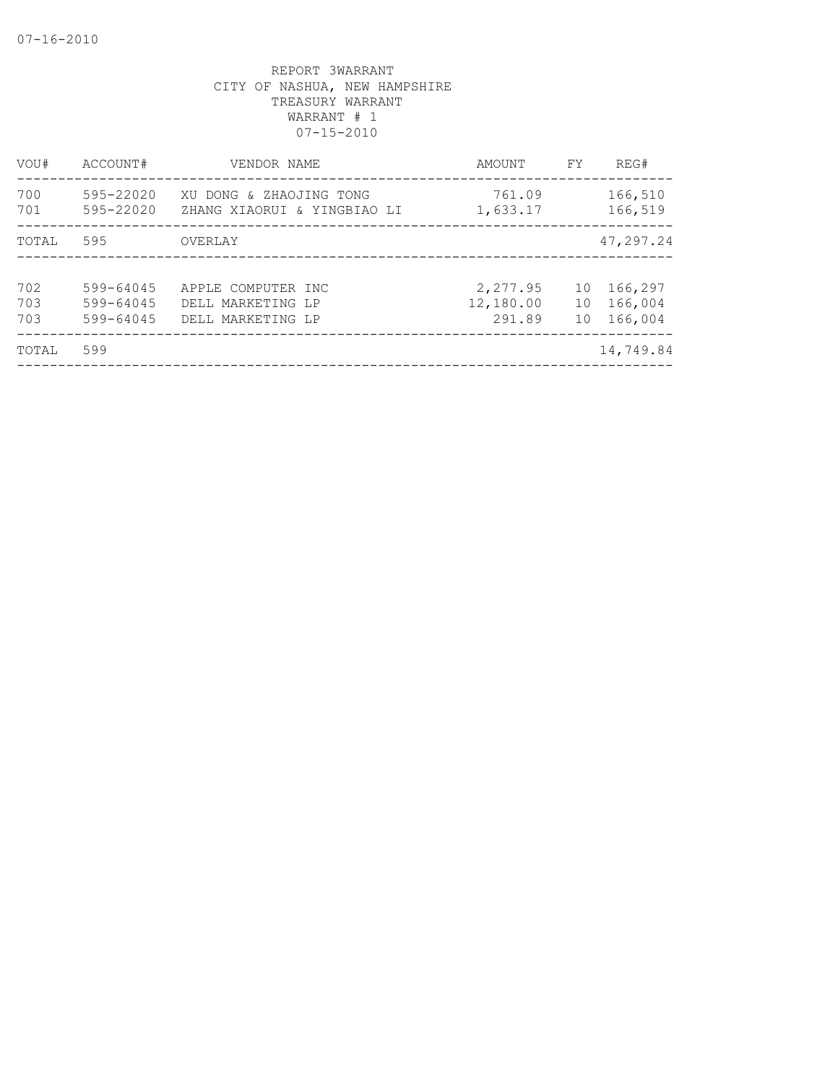| VOU#              | ACCOUNT#                            | VENDOR NAME                                                  | AMOUNT                          | FY             | REG#                          |
|-------------------|-------------------------------------|--------------------------------------------------------------|---------------------------------|----------------|-------------------------------|
| 700<br>701        | 595-22020<br>595-22020              | XU DONG & ZHAOJING TONG<br>ZHANG XIAORUI & YINGBIAO LI       | 761.09<br>1,633.17              |                | 166,510<br>166,519            |
| TOTAL             | 595                                 | OVERLAY                                                      |                                 |                | 47,297.24                     |
| 702<br>703<br>703 | 599-64045<br>599-64045<br>599-64045 | APPLE COMPUTER INC<br>DELL MARKETING LP<br>DELL MARKETING LP | 2,277.95<br>12,180.00<br>291.89 | 10<br>10<br>10 | 166,297<br>166,004<br>166,004 |
| TOTAL             | 599                                 |                                                              |                                 |                | 14,749.84                     |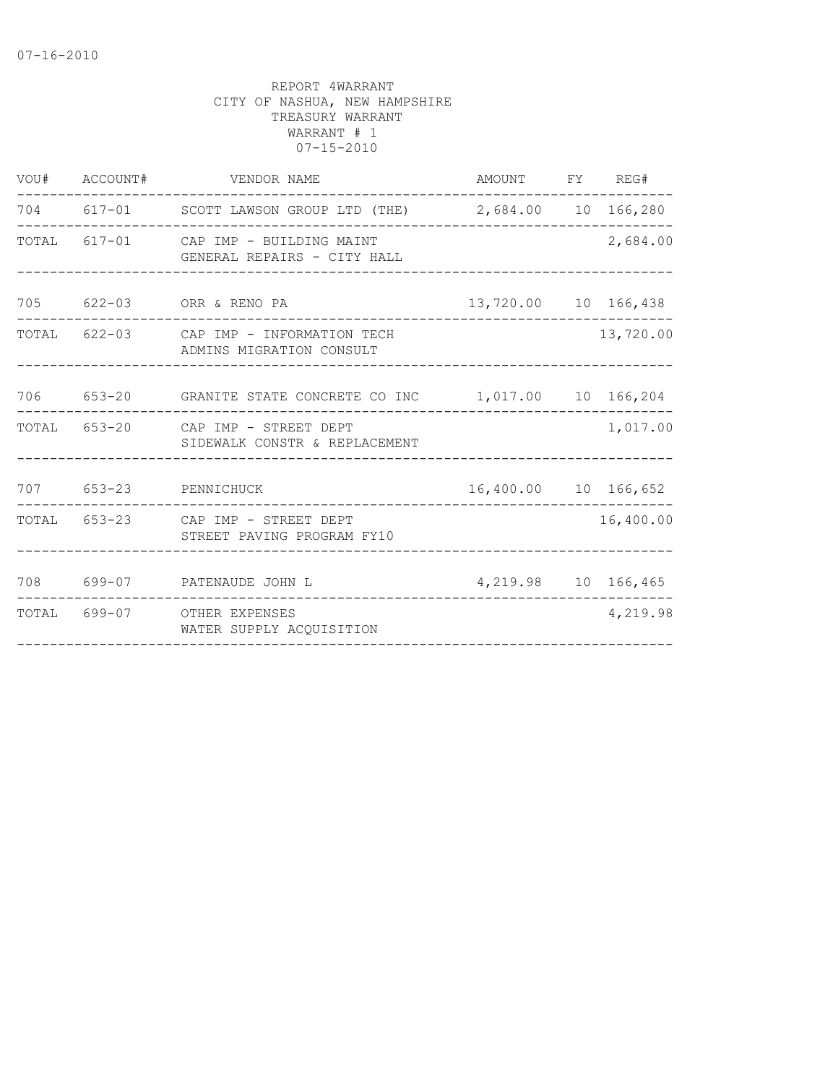| VOU# ACCOUNT# |                               |                                                                                                                                                                                                                                                                                                                               |                                                                                                                                                                                                                        |
|---------------|-------------------------------|-------------------------------------------------------------------------------------------------------------------------------------------------------------------------------------------------------------------------------------------------------------------------------------------------------------------------------|------------------------------------------------------------------------------------------------------------------------------------------------------------------------------------------------------------------------|
|               |                               |                                                                                                                                                                                                                                                                                                                               |                                                                                                                                                                                                                        |
|               |                               |                                                                                                                                                                                                                                                                                                                               | 2,684.00                                                                                                                                                                                                               |
|               |                               |                                                                                                                                                                                                                                                                                                                               |                                                                                                                                                                                                                        |
|               | ADMINS MIGRATION CONSULT      |                                                                                                                                                                                                                                                                                                                               | 13,720.00                                                                                                                                                                                                              |
|               |                               |                                                                                                                                                                                                                                                                                                                               |                                                                                                                                                                                                                        |
|               | SIDEWALK CONSTR & REPLACEMENT |                                                                                                                                                                                                                                                                                                                               | 1,017.00                                                                                                                                                                                                               |
|               |                               |                                                                                                                                                                                                                                                                                                                               |                                                                                                                                                                                                                        |
|               | STREET PAVING PROGRAM FY10    |                                                                                                                                                                                                                                                                                                                               | 16,400.00                                                                                                                                                                                                              |
|               |                               |                                                                                                                                                                                                                                                                                                                               |                                                                                                                                                                                                                        |
|               | WATER SUPPLY ACQUISITION      |                                                                                                                                                                                                                                                                                                                               | 4,219.98                                                                                                                                                                                                               |
|               |                               | VENDOR NAME<br>TOTAL 617-01 CAP IMP - BUILDING MAINT<br>GENERAL REPAIRS - CITY HALL<br>705 622-03 ORR & RENO PA<br>TOTAL 622-03 CAP IMP - INFORMATION TECH<br>TOTAL 653-20 CAP IMP - STREET DEPT<br>707 653-23 PENNICHUCK<br>TOTAL 653-23 CAP IMP - STREET DEPT<br>708 699-07 PATENAUDE JOHN L<br>TOTAL 699-07 OTHER EXPENSES | AMOUNT FY REG#<br>704 617-01 SCOTT LAWSON GROUP LTD (THE) 2,684.00 10 166,280<br>13,720.00 10 166,438<br>706 653-20 GRANITE STATE CONCRETE CO INC 1,017.00 10 166,204<br>16,400.00 10 166,652<br>4, 219.98 10 166, 465 |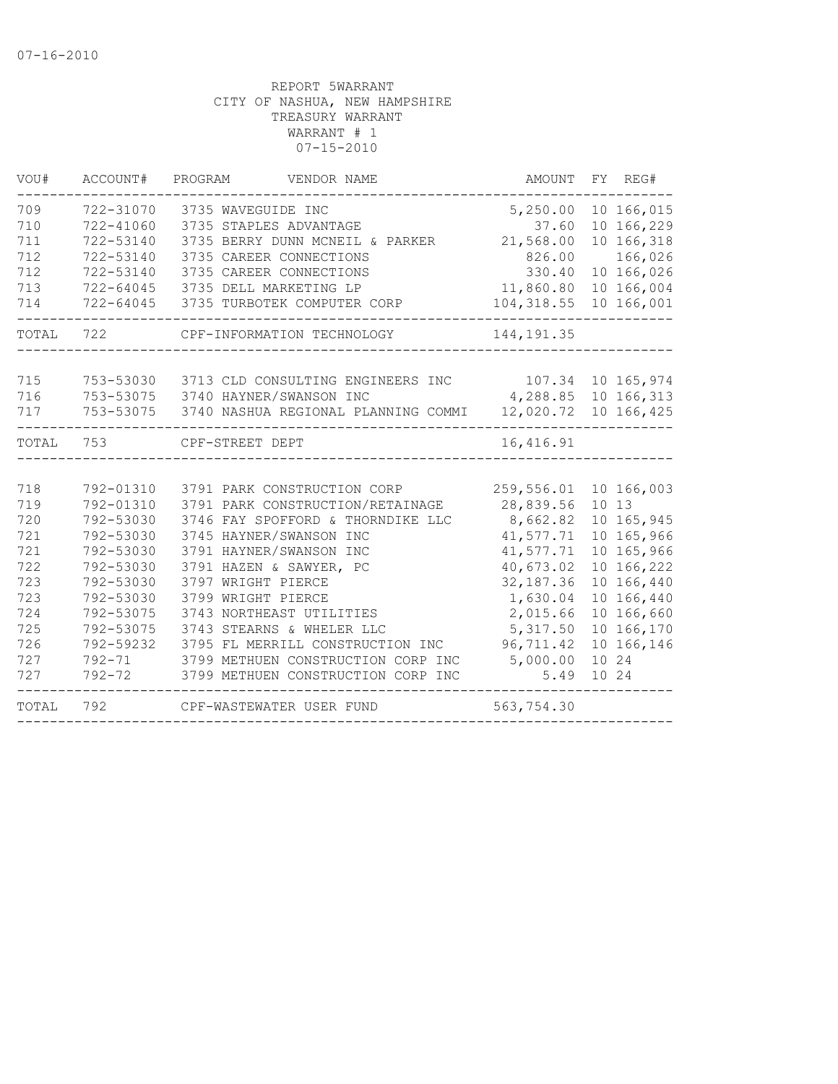| TOTAL | 792       | CPF-WASTEWATER USER FUND                                           | 563,754.30              |            |
|-------|-----------|--------------------------------------------------------------------|-------------------------|------------|
| 727   |           | 792-72 3799 METHUEN CONSTRUCTION CORP INC                          | 5.49                    | 10 24      |
| 727   |           | 792-71 3799 METHUEN CONSTRUCTION CORP INC                          | 5,000.00                | 10 24      |
| 726   | 792-59232 | 3795 FL MERRILL CONSTRUCTION INC                                   | 96,711.42               | 10 166,146 |
| 725   | 792-53075 | 3743 STEARNS & WHELER LLC                                          | 5,317.50                | 10 166,170 |
| 724   | 792-53075 | 3743 NORTHEAST UTILITIES                                           | 2,015.66                | 10 166,660 |
| 723   | 792-53030 | 3799 WRIGHT PIERCE                                                 | 1,630.04                | 10 166,440 |
| 723   | 792-53030 | 3797 WRIGHT PIERCE                                                 | 32, 187.36              | 10 166,440 |
| 722   | 792-53030 | 3791 HAZEN & SAWYER, PC                                            | 40,673.02               | 10 166,222 |
| 721   | 792-53030 | 3791 HAYNER/SWANSON INC                                            | 41,577.71               | 10 165,966 |
| 721   | 792-53030 | 3745 HAYNER/SWANSON INC                                            | 41,577.71               | 10 165,966 |
| 720   | 792-53030 | 3746 FAY SPOFFORD & THORNDIKE LLC                                  | 8,662.82                | 10 165,945 |
| 719   | 792-01310 | 3791 PARK CONSTRUCTION/RETAINAGE                                   | 28,839.56               | 10 13      |
| 718   | 792-01310 | 3791 PARK CONSTRUCTION CORP                                        | 259,556.01 10 166,003   |            |
| TOTAL | 753       | CPF-STREET DEPT                                                    | 16,416.91               |            |
| 717   |           | 753-53075 3740 NASHUA REGIONAL PLANNING COMMI 12,020.72 10 166,425 | --------------          |            |
| 716   |           | 753-53075 3740 HAYNER/SWANSON INC                                  | 4,288.85 10 166,313     |            |
| 715   |           | 753-53030 3713 CLD CONSULTING ENGINEERS INC 107.34 10 165, 974     |                         |            |
| TOTAL | 722       | CPF-INFORMATION TECHNOLOGY                                         | 144, 191.35             |            |
| 714   |           | 722-64045 3735 TURBOTEK COMPUTER CORP                              | 104, 318.55 10 166, 001 |            |
| 713   |           | 722-64045 3735 DELL MARKETING LP                                   | 11,860.80 10 166,004    |            |
| 712   | 722-53140 | 3735 CAREER CONNECTIONS                                            | 330.40                  | 10 166,026 |
| 712   | 722-53140 | 3735 CAREER CONNECTIONS                                            | 826.00                  | 166,026    |
| 711   | 722-53140 | 3735 BERRY DUNN MCNEIL & PARKER                                    | 21,568.00               | 10 166,318 |
| 710   | 722-41060 | 3735 STAPLES ADVANTAGE                                             | 37.60                   | 10 166,229 |
| 709   | 722-31070 | 3735 WAVEGUIDE INC                                                 | 5,250.00                | 10 166,015 |
| VOU#  | ACCOUNT#  | PROGRAM<br>VENDOR NAME                                             | AMOUNT FY REG#          |            |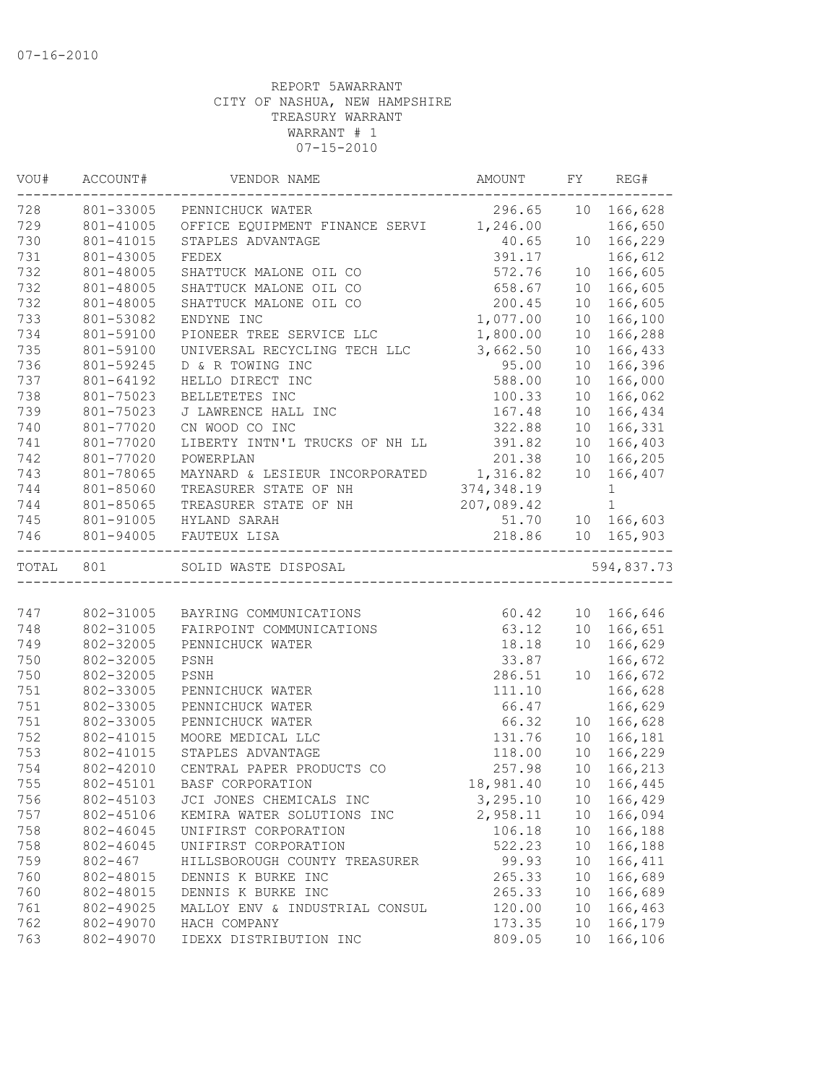| VOU#      | ACCOUNT#    | VENDOR NAME                             | AMOUNT     | FY              | REG#         |
|-----------|-------------|-----------------------------------------|------------|-----------------|--------------|
| 728       | 801-33005   | PENNICHUCK WATER                        | 296.65     |                 | 10 166,628   |
| 729       | 801-41005   | OFFICE EQUIPMENT FINANCE SERVI 1,246.00 |            |                 | 166,650      |
| 730       | 801-41015   | STAPLES ADVANTAGE                       | 40.65      | 10              | 166,229      |
| 731       | 801-43005   | FEDEX                                   | 391.17     |                 | 166,612      |
| 732       | 801-48005   | SHATTUCK MALONE OIL CO                  | 572.76     | 10              | 166,605      |
| 732       | 801-48005   | SHATTUCK MALONE OIL CO                  | 658.67     | 10              | 166,605      |
| 732       | 801-48005   | SHATTUCK MALONE OIL CO                  | 200.45     | 10              | 166,605      |
| 733       | 801-53082   | ENDYNE INC                              | 1,077.00   | 10              | 166,100      |
| 734       | 801-59100   | PIONEER TREE SERVICE LLC                | 1,800.00   | 10              | 166,288      |
| 735       | 801-59100   | UNIVERSAL RECYCLING TECH LLC            | 3,662.50   | 10              | 166,433      |
| 736       | 801-59245   | D & R TOWING INC                        | 95.00      | 10              | 166,396      |
| 737       | 801-64192   | HELLO DIRECT INC                        | 588.00     | 10 <sup>°</sup> | 166,000      |
| 738       | 801-75023   | BELLETETES INC                          | 100.33     | 10 <sup>°</sup> | 166,062      |
| 739       | 801-75023   | J LAWRENCE HALL INC                     | 167.48     | 10              | 166,434      |
| 740       | 801-77020   | CN WOOD CO INC                          | 322.88     | 10              | 166,331      |
| 741       | 801-77020   | LIBERTY INTN'L TRUCKS OF NH LL          | 391.82     | 10              | 166,403      |
| 742       | 801-77020   | POWERPLAN                               | 201.38     | 10              | 166,205      |
| 743       | 801-78065   | MAYNARD & LESIEUR INCORPORATED 1,316.82 |            | 10              | 166,407      |
| 744       | 801-85060   | TREASURER STATE OF NH                   | 374,348.19 |                 | $\mathbf{1}$ |
| 744       | 801-85065   | TREASURER STATE OF NH                   | 207,089.42 |                 | $\mathbf 1$  |
| 745       | 801-91005   | HYLAND SARAH                            | 51.70      |                 | 10 166,603   |
| 746       | 801-94005   | FAUTEUX LISA                            | 218.86     |                 | 10 165,903   |
| TOTAL 801 |             | SOLID WASTE DISPOSAL                    |            |                 | 594,837.73   |
|           |             |                                         |            |                 |              |
| 747       | 802-31005   | BAYRING COMMUNICATIONS                  | 60.42      |                 | 10 166,646   |
| 748       | 802-31005   | FAIRPOINT COMMUNICATIONS                | 63.12      |                 | 10 166,651   |
| 749       | 802-32005   | PENNICHUCK WATER                        | 18.18      |                 | 10 166,629   |
| 750       | 802-32005   | PSNH                                    | 33.87      |                 | 166,672      |
| 750       | 802-32005   | PSNH                                    | 286.51     |                 | 10 166,672   |
| 751       | 802-33005   | PENNICHUCK WATER                        | 111.10     |                 | 166,628      |
| 751       | 802-33005   | PENNICHUCK WATER                        | 66.47      |                 | 166,629      |
| 751       | 802-33005   | PENNICHUCK WATER                        | 66.32      | 10              | 166,628      |
| 752       | 802-41015   | MOORE MEDICAL LLC                       | 131.76     | 10              | 166,181      |
| 753       | 802-41015   | STAPLES ADVANTAGE                       | 118.00     | 10              | 166,229      |
| 754       | 802-42010   | CENTRAL PAPER PRODUCTS CO               | 257.98     | 10              | 166,213      |
| 755       | 802-45101   | BASF CORPORATION                        | 18,981.40  |                 | 10 166,445   |
| 756       | 802-45103   | JCI JONES CHEMICALS INC                 | 3,295.10   | 10              | 166,429      |
| 757       | 802-45106   | KEMIRA WATER SOLUTIONS INC              | 2,958.11   | 10 <sub>o</sub> | 166,094      |
| 758       | 802-46045   | UNIFIRST CORPORATION                    | 106.18     | 10              | 166,188      |
| 758       | 802-46045   | UNIFIRST CORPORATION                    | 522.23     | 10              | 166,188      |
| 759       | $802 - 467$ | HILLSBOROUGH COUNTY TREASURER           | 99.93      | 10              | 166,411      |
| 760       | 802-48015   | DENNIS K BURKE INC                      | 265.33     | 10              | 166,689      |
| 760       | 802-48015   | DENNIS K BURKE INC                      | 265.33     | 10              | 166,689      |
| 761       | 802-49025   | MALLOY ENV & INDUSTRIAL CONSUL          | 120.00     |                 | 10 166,463   |
| 762       | 802-49070   | HACH COMPANY                            | 173.35     | 10              | 166,179      |
| 763       | 802-49070   | IDEXX DISTRIBUTION INC                  | 809.05     | 10              | 166,106      |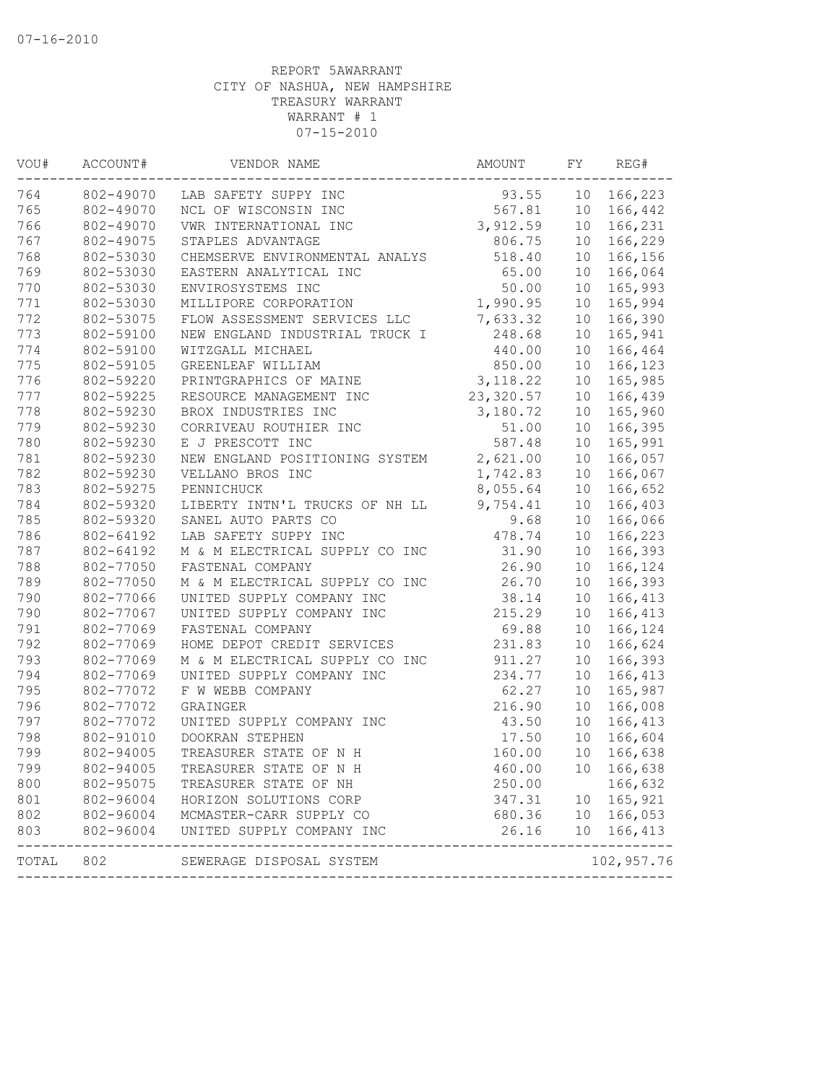| VOU#  | ACCOUNT#  | VENDOR NAME                    | AMOUNT    | FY              | REG#       |
|-------|-----------|--------------------------------|-----------|-----------------|------------|
| 764   | 802-49070 | LAB SAFETY SUPPY INC           | 93.55     | 10 <sub>o</sub> | 166,223    |
| 765   | 802-49070 | NCL OF WISCONSIN INC           | 567.81    | 10              | 166,442    |
| 766   | 802-49070 | VWR INTERNATIONAL INC          | 3,912.59  | 10 <sup>°</sup> | 166,231    |
| 767   | 802-49075 | STAPLES ADVANTAGE              | 806.75    | 10              | 166,229    |
| 768   | 802-53030 | CHEMSERVE ENVIRONMENTAL ANALYS | 518.40    | 10              | 166,156    |
| 769   | 802-53030 | EASTERN ANALYTICAL INC         | 65.00     | 10              | 166,064    |
| 770   | 802-53030 | ENVIROSYSTEMS INC              | 50.00     | 10              | 165,993    |
| 771   | 802-53030 | MILLIPORE CORPORATION          | 1,990.95  | 10              | 165,994    |
| 772   | 802-53075 | FLOW ASSESSMENT SERVICES LLC   | 7,633.32  | 10              | 166,390    |
| 773   | 802-59100 | NEW ENGLAND INDUSTRIAL TRUCK I | 248.68    | 10              | 165,941    |
| 774   | 802-59100 | WITZGALL MICHAEL               | 440.00    | 10              | 166,464    |
| 775   | 802-59105 | GREENLEAF WILLIAM              | 850.00    | 10 <sup>°</sup> | 166,123    |
| 776   | 802-59220 | PRINTGRAPHICS OF MAINE         | 3,118.22  | 10 <sup>°</sup> | 165,985    |
| 777   | 802-59225 | RESOURCE MANAGEMENT INC        | 23,320.57 | 10              | 166,439    |
| 778   | 802-59230 | BROX INDUSTRIES INC            | 3,180.72  | 10              | 165,960    |
| 779   | 802-59230 | CORRIVEAU ROUTHIER INC         | 51.00     | 10 <sup>°</sup> | 166,395    |
| 780   | 802-59230 | E J PRESCOTT INC               | 587.48    | 10 <sup>°</sup> | 165,991    |
| 781   | 802-59230 | NEW ENGLAND POSITIONING SYSTEM | 2,621.00  | 10              | 166,057    |
| 782   | 802-59230 | VELLANO BROS INC               | 1,742.83  | 10              | 166,067    |
| 783   | 802-59275 | PENNICHUCK                     | 8,055.64  | 10              | 166,652    |
| 784   | 802-59320 | LIBERTY INTN'L TRUCKS OF NH LL | 9,754.41  | 10              | 166,403    |
| 785   | 802-59320 | SANEL AUTO PARTS CO            | 9.68      | 10              | 166,066    |
| 786   | 802-64192 | LAB SAFETY SUPPY INC           | 478.74    | 10              | 166,223    |
| 787   | 802-64192 | M & M ELECTRICAL SUPPLY CO INC | 31.90     | 10              | 166,393    |
| 788   | 802-77050 | FASTENAL COMPANY               | 26.90     | 10              | 166,124    |
| 789   | 802-77050 | M & M ELECTRICAL SUPPLY CO INC | 26.70     | 10              | 166,393    |
| 790   | 802-77066 | UNITED SUPPLY COMPANY INC      | 38.14     | 10              | 166,413    |
| 790   | 802-77067 | UNITED SUPPLY COMPANY INC      | 215.29    | 10              | 166,413    |
| 791   | 802-77069 | FASTENAL COMPANY               | 69.88     | 10              | 166,124    |
| 792   | 802-77069 | HOME DEPOT CREDIT SERVICES     | 231.83    | 10              | 166,624    |
| 793   | 802-77069 | M & M ELECTRICAL SUPPLY CO INC | 911.27    | 10              | 166,393    |
| 794   | 802-77069 | UNITED SUPPLY COMPANY INC      | 234.77    | 10              | 166,413    |
| 795   | 802-77072 | F W WEBB COMPANY               | 62.27     | 10              | 165,987    |
| 796   | 802-77072 | GRAINGER                       | 216.90    | 10              | 166,008    |
| 797   | 802-77072 | UNITED SUPPLY COMPANY INC      | 43.50     | 10              | 166,413    |
| 798   | 802-91010 | DOOKRAN STEPHEN                | 17.50     | 10              | 166,604    |
| 799   | 802-94005 | TREASURER STATE OF N H         | 160.00    | 10              | 166,638    |
| 799   | 802-94005 | TREASURER STATE OF N H         | 460.00    | 10              | 166,638    |
| 800   | 802-95075 | TREASURER STATE OF NH          | 250.00    |                 | 166,632    |
| 801   | 802-96004 | HORIZON SOLUTIONS CORP         | 347.31    |                 | 10 165,921 |
| 802   | 802-96004 | MCMASTER-CARR SUPPLY CO        | 680.36    |                 | 10 166,053 |
| 803   | 802-96004 | UNITED SUPPLY COMPANY INC      | 26.16     |                 | 10 166,413 |
| TOTAL | 802       | SEWERAGE DISPOSAL SYSTEM       |           |                 | 102,957.76 |
|       |           |                                |           |                 |            |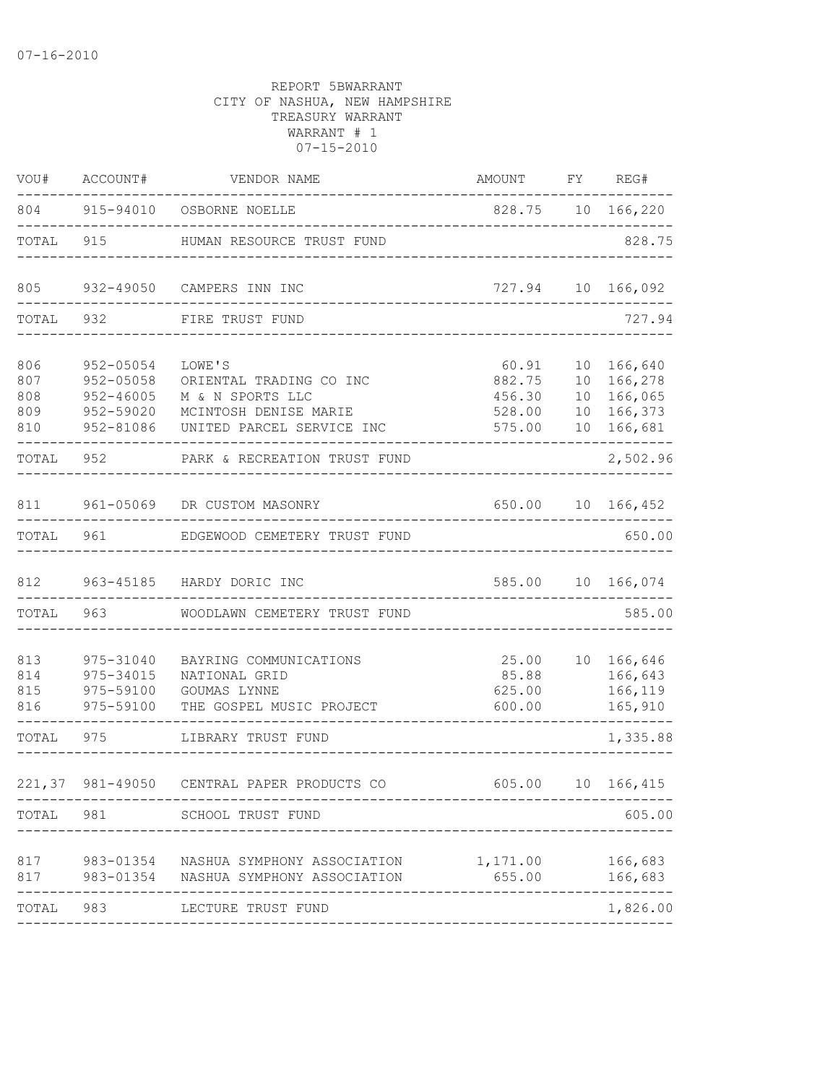| VOU#                            | ACCOUNT#                                                          | VENDOR NAME                                                                                                 | AMOUNT FY REG#                                |                |                                                           |
|---------------------------------|-------------------------------------------------------------------|-------------------------------------------------------------------------------------------------------------|-----------------------------------------------|----------------|-----------------------------------------------------------|
|                                 |                                                                   | 804 915-94010 OSBORNE NOELLE                                                                                | 828.75 10 166,220                             |                |                                                           |
| TOTAL                           |                                                                   | 915 HUMAN RESOURCE TRUST FUND                                                                               | _______________________________               |                | 828.75                                                    |
| 805                             |                                                                   | 932-49050 CAMPERS INN INC                                                                                   |                                               |                | 727.94 10 166,092                                         |
| TOTAL                           |                                                                   | 932 FIRE TRUST FUND                                                                                         |                                               |                | 727.94                                                    |
| 806<br>807<br>808<br>809<br>810 | $952 - 05054$<br>952-05058<br>952-46005<br>952-59020<br>952-81086 | LOWE'S<br>ORIENTAL TRADING CO INC<br>M & N SPORTS LLC<br>MCINTOSH DENISE MARIE<br>UNITED PARCEL SERVICE INC | 60.91<br>882.75<br>456.30<br>528.00<br>575.00 | 10<br>10<br>10 | 166,640<br>10 166,278<br>166,065<br>166,373<br>10 166,681 |
| TOTAL                           | 952                                                               | PARK & RECREATION TRUST FUND                                                                                |                                               |                | 2,502.96                                                  |
| 811                             |                                                                   | 961-05069 DR CUSTOM MASONRY                                                                                 | 650.00 10 166,452                             |                |                                                           |
| TOTAL                           |                                                                   | 961 EDGEWOOD CEMETERY TRUST FUND                                                                            |                                               |                | 650.00                                                    |
|                                 |                                                                   | 812 963-45185 HARDY DORIC INC                                                                               | _________________________________             |                | 585.00 10 166,074                                         |
|                                 |                                                                   | TOTAL 963 WOODLAWN CEMETERY TRUST FUND                                                                      |                                               |                | 585.00                                                    |
| 813<br>814<br>815<br>816        | 975-31040<br>975-34015<br>975-59100<br>975-59100                  | BAYRING COMMUNICATIONS<br>NATIONAL GRID<br>GOUMAS LYNNE<br>THE GOSPEL MUSIC PROJECT                         | 25.00<br>85.88<br>625.00<br>600.00            |                | 10 166,646<br>166,643<br>166,119<br>165,910               |
| TOTAL                           | 975                                                               | LIBRARY TRUST FUND                                                                                          |                                               |                | 1,335.88                                                  |
|                                 |                                                                   | 221,37 981-49050 CENTRAL PAPER PRODUCTS CO 605.00 10 166,415                                                |                                               |                |                                                           |
|                                 |                                                                   | TOTAL 981 SCHOOL TRUST FUND                                                                                 |                                               |                | 605.00                                                    |
| 817<br>817                      |                                                                   | 983-01354 NASHUA SYMPHONY ASSOCIATION 1,171.00<br>983-01354 NASHUA SYMPHONY ASSOCIATION                     | 655.00                                        |                | 166,683<br>166,683                                        |
| TOTAL 983                       |                                                                   | LECTURE TRUST FUND                                                                                          |                                               |                | 1,826.00                                                  |
|                                 |                                                                   |                                                                                                             |                                               |                |                                                           |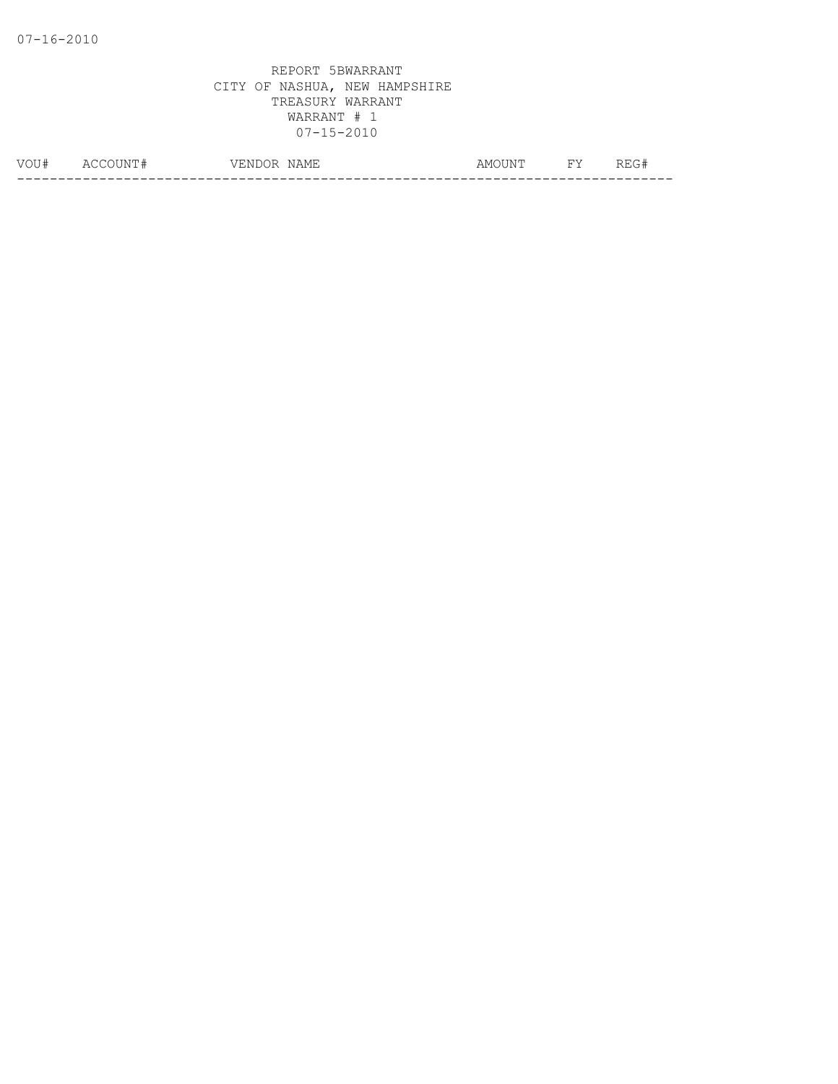| $\ldots$<br>- 4 | $\Delta$<br>IМ<br>__ | NAME<br>7F.<br>$\mathcal{U}$<br>' N L<br>یں د | . IN!'<br>ΔM | $\overline{\phantom{a}}$ | - 11 |
|-----------------|----------------------|-----------------------------------------------|--------------|--------------------------|------|
|                 |                      |                                               |              |                          |      |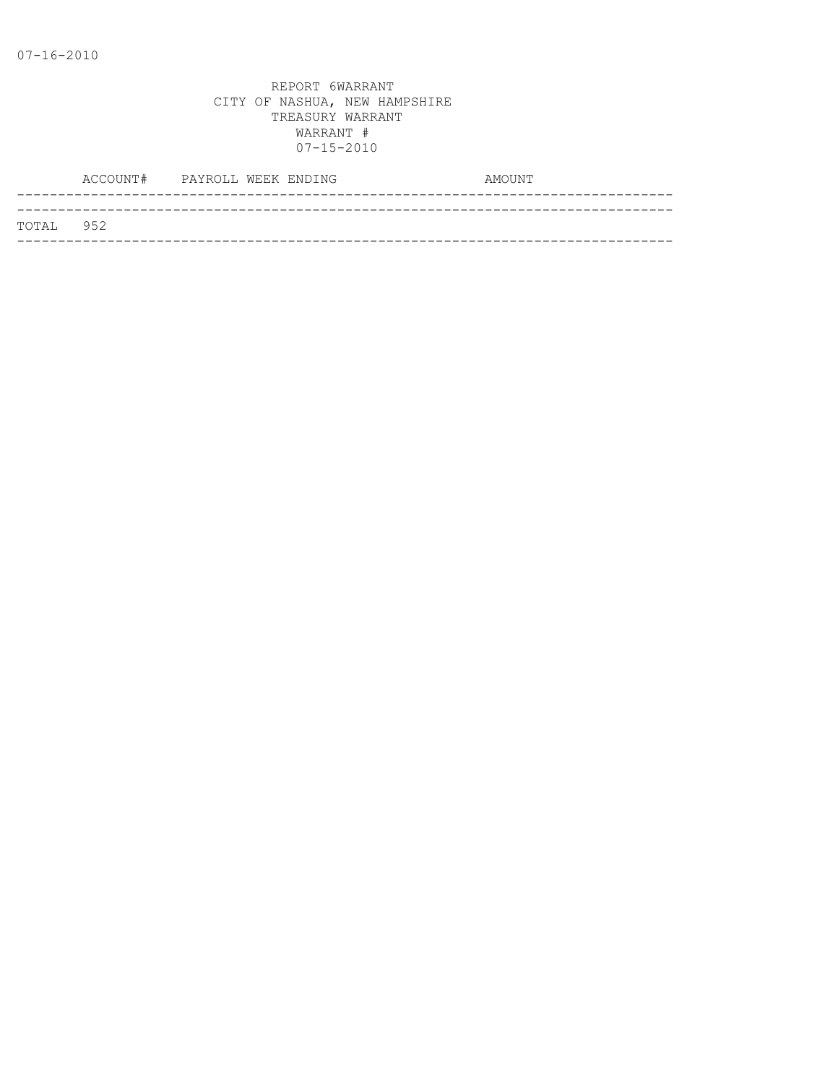|           | ACCOUNT# PAYROLL WEEK ENDING |  |  | AMOUNT |
|-----------|------------------------------|--|--|--------|
|           |                              |  |  |        |
| TOTAL 952 |                              |  |  |        |
|           |                              |  |  |        |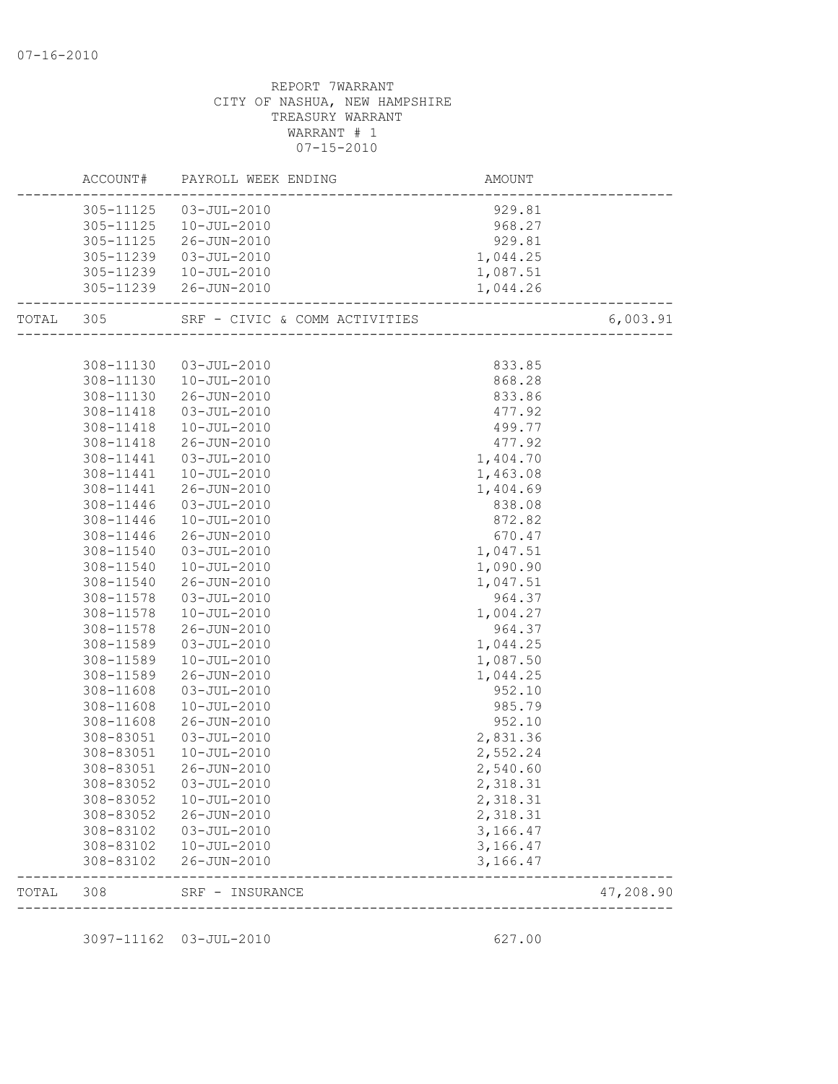|       | ACCOUNT#                                         | PAYROLL WEEK ENDING                                            | AMOUNT                                 |           |
|-------|--------------------------------------------------|----------------------------------------------------------------|----------------------------------------|-----------|
|       | 305-11125<br>305-11125<br>305-11125<br>305-11239 | $03 - JUL - 2010$<br>10-JUL-2010<br>26-JUN-2010<br>03-JUL-2010 | 929.81<br>968.27<br>929.81<br>1,044.25 |           |
|       |                                                  | 305-11239  10-JUL-2010<br>305-11239 26-JUN-2010                | 1,087.51<br>1,044.26                   |           |
| TOTAL | 305                                              | SRF - CIVIC & COMM ACTIVITIES                                  | ---------------------------------      | 6,003.91  |
|       |                                                  |                                                                |                                        |           |
|       | 308-11130                                        | 03-JUL-2010                                                    | 833.85                                 |           |
|       | 308-11130                                        | $10 - JUL - 2010$                                              | 868.28                                 |           |
|       | 308-11130                                        | 26-JUN-2010                                                    | 833.86                                 |           |
|       | 308-11418                                        | 03-JUL-2010                                                    | 477.92                                 |           |
|       | 308-11418                                        | 10-JUL-2010                                                    | 499.77                                 |           |
|       | 308-11418                                        | 26-JUN-2010                                                    | 477.92                                 |           |
|       | 308-11441                                        | 03-JUL-2010                                                    | 1,404.70                               |           |
|       | 308-11441                                        | 10-JUL-2010                                                    | 1,463.08                               |           |
|       | 308-11441                                        | 26-JUN-2010                                                    | 1,404.69                               |           |
|       | 308-11446                                        | $03 - JUL - 2010$                                              | 838.08                                 |           |
|       | 308-11446                                        | 10-JUL-2010                                                    | 872.82                                 |           |
|       | 308-11446                                        | 26-JUN-2010                                                    | 670.47                                 |           |
|       | 308-11540                                        | $03 - JUL - 2010$                                              | 1,047.51                               |           |
|       | 308-11540                                        | 10-JUL-2010                                                    | 1,090.90                               |           |
|       | 308-11540                                        | 26-JUN-2010                                                    | 1,047.51                               |           |
|       | 308-11578                                        | 03-JUL-2010                                                    | 964.37                                 |           |
|       | 308-11578                                        | 10-JUL-2010                                                    | 1,004.27                               |           |
|       | 308-11578                                        | 26-JUN-2010                                                    | 964.37                                 |           |
|       | 308-11589                                        | $03 - JUL - 2010$                                              | 1,044.25                               |           |
|       | 308-11589                                        | $10 - JUL - 2010$                                              | 1,087.50                               |           |
|       | 308-11589                                        | 26-JUN-2010                                                    | 1,044.25                               |           |
|       | 308-11608                                        | 03-JUL-2010                                                    | 952.10                                 |           |
|       | 308-11608                                        | 10-JUL-2010                                                    | 985.79                                 |           |
|       | 308-11608                                        | 26-JUN-2010                                                    | 952.10                                 |           |
|       | 308-83051                                        | 03-JUL-2010                                                    | 2,831.36                               |           |
|       | 308-83051                                        | 10-JUL-2010                                                    | 2,552.24                               |           |
|       | 308-83051                                        | 26-JUN-2010                                                    | 2,540.60                               |           |
|       |                                                  | 308-83052  03-JUL-2010                                         | 2,318.31                               |           |
|       | 308-83052                                        | $10 - JUL - 2010$                                              | 2,318.31                               |           |
|       | 308-83052                                        | 26-JUN-2010                                                    | 2,318.31                               |           |
|       | 308-83102                                        | 03-JUL-2010                                                    | 3,166.47                               |           |
|       | 308-83102                                        | $10 - JUL - 2010$                                              | 3,166.47                               |           |
|       | 308-83102                                        | 26-JUN-2010                                                    | 3,166.47                               |           |
| TOTAL | 308                                              | SRF - INSURANCE<br>-------------------                         |                                        | 47,208.90 |

3097-11162 03-JUL-2010 627.00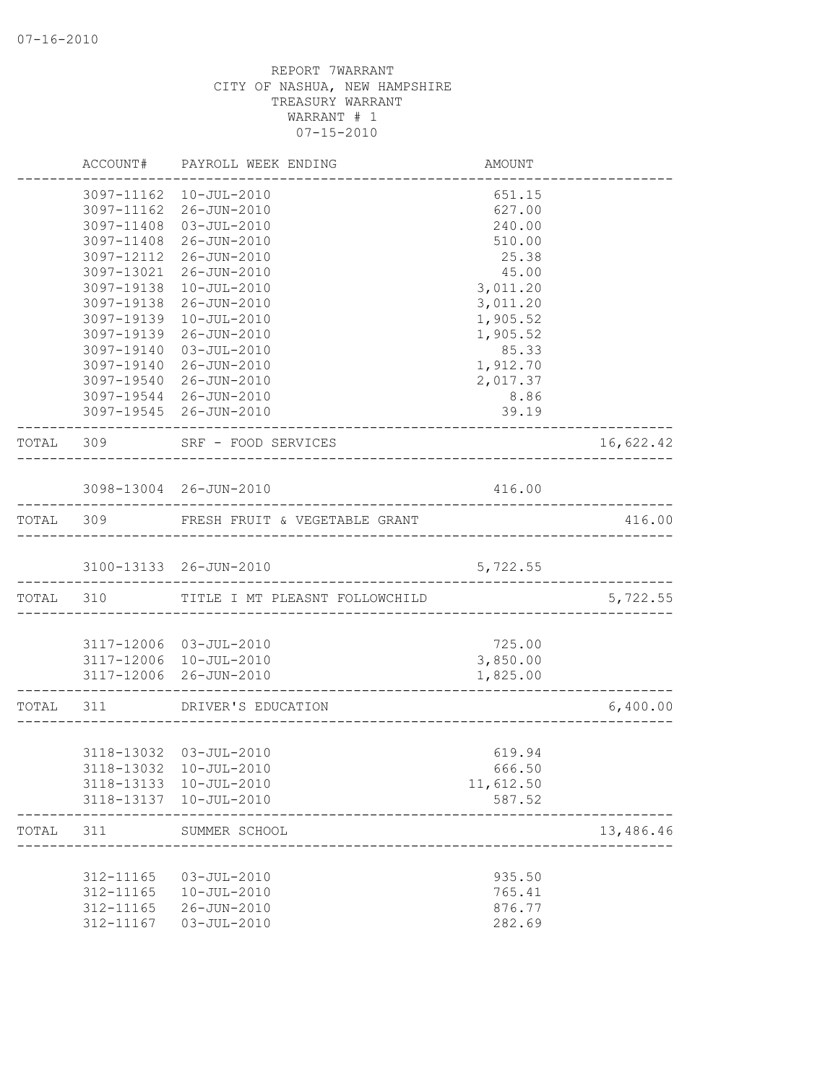|           | ACCOUNT#               | PAYROLL WEEK ENDING                                 | AMOUNT                            |           |
|-----------|------------------------|-----------------------------------------------------|-----------------------------------|-----------|
|           |                        | 3097-11162  10-JUL-2010                             | 651.15                            |           |
|           | 3097-11162             | 26-JUN-2010                                         | 627.00                            |           |
|           | 3097-11408             | 03-JUL-2010                                         | 240.00                            |           |
|           | 3097-11408             | 26-JUN-2010                                         | 510.00                            |           |
|           | 3097-12112             | 26-JUN-2010                                         | 25.38                             |           |
|           | 3097-13021             | 26-JUN-2010                                         | 45.00                             |           |
|           | 3097-19138             | $10 - JUL - 2010$                                   | 3,011.20                          |           |
|           | 3097-19138             | 26-JUN-2010                                         | 3,011.20                          |           |
|           | 3097-19139             | $10 - JUL - 2010$                                   | 1,905.52                          |           |
|           | 3097-19139             | 26-JUN-2010                                         | 1,905.52                          |           |
|           | 3097-19140             | 03-JUL-2010                                         | 85.33                             |           |
|           | 3097-19140             | 26-JUN-2010                                         | 1,912.70                          |           |
|           | 3097-19540             | 26-JUN-2010                                         | 2,017.37                          |           |
|           |                        | 3097-19544 26-JUN-2010                              | 8.86                              |           |
|           |                        | 3097-19545 26-JUN-2010                              | 39.19                             |           |
| TOTAL 309 |                        | SRF - FOOD SERVICES                                 |                                   | 16,622.42 |
|           |                        | 3098-13004 26-JUN-2010                              | 416.00                            |           |
|           |                        |                                                     | _________________________________ |           |
|           |                        | TOTAL 309 FRESH FRUIT & VEGETABLE GRANT             |                                   | 416.00    |
|           |                        | 3100-13133 26-JUN-2010                              | 5,722.55                          |           |
|           |                        | TOTAL 310 TITLE I MT PLEASNT FOLLOWCHILD            |                                   | 5,722.55  |
|           |                        |                                                     |                                   |           |
|           |                        | 3117-12006 03-JUL-2010                              | 725.00                            |           |
|           |                        | 3117-12006 10-JUL-2010                              | 3,850.00                          |           |
|           |                        | 3117-12006 26-JUN-2010<br>_________________________ | 1,825.00                          |           |
| TOTAL 311 |                        | DRIVER'S EDUCATION                                  |                                   | 6,400.00  |
|           |                        |                                                     |                                   |           |
|           |                        | 3118-13032 03-JUL-2010                              | 619.94                            |           |
|           |                        | 3118-13032 10-JUL-2010                              | 666.50                            |           |
|           | 3118-13133             | 10-JUL-2010                                         | 11,612.50                         |           |
|           | 3118-13137             | 10-JUL-2010                                         | 587.52                            |           |
| TOTAL     | 311                    | SUMMER SCHOOL                                       |                                   | 13,486.46 |
|           |                        |                                                     |                                   |           |
|           | 312-11165              | $03 - JUL - 2010$<br>$10 - JUL - 2010$              | 935.50<br>765.41                  |           |
|           | 312-11165<br>312-11165 | 26-JUN-2010                                         | 876.77                            |           |
|           | 312-11167              | $03 - JUL - 2010$                                   | 282.69                            |           |
|           |                        |                                                     |                                   |           |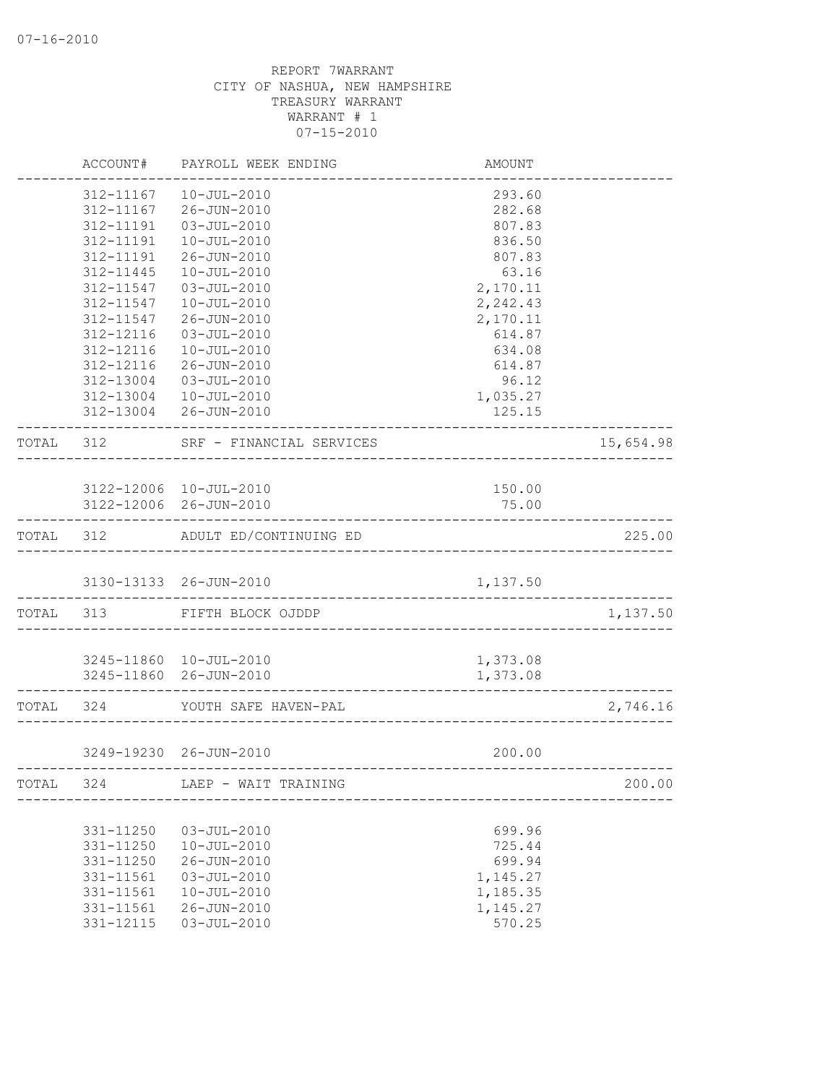|           | ACCOUNT#      | PAYROLL WEEK ENDING              | <b>AMOUNT</b> |           |
|-----------|---------------|----------------------------------|---------------|-----------|
|           | 312-11167     | $10 - JUL - 2010$                | 293.60        |           |
|           | 312-11167     | 26-JUN-2010                      | 282.68        |           |
|           | 312-11191     | $03 - JUL - 2010$                | 807.83        |           |
|           | 312-11191     | $10 - JUL - 2010$                | 836.50        |           |
|           | 312-11191     | 26-JUN-2010                      | 807.83        |           |
|           | 312-11445     | $10 - JUL - 2010$                | 63.16         |           |
|           | 312-11547     | $03 - JUL - 2010$                | 2,170.11      |           |
|           | 312-11547     | $10 - JUL - 2010$                | 2,242.43      |           |
|           | 312-11547     | 26-JUN-2010                      | 2,170.11      |           |
|           | $312 - 12116$ | $03 - JUL - 2010$                | 614.87        |           |
|           | 312-12116     | $10 - JUL - 2010$                | 634.08        |           |
|           | 312-12116     | 26-JUN-2010                      | 614.87        |           |
|           | 312-13004     | 03-JUL-2010                      | 96.12         |           |
|           |               | 312-13004  10-JUL-2010           | 1,035.27      |           |
|           |               | 312-13004 26-JUN-2010            | 125.15        |           |
| TOTAL 312 |               | SRF - FINANCIAL SERVICES         |               | 15,654.98 |
|           |               |                                  |               |           |
|           |               | 3122-12006 10-JUL-2010           | 150.00        |           |
|           |               | 3122-12006 26-JUN-2010           | 75.00         |           |
|           |               | TOTAL 312 ADULT ED/CONTINUING ED |               | 225.00    |
|           |               |                                  |               |           |
|           |               | 3130-13133 26-JUN-2010           | 1,137.50      |           |
|           | TOTAL 313     | FIFTH BLOCK OJDDP                |               | 1,137.50  |
|           |               |                                  |               |           |
|           |               | 3245-11860 10-JUL-2010           | 1,373.08      |           |
|           |               | 3245-11860 26-JUN-2010           | 1,373.08      |           |
| TOTAL 324 |               | YOUTH SAFE HAVEN-PAL             |               | 2,746.16  |
|           |               | 3249-19230 26-JUN-2010           | 200.00        |           |
| TOTAL     | 324           | LAEP - WAIT TRAINING             |               | 200.00    |
|           |               |                                  |               |           |
|           | 331-11250     | $03 - JUL - 2010$                | 699.96        |           |
|           | 331-11250     | $10 - JUL - 2010$                | 725.44        |           |
|           | 331-11250     | 26-JUN-2010                      | 699.94        |           |
|           | 331-11561     | $03 - JUL - 2010$                | 1,145.27      |           |
|           | 331-11561     | $10 - JUL - 2010$                | 1,185.35      |           |
|           | 331-11561     | 26-JUN-2010                      | 1,145.27      |           |
|           | 331-12115     | $03 - JUL - 2010$                | 570.25        |           |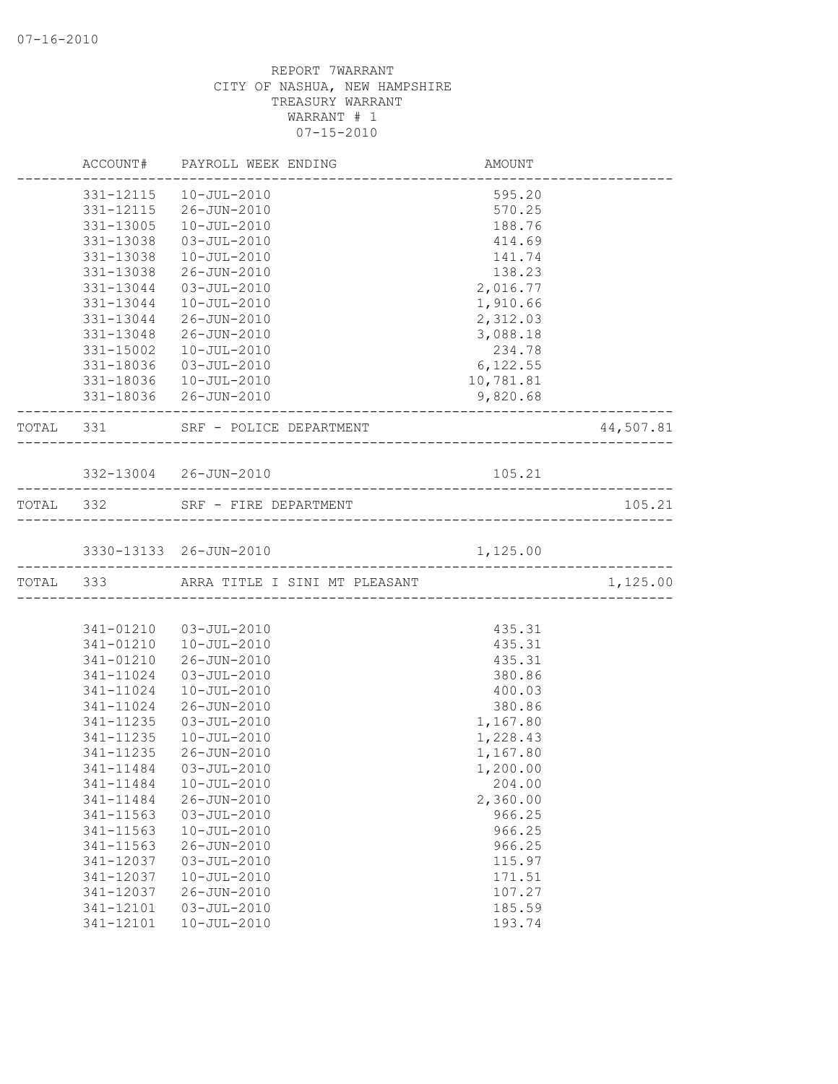|           | ACCOUNT# PAYROLL WEEK ENDING                    | <b>AMOUNT</b> |           |
|-----------|-------------------------------------------------|---------------|-----------|
|           | 331-12115  10-JUL-2010                          | 595.20        |           |
|           | 331-12115 26-JUN-2010                           | 570.25        |           |
| 331-13005 | $10 - JUL - 2010$                               | 188.76        |           |
| 331-13038 | 03-JUL-2010                                     | 414.69        |           |
| 331-13038 | $10 - JUL - 2010$                               | 141.74        |           |
| 331-13038 | 26-JUN-2010                                     | 138.23        |           |
| 331-13044 | $03 - JUL - 2010$                               | 2,016.77      |           |
| 331-13044 | $10 - JUL - 2010$                               | 1,910.66      |           |
| 331-13044 | 26-JUN-2010                                     | 2,312.03      |           |
| 331-13048 | 26-JUN-2010                                     | 3,088.18      |           |
| 331-15002 | 10-JUL-2010                                     | 234.78        |           |
| 331-18036 | 03-JUL-2010                                     | 6, 122.55     |           |
|           | 331-18036  10-JUL-2010                          | 10,781.81     |           |
|           | 331-18036 26-JUN-2010                           | 9,820.68      |           |
| TOTAL 331 | SRF - POLICE DEPARTMENT<br>____________________ |               | 44,507.81 |
|           | 332-13004 26-JUN-2010                           | 105.21        |           |
|           | TOTAL 332 SRF - FIRE DEPARTMENT                 |               | 105.21    |
|           |                                                 |               |           |
|           | 3330-13133 26-JUN-2010                          | 1,125.00      |           |
|           | TOTAL 333 ARRA TITLE I SINI MT PLEASANT         |               | 1,125.00  |
|           |                                                 |               |           |
|           | 341-01210 03-JUL-2010                           | 435.31        |           |
| 341-01210 | $10 - JUL - 2010$                               | 435.31        |           |
| 341-01210 | 26-JUN-2010                                     | 435.31        |           |
| 341-11024 | $03 - JUL - 2010$                               | 380.86        |           |
| 341-11024 | $10 - JUL - 2010$                               | 400.03        |           |
| 341-11024 | 26-JUN-2010                                     | 380.86        |           |
| 341-11235 | $03 - JUL - 2010$                               | 1,167.80      |           |
| 341-11235 | 10-JUL-2010                                     | 1,228.43      |           |
| 341-11235 | 26-JUN-2010                                     | 1,167.80      |           |
| 341-11484 | $03 - JUL - 2010$                               | 1,200.00      |           |
| 341-11484 | 10-JUL-2010                                     | 204.00        |           |
| 341-11484 | 26-JUN-2010                                     | 2,360.00      |           |
| 341-11563 | $03 - JUL - 2010$                               | 966.25        |           |
| 341-11563 | $10 - JUL - 2010$                               | 966.25        |           |
| 341-11563 | $26 - JUN - 2010$                               | 966.25        |           |
| 341-12037 | $03 - JUL - 2010$                               | 115.97        |           |
| 341-12037 | $10 - JUL - 2010$                               | 171.51        |           |
| 341-12037 | 26-JUN-2010                                     | 107.27        |           |
| 341-12101 | $03 - JUL - 2010$                               | 185.59        |           |
| 341-12101 | $10 - JUL - 2010$                               | 193.74        |           |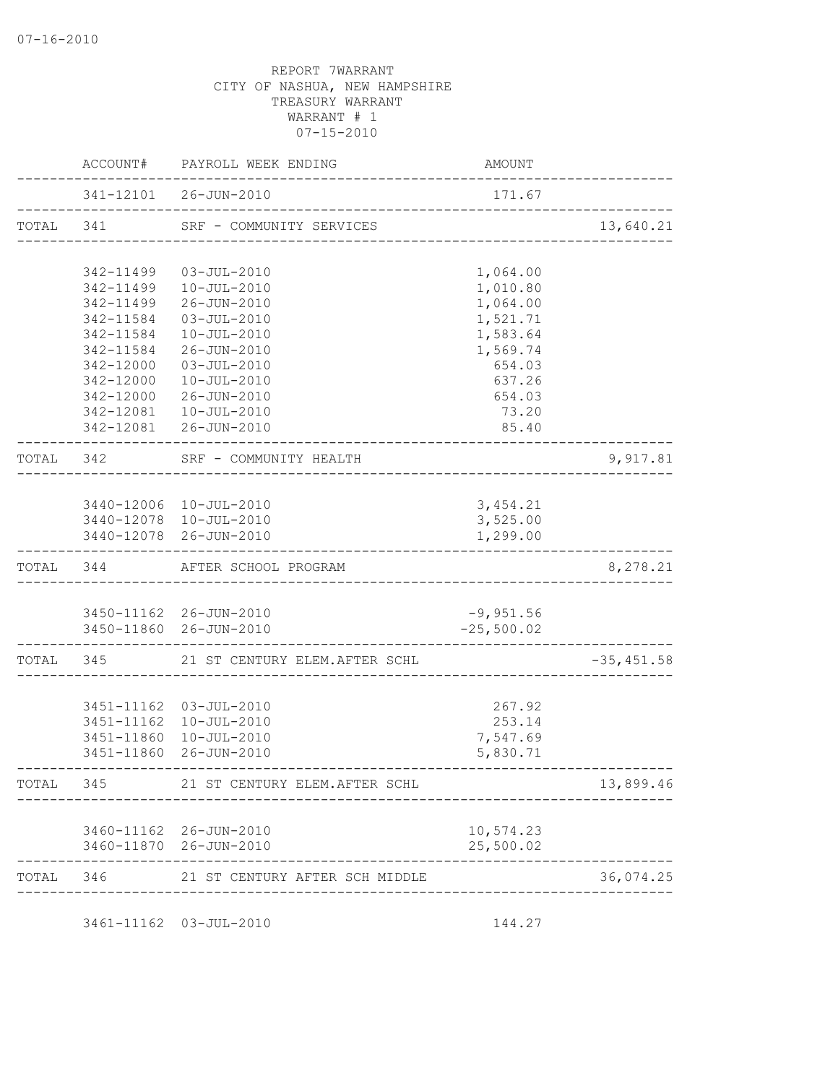|       |           | ACCOUNT# PAYROLL WEEK ENDING                             | AMOUNT                             |               |
|-------|-----------|----------------------------------------------------------|------------------------------------|---------------|
|       |           | 341-12101 26-JUN-2010<br>------------------------------- | 171.67                             |               |
|       |           | TOTAL 341 SRF - COMMUNITY SERVICES                       | __________________________________ | 13,640.21     |
|       | 342-11499 | 03-JUL-2010                                              | 1,064.00                           |               |
|       | 342-11499 | 10-JUL-2010                                              | 1,010.80                           |               |
|       | 342-11499 | 26-JUN-2010                                              | 1,064.00                           |               |
|       | 342-11584 | 03-JUL-2010                                              | 1,521.71                           |               |
|       | 342-11584 | 10-JUL-2010                                              | 1,583.64                           |               |
|       | 342-11584 | 26-JUN-2010                                              | 1,569.74                           |               |
|       | 342-12000 | $03 - JUL - 2010$                                        | 654.03                             |               |
|       | 342-12000 | 10-JUL-2010                                              | 637.26                             |               |
|       | 342-12000 | 26-JUN-2010                                              | 654.03                             |               |
|       |           | 342-12081  10-JUL-2010                                   | 73.20                              |               |
|       |           | 342-12081 26-JUN-2010                                    | 85.40                              |               |
|       | TOTAL 342 | SRF - COMMUNITY HEALTH<br>______________                 |                                    | 9,917.81      |
|       |           |                                                          |                                    |               |
|       |           | 3440-12006 10-JUL-2010                                   | 3, 454.21<br>3,525.00              |               |
|       |           | 3440-12078 10-JUL-2010<br>3440-12078 26-JUN-2010         | 1,299.00                           |               |
|       |           |                                                          |                                    |               |
|       |           | TOTAL 344 AFTER SCHOOL PROGRAM                           |                                    | 8,278.21      |
|       |           |                                                          |                                    |               |
|       |           | 3450-11162 26-JUN-2010<br>3450-11860 26-JUN-2010         | $-9,951.56$<br>$-25,500.02$        |               |
|       |           |                                                          |                                    |               |
|       |           | TOTAL 345 21 ST CENTURY ELEM.AFTER SCHL                  |                                    | $-35, 451.58$ |
|       |           | 3451-11162 03-JUL-2010                                   | 267.92                             |               |
|       |           | 3451-11162  10-JUL-2010                                  | 253.14                             |               |
|       |           | 3451-11860  10-JUL-2010                                  | 7,547.69                           |               |
|       |           | 3451-11860 26-JUN-2010                                   | 5,830.71                           |               |
| TOTAL | 345       | 21 ST CENTURY ELEM. AFTER SCHL                           |                                    | 13,899.46     |
|       |           |                                                          |                                    |               |
|       |           | 3460-11162 26-JUN-2010<br>3460-11870 26-JUN-2010         | 10,574.23<br>25,500.02             |               |
|       |           |                                                          |                                    |               |
|       |           | TOTAL 346 21 ST CENTURY AFTER SCH MIDDLE                 |                                    | 36,074.25     |
|       |           | 3461-11162 03-JUL-2010                                   | 144.27                             |               |
|       |           |                                                          |                                    |               |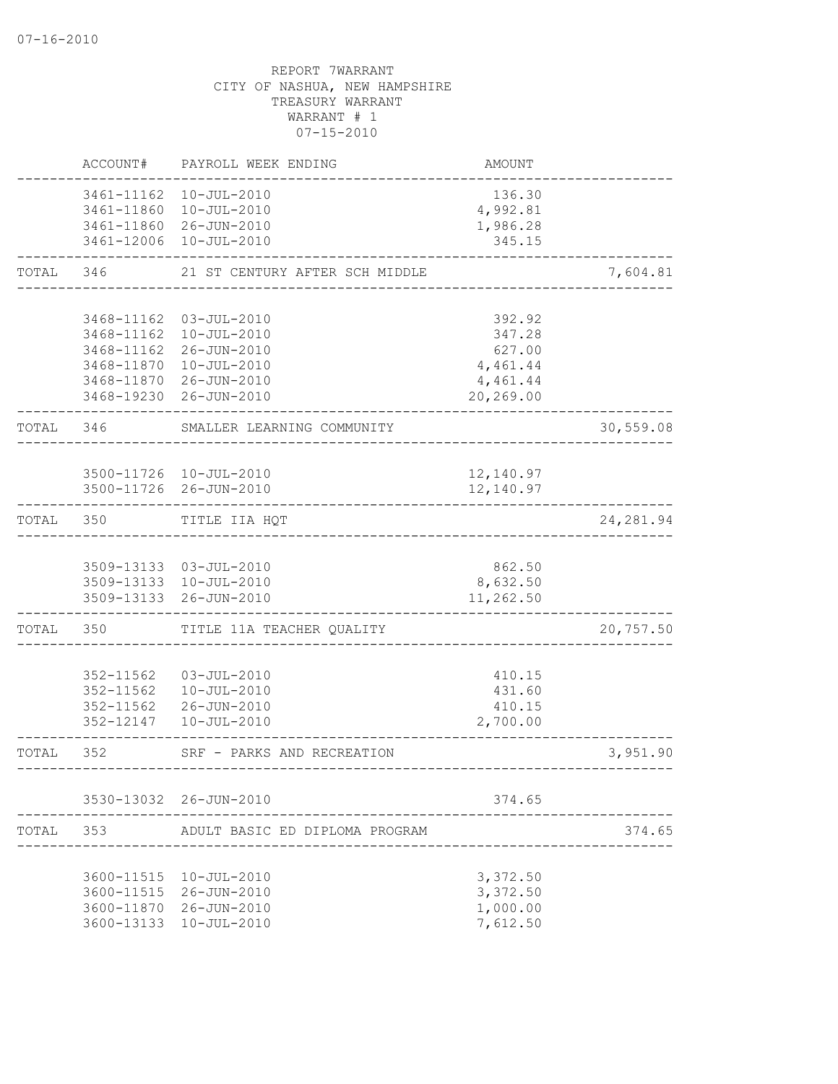|           | ACCOUNT#                                         | PAYROLL WEEK ENDING                                                                                                                 | AMOUNT                                                          |            |
|-----------|--------------------------------------------------|-------------------------------------------------------------------------------------------------------------------------------------|-----------------------------------------------------------------|------------|
|           |                                                  | 3461-11162  10-JUL-2010<br>3461-11860  10-JUL-2010<br>3461-11860 26-JUN-2010<br>3461-12006 10-JUL-2010                              | 136.30<br>4,992.81<br>1,986.28<br>345.15                        |            |
| TOTAL     | 346                                              | 21 ST CENTURY AFTER SCH MIDDLE                                                                                                      |                                                                 | 7,604.81   |
|           | 3468-11870<br>3468-11870                         | 3468-11162 03-JUL-2010<br>3468-11162  10-JUL-2010<br>3468-11162 26-JUN-2010<br>10-JUL-2010<br>26-JUN-2010<br>3468-19230 26-JUN-2010 | 392.92<br>347.28<br>627.00<br>4,461.44<br>4,461.44<br>20,269.00 |            |
| TOTAL 346 |                                                  | SMALLER LEARNING COMMUNITY                                                                                                          |                                                                 | 30,559.08  |
|           |                                                  | 3500-11726 10-JUL-2010<br>3500-11726 26-JUN-2010                                                                                    | 12,140.97<br>12,140.97                                          |            |
| TOTAL     | 350                                              | TITLE IIA HQT                                                                                                                       |                                                                 | 24, 281.94 |
|           |                                                  | 3509-13133 03-JUL-2010<br>3509-13133 10-JUL-2010<br>3509-13133 26-JUN-2010                                                          | 862.50<br>8,632.50<br>11,262.50                                 |            |
| TOTAL     | 350                                              | TITLE 11A TEACHER QUALITY                                                                                                           |                                                                 | 20,757.50  |
|           | 352-11562<br>352-11562<br>352-11562<br>352-12147 | $03 - JUL - 2010$<br>$10 - JUL - 2010$<br>26-JUN-2010<br>$10 - JUL - 2010$                                                          | 410.15<br>431.60<br>410.15<br>2,700.00                          |            |
| TOTAL     | 352                                              | SRF - PARKS AND RECREATION                                                                                                          | -----------------------------                                   | 3,951.90   |
|           |                                                  | 3530-13032 26-JUN-2010                                                                                                              | 374.65                                                          |            |
| TOTAL     | 353                                              | ADULT BASIC ED DIPLOMA PROGRAM                                                                                                      |                                                                 | 374.65     |
|           |                                                  | 3600-11515  10-JUL-2010<br>3600-11515 26-JUN-2010<br>3600-11870 26-JUN-2010<br>3600-13133 10-JUL-2010                               | 3,372.50<br>3,372.50<br>1,000.00<br>7,612.50                    |            |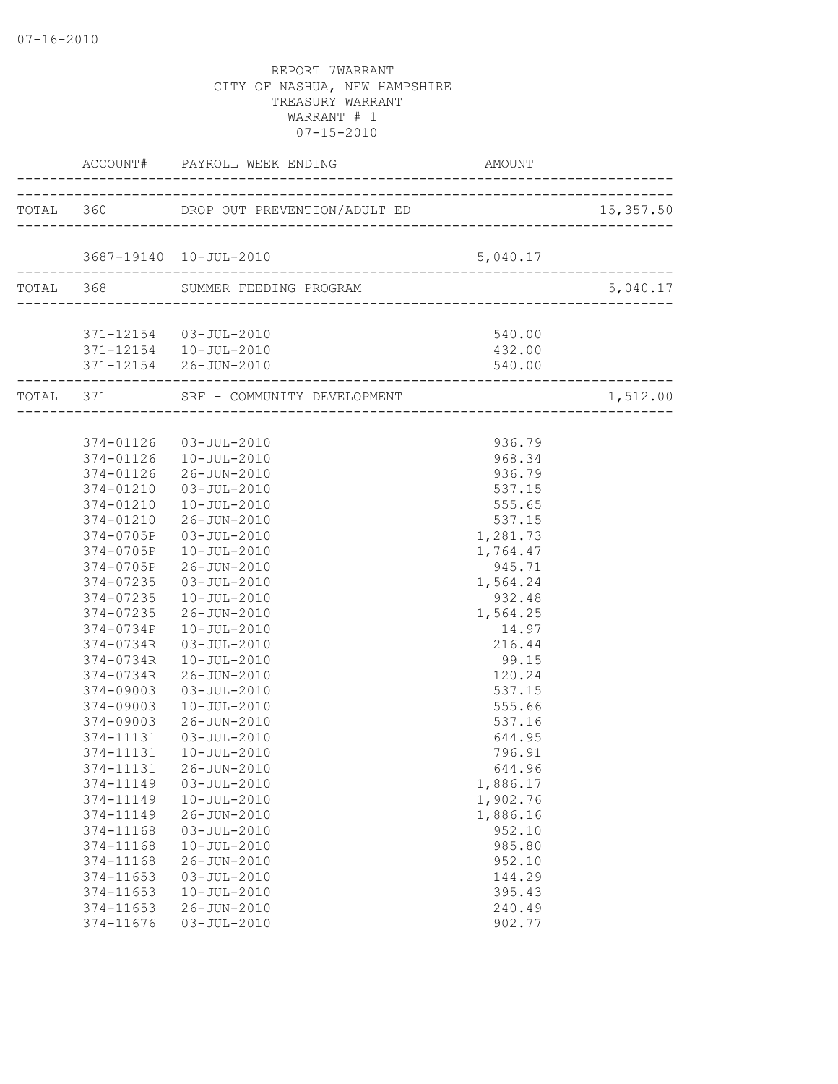07-16-2010

|                        | ACCOUNT# PAYROLL WEEK ENDING AMO                 | AMOUNT             |          |
|------------------------|--------------------------------------------------|--------------------|----------|
|                        | TOTAL 360 DROP OUT PREVENTION/ADULT ED 15,357.50 |                    |          |
|                        |                                                  |                    |          |
|                        | 3687-19140  10-JUL-2010                          | 5,040.17           |          |
|                        | TOTAL 368 SUMMER FEEDING PROGRAM                 |                    | 5,040.17 |
|                        |                                                  |                    |          |
|                        | 371-12154  03-JUL-2010                           | 540.00             |          |
|                        | 371-12154  10-JUL-2010                           | 432.00             |          |
|                        | 371-12154 26-JUN-2010                            | 540.00             |          |
|                        | TOTAL 371 SRF - COMMUNITY DEVELOPMENT            |                    | 1,512.00 |
|                        |                                                  |                    |          |
|                        | 374-01126 03-JUL-2010                            | 936.79             |          |
|                        | 374-01126  10-JUL-2010                           | 968.34             |          |
|                        | 374-01126 26-JUN-2010                            | 936.79             |          |
|                        | 374-01210  03-JUL-2010                           | 537.15             |          |
|                        | 374-01210  10-JUL-2010                           | 555.65             |          |
|                        | 374-01210 26-JUN-2010                            | 537.15             |          |
|                        | 374-0705P 03-JUL-2010                            | 1,281.73           |          |
|                        | 374-0705P 10-JUL-2010                            |                    |          |
|                        |                                                  | 1,764.47           |          |
|                        | 374-0705P 26-JUN-2010                            | 945.71             |          |
| 374-07235              | 03-JUL-2010                                      | 1,564.24           |          |
| 374-07235<br>374-07235 | 10-JUL-2010<br>26-JUN-2010                       | 932.48<br>1,564.25 |          |
|                        |                                                  |                    |          |
| 374-0734P              | 10-JUL-2010                                      | 14.97              |          |
| 374-0734R              | 03-JUL-2010                                      | 216.44             |          |
| 374-0734R              | 10-JUL-2010                                      | 99.15              |          |
| 374-0734R<br>374-09003 | 26-JUN-2010                                      | 120.24             |          |
|                        | 03-JUL-2010                                      | 537.15             |          |
| 374-09003              | 10-JUL-2010<br>26-JUN-2010                       | 555.66<br>537.16   |          |
| 374-09003<br>374-11131 |                                                  |                    |          |
|                        | 03-JUL-2010                                      | 644.95             |          |
| 374-11131              | 10-JUL-2010                                      | 796.91             |          |
|                        | 374-11131 26-JUN-2010                            | 644.96             |          |
| 374-11149              | $03 - JUL - 2010$                                | 1,886.17           |          |
| 374-11149              | $10 - JUL - 2010$                                | 1,902.76           |          |
| 374-11149              | $26 - JUN - 2010$                                | 1,886.16           |          |
| 374-11168              | $03 - JUL - 2010$                                | 952.10             |          |
| 374-11168              | $10 - JUL - 2010$                                | 985.80             |          |
| 374-11168              | 26-JUN-2010                                      | 952.10             |          |
| 374-11653              | $03 - JUL - 2010$                                | 144.29             |          |
| 374-11653              | $10 - JUL - 2010$                                | 395.43             |          |
| 374-11653              | $26 - JUN - 2010$                                | 240.49             |          |
| 374-11676              | $03 - JUL - 2010$                                | 902.77             |          |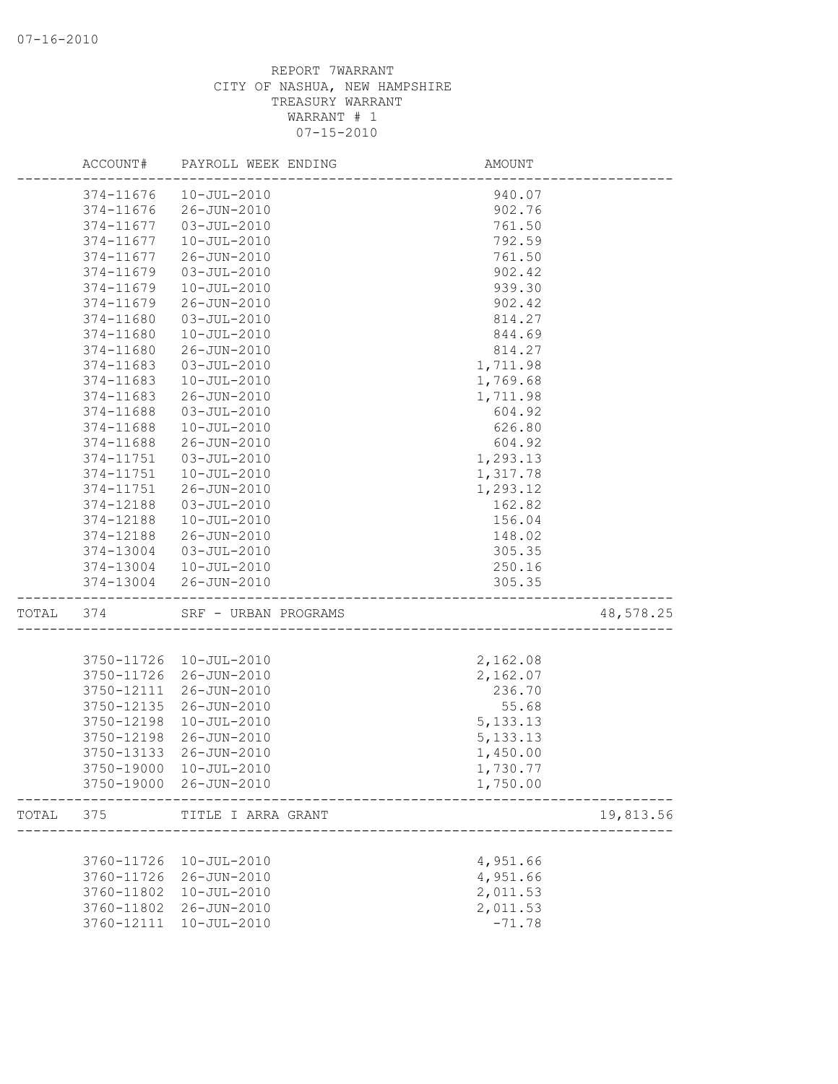|       | ACCOUNT#   | PAYROLL WEEK ENDING    | AMOUNT     |           |
|-------|------------|------------------------|------------|-----------|
|       | 374-11676  | $10 - JUL - 2010$      | 940.07     |           |
|       | 374-11676  | 26-JUN-2010            | 902.76     |           |
|       | 374-11677  | 03-JUL-2010            | 761.50     |           |
|       | 374-11677  | $10 - JUL - 2010$      | 792.59     |           |
|       | 374-11677  | 26-JUN-2010            | 761.50     |           |
|       | 374-11679  | $03 - JUL - 2010$      | 902.42     |           |
|       | 374-11679  | $10 - JUL - 2010$      | 939.30     |           |
|       | 374-11679  | 26-JUN-2010            | 902.42     |           |
|       | 374-11680  | $03 - JUL - 2010$      | 814.27     |           |
|       | 374-11680  | $10 - JUL - 2010$      | 844.69     |           |
|       | 374-11680  | 26-JUN-2010            | 814.27     |           |
|       | 374-11683  | $03 - JUL - 2010$      | 1,711.98   |           |
|       | 374-11683  | $10 - JUL - 2010$      | 1,769.68   |           |
|       | 374-11683  | 26-JUN-2010            | 1,711.98   |           |
|       | 374-11688  | $03 - JUL - 2010$      | 604.92     |           |
|       | 374-11688  | $10 - JUL - 2010$      | 626.80     |           |
|       | 374-11688  | 26-JUN-2010            | 604.92     |           |
|       | 374-11751  | $03 - JUL - 2010$      | 1,293.13   |           |
|       | 374-11751  | $10 - JUL - 2010$      | 1,317.78   |           |
|       | 374-11751  | 26-JUN-2010            | 1,293.12   |           |
|       | 374-12188  | $03 - JUL - 2010$      | 162.82     |           |
|       | 374-12188  | $10 - JUL - 2010$      | 156.04     |           |
|       | 374-12188  | 26-JUN-2010            | 148.02     |           |
|       | 374-13004  | 03-JUL-2010            | 305.35     |           |
|       | 374-13004  | 10-JUL-2010            | 250.16     |           |
|       | 374-13004  | 26-JUN-2010            | 305.35     |           |
| TOTAL | 374        | SRF - URBAN PROGRAMS   |            | 48,578.25 |
|       |            |                        |            |           |
|       | 3750-11726 | 10-JUL-2010            | 2,162.08   |           |
|       | 3750-11726 | 26-JUN-2010            | 2,162.07   |           |
|       | 3750-12111 | 26-JUN-2010            | 236.70     |           |
|       | 3750-12135 | 26-JUN-2010            | 55.68      |           |
|       | 3750-12198 | $10 - JUL - 2010$      | 5, 133. 13 |           |
|       | 3750-12198 | 26-JUN-2010            | 5, 133. 13 |           |
|       | 3750-13133 | 26-JUN-2010            | 1,450.00   |           |
|       |            | 3750-19000 10-JUL-2010 | 1,730.77   |           |
|       |            | 3750-19000 26-JUN-2010 | 1,750.00   |           |
| TOTAL | 375        | TITLE I ARRA GRANT     |            | 19,813.56 |
|       |            |                        |            |           |
|       | 3760-11726 | 10-JUL-2010            | 4,951.66   |           |
|       | 3760-11726 | 26-JUN-2010            | 4,951.66   |           |
|       | 3760-11802 | $10 - JUL - 2010$      | 2,011.53   |           |
|       | 3760-11802 | 26-JUN-2010            | 2,011.53   |           |
|       | 3760-12111 | $10 - JUL - 2010$      | $-71.78$   |           |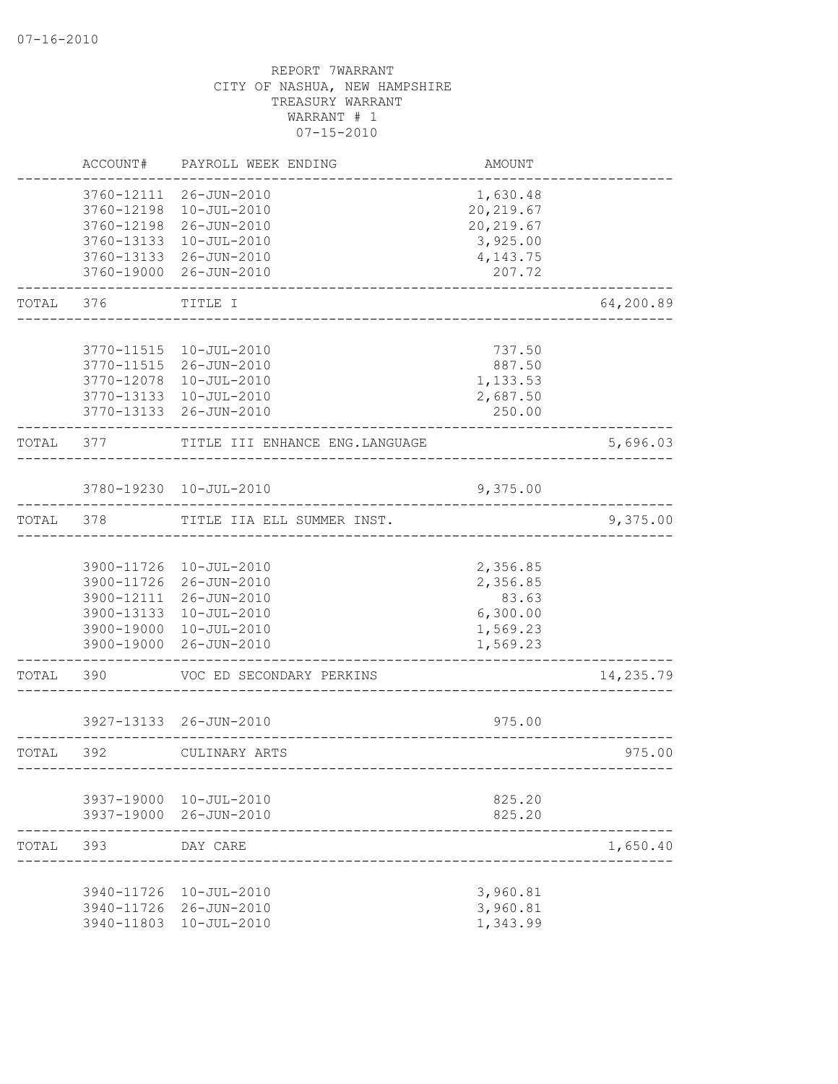|       | ACCOUNT#                 | PAYROLL WEEK ENDING                   | AMOUNT                 |           |
|-------|--------------------------|---------------------------------------|------------------------|-----------|
|       | 3760-12111<br>3760-12198 | 26-JUN-2010<br>10-JUL-2010            | 1,630.48<br>20, 219.67 |           |
|       | 3760-12198               | 26-JUN-2010                           | 20, 219.67             |           |
|       | 3760-13133               | 10-JUL-2010                           | 3,925.00               |           |
|       | 3760-19000               | 3760-13133 26-JUN-2010<br>26-JUN-2010 | 4,143.75<br>207.72     |           |
| TOTAL | 376                      | TITLE I                               |                        | 64,200.89 |
|       | 3770-11515               | $10 - JUL - 2010$                     | 737.50                 |           |
|       | 3770-11515               | 26-JUN-2010                           | 887.50                 |           |
|       | 3770-12078               | 10-JUL-2010                           | 1,133.53               |           |
|       | 3770-13133               | 10-JUL-2010                           | 2,687.50               |           |
|       | 3770-13133               | 26-JUN-2010                           | 250.00                 |           |
| TOTAL | 377                      | TITLE III ENHANCE ENG. LANGUAGE       |                        | 5,696.03  |
|       |                          | 3780-19230 10-JUL-2010                | 9,375.00               |           |
| TOTAL | 378                      | TITLE IIA ELL SUMMER INST.            |                        | 9,375.00  |
|       |                          |                                       |                        |           |
|       |                          | 3900-11726 10-JUL-2010                | 2,356.85               |           |
|       |                          | 3900-11726 26-JUN-2010                | 2,356.85               |           |
|       |                          | 3900-12111 26-JUN-2010                | 83.63                  |           |
|       | 3900-13133<br>3900-19000 | $10 - JUL - 2010$<br>10-JUL-2010      | 6,300.00<br>1,569.23   |           |
|       | 3900-19000               | 26-JUN-2010                           | 1,569.23               |           |
| TOTAL | 390                      | VOC ED SECONDARY PERKINS              |                        | 14,235.79 |
|       |                          | 3927-13133 26-JUN-2010                | 975.00                 |           |
| TOTAL | 392                      | CULINARY ARTS                         |                        | 975.00    |
|       |                          |                                       |                        |           |
|       |                          | 3937-19000 10-JUL-2010                | 825.20                 |           |
|       |                          | 3937-19000 26-JUN-2010                | 825.20                 |           |
| TOTAL | 393                      | DAY CARE                              |                        | 1,650.40  |
|       |                          | 3940-11726 10-JUL-2010                | 3,960.81               |           |
|       |                          | 3940-11726 26-JUN-2010                | 3,960.81               |           |
|       |                          | 3940-11803 10-JUL-2010                | 1,343.99               |           |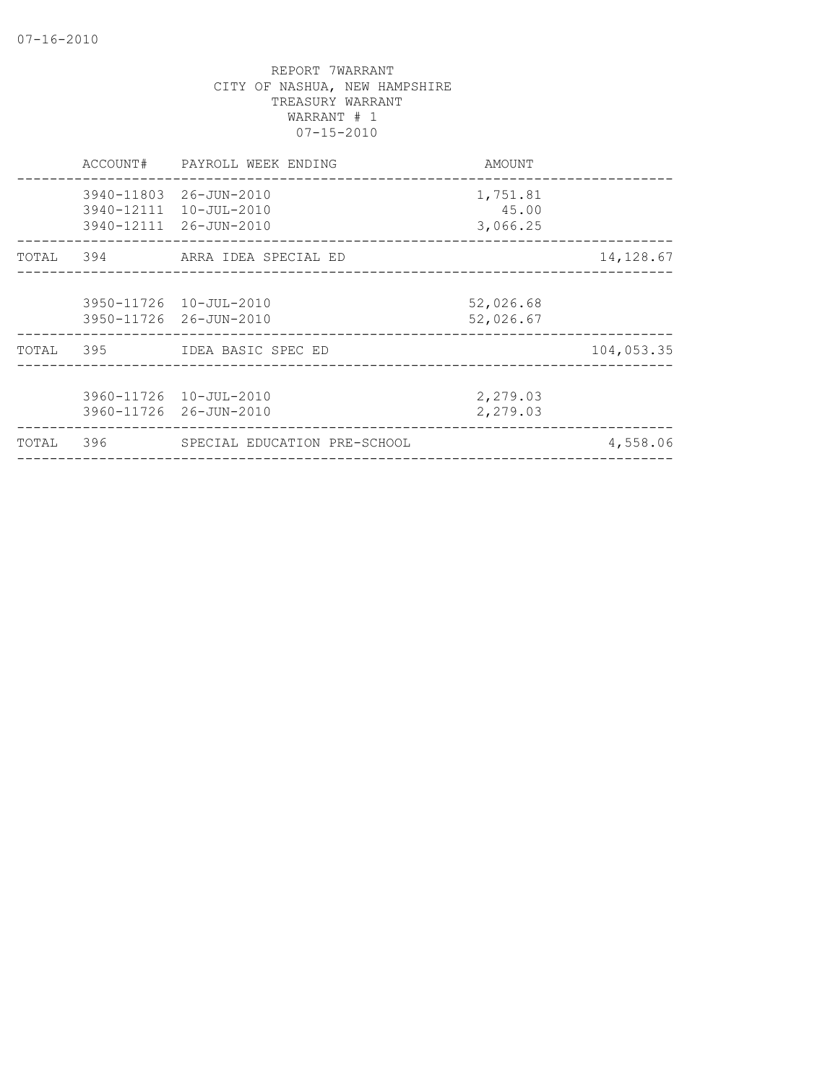|       | ACCOUNT# | PAYROLL WEEK ENDING                                                        | AMOUNT                        |            |
|-------|----------|----------------------------------------------------------------------------|-------------------------------|------------|
|       |          | 3940-11803 26-JUN-2010<br>3940-12111 10-JUL-2010<br>3940-12111 26-JUN-2010 | 1,751.81<br>45.00<br>3,066.25 |            |
| TOTAL |          |                                                                            |                               | 14, 128.67 |
|       |          | 3950-11726 10-JUL-2010<br>3950-11726 26-JUN-2010                           | 52,026.68<br>52,026.67        |            |
|       |          | TOTAL 395 IDEA BASIC SPEC ED                                               |                               | 104,053.35 |
|       |          | 3960-11726 10-JUL-2010<br>3960-11726 26-JUN-2010                           | 2,279.03<br>2,279.03          |            |
| TOTAL | 396      | SPECIAL EDUCATION PRE-SCHOOL                                               |                               | 4,558.06   |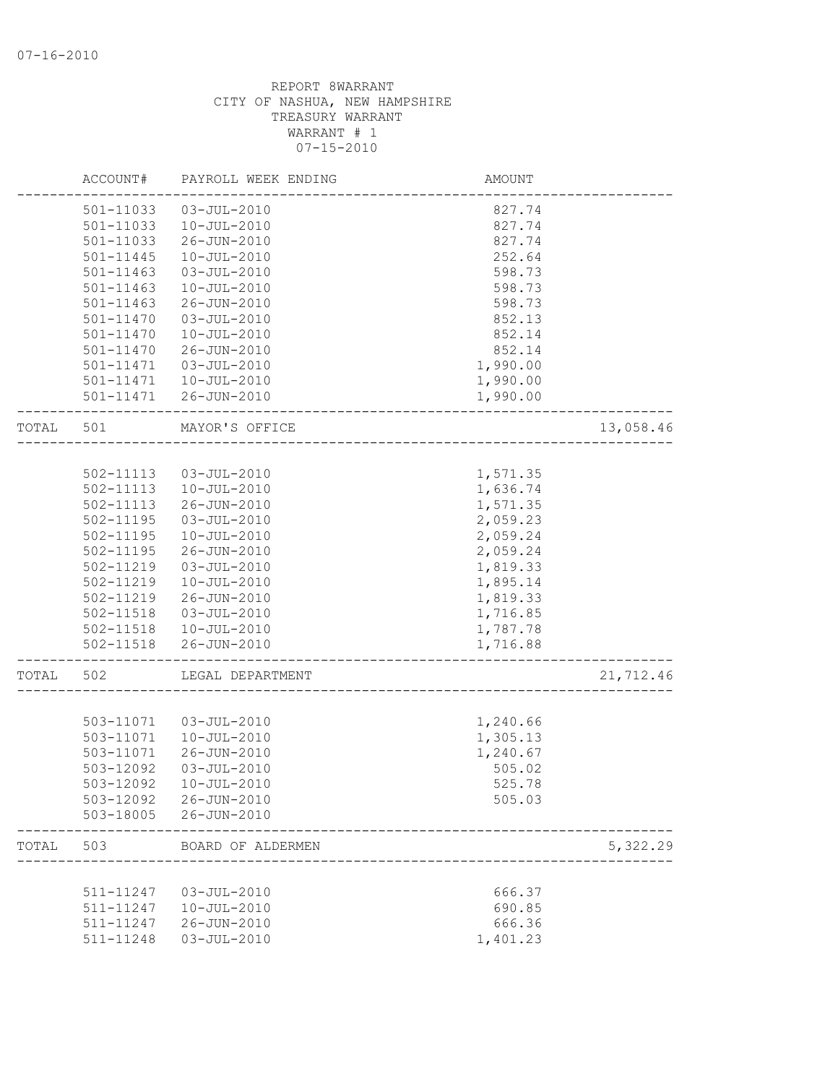|       | ACCOUNT#      | PAYROLL WEEK ENDING    | <b>AMOUNT</b> |           |
|-------|---------------|------------------------|---------------|-----------|
|       | 501-11033     | $03 - JUL - 2010$      | 827.74        |           |
|       | 501-11033     | $10 - JUL - 2010$      | 827.74        |           |
|       | 501-11033     | 26-JUN-2010            | 827.74        |           |
|       | $501 - 11445$ | $10 - JUL - 2010$      | 252.64        |           |
|       | $501 - 11463$ | $03 - JUL - 2010$      | 598.73        |           |
|       | 501-11463     | $10 - JUL - 2010$      | 598.73        |           |
|       | 501-11463     | $26 - JUN - 2010$      | 598.73        |           |
|       | 501-11470     | $03 - JUL - 2010$      | 852.13        |           |
|       | $501 - 11470$ | $10 - JUL - 2010$      | 852.14        |           |
|       | 501-11470     | 26-JUN-2010            | 852.14        |           |
|       | 501-11471     | $03 - JUL - 2010$      | 1,990.00      |           |
|       |               | 501-11471  10-JUL-2010 | 1,990.00      |           |
|       |               | 501-11471  26-JUN-2010 | 1,990.00      |           |
| TOTAL | 501           | MAYOR'S OFFICE         |               | 13,058.46 |
|       |               |                        |               |           |
|       | 502-11113     | $03 - JUL - 2010$      | 1,571.35      |           |
|       | 502-11113     | 10-JUL-2010            | 1,636.74      |           |
|       | 502-11113     | 26-JUN-2010            | 1,571.35      |           |
|       | 502-11195     | 03-JUL-2010            | 2,059.23      |           |
|       | 502-11195     | $10 - JUL - 2010$      | 2,059.24      |           |
|       | 502-11195     | 26-JUN-2010            | 2,059.24      |           |
|       | 502-11219     | $03 - JUL - 2010$      | 1,819.33      |           |
|       | 502-11219     | $10 - JUL - 2010$      | 1,895.14      |           |
|       | 502-11219     | 26-JUN-2010            | 1,819.33      |           |
|       | 502-11518     | 03-JUL-2010            | 1,716.85      |           |
|       | 502-11518     | 10-JUL-2010            | 1,787.78      |           |
|       | 502-11518     | 26-JUN-2010            | 1,716.88      |           |
| TOTAL | 502           | LEGAL DEPARTMENT       |               | 21,712.46 |
|       |               |                        |               |           |
|       | 503-11071     | 03-JUL-2010            | 1,240.66      |           |
|       | 503-11071     | $10 - JUL - 2010$      | 1,305.13      |           |
|       | 503-11071     | 26-JUN-2010            | 1,240.67      |           |
|       | 503-12092     | $03 - JUL - 2010$      | 505.02        |           |
|       | 503-12092     | $10 - JUL - 2010$      | 525.78        |           |
|       | 503-12092     | 26-JUN-2010            | 505.03        |           |
|       | 503-18005     | 26-JUN-2010            |               |           |
| TOTAL | 503           | BOARD OF ALDERMEN      |               | 5,322.29  |
|       |               |                        |               |           |
|       | 511-11247     | $03 - JUL - 2010$      | 666.37        |           |
|       | 511-11247     | $10 - JUL - 2010$      | 690.85        |           |
|       | 511-11247     | 26-JUN-2010            | 666.36        |           |
|       | 511-11248     | $03 - JUL - 2010$      | 1,401.23      |           |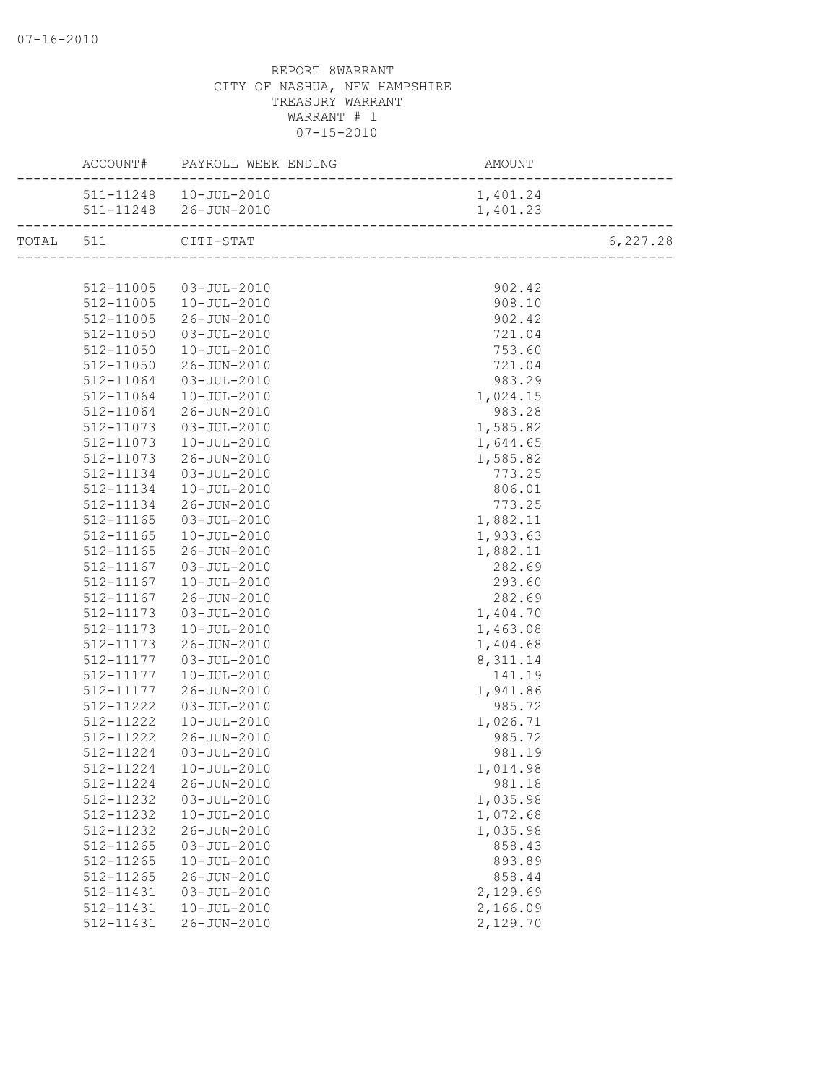|           |           | ACCOUNT# PAYROLL WEEK ENDING | AMOUNT<br>------------------------ |          |
|-----------|-----------|------------------------------|------------------------------------|----------|
|           |           | 511-11248  10-JUL-2010       | 1,401.24                           |          |
|           |           |                              | 1,401.23                           |          |
| TOTAL 511 |           | CITI-STAT                    |                                    | 6,227.28 |
|           |           |                              |                                    |          |
|           | 512-11005 | 03-JUL-2010                  | 902.42                             |          |
|           | 512-11005 | 10-JUL-2010                  | 908.10                             |          |
|           | 512-11005 | 26-JUN-2010                  | 902.42                             |          |
|           | 512-11050 | 03-JUL-2010                  | 721.04                             |          |
|           | 512-11050 | 10-JUL-2010                  | 753.60                             |          |
|           | 512-11050 | 26-JUN-2010                  | 721.04                             |          |
|           | 512-11064 | $03 - JUL - 2010$            | 983.29                             |          |
|           | 512-11064 | 10-JUL-2010                  | 1,024.15                           |          |
|           | 512-11064 | 26-JUN-2010                  | 983.28                             |          |
|           | 512-11073 | 03-JUL-2010                  | 1,585.82                           |          |
|           | 512-11073 | $10 - JUL - 2010$            | 1,644.65                           |          |
|           | 512-11073 | 26-JUN-2010                  | 1,585.82                           |          |
|           | 512-11134 | 03-JUL-2010                  | 773.25                             |          |
|           | 512-11134 | 10-JUL-2010                  | 806.01                             |          |
|           | 512-11134 | 26-JUN-2010                  | 773.25                             |          |
|           | 512-11165 | 03-JUL-2010                  | 1,882.11                           |          |
|           | 512-11165 | 10-JUL-2010                  | 1,933.63                           |          |
|           | 512-11165 | 26-JUN-2010                  | 1,882.11                           |          |
|           | 512-11167 | 03-JUL-2010                  | 282.69                             |          |
|           | 512-11167 | $10 - JUL - 2010$            | 293.60                             |          |
|           | 512-11167 | 26-JUN-2010                  | 282.69                             |          |
|           | 512-11173 | 03-JUL-2010                  | 1,404.70                           |          |
|           | 512-11173 | 10-JUL-2010                  | 1,463.08                           |          |
|           | 512-11173 | 26-JUN-2010                  | 1,404.68                           |          |
|           | 512-11177 | $03 - JUL - 2010$            | 8, 311.14                          |          |
|           | 512-11177 | $10 - JUL - 2010$            | 141.19                             |          |
|           | 512-11177 | 26-JUN-2010                  | 1,941.86                           |          |
|           | 512-11222 | 03-JUL-2010                  | 985.72                             |          |
|           | 512-11222 | $10 - JUL - 2010$            | 1,026.71                           |          |
|           | 512-11222 | 26-JUN-2010                  | 985.72                             |          |
|           | 512-11224 | 03-JUL-2010                  | 981.19                             |          |
|           |           | 512-11224  10-JUL-2010       | 1,014.98                           |          |
|           | 512-11224 | 26-JUN-2010                  | 981.18                             |          |
|           | 512-11232 | $03 - JUL - 2010$            | 1,035.98                           |          |
|           | 512-11232 | $10 - JUL - 2010$            | 1,072.68                           |          |
|           | 512-11232 | 26-JUN-2010                  | 1,035.98                           |          |
|           | 512-11265 | $03 - JUL - 2010$            | 858.43                             |          |
|           | 512-11265 | $10 - JUL - 2010$            | 893.89                             |          |
|           | 512-11265 | $26 - JUN - 2010$            | 858.44                             |          |
|           | 512-11431 | $03 - JUL - 2010$            | 2,129.69                           |          |
|           | 512-11431 | $10 - JUL - 2010$            | 2,166.09                           |          |
|           | 512-11431 | 26-JUN-2010                  | 2,129.70                           |          |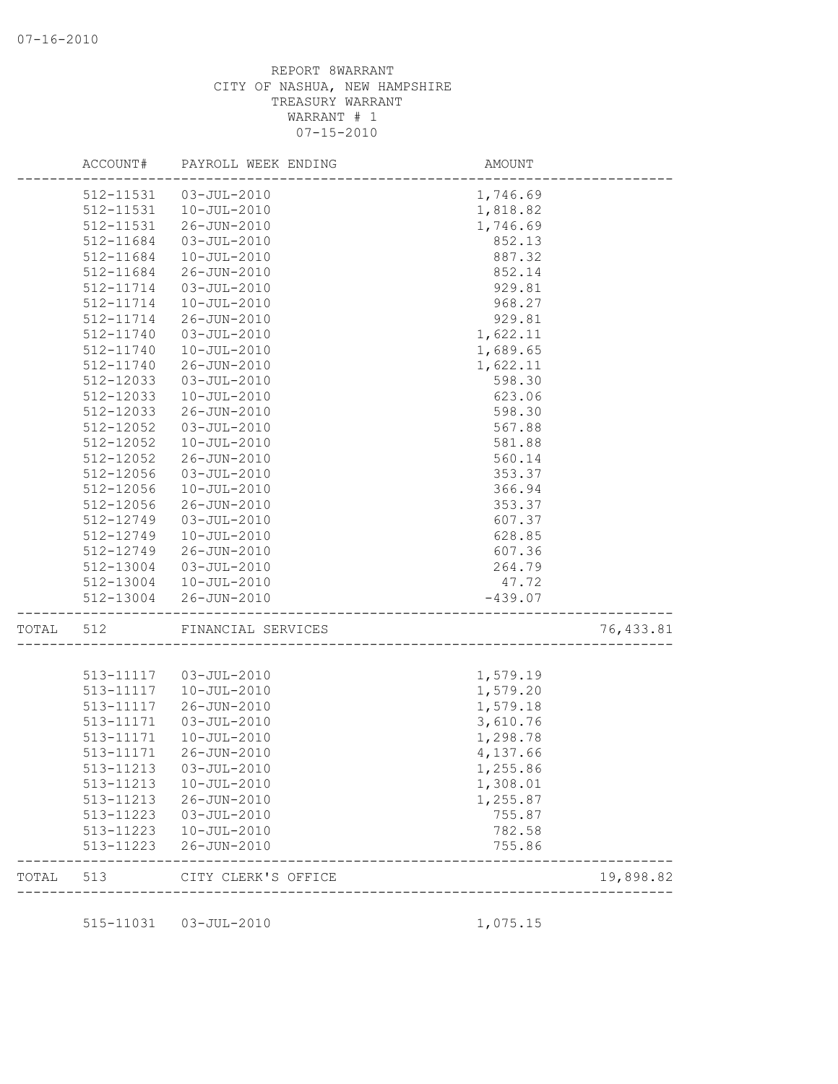|       | ACCOUNT#  | PAYROLL WEEK ENDING | AMOUNT    |            |
|-------|-----------|---------------------|-----------|------------|
|       | 512-11531 | 03-JUL-2010         | 1,746.69  |            |
|       | 512-11531 | $10 - JUL - 2010$   | 1,818.82  |            |
|       | 512-11531 | 26-JUN-2010         | 1,746.69  |            |
|       | 512-11684 | $03 - JUL - 2010$   | 852.13    |            |
|       | 512-11684 | $10 - JUL - 2010$   | 887.32    |            |
|       | 512-11684 | 26-JUN-2010         | 852.14    |            |
|       | 512-11714 | $03 - JUL - 2010$   | 929.81    |            |
|       | 512-11714 | $10 - JUL - 2010$   | 968.27    |            |
|       | 512-11714 | 26-JUN-2010         | 929.81    |            |
|       | 512-11740 | $03 - JUL - 2010$   | 1,622.11  |            |
|       | 512-11740 | $10 - JUL - 2010$   | 1,689.65  |            |
|       | 512-11740 | 26-JUN-2010         | 1,622.11  |            |
|       | 512-12033 | $03 - JUL - 2010$   | 598.30    |            |
|       | 512-12033 | $10 - JUL - 2010$   | 623.06    |            |
|       | 512-12033 | 26-JUN-2010         | 598.30    |            |
|       | 512-12052 | $03 - JUL - 2010$   | 567.88    |            |
|       | 512-12052 | $10 - JUL - 2010$   | 581.88    |            |
|       | 512-12052 | 26-JUN-2010         | 560.14    |            |
|       | 512-12056 | $03 - JUL - 2010$   | 353.37    |            |
|       | 512-12056 | $10 - JUL - 2010$   | 366.94    |            |
|       | 512-12056 | 26-JUN-2010         | 353.37    |            |
|       | 512-12749 | $03 - JUL - 2010$   | 607.37    |            |
|       | 512-12749 | $10 - JUL - 2010$   | 628.85    |            |
|       | 512-12749 | 26-JUN-2010         | 607.36    |            |
|       | 512-13004 | 03-JUL-2010         | 264.79    |            |
|       | 512-13004 | 10-JUL-2010         | 47.72     |            |
|       | 512-13004 | $26 - JUN - 2010$   | $-439.07$ |            |
| TOTAL | 512       | FINANCIAL SERVICES  |           | 76, 433.81 |
|       |           |                     |           |            |
|       | 513-11117 | 03-JUL-2010         | 1,579.19  |            |
|       | 513-11117 | $10 - JUL - 2010$   | 1,579.20  |            |
|       | 513-11117 | 26-JUN-2010         | 1,579.18  |            |
|       | 513-11171 | $03 - JUL - 2010$   | 3,610.76  |            |
|       | 513-11171 | $10 - JUL - 2010$   | 1,298.78  |            |
|       | 513-11171 | 26-JUN-2010         | 4,137.66  |            |
|       | 513-11213 | $03 - JUL - 2010$   | 1,255.86  |            |
|       | 513-11213 | 10-JUL-2010         | 1,308.01  |            |
|       | 513-11213 | 26-JUN-2010         | 1,255.87  |            |
|       | 513-11223 | 03-JUL-2010         | 755.87    |            |
|       | 513-11223 | 10-JUL-2010         | 782.58    |            |
|       | 513-11223 | 26-JUN-2010         | 755.86    |            |
| TOTAL | 513       | CITY CLERK'S OFFICE |           | 19,898.82  |

515-11031 03-JUL-2010 1,075.15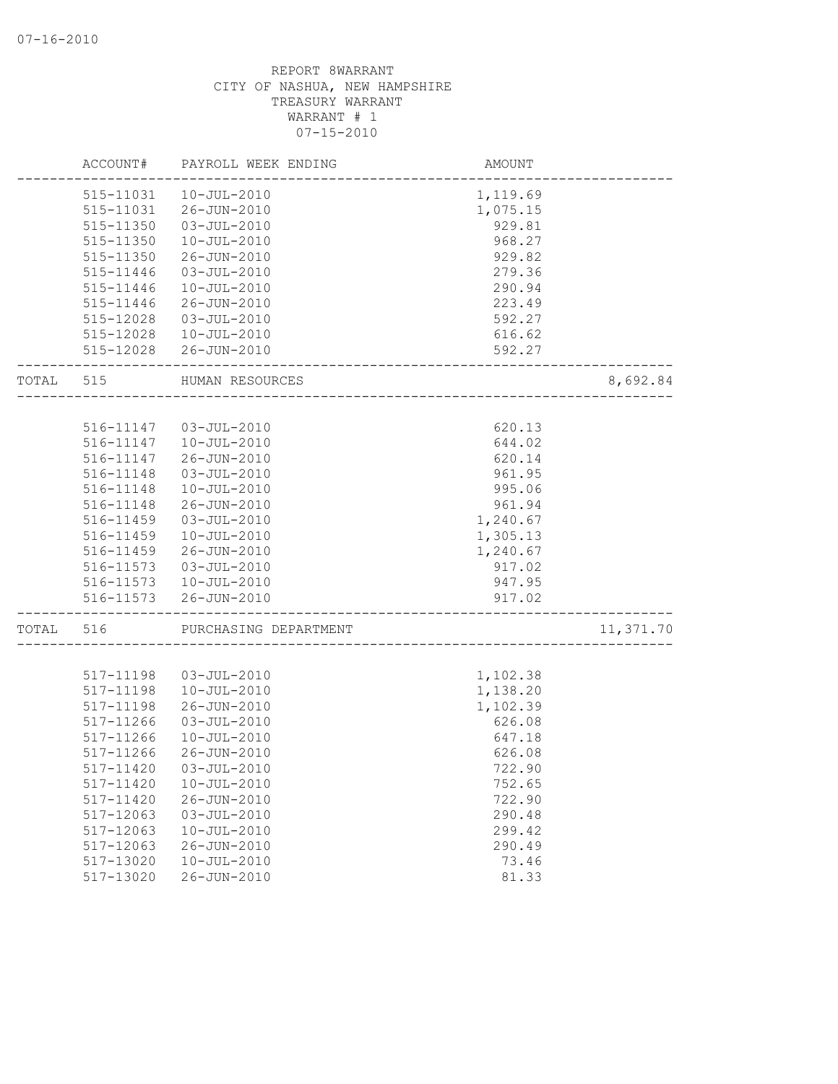|       | ACCOUNT#               | PAYROLL WEEK ENDING              | <b>AMOUNT</b>        |           |
|-------|------------------------|----------------------------------|----------------------|-----------|
|       | 515-11031              | $10 - JUL - 2010$                | 1,119.69             |           |
|       | 515-11031              | 26-JUN-2010                      | 1,075.15             |           |
|       | 515-11350              | $03 - JUL - 2010$                | 929.81               |           |
|       | 515-11350              | $10 - JUL - 2010$                | 968.27               |           |
|       | 515-11350              | 26-JUN-2010                      | 929.82               |           |
|       | 515-11446              | $03 - JUL - 2010$                | 279.36               |           |
|       | 515-11446              | $10 - JUL - 2010$                | 290.94               |           |
|       | 515-11446              | 26-JUN-2010                      | 223.49               |           |
|       | 515-12028              | 03-JUL-2010                      | 592.27               |           |
|       |                        | 515-12028  10-JUL-2010           | 616.62               |           |
|       |                        | 515-12028 26-JUN-2010            | 592.27               |           |
| TOTAL | 515                    | HUMAN RESOURCES                  |                      | 8,692.84  |
|       |                        |                                  |                      |           |
|       |                        | 516-11147  03-JUL-2010           | 620.13               |           |
|       | 516-11147              | $10 - JUL - 2010$                | 644.02               |           |
|       | 516-11147              | 26-JUN-2010                      | 620.14               |           |
|       | 516-11148<br>516-11148 | $03 - JUL - 2010$                | 961.95               |           |
|       |                        | 10-JUL-2010                      | 995.06               |           |
|       | 516-11148              | 26-JUN-2010<br>$03 - JUL - 2010$ | 961.94               |           |
|       | 516-11459<br>516-11459 | $10 - JUL - 2010$                | 1,240.67<br>1,305.13 |           |
|       | 516-11459              | 26-JUN-2010                      | 1,240.67             |           |
|       | 516-11573              | 03-JUL-2010                      | 917.02               |           |
|       |                        | 516-11573   10-JUL-2010          | 947.95               |           |
|       |                        | 516-11573 26-JUN-2010            | 917.02               |           |
| TOTAL | 516                    | PURCHASING DEPARTMENT            |                      | 11,371.70 |
|       |                        |                                  |                      |           |
|       | 517-11198              | $03 - JUL - 2010$                | 1,102.38             |           |
|       | 517-11198              | $10 - JUL - 2010$                | 1,138.20             |           |
|       | 517-11198              | 26-JUN-2010                      | 1,102.39             |           |
|       | 517-11266              | $03 - JUL - 2010$                | 626.08               |           |
|       | 517-11266              | 10-JUL-2010                      | 647.18               |           |
|       | 517-11266              | 26-JUN-2010                      | 626.08               |           |
|       | 517-11420              | $03 - JUL - 2010$                | 722.90               |           |
|       | 517-11420              | $10 - JUL - 2010$                | 752.65               |           |
|       | 517-11420              | 26-JUN-2010                      | 722.90               |           |
|       | 517-12063              | $03 - JUL - 2010$                | 290.48               |           |
|       | 517-12063              | $10 - JUL - 2010$                | 299.42               |           |
|       | 517-12063              | 26-JUN-2010                      | 290.49               |           |
|       | 517-13020              | $10 - JUL - 2010$                | 73.46                |           |
|       | 517-13020              | 26-JUN-2010                      | 81.33                |           |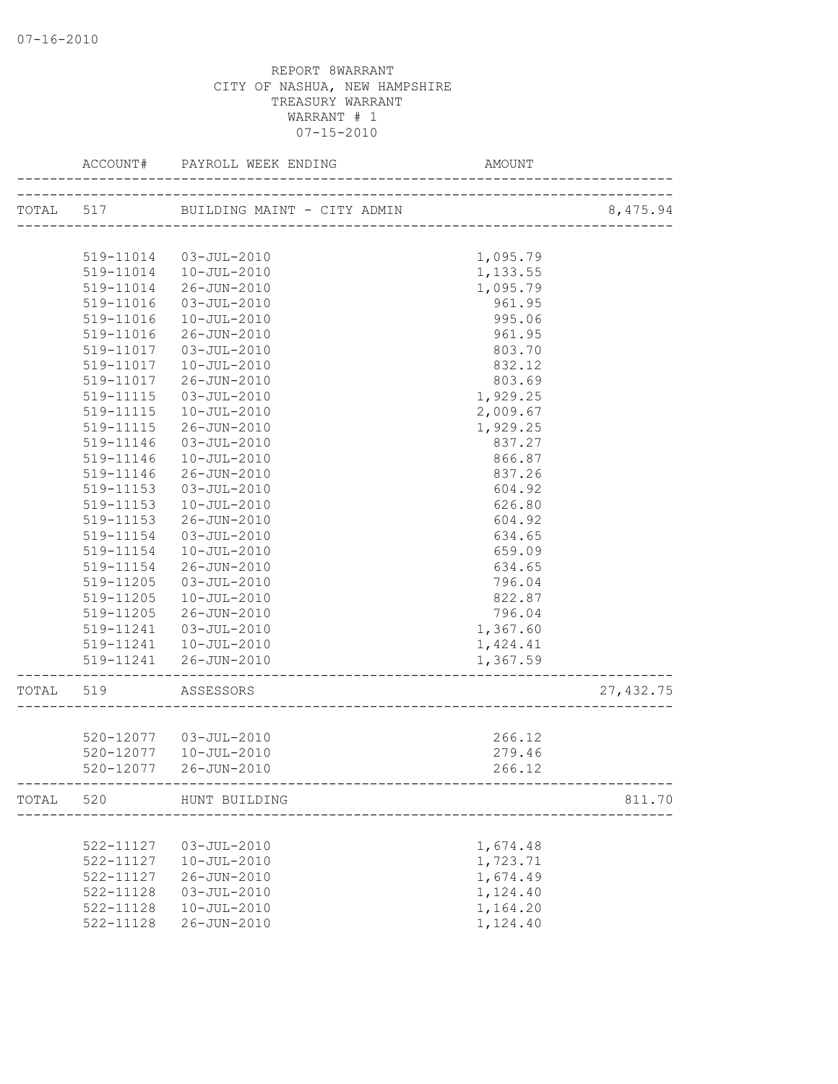|       | ACCOUNT#  | PAYROLL WEEK ENDING                   | AMO<br>---------------------<br>AMOUNT     |            |
|-------|-----------|---------------------------------------|--------------------------------------------|------------|
|       |           | TOTAL 517 BUILDING MAINT - CITY ADMIN | TY ADMIN<br>------------------------------ | 8,475.94   |
|       |           |                                       |                                            |            |
|       | 519-11014 | 03-JUL-2010                           | 1,095.79                                   |            |
|       | 519-11014 | 10-JUL-2010                           | 1,133.55                                   |            |
|       | 519-11014 | 26-JUN-2010                           | 1,095.79                                   |            |
|       | 519-11016 | $03 - JUL - 2010$                     | 961.95                                     |            |
|       | 519-11016 | $10 - JUL - 2010$                     | 995.06                                     |            |
|       | 519-11016 | 26-JUN-2010                           | 961.95                                     |            |
|       | 519-11017 | 03-JUL-2010                           | 803.70                                     |            |
|       | 519-11017 | 10-JUL-2010                           | 832.12                                     |            |
|       | 519-11017 | 26-JUN-2010                           | 803.69                                     |            |
|       | 519-11115 | 03-JUL-2010                           | 1,929.25                                   |            |
|       | 519-11115 | $10 - JUL - 2010$                     | 2,009.67                                   |            |
|       | 519-11115 | 26-JUN-2010                           | 1,929.25                                   |            |
|       | 519-11146 | $03 - JUL - 2010$                     | 837.27                                     |            |
|       | 519-11146 | $10 - JUL - 2010$                     | 866.87                                     |            |
|       | 519-11146 | 26-JUN-2010                           | 837.26                                     |            |
|       | 519-11153 | $03 - JUL - 2010$                     | 604.92                                     |            |
|       | 519-11153 | 10-JUL-2010                           | 626.80                                     |            |
|       | 519-11153 | 26-JUN-2010                           | 604.92                                     |            |
|       | 519-11154 | $03 - JUL - 2010$                     | 634.65                                     |            |
|       | 519-11154 | $10 - JUL - 2010$                     | 659.09                                     |            |
|       | 519-11154 | 26-JUN-2010                           | 634.65                                     |            |
|       | 519-11205 | $03 - JUL - 2010$                     | 796.04                                     |            |
|       | 519-11205 | $10 - JUL - 2010$                     | 822.87                                     |            |
|       | 519-11205 | 26-JUN-2010                           | 796.04                                     |            |
|       | 519-11241 | 03-JUL-2010                           | 1,367.60                                   |            |
|       |           | 519-11241  10-JUL-2010                | 1,424.41                                   |            |
|       |           | 519-11241 26-JUN-2010                 | 1,367.59                                   |            |
| TOTAL | 519       | ASSESSORS                             |                                            | 27, 432.75 |
|       |           |                                       |                                            |            |
|       |           | 520-12077  03-JUL-2010                | 266.12                                     |            |
|       | 520-12077 | $10 - JUL - 2010$                     | 279.46                                     |            |
|       | 520-12077 | 26-JUN-2010                           | 266.12                                     |            |
|       |           | TOTAL 520 HUNT BUILDING               |                                            | 811.70     |
|       |           |                                       |                                            |            |
|       | 522-11127 | $03 - JUL - 2010$                     | 1,674.48                                   |            |
|       | 522-11127 | $10 - JUL - 2010$                     | 1,723.71                                   |            |
|       | 522-11127 | 26-JUN-2010                           | 1,674.49                                   |            |
|       | 522-11128 | $03 - JUL - 2010$                     | 1,124.40                                   |            |
|       | 522-11128 | $10 - JUL - 2010$                     | 1,164.20                                   |            |
|       | 522-11128 | $26 - JUN - 2010$                     | 1,124.40                                   |            |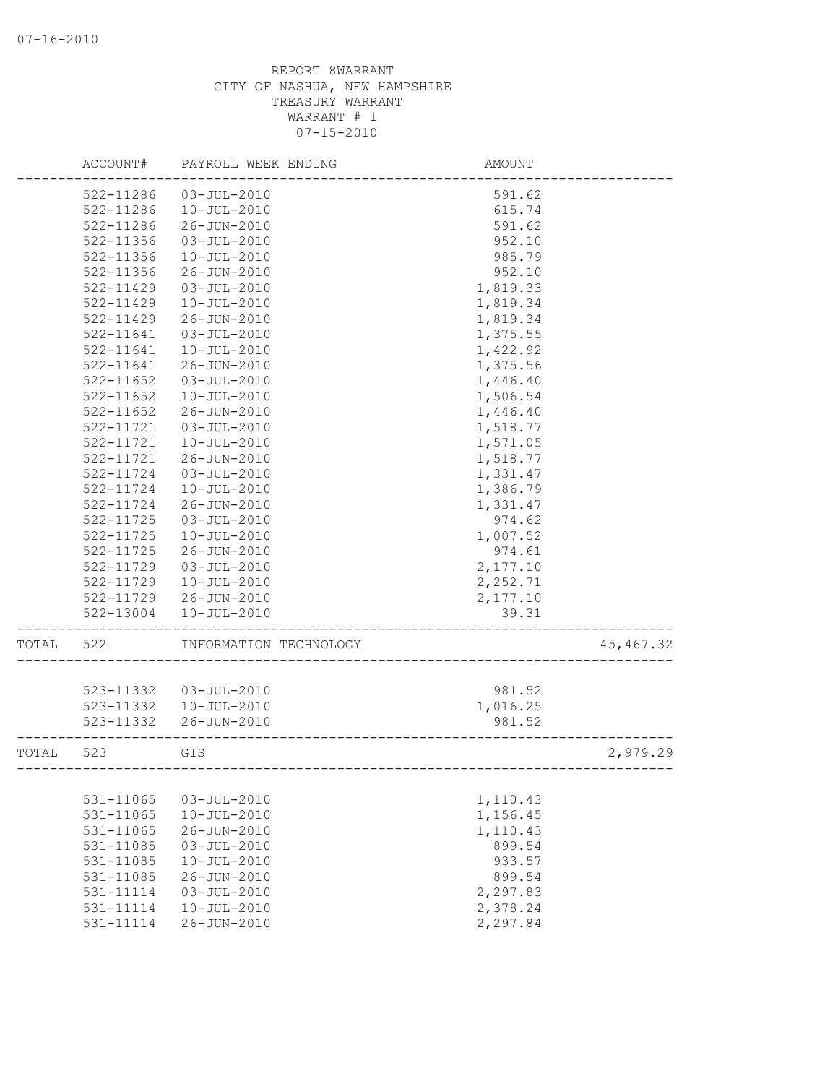|       | ACCOUNT#      | PAYROLL WEEK ENDING    | AMOUNT   |            |
|-------|---------------|------------------------|----------|------------|
|       | 522-11286     | $03 - JUL - 2010$      | 591.62   |            |
|       | 522-11286     | $10 - JUL - 2010$      | 615.74   |            |
|       | 522-11286     | 26-JUN-2010            | 591.62   |            |
|       | 522-11356     | $03 - JUL - 2010$      | 952.10   |            |
|       | 522-11356     | $10 - JUL - 2010$      | 985.79   |            |
|       | 522-11356     | 26-JUN-2010            | 952.10   |            |
|       | 522-11429     | $03 - JUL - 2010$      | 1,819.33 |            |
|       | 522-11429     | $10 - JUL - 2010$      | 1,819.34 |            |
|       | 522-11429     | 26-JUN-2010            | 1,819.34 |            |
|       | 522-11641     | $03 - JUL - 2010$      | 1,375.55 |            |
|       | 522-11641     | $10 - JUL - 2010$      | 1,422.92 |            |
|       | 522-11641     | 26-JUN-2010            | 1,375.56 |            |
|       | 522-11652     | $03 - JUL - 2010$      | 1,446.40 |            |
|       | 522-11652     | $10 - JUL - 2010$      | 1,506.54 |            |
|       | 522-11652     | 26-JUN-2010            | 1,446.40 |            |
|       | 522-11721     | $03 - JUL - 2010$      | 1,518.77 |            |
|       | 522-11721     | $10 - JUL - 2010$      | 1,571.05 |            |
|       | 522-11721     | 26-JUN-2010            | 1,518.77 |            |
|       | 522-11724     | $03 - JUL - 2010$      | 1,331.47 |            |
|       | 522-11724     | $10 - JUL - 2010$      | 1,386.79 |            |
|       | 522-11724     | 26-JUN-2010            | 1,331.47 |            |
|       | 522-11725     | $03 - JUL - 2010$      | 974.62   |            |
|       | 522-11725     | $10 - JUL - 2010$      | 1,007.52 |            |
|       | 522-11725     | 26-JUN-2010            | 974.61   |            |
|       | 522-11729     | $03 - JUL - 2010$      | 2,177.10 |            |
|       | 522-11729     | $10 - JUL - 2010$      | 2,252.71 |            |
|       | 522-11729     | 26-JUN-2010            | 2,177.10 |            |
|       | 522-13004     | $10 - JUL - 2010$      | 39.31    |            |
| TOTAL | 522           | INFORMATION TECHNOLOGY |          | 45, 467.32 |
|       |               |                        |          |            |
|       | 523-11332     | 03-JUL-2010            | 981.52   |            |
|       | 523-11332     | 10-JUL-2010            | 1,016.25 |            |
|       | 523-11332     | 26-JUN-2010            | 981.52   |            |
| TOTAL | 523           | GIS                    |          | 2,979.29   |
|       |               |                        |          |            |
|       | 531-11065     | $03 - JUL - 2010$      | 1,110.43 |            |
|       | 531-11065     | $10 - JUL - 2010$      | 1,156.45 |            |
|       | 531-11065     | 26-JUN-2010            | 1,110.43 |            |
|       | 531-11085     | $03 - JUL - 2010$      | 899.54   |            |
|       | 531-11085     | $10 - JUL - 2010$      | 933.57   |            |
|       | 531-11085     | 26-JUN-2010            | 899.54   |            |
|       | 531-11114     | $03 - JUL - 2010$      | 2,297.83 |            |
|       | $531 - 11114$ | $10 - JUL - 2010$      | 2,378.24 |            |
|       | 531-11114     | 26-JUN-2010            | 2,297.84 |            |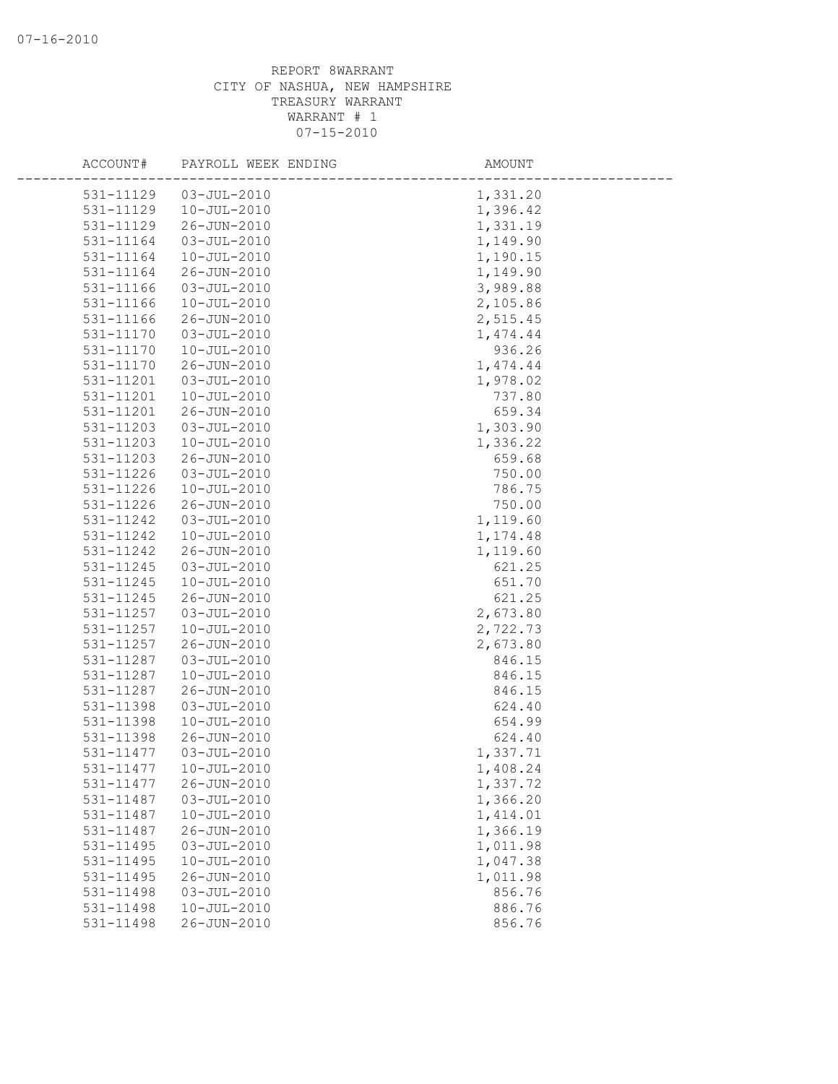| ACCOUNT#               | PAYROLL WEEK ENDING                    | AMOUNT               |
|------------------------|----------------------------------------|----------------------|
| 531-11129              | $03 - JUL - 2010$                      | 1,331.20             |
| 531-11129              | $10 - JUL - 2010$                      | 1,396.42             |
| 531-11129              | 26-JUN-2010                            | 1,331.19             |
| 531-11164              | $03 - JUL - 2010$                      | 1,149.90             |
| 531-11164              | $10 - JUL - 2010$                      | 1,190.15             |
| 531-11164              | 26-JUN-2010                            | 1,149.90             |
| 531-11166              | $03 - JUL - 2010$                      | 3,989.88             |
| 531-11166              | $10 - JUL - 2010$                      | 2,105.86             |
| 531-11166              | 26-JUN-2010                            | 2,515.45             |
| 531-11170              | $03 - JUL - 2010$                      | 1,474.44             |
| 531-11170              | $10 - JUL - 2010$                      | 936.26               |
| 531-11170              | 26-JUN-2010                            | 1,474.44             |
| 531-11201              | $03 - JUL - 2010$                      | 1,978.02             |
| 531-11201              | $10 - JUL - 2010$                      | 737.80               |
| 531-11201              | 26-JUN-2010                            | 659.34               |
| 531-11203              | $03 - JUL - 2010$                      | 1,303.90             |
| 531-11203              | $10 - JUL - 2010$                      | 1,336.22             |
| 531-11203              | 26-JUN-2010                            | 659.68               |
| 531-11226              | $03 - JUL - 2010$                      | 750.00               |
| 531-11226              | $10 - JUL - 2010$                      | 786.75               |
| 531-11226              | 26-JUN-2010                            | 750.00               |
| 531-11242              | $03 - JUL - 2010$                      | 1,119.60             |
| 531-11242              | $10 - JUL - 2010$                      | 1,174.48             |
| 531-11242              | 26-JUN-2010                            | 1,119.60             |
| 531-11245              | $03 - JUL - 2010$                      | 621.25               |
| 531-11245              | $10 - JUL - 2010$                      | 651.70               |
| 531-11245              | 26-JUN-2010                            | 621.25               |
| 531-11257              | $03 - JUL - 2010$                      | 2,673.80             |
| 531-11257              | $10 - JUL - 2010$                      | 2,722.73             |
| 531-11257              | 26-JUN-2010                            | 2,673.80             |
| 531-11287              | $03 - JUL - 2010$                      | 846.15               |
| 531-11287              | $10 - JUL - 2010$                      | 846.15               |
| 531-11287              | 26-JUN-2010                            | 846.15               |
| 531-11398              | $03 - JUL - 2010$                      | 624.40               |
| 531-11398              | $10 - JUL - 2010$                      | 654.99               |
| 531-11398              | 26-JUN-2010                            | 624.40               |
| 531-11477              | $03 - JUL - 2010$                      | 1,337.71             |
| 531-11477              | $10 - JUL - 2010$                      | 1,408.24             |
| 531-11477              | 26-JUN-2010                            | 1,337.72             |
| 531-11487              | $03 - JUL - 2010$                      | 1,366.20             |
| 531-11487<br>531-11487 | $10 - JUL - 2010$<br>26-JUN-2010       | 1,414.01<br>1,366.19 |
|                        |                                        | 1,011.98             |
| 531-11495<br>531-11495 | $03 - JUL - 2010$<br>$10 - JUL - 2010$ | 1,047.38             |
| 531-11495              | 26-JUN-2010                            | 1,011.98             |
| 531-11498              | $03 - JUL - 2010$                      | 856.76               |
| 531-11498              | $10 - JUL - 2010$                      | 886.76               |
| 531-11498              | 26-JUN-2010                            | 856.76               |
|                        |                                        |                      |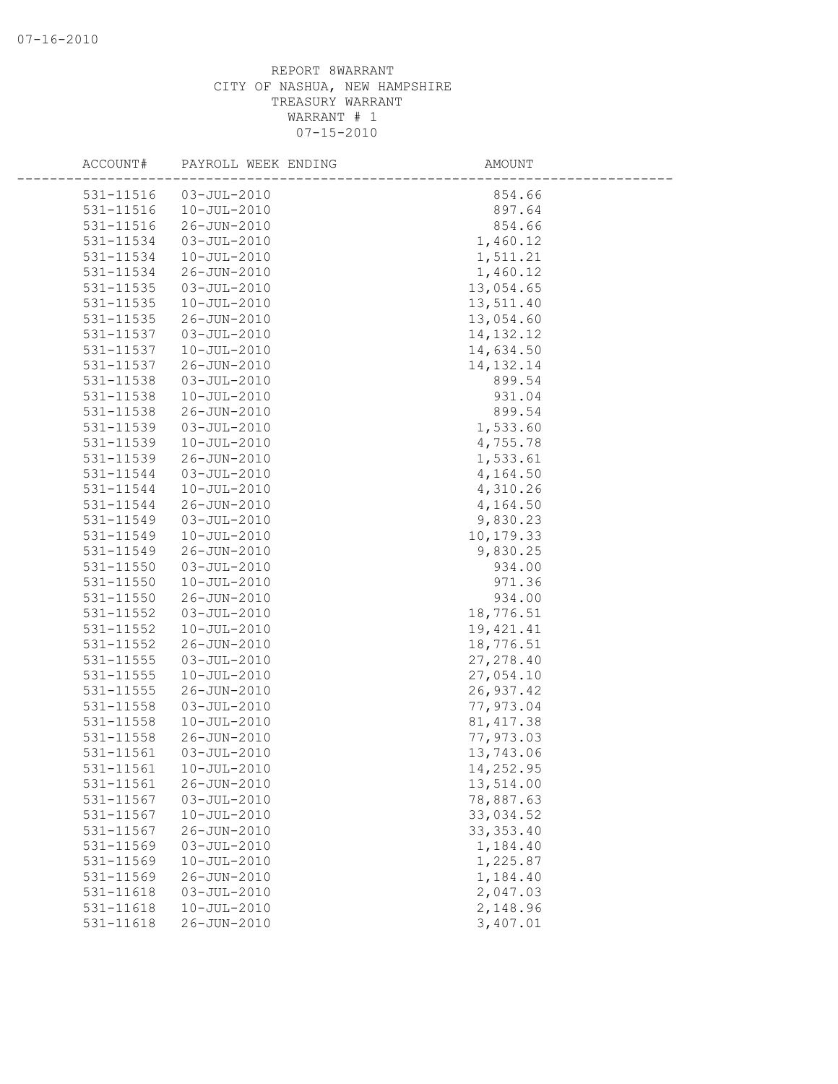| ACCOUNT#      | PAYROLL WEEK ENDING | AMOUNT      |  |
|---------------|---------------------|-------------|--|
| 531-11516     | $03 - JUL - 2010$   | 854.66      |  |
| 531-11516     | $10 - JUL - 2010$   | 897.64      |  |
| 531-11516     | 26-JUN-2010         | 854.66      |  |
| 531-11534     | $03 - JUL - 2010$   | 1,460.12    |  |
| 531-11534     | $10 - JUL - 2010$   | 1,511.21    |  |
| 531-11534     | 26-JUN-2010         | 1,460.12    |  |
| 531-11535     | $03 - JUL - 2010$   | 13,054.65   |  |
| 531-11535     | $10 - JUL - 2010$   | 13,511.40   |  |
| 531-11535     | 26-JUN-2010         | 13,054.60   |  |
| 531-11537     | $03 - JUL - 2010$   | 14, 132. 12 |  |
| 531-11537     | $10 - JUL - 2010$   | 14,634.50   |  |
| 531-11537     | 26-JUN-2010         | 14, 132. 14 |  |
| 531-11538     | $03 - JUL - 2010$   | 899.54      |  |
| 531-11538     | $10 - JUL - 2010$   | 931.04      |  |
| 531-11538     | 26-JUN-2010         | 899.54      |  |
| 531-11539     | $03 - JUL - 2010$   | 1,533.60    |  |
| 531-11539     | $10 - JUL - 2010$   | 4,755.78    |  |
| 531-11539     | 26-JUN-2010         | 1,533.61    |  |
| 531-11544     | $03 - JUL - 2010$   | 4,164.50    |  |
| 531-11544     | $10 - JUL - 2010$   | 4,310.26    |  |
| 531-11544     | 26-JUN-2010         | 4,164.50    |  |
| 531-11549     | $03 - JUL - 2010$   | 9,830.23    |  |
| 531-11549     | $10 - JUL - 2010$   | 10,179.33   |  |
| 531-11549     | 26-JUN-2010         | 9,830.25    |  |
| 531-11550     | $03 - JUL - 2010$   | 934.00      |  |
| $531 - 11550$ | $10 - JUL - 2010$   | 971.36      |  |
| 531-11550     | 26-JUN-2010         | 934.00      |  |
| 531-11552     | $03 - JUL - 2010$   | 18,776.51   |  |
| 531-11552     | $10 - JUL - 2010$   | 19,421.41   |  |
| 531-11552     | 26-JUN-2010         | 18,776.51   |  |
| 531-11555     | $03 - JUL - 2010$   | 27, 278.40  |  |
| 531-11555     | $10 - JUL - 2010$   | 27,054.10   |  |
| 531-11555     | 26-JUN-2010         | 26, 937.42  |  |
| 531-11558     | $03 - JUL - 2010$   | 77,973.04   |  |
| 531-11558     | $10 - JUL - 2010$   | 81, 417.38  |  |
| 531-11558     | 26-JUN-2010         | 77,973.03   |  |
| 531-11561     | $03 - JUL - 2010$   | 13,743.06   |  |
| 531-11561     | $10 - JUL - 2010$   | 14,252.95   |  |
| 531-11561     | 26-JUN-2010         | 13,514.00   |  |
| 531-11567     | $03 - JUL - 2010$   | 78,887.63   |  |
| 531-11567     | $10 - JUL - 2010$   | 33,034.52   |  |
| 531-11567     | 26-JUN-2010         | 33, 353.40  |  |
| 531-11569     | $03 - JUL - 2010$   | 1,184.40    |  |
| 531-11569     | $10 - JUL - 2010$   | 1,225.87    |  |
| 531-11569     | 26-JUN-2010         | 1,184.40    |  |
| 531-11618     | $03 - JUL - 2010$   | 2,047.03    |  |
| 531-11618     | $10 - JUL - 2010$   | 2,148.96    |  |
| 531-11618     | 26-JUN-2010         | 3,407.01    |  |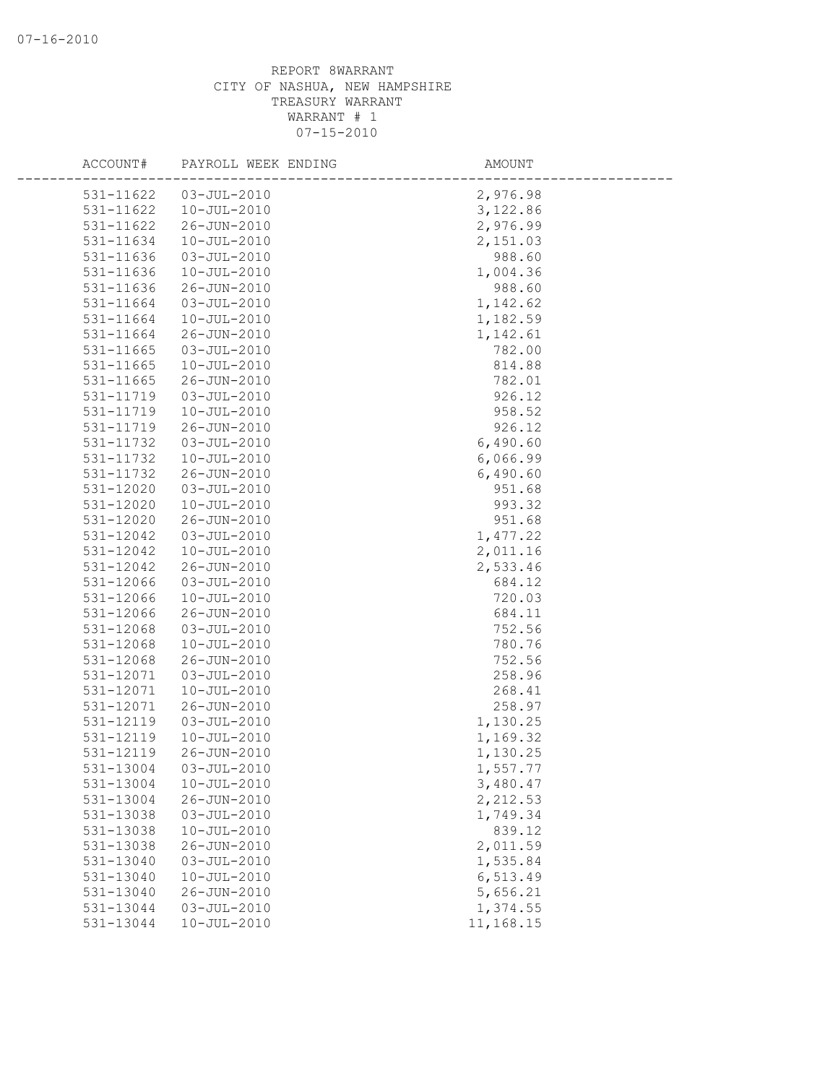| ACCOUNT#               | PAYROLL WEEK ENDING              | AMOUNT               |
|------------------------|----------------------------------|----------------------|
| 531-11622              | $03 - JUL - 2010$                | 2,976.98             |
| 531-11622              | $10 - JUL - 2010$                | 3,122.86             |
| 531-11622              | 26-JUN-2010                      | 2,976.99             |
| 531-11634              | $10 - JUL - 2010$                | 2,151.03             |
| 531-11636              | $03 - JUL - 2010$                | 988.60               |
| 531-11636              | $10 - JUL - 2010$                | 1,004.36             |
| 531-11636              | 26-JUN-2010                      | 988.60               |
| 531-11664              | $03 - JUL - 2010$                | 1,142.62             |
| 531-11664              | $10 - JUL - 2010$                | 1,182.59             |
| 531-11664              | 26-JUN-2010                      | 1,142.61             |
| 531-11665              | $03 - JUL - 2010$                | 782.00               |
| 531-11665              | $10 - JUL - 2010$                | 814.88               |
| 531-11665              | 26-JUN-2010                      | 782.01               |
| 531-11719              | $03 - JUL - 2010$                | 926.12               |
| 531-11719              | $10 - JUL - 2010$                | 958.52               |
| 531-11719              | 26-JUN-2010                      | 926.12               |
| 531-11732              | $03 - JUL - 2010$                | 6,490.60             |
| 531-11732              | $10 - JUL - 2010$                | 6,066.99             |
| 531-11732              | 26-JUN-2010                      | 6,490.60             |
| 531-12020              | $03 - JUL - 2010$                | 951.68               |
| 531-12020              | $10 - JUL - 2010$                | 993.32               |
| 531-12020              | 26-JUN-2010                      | 951.68               |
| 531-12042              | $03 - JUL - 2010$                | 1,477.22             |
| 531-12042              | $10 - JUL - 2010$                | 2,011.16             |
| 531-12042              | 26-JUN-2010                      | 2,533.46             |
| 531-12066              | $03 - JUL - 2010$                | 684.12               |
| 531-12066              | $10 - JUL - 2010$                | 720.03               |
| 531-12066              | 26-JUN-2010                      | 684.11               |
| 531-12068              | $03 - JUL - 2010$                | 752.56               |
| 531-12068              | $10 - JUL - 2010$                | 780.76               |
| 531-12068              | 26-JUN-2010                      | 752.56               |
| 531-12071              | $03 - JUL - 2010$                | 258.96               |
| 531-12071              | $10 - JUL - 2010$                | 268.41               |
| 531-12071<br>531-12119 | 26-JUN-2010<br>$03 - JUL - 2010$ | 258.97               |
| 531-12119              | $10 - JUL - 2010$                | 1,130.25<br>1,169.32 |
| 531-12119              | 26-JUN-2010                      | 1,130.25             |
| 531-13004              | $03 - JUL - 2010$                | 1,557.77             |
| 531-13004              | $10 - JUL - 2010$                | 3,480.47             |
| 531-13004              | 26-JUN-2010                      | 2,212.53             |
| 531-13038              | $03 - JUL - 2010$                | 1,749.34             |
| 531-13038              | $10 - JUL - 2010$                | 839.12               |
| 531-13038              | 26-JUN-2010                      | 2,011.59             |
| 531-13040              | $03 - JUL - 2010$                | 1,535.84             |
| 531-13040              | $10 - JUL - 2010$                | 6,513.49             |
| 531-13040              | 26-JUN-2010                      | 5,656.21             |
| 531-13044              | $03 - JUL - 2010$                | 1,374.55             |
| 531-13044              | $10 - JUL - 2010$                | 11,168.15            |
|                        |                                  |                      |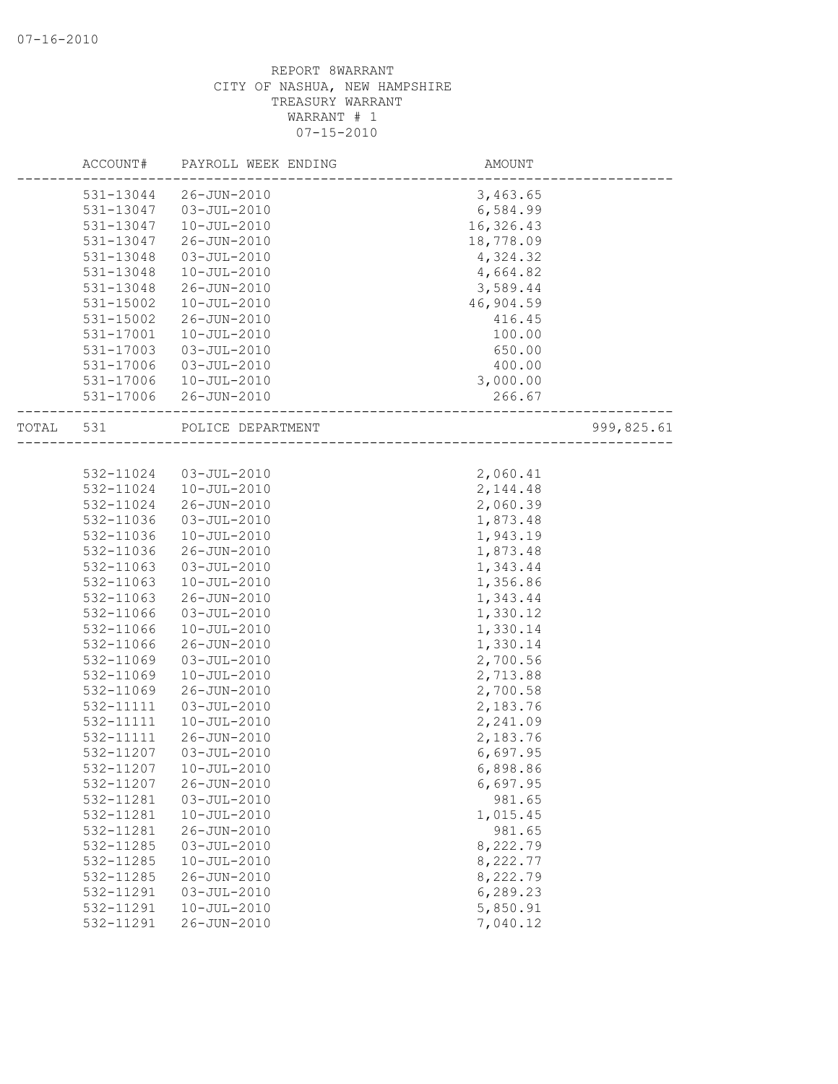|       | ACCOUNT#  | PAYROLL WEEK ENDING   | AMOUNT    |            |
|-------|-----------|-----------------------|-----------|------------|
|       | 531-13044 | 26-JUN-2010           | 3,463.65  |            |
|       | 531-13047 | 03-JUL-2010           | 6,584.99  |            |
|       | 531-13047 | $10 - JUL - 2010$     | 16,326.43 |            |
|       | 531-13047 | 26-JUN-2010           | 18,778.09 |            |
|       | 531-13048 | $03 - JUL - 2010$     | 4,324.32  |            |
|       | 531-13048 | $10 - JUL - 2010$     | 4,664.82  |            |
|       | 531-13048 | 26-JUN-2010           | 3,589.44  |            |
|       | 531-15002 | $10 - JUL - 2010$     | 46,904.59 |            |
|       | 531-15002 | 26-JUN-2010           | 416.45    |            |
|       | 531-17001 | $10 - JUL - 2010$     | 100.00    |            |
|       | 531-17003 | $03 - JUL - 2010$     | 650.00    |            |
|       | 531-17006 | 03-JUL-2010           | 400.00    |            |
|       | 531-17006 | 10-JUL-2010           | 3,000.00  |            |
|       |           | 531-17006 26-JUN-2010 | 266.67    |            |
| TOTAL | 531       | POLICE DEPARTMENT     |           | 999,825.61 |
|       |           |                       |           |            |
|       | 532-11024 | 03-JUL-2010           | 2,060.41  |            |
|       | 532-11024 | 10-JUL-2010           | 2, 144.48 |            |
|       | 532-11024 | 26-JUN-2010           | 2,060.39  |            |
|       | 532-11036 | 03-JUL-2010           | 1,873.48  |            |
|       | 532-11036 | $10 - JUL - 2010$     | 1,943.19  |            |
|       | 532-11036 | 26-JUN-2010           | 1,873.48  |            |
|       | 532-11063 | $03 - JUL - 2010$     | 1,343.44  |            |
|       | 532-11063 | $10 - JUL - 2010$     | 1,356.86  |            |
|       | 532-11063 | $26 - JUN - 2010$     | 1,343.44  |            |
|       | 532-11066 | $03 - JUL - 2010$     | 1,330.12  |            |
|       | 532-11066 | $10 - JUL - 2010$     | 1,330.14  |            |
|       | 532-11066 | 26-JUN-2010           | 1,330.14  |            |
|       | 532-11069 | $03 - JUL - 2010$     | 2,700.56  |            |
|       | 532-11069 | $10 - JUL - 2010$     | 2,713.88  |            |
|       | 532-11069 | 26-JUN-2010           | 2,700.58  |            |
|       | 532-11111 | $03 - JUL - 2010$     | 2,183.76  |            |
|       | 532-11111 | $10 - JUL - 2010$     | 2,241.09  |            |
|       | 532-11111 | $26 - JUN - 2010$     | 2,183.76  |            |
|       | 532-11207 | $03 - JUL - 2010$     | 6,697.95  |            |
|       | 532-11207 | 10-JUL-2010           | 6,898.86  |            |
|       | 532-11207 | $26 - JUN - 2010$     | 6,697.95  |            |
|       | 532-11281 | $03 - JUL - 2010$     | 981.65    |            |
|       | 532-11281 | $10 - JUL - 2010$     | 1,015.45  |            |
|       | 532-11281 | 26-JUN-2010           | 981.65    |            |
|       | 532-11285 | $03 - JUL - 2010$     | 8,222.79  |            |
|       | 532-11285 | $10 - JUL - 2010$     | 8,222.77  |            |
|       | 532-11285 | 26-JUN-2010           | 8,222.79  |            |
|       | 532-11291 | $03 - JUL - 2010$     | 6,289.23  |            |
|       | 532-11291 | $10 - JUL - 2010$     | 5,850.91  |            |
|       | 532-11291 | 26-JUN-2010           | 7,040.12  |            |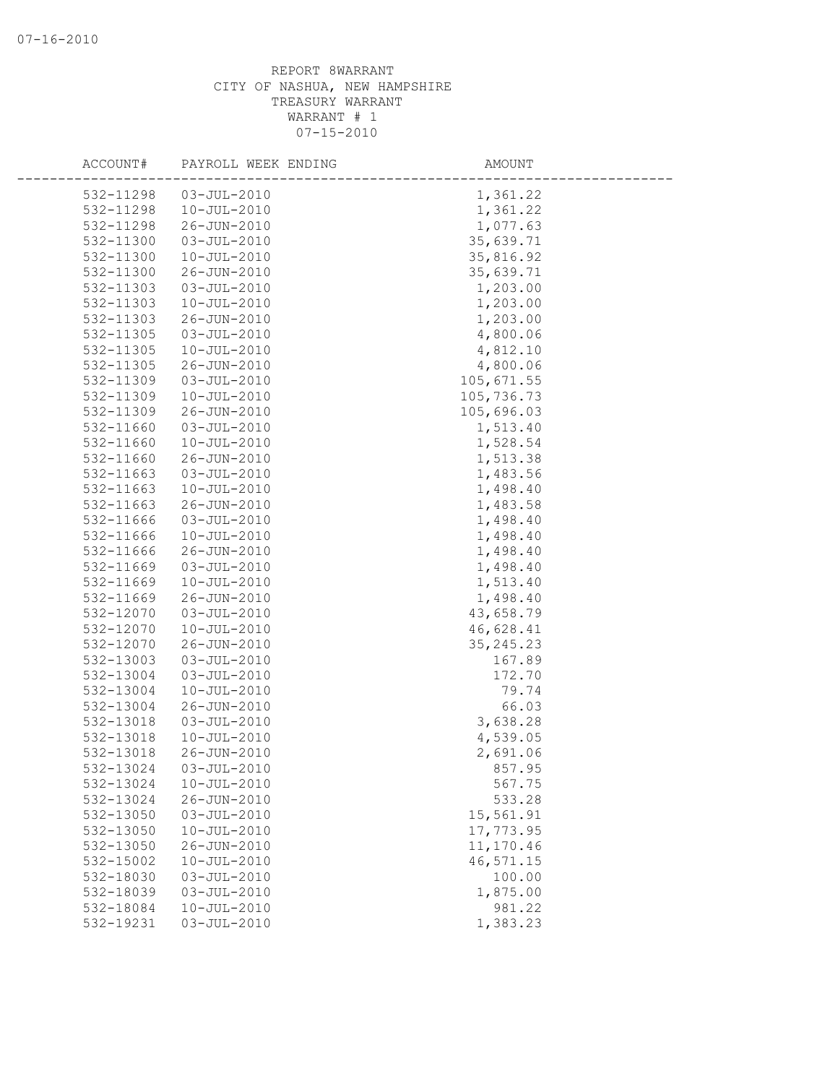| ACCOUNT#  | PAYROLL WEEK ENDING | AMOUNT     |
|-----------|---------------------|------------|
| 532-11298 | $03 - JUL - 2010$   | 1,361.22   |
| 532-11298 | $10 - JUL - 2010$   | 1,361.22   |
| 532-11298 | 26-JUN-2010         | 1,077.63   |
| 532-11300 | $03 - JUL - 2010$   | 35,639.71  |
| 532-11300 | $10 - JUL - 2010$   | 35,816.92  |
| 532-11300 | 26-JUN-2010         | 35,639.71  |
| 532-11303 | $03 - JUL - 2010$   | 1,203.00   |
| 532-11303 | $10 - JUL - 2010$   | 1,203.00   |
| 532-11303 | 26-JUN-2010         | 1,203.00   |
| 532-11305 | $03 - JUL - 2010$   | 4,800.06   |
| 532-11305 | $10 - JUL - 2010$   | 4,812.10   |
| 532-11305 | 26-JUN-2010         | 4,800.06   |
| 532-11309 | $03 - JUL - 2010$   | 105,671.55 |
| 532-11309 | $10 - JUL - 2010$   | 105,736.73 |
| 532-11309 | 26-JUN-2010         | 105,696.03 |
| 532-11660 | $03 - JUL - 2010$   | 1,513.40   |
| 532-11660 | $10 - JUL - 2010$   | 1,528.54   |
| 532-11660 | 26-JUN-2010         | 1,513.38   |
| 532-11663 | $03 - JUL - 2010$   | 1,483.56   |
| 532-11663 | $10 - JUL - 2010$   | 1,498.40   |
| 532-11663 | 26-JUN-2010         | 1,483.58   |
| 532-11666 | $03 - JUL - 2010$   | 1,498.40   |
| 532-11666 | $10 - JUL - 2010$   | 1,498.40   |
| 532-11666 | 26-JUN-2010         | 1,498.40   |
| 532-11669 | $03 - JUL - 2010$   | 1,498.40   |
| 532-11669 | $10 - JUL - 2010$   | 1,513.40   |
| 532-11669 | 26-JUN-2010         | 1,498.40   |
| 532-12070 | $03 - JUL - 2010$   | 43,658.79  |
| 532-12070 | $10 - JUL - 2010$   | 46,628.41  |
| 532-12070 | 26-JUN-2010         | 35, 245.23 |
| 532-13003 | $03 - JUL - 2010$   | 167.89     |
| 532-13004 | $03 - JUL - 2010$   | 172.70     |
| 532-13004 | $10 - JUL - 2010$   | 79.74      |
| 532-13004 | 26-JUN-2010         | 66.03      |
| 532-13018 | $03 - JUL - 2010$   | 3,638.28   |
| 532-13018 | $10 - JUL - 2010$   | 4,539.05   |
| 532-13018 | 26-JUN-2010         | 2,691.06   |
| 532-13024 | $03 - JUL - 2010$   | 857.95     |
| 532-13024 | $10 - JUL - 2010$   | 567.75     |
| 532-13024 | $26 - JUN - 2010$   | 533.28     |
| 532-13050 | $03 - JUL - 2010$   | 15,561.91  |
| 532-13050 | $10 - JUL - 2010$   | 17,773.95  |
| 532-13050 | 26-JUN-2010         | 11,170.46  |
| 532-15002 | $10 - JUL - 2010$   | 46,571.15  |
| 532-18030 | $03 - JUL - 2010$   | 100.00     |
| 532-18039 | $03 - JUL - 2010$   | 1,875.00   |
| 532-18084 | $10 - JUL - 2010$   | 981.22     |
| 532-19231 | $03 - JUL - 2010$   | 1,383.23   |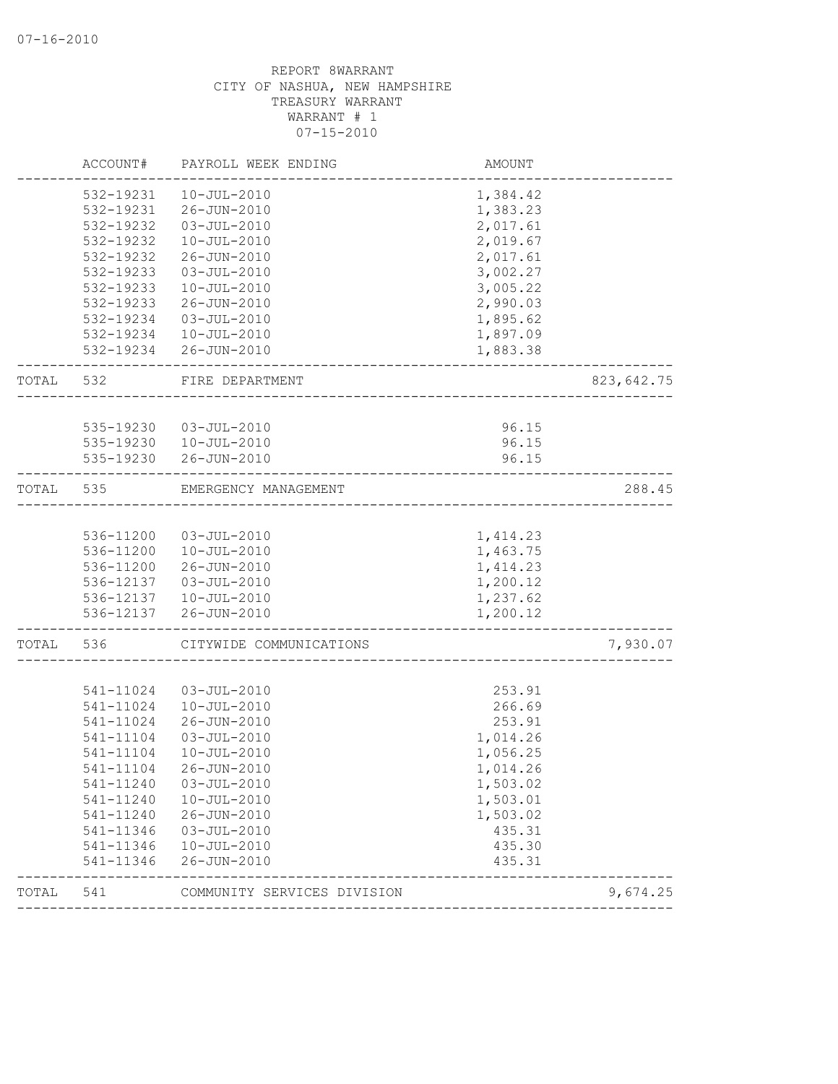|       | ACCOUNT#  | PAYROLL WEEK ENDING         | <b>AMOUNT</b> |            |
|-------|-----------|-----------------------------|---------------|------------|
|       | 532-19231 | $10 - JUL - 2010$           | 1,384.42      |            |
|       | 532-19231 | 26-JUN-2010                 | 1,383.23      |            |
|       | 532-19232 | 03-JUL-2010                 | 2,017.61      |            |
|       | 532-19232 | $10 - JUL - 2010$           | 2,019.67      |            |
|       | 532-19232 | 26-JUN-2010                 | 2,017.61      |            |
|       | 532-19233 | $03 - JUL - 2010$           | 3,002.27      |            |
|       | 532-19233 | $10 - JUL - 2010$           | 3,005.22      |            |
|       | 532-19233 | 26-JUN-2010                 | 2,990.03      |            |
|       | 532-19234 | 03-JUL-2010                 | 1,895.62      |            |
|       |           | 532-19234  10-JUL-2010      | 1,897.09      |            |
|       |           | 532-19234 26-JUN-2010       | 1,883.38      |            |
| TOTAL | 532       | FIRE DEPARTMENT             |               | 823,642.75 |
|       |           |                             |               |            |
|       | 535-19230 | 03-JUL-2010                 | 96.15         |            |
|       | 535-19230 | 10-JUL-2010                 | 96.15         |            |
|       | 535-19230 | 26-JUN-2010                 | 96.15         |            |
| TOTAL | 535       | EMERGENCY MANAGEMENT        |               | 288.45     |
|       |           |                             |               |            |
|       | 536-11200 | 03-JUL-2010                 | 1,414.23      |            |
|       | 536-11200 | 10-JUL-2010                 | 1,463.75      |            |
|       | 536-11200 | 26-JUN-2010                 | 1,414.23      |            |
|       | 536-12137 | 03-JUL-2010                 | 1,200.12      |            |
|       |           | 536-12137  10-JUL-2010      | 1,237.62      |            |
|       |           | 536-12137 26-JUN-2010       | 1,200.12      |            |
| TOTAL | 536       | CITYWIDE COMMUNICATIONS     |               | 7,930.07   |
|       |           |                             |               |            |
|       | 541-11024 | $03 - JUL - 2010$           | 253.91        |            |
|       | 541-11024 | $10 - JUL - 2010$           | 266.69        |            |
|       | 541-11024 | 26-JUN-2010                 | 253.91        |            |
|       | 541-11104 | 03-JUL-2010                 | 1,014.26      |            |
|       | 541-11104 | $10 - JUL - 2010$           | 1,056.25      |            |
|       | 541-11104 | 26-JUN-2010                 | 1,014.26      |            |
|       | 541-11240 | $03 - JUL - 2010$           | 1,503.02      |            |
|       | 541-11240 | $10 - JUL - 2010$           | 1,503.01      |            |
|       | 541-11240 | 26-JUN-2010                 | 1,503.02      |            |
|       | 541-11346 | $03 - JUL - 2010$           | 435.31        |            |
|       | 541-11346 | 10-JUL-2010                 | 435.30        |            |
|       | 541-11346 | 26-JUN-2010                 | 435.31        |            |
| TOTAL | 541       | COMMUNITY SERVICES DIVISION |               | 9,674.25   |
|       |           |                             |               |            |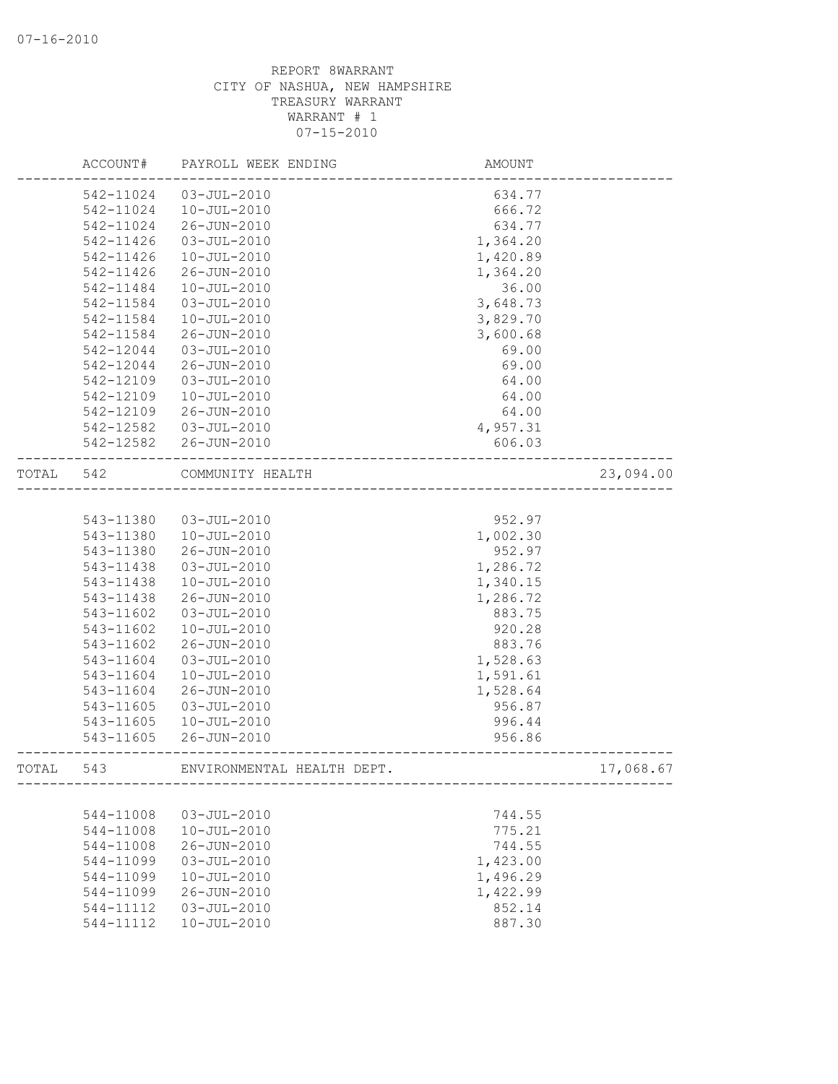|       | ACCOUNT#  | PAYROLL WEEK ENDING        | AMOUNT   |           |
|-------|-----------|----------------------------|----------|-----------|
|       | 542-11024 | $03 - JUL - 2010$          | 634.77   |           |
|       | 542-11024 | $10 - JUL - 2010$          | 666.72   |           |
|       | 542-11024 | 26-JUN-2010                | 634.77   |           |
|       | 542-11426 | $03 - JUL - 2010$          | 1,364.20 |           |
|       | 542-11426 | $10 - JUL - 2010$          | 1,420.89 |           |
|       | 542-11426 | 26-JUN-2010                | 1,364.20 |           |
|       | 542-11484 | $10 - JUL - 2010$          | 36.00    |           |
|       | 542-11584 | $03 - JUL - 2010$          | 3,648.73 |           |
|       | 542-11584 | $10 - JUL - 2010$          | 3,829.70 |           |
|       | 542-11584 | 26-JUN-2010                | 3,600.68 |           |
|       | 542-12044 | $03 - JUL - 2010$          | 69.00    |           |
|       | 542-12044 | 26-JUN-2010                | 69.00    |           |
|       | 542-12109 | $03 - JUL - 2010$          | 64.00    |           |
|       | 542-12109 | $10 - JUL - 2010$          | 64.00    |           |
|       | 542-12109 | 26-JUN-2010                | 64.00    |           |
|       | 542-12582 | $03 - JUL - 2010$          | 4,957.31 |           |
|       | 542-12582 | 26-JUN-2010                | 606.03   |           |
|       |           |                            |          |           |
| TOTAL | 542       | COMMUNITY HEALTH           |          | 23,094.00 |
|       |           |                            |          |           |
|       | 543-11380 | $03 - JUL - 2010$          | 952.97   |           |
|       | 543-11380 | $10 - JUL - 2010$          | 1,002.30 |           |
|       | 543-11380 | 26-JUN-2010                | 952.97   |           |
|       | 543-11438 | $03 - JUL - 2010$          | 1,286.72 |           |
|       | 543-11438 | $10 - JUL - 2010$          | 1,340.15 |           |
|       | 543-11438 | 26-JUN-2010                | 1,286.72 |           |
|       | 543-11602 | $03 - JUL - 2010$          | 883.75   |           |
|       | 543-11602 | $10 - JUL - 2010$          | 920.28   |           |
|       | 543-11602 | 26-JUN-2010                | 883.76   |           |
|       | 543-11604 | $03 - JUL - 2010$          | 1,528.63 |           |
|       | 543-11604 | $10 - JUL - 2010$          | 1,591.61 |           |
|       | 543-11604 | 26-JUN-2010                | 1,528.64 |           |
|       | 543-11605 | $03 - JUL - 2010$          | 956.87   |           |
|       | 543-11605 | $10 - JUL - 2010$          | 996.44   |           |
|       | 543-11605 | 26-JUN-2010                | 956.86   |           |
| TOTAL | 543       | ENVIRONMENTAL HEALTH DEPT. |          | 17,068.67 |
|       |           |                            |          |           |
|       | 544-11008 | $03 - JUL - 2010$          | 744.55   |           |
|       | 544-11008 | $10 - JUL - 2010$          | 775.21   |           |
|       | 544-11008 | 26-JUN-2010                | 744.55   |           |
|       | 544-11099 | $03 - JUL - 2010$          | 1,423.00 |           |
|       | 544-11099 | $10 - JUL - 2010$          | 1,496.29 |           |
|       | 544-11099 | 26-JUN-2010                | 1,422.99 |           |
|       | 544-11112 | $03 - JUL - 2010$          | 852.14   |           |
|       | 544-11112 | $10 - JUL - 2010$          | 887.30   |           |
|       |           |                            |          |           |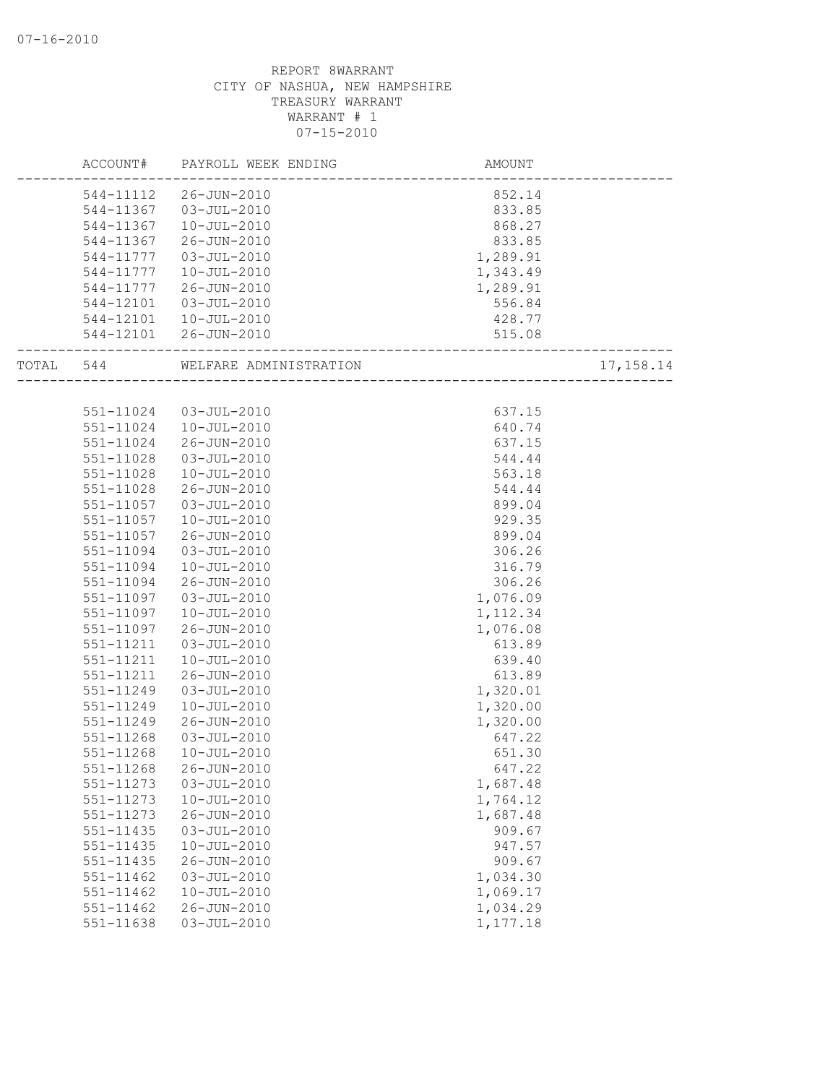|       | ACCOUNT#  | PAYROLL WEEK ENDING    | <b>AMOUNT</b> |            |
|-------|-----------|------------------------|---------------|------------|
|       | 544-11112 | 26-JUN-2010            | 852.14        |            |
|       | 544-11367 | 03-JUL-2010            | 833.85        |            |
|       | 544-11367 | $10 - JUL - 2010$      | 868.27        |            |
|       | 544-11367 | 26-JUN-2010            | 833.85        |            |
|       | 544-11777 | 03-JUL-2010            | 1,289.91      |            |
|       | 544-11777 | $10 - JUL - 2010$      | 1,343.49      |            |
|       | 544-11777 | 26-JUN-2010            | 1,289.91      |            |
|       | 544-12101 | 03-JUL-2010            | 556.84        |            |
|       | 544-12101 | 10-JUL-2010            | 428.77        |            |
|       |           | 544-12101 26-JUN-2010  | 515.08        |            |
| TOTAL | 544       | WELFARE ADMINISTRATION |               | 17, 158.14 |
|       |           |                        |               |            |
|       |           | 551-11024 03-JUL-2010  | 637.15        |            |
|       | 551-11024 | 10-JUL-2010            | 640.74        |            |
|       | 551-11024 | 26-JUN-2010            | 637.15        |            |
|       | 551-11028 | 03-JUL-2010            | 544.44        |            |
|       | 551-11028 | $10 - JUL - 2010$      | 563.18        |            |
|       | 551-11028 | 26-JUN-2010            | 544.44        |            |
|       | 551-11057 | 03-JUL-2010            | 899.04        |            |
|       | 551-11057 | $10 - JUL - 2010$      | 929.35        |            |
|       | 551-11057 | 26-JUN-2010            | 899.04        |            |
|       | 551-11094 | $03 - JUL - 2010$      | 306.26        |            |
|       | 551-11094 | $10 - JUL - 2010$      | 316.79        |            |
|       | 551-11094 | 26-JUN-2010            | 306.26        |            |
|       | 551-11097 | $03 - JUL - 2010$      | 1,076.09      |            |
|       | 551-11097 | $10 - JUL - 2010$      | 1, 112.34     |            |
|       | 551-11097 | 26-JUN-2010            | 1,076.08      |            |
|       | 551-11211 | $03 - JUL - 2010$      | 613.89        |            |
|       | 551-11211 | $10 - JUL - 2010$      | 639.40        |            |
|       | 551-11211 | 26-JUN-2010            | 613.89        |            |
|       | 551-11249 | $03 - JUL - 2010$      | 1,320.01      |            |
|       | 551-11249 | $10 - JUL - 2010$      | 1,320.00      |            |
|       | 551-11249 | 26-JUN-2010            | 1,320.00      |            |
|       | 551-11268 | $03 - JUL - 2010$      | 647.22        |            |
|       | 551-11268 | $10 - JUL - 2010$      | 651.30        |            |
|       | 551-11268 | 26-JUN-2010            | 647.22        |            |
|       | 551-11273 | $03 - JUL - 2010$      | 1,687.48      |            |
|       | 551-11273 | $10 - JUL - 2010$      | 1,764.12      |            |
|       | 551-11273 | $26 - JUN - 2010$      | 1,687.48      |            |
|       | 551-11435 | $03 - JUL - 2010$      | 909.67        |            |
|       | 551-11435 | $10 - JUL - 2010$      | 947.57        |            |
|       | 551-11435 | 26-JUN-2010            | 909.67        |            |
|       | 551-11462 | $03 - JUL - 2010$      | 1,034.30      |            |
|       | 551-11462 | $10 - JUL - 2010$      | 1,069.17      |            |
|       | 551-11462 | 26-JUN-2010            | 1,034.29      |            |
|       | 551-11638 | $03 - JUL - 2010$      | 1,177.18      |            |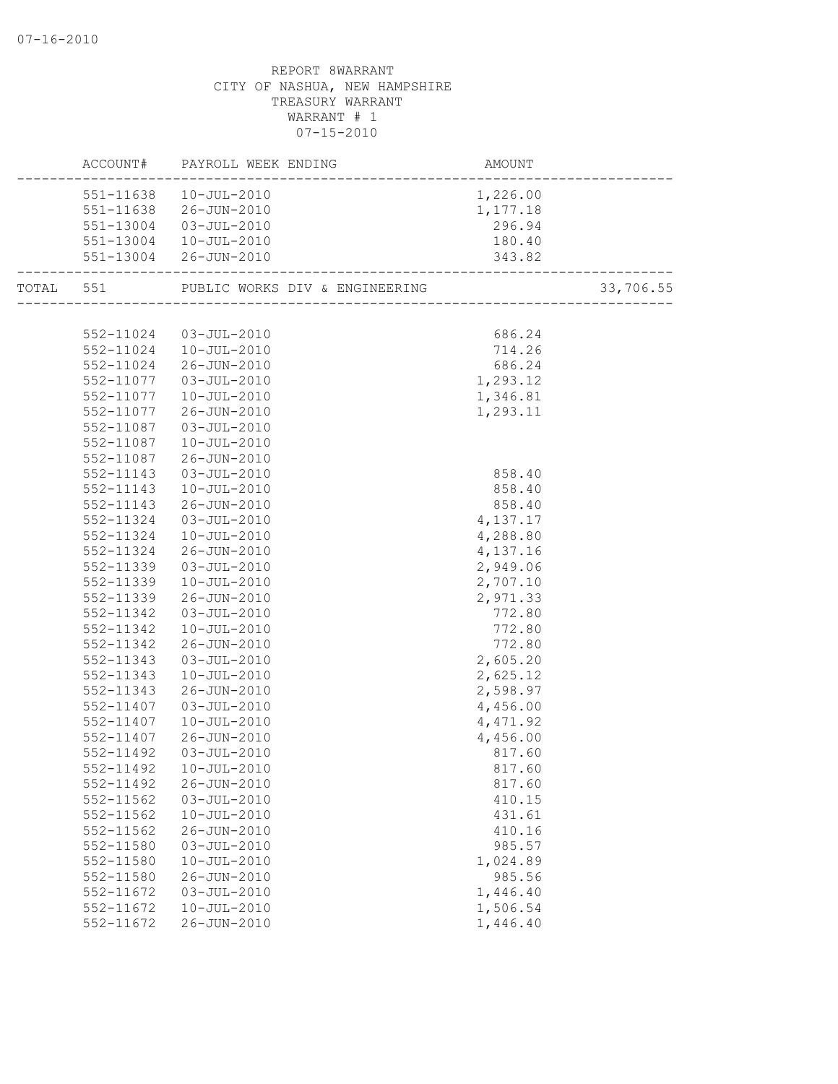|                        | ACCOUNT# PAYROLL WEEK ENDING | AMOUNT               |           |
|------------------------|------------------------------|----------------------|-----------|
| 551-11638              | $10 - JUL - 2010$            | 1,226.00             |           |
|                        | 551-11638 26-JUN-2010        | 1,177.18             |           |
|                        | 551-13004 03-JUL-2010        | 296.94               |           |
|                        | 551-13004  10-JUL-2010       | 180.40               |           |
|                        | 551-13004 26-JUN-2010        | 343.82               |           |
|                        |                              |                      | 33,706.55 |
|                        |                              |                      |           |
|                        | 552-11024 03-JUL-2010        | 686.24               |           |
|                        | 552-11024  10-JUL-2010       | 714.26               |           |
|                        | 552-11024 26-JUN-2010        | 686.24               |           |
|                        | 552-11077  03-JUL-2010       | 1,293.12             |           |
|                        | 552-11077  10-JUL-2010       | 1,346.81             |           |
| 552-11077              | 26-JUN-2010                  | 1,293.11             |           |
| 552-11087              | 03-JUL-2010                  |                      |           |
| 552-11087              | 10-JUL-2010                  |                      |           |
| 552-11087              | 26-JUN-2010                  |                      |           |
| 552-11143              | 03-JUL-2010                  | 858.40               |           |
| 552-11143              | 10-JUL-2010                  | 858.40               |           |
| 552-11143              | 26-JUN-2010                  | 858.40               |           |
| 552-11324              | 03-JUL-2010                  | 4,137.17             |           |
| 552-11324              | $10 - JUL - 2010$            | 4,288.80             |           |
| 552-11324              | 26-JUN-2010                  | 4,137.16<br>2,949.06 |           |
| 552-11339<br>552-11339 | 03-JUL-2010<br>10-JUL-2010   | 2,707.10             |           |
| 552-11339              | 26-JUN-2010                  | 2,971.33             |           |
| 552-11342              | 03-JUL-2010                  | 772.80               |           |
| 552-11342              | 10-JUL-2010                  | 772.80               |           |
| 552-11342              | 26-JUN-2010                  | 772.80               |           |
| 552-11343              | 03-JUL-2010                  | 2,605.20             |           |
| 552-11343              | 10-JUL-2010                  | 2,625.12             |           |
| 552-11343              | 26-JUN-2010                  | 2,598.97             |           |
| 552-11407              | 03-JUL-2010                  | 4,456.00             |           |
| 552-11407              | $10 - JUL - 2010$            | 4,471.92             |           |
| 552-11407              | 26-JUN-2010                  | 4,456.00             |           |
| 552-11492              | 03-JUL-2010                  | 817.60               |           |
|                        | 552-11492  10-JUL-2010       | 817.60               |           |
| 552-11492              | 26-JUN-2010                  | 817.60               |           |
| 552-11562              | $03 - JUL - 2010$            | 410.15               |           |
| 552-11562              | $10 - JUL - 2010$            | 431.61               |           |
| 552-11562              | $26 - JUN - 2010$            | 410.16               |           |
| 552-11580              | $03 - JUL - 2010$            | 985.57               |           |
| 552-11580              | $10 - JUL - 2010$            | 1,024.89             |           |
| 552-11580              | 26-JUN-2010                  | 985.56               |           |
| 552-11672              | $03 - JUL - 2010$            | 1,446.40             |           |
| 552-11672              | $10 - JUL - 2010$            | 1,506.54             |           |
| 552-11672              | 26-JUN-2010                  | 1,446.40             |           |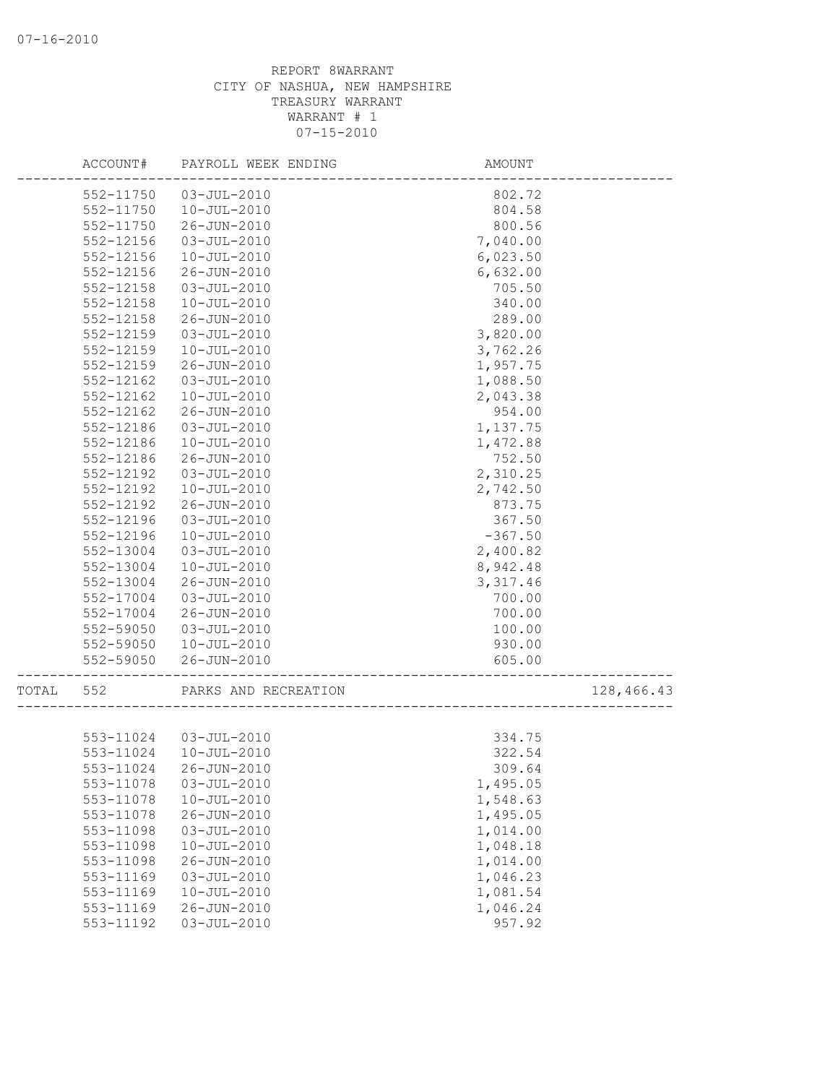|       | ACCOUNT#  | PAYROLL WEEK ENDING   | AMOUNT    |            |
|-------|-----------|-----------------------|-----------|------------|
|       | 552-11750 | $03 - JUL - 2010$     | 802.72    |            |
|       | 552-11750 | $10 - JUL - 2010$     | 804.58    |            |
|       | 552-11750 | 26-JUN-2010           | 800.56    |            |
|       | 552-12156 | $03 - JUL - 2010$     | 7,040.00  |            |
|       | 552-12156 | $10 - JUL - 2010$     | 6,023.50  |            |
|       | 552-12156 | 26-JUN-2010           | 6,632.00  |            |
|       | 552-12158 | $03 - JUL - 2010$     | 705.50    |            |
|       | 552-12158 | $10 - JUL - 2010$     | 340.00    |            |
|       | 552-12158 | 26-JUN-2010           | 289.00    |            |
|       | 552-12159 | $03 - JUL - 2010$     | 3,820.00  |            |
|       | 552-12159 | $10 - JUL - 2010$     | 3,762.26  |            |
|       | 552-12159 | 26-JUN-2010           | 1,957.75  |            |
|       | 552-12162 | $03 - JUL - 2010$     | 1,088.50  |            |
|       | 552-12162 | $10 - JUL - 2010$     | 2,043.38  |            |
|       | 552-12162 | 26-JUN-2010           | 954.00    |            |
|       | 552-12186 | $03 - JUL - 2010$     | 1,137.75  |            |
|       | 552-12186 | $10 - JUL - 2010$     | 1,472.88  |            |
|       | 552-12186 | 26-JUN-2010           | 752.50    |            |
|       | 552-12192 | $03 - JUL - 2010$     | 2,310.25  |            |
|       | 552-12192 | $10 - JUL - 2010$     | 2,742.50  |            |
|       | 552-12192 | 26-JUN-2010           | 873.75    |            |
|       | 552-12196 | 03-JUL-2010           | 367.50    |            |
|       | 552-12196 | $10 - JUL - 2010$     | $-367.50$ |            |
|       | 552-13004 | $03 - JUL - 2010$     | 2,400.82  |            |
|       | 552-13004 | $10 - JUL - 2010$     | 8,942.48  |            |
|       | 552-13004 | 26-JUN-2010           | 3,317.46  |            |
|       | 552-17004 | $03 - JUL - 2010$     | 700.00    |            |
|       | 552-17004 | 26-JUN-2010           | 700.00    |            |
|       | 552-59050 | $03 - JUL - 2010$     | 100.00    |            |
|       | 552-59050 | $10 - JUL - 2010$     | 930.00    |            |
|       | 552-59050 | $26 - JUN - 2010$     | 605.00    |            |
| TOTAL | 552       | PARKS AND RECREATION  |           | 128,466.43 |
|       |           |                       |           |            |
|       |           | 553-11024 03-JUL-2010 | 334.75    |            |
|       | 553-11024 | $10 - JUL - 2010$     | 322.54    |            |
|       | 553-11024 | 26-JUN-2010           | 309.64    |            |
|       | 553-11078 | $03 - JUL - 2010$     | 1,495.05  |            |
|       | 553-11078 | $10 - JUL - 2010$     | 1,548.63  |            |
|       | 553-11078 | 26-JUN-2010           | 1,495.05  |            |
|       | 553-11098 | $03 - JUL - 2010$     | 1,014.00  |            |
|       | 553-11098 | $10 - JUL - 2010$     | 1,048.18  |            |
|       | 553-11098 | 26-JUN-2010           | 1,014.00  |            |
|       | 553-11169 | $03 - JUL - 2010$     | 1,046.23  |            |
|       | 553-11169 | $10 - JUL - 2010$     | 1,081.54  |            |
|       | 553-11169 | 26-JUN-2010           | 1,046.24  |            |
|       | 553-11192 | $03 - JUL - 2010$     | 957.92    |            |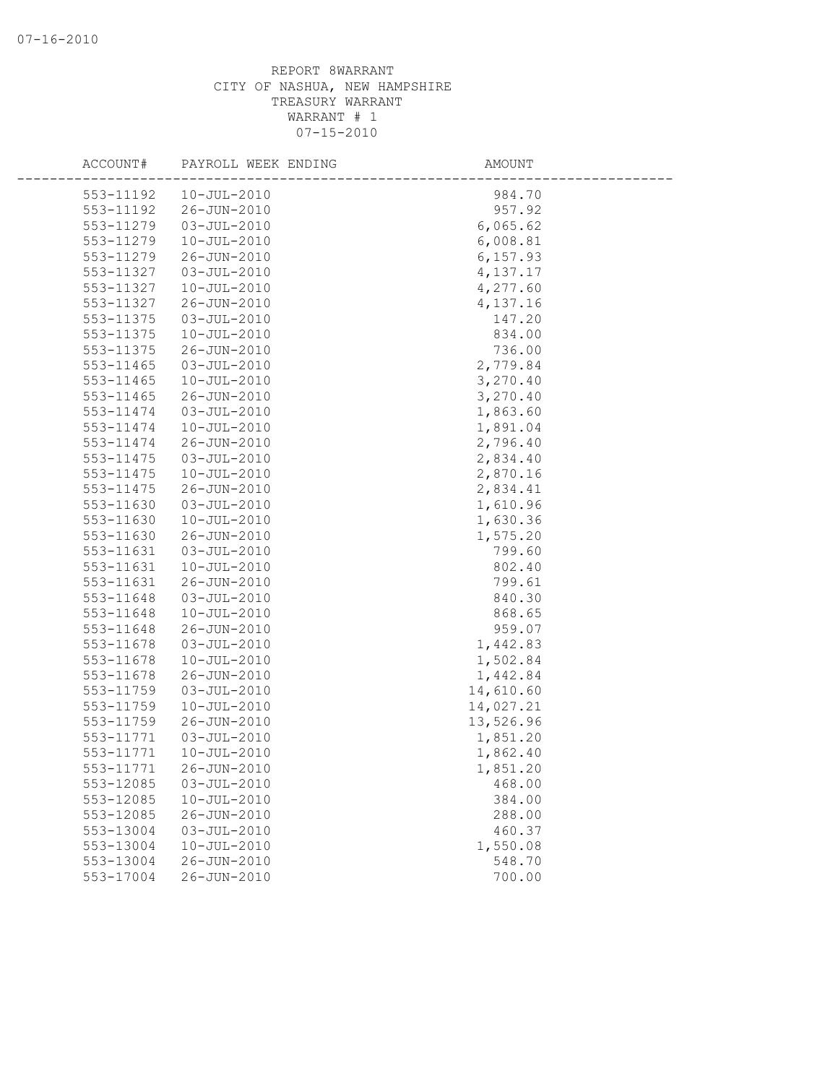| ACCOUNT#               | PAYROLL WEEK ENDING                    | AMOUNT               |
|------------------------|----------------------------------------|----------------------|
| 553-11192              | $10 - JUL - 2010$                      | 984.70               |
| 553-11192              | 26-JUN-2010                            | 957.92               |
| 553-11279              | $03 - JUL - 2010$                      | 6,065.62             |
| 553-11279              | $10 - JUL - 2010$                      | 6,008.81             |
| 553-11279              | 26-JUN-2010                            | 6, 157.93            |
| 553-11327              | $03 - JUL - 2010$                      | 4,137.17             |
| 553-11327              | $10 - JUL - 2010$                      | 4,277.60             |
| 553-11327              | 26-JUN-2010                            | 4,137.16             |
| 553-11375              | $03 - JUL - 2010$                      | 147.20               |
| 553-11375              | $10 - JUL - 2010$                      | 834.00               |
| 553-11375              | 26-JUN-2010                            | 736.00               |
| 553-11465              | $03 - JUL - 2010$                      | 2,779.84             |
| 553-11465              | $10 - JUL - 2010$                      | 3,270.40             |
| 553-11465              | 26-JUN-2010                            | 3,270.40             |
| 553-11474              | $03 - JUL - 2010$                      | 1,863.60             |
| 553-11474              | $10 - JUL - 2010$                      | 1,891.04             |
| 553-11474              | 26-JUN-2010                            | 2,796.40             |
| 553-11475              | $03 - JUL - 2010$                      | 2,834.40             |
| 553-11475              | $10 - JUL - 2010$                      | 2,870.16             |
| 553-11475              | 26-JUN-2010                            | 2,834.41             |
| 553-11630              | $03 - JUL - 2010$                      | 1,610.96             |
| 553-11630              | $10 - JUL - 2010$                      | 1,630.36             |
| 553-11630              | 26-JUN-2010                            | 1,575.20             |
| 553-11631              | $03 - JUL - 2010$                      | 799.60               |
| 553-11631              | $10 - JUL - 2010$                      | 802.40               |
| 553-11631              | $26 - JUN - 2010$                      | 799.61               |
| 553-11648              | $03 - JUL - 2010$                      | 840.30               |
| 553-11648              | $10 - JUL - 2010$                      | 868.65               |
| 553-11648              | 26-JUN-2010                            | 959.07               |
| 553-11678              | $03 - JUL - 2010$                      | 1,442.83             |
| 553-11678              | $10 - JUL - 2010$                      | 1,502.84             |
| 553-11678              | 26-JUN-2010                            | 1,442.84             |
| 553-11759              | $03 - JUL - 2010$                      | 14,610.60            |
| 553-11759              | $10 - JUL - 2010$                      | 14,027.21            |
| 553-11759              | $26 - JUN - 2010$                      | 13,526.96            |
| 553-11771<br>553-11771 | $03 - JUL - 2010$<br>$10 - JUL - 2010$ | 1,851.20<br>1,862.40 |
| 553-11771              | 26-JUN-2010                            | 1,851.20             |
|                        |                                        | 468.00               |
| 553-12085<br>553-12085 | $03 - JUL - 2010$<br>$10 - JUL - 2010$ | 384.00               |
| 553-12085              | 26-JUN-2010                            |                      |
| 553-13004              | $03 - JUL - 2010$                      | 288.00<br>460.37     |
| 553-13004              | $10 - JUL - 2010$                      | 1,550.08             |
| 553-13004              | 26-JUN-2010                            | 548.70               |
| 553-17004              | 26-JUN-2010                            | 700.00               |
|                        |                                        |                      |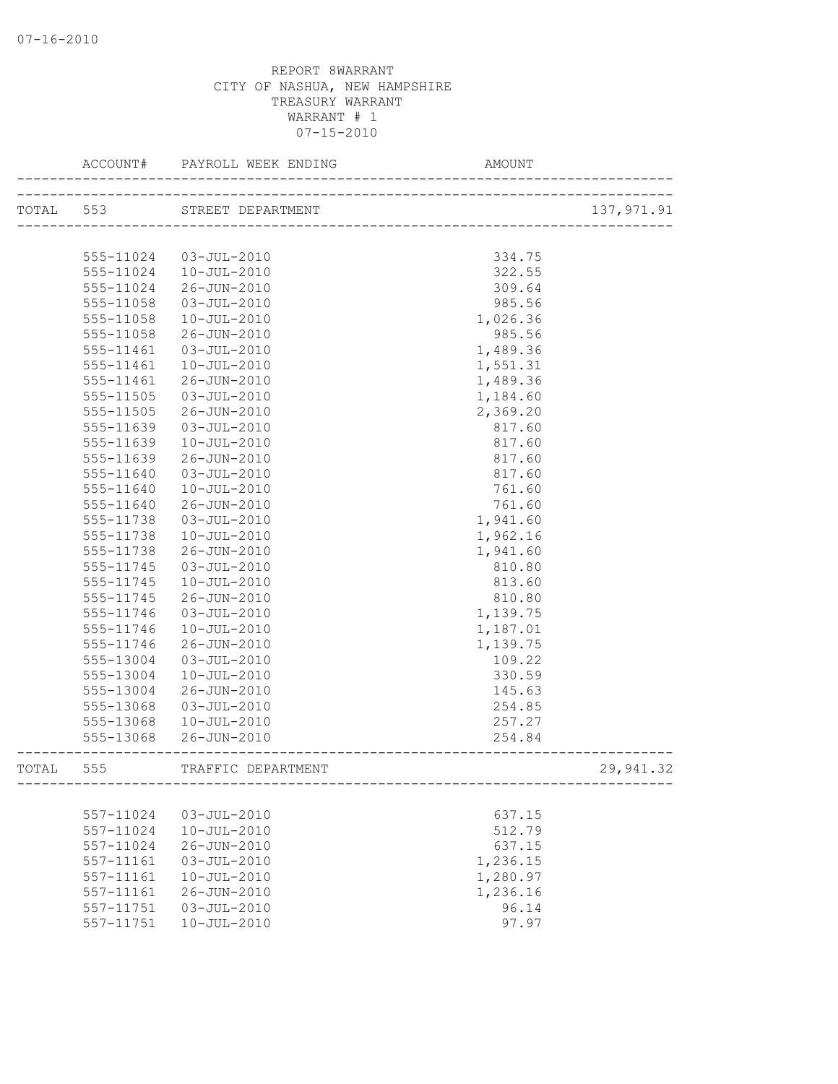|           | ACCOUNT#  |                    |          |            |
|-----------|-----------|--------------------|----------|------------|
|           | TOTAL 553 | STREET DEPARTMENT  |          | 137,971.91 |
|           |           |                    |          |            |
|           | 555-11024 | 03-JUL-2010        | 334.75   |            |
|           | 555-11024 | 10-JUL-2010        | 322.55   |            |
|           | 555-11024 | 26-JUN-2010        | 309.64   |            |
|           | 555-11058 | 03-JUL-2010        | 985.56   |            |
|           | 555-11058 | 10-JUL-2010        | 1,026.36 |            |
|           | 555-11058 | 26-JUN-2010        | 985.56   |            |
|           | 555-11461 | $03 - JUL - 2010$  | 1,489.36 |            |
|           | 555-11461 | $10 - JUL - 2010$  | 1,551.31 |            |
|           | 555-11461 | 26-JUN-2010        | 1,489.36 |            |
|           | 555-11505 | 03-JUL-2010        | 1,184.60 |            |
|           | 555-11505 | 26-JUN-2010        | 2,369.20 |            |
|           | 555-11639 | $03 - JUL - 2010$  | 817.60   |            |
|           | 555-11639 | 10-JUL-2010        | 817.60   |            |
|           | 555-11639 | 26-JUN-2010        | 817.60   |            |
|           | 555-11640 | 03-JUL-2010        | 817.60   |            |
|           | 555-11640 | 10-JUL-2010        | 761.60   |            |
|           | 555-11640 | 26-JUN-2010        | 761.60   |            |
|           | 555-11738 | $03 - JUL - 2010$  | 1,941.60 |            |
|           | 555-11738 | $10 - JUL - 2010$  | 1,962.16 |            |
|           | 555-11738 | 26-JUN-2010        | 1,941.60 |            |
|           | 555-11745 | $03 - JUL - 2010$  | 810.80   |            |
|           | 555-11745 | $10 - JUL - 2010$  | 813.60   |            |
|           | 555-11745 | 26-JUN-2010        | 810.80   |            |
|           | 555-11746 | $03 - JUL - 2010$  | 1,139.75 |            |
|           | 555-11746 | $10 - JUL - 2010$  | 1,187.01 |            |
|           | 555-11746 | 26-JUN-2010        | 1,139.75 |            |
|           | 555-13004 | 03-JUL-2010        | 109.22   |            |
|           | 555-13004 | $10 - JUL - 2010$  | 330.59   |            |
|           | 555-13004 | 26-JUN-2010        | 145.63   |            |
|           | 555-13068 | $03 - JUL - 2010$  | 254.85   |            |
|           | 555-13068 | 10-JUL-2010        | 257.27   |            |
|           | 555-13068 | 26-JUN-2010        | 254.84   |            |
| TOTAL 555 |           | TRAFFIC DEPARTMENT |          | 29,941.32  |
|           |           |                    |          |            |
|           | 557-11024 | $03 - JUL - 2010$  | 637.15   |            |
|           | 557-11024 | $10 - JUL - 2010$  | 512.79   |            |
|           | 557-11024 | 26-JUN-2010        | 637.15   |            |
|           | 557-11161 | $03 - JUL - 2010$  | 1,236.15 |            |
|           | 557-11161 | $10 - JUL - 2010$  | 1,280.97 |            |
|           | 557-11161 | 26-JUN-2010        | 1,236.16 |            |
|           | 557-11751 | $03 - JUL - 2010$  | 96.14    |            |
|           | 557-11751 | $10 - JUL - 2010$  | 97.97    |            |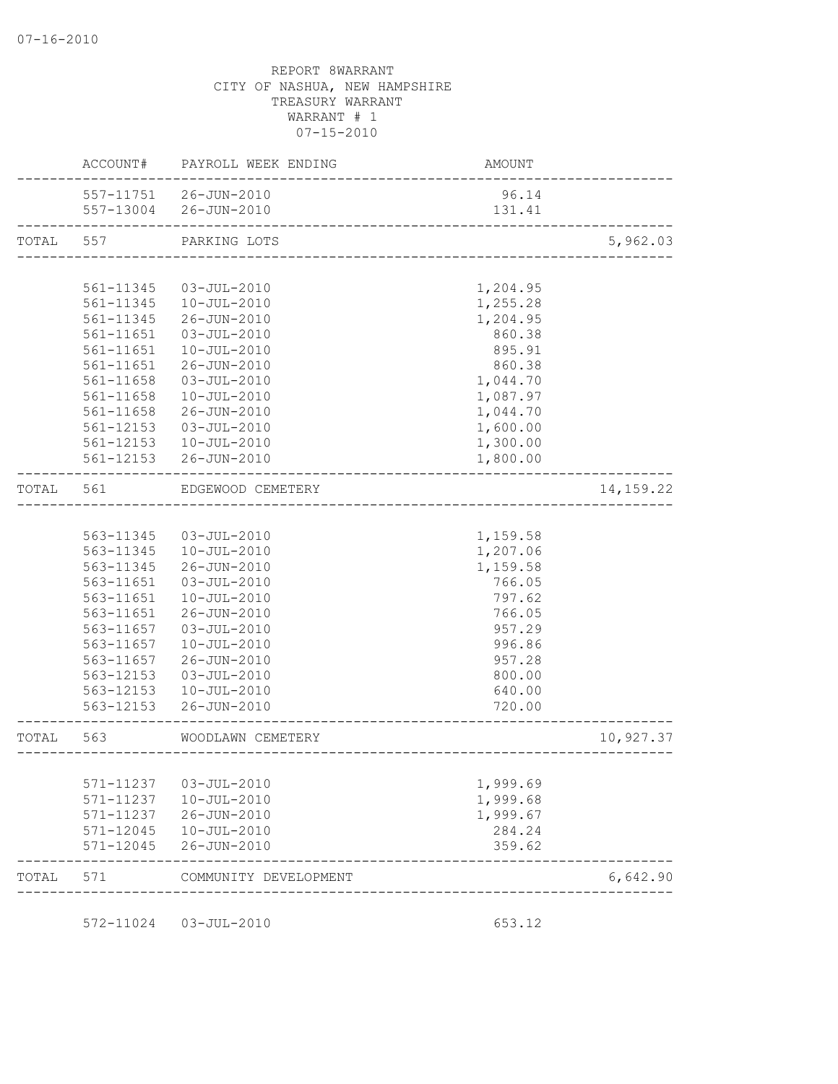|             | AMOUNT                       | PAYROLL WEEK ENDING                            | ACCOUNT#               |           |
|-------------|------------------------------|------------------------------------------------|------------------------|-----------|
|             | 96.14<br>131.41              | 557-11751 26-JUN-2010<br>557-13004 26-JUN-2010 |                        |           |
| 5,962.03    |                              | PARKING LOTS                                   |                        | TOTAL 557 |
|             |                              |                                                |                        |           |
|             | 1,204.95                     | 03-JUL-2010                                    | 561-11345              |           |
|             | 1,255.28                     | 10-JUL-2010                                    | 561-11345              |           |
|             | 1,204.95                     | 26-JUN-2010                                    | 561-11345              |           |
|             | 860.38                       | 03-JUL-2010                                    | 561-11651              |           |
|             | 895.91                       | 10-JUL-2010                                    | 561-11651              |           |
|             | 860.38                       | 26-JUN-2010                                    | 561-11651              |           |
|             | 1,044.70                     | 03-JUL-2010                                    | 561-11658              |           |
|             | 1,087.97                     | 10-JUL-2010                                    | 561-11658              |           |
|             | 1,044.70                     | 26-JUN-2010                                    | 561-11658              |           |
|             | 1,600.00                     | 03-JUL-2010                                    | 561-12153              |           |
|             | 1,300.00                     | 10-JUL-2010                                    | 561-12153              |           |
|             | 1,800.00                     | 26-JUN-2010                                    | 561-12153              |           |
| 14, 159. 22 | ____________________________ | EDGEWOOD CEMETERY                              | 561                    | TOTAL     |
|             |                              |                                                |                        |           |
|             | 1,159.58                     | 03-JUL-2010                                    | 563-11345              |           |
|             | 1,207.06                     | $10 - JUL - 2010$                              | 563-11345              |           |
|             | 1,159.58                     | 26-JUN-2010                                    | 563-11345              |           |
|             | 766.05                       | 03-JUL-2010                                    | 563-11651              |           |
|             | 797.62                       | 10-JUL-2010                                    | 563-11651              |           |
|             | 766.05                       | 26-JUN-2010                                    | 563-11651              |           |
|             | 957.29                       | 03-JUL-2010                                    | 563-11657              |           |
|             | 996.86                       | 10-JUL-2010                                    | 563-11657              |           |
|             | 957.28                       | 26-JUN-2010                                    | 563-11657              |           |
|             | 800.00                       | 03-JUL-2010                                    | 563-12153              |           |
|             | 640.00                       | 10-JUL-2010                                    | 563-12153              |           |
|             | 720.00                       | 26-JUN-2010                                    | 563-12153              |           |
| 10,927.37   | ____________________         | WOODLAWN CEMETERY                              | 563                    | TOTAL     |
|             |                              |                                                |                        |           |
|             | 1,999.69                     | 03-JUL-2010                                    | 571-11237              |           |
|             | 1,999.68                     | 10-JUL-2010                                    | 571-11237              |           |
|             | 1,999.67                     | 26-JUN-2010                                    | 571-11237              |           |
|             | 284.24<br>359.62             | 10-JUL-2010<br>26-JUN-2010                     | 571-12045<br>571-12045 |           |
| 6,642.90    |                              | COMMUNITY DEVELOPMENT                          | 571                    | TOTAL     |

572-11024 03-JUL-2010 653.12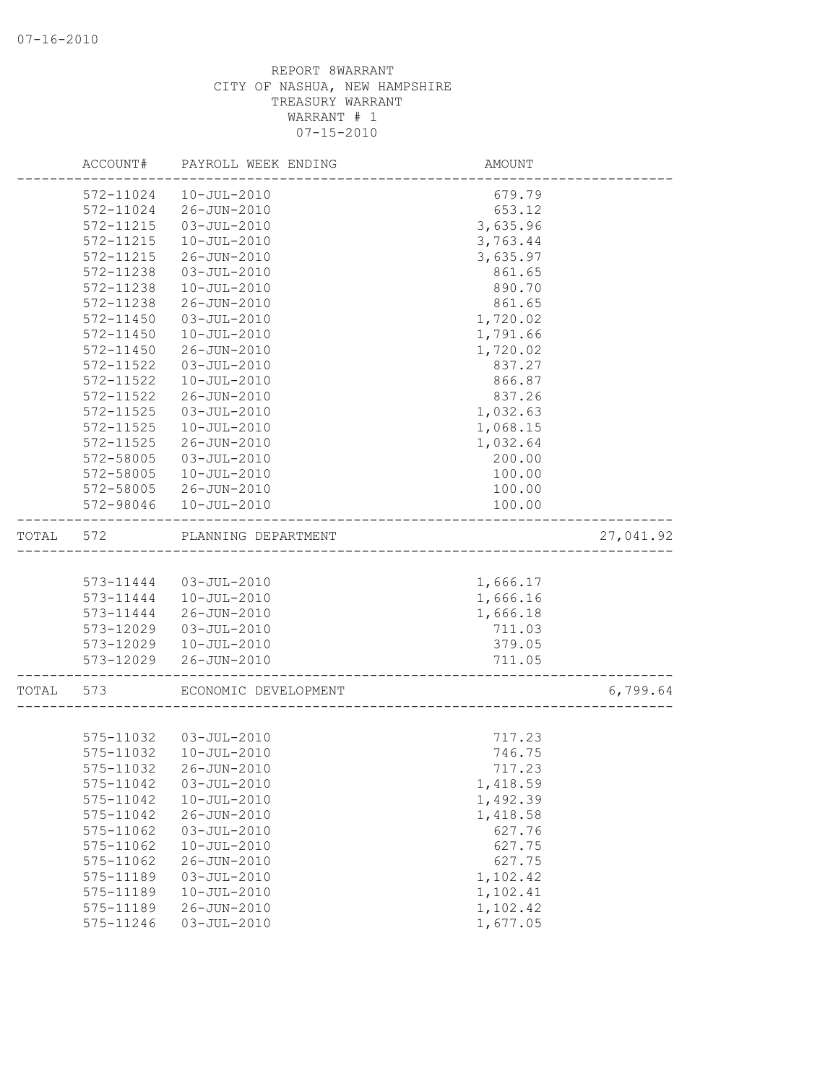|       | ACCOUNT#               | PAYROLL WEEK ENDING              | AMOUNT               |           |
|-------|------------------------|----------------------------------|----------------------|-----------|
|       | 572-11024              | $10 - JUL - 2010$                | 679.79               |           |
|       | 572-11024              | 26-JUN-2010                      | 653.12               |           |
|       | 572-11215              | $03 - JUL - 2010$                | 3,635.96             |           |
|       | 572-11215              | $10 - JUL - 2010$                | 3,763.44             |           |
|       | 572-11215              | 26-JUN-2010                      | 3,635.97             |           |
|       | 572-11238              | $03 - JUL - 2010$                | 861.65               |           |
|       | 572-11238              | $10 - JUL - 2010$                | 890.70               |           |
|       | 572-11238              | 26-JUN-2010                      | 861.65               |           |
|       | 572-11450              | $03 - JUL - 2010$                | 1,720.02             |           |
|       | 572-11450              | $10 - JUL - 2010$                | 1,791.66             |           |
|       | 572-11450              | 26-JUN-2010                      | 1,720.02             |           |
|       | 572-11522              | $03 - JUL - 2010$                | 837.27               |           |
|       | 572-11522              | $10 - JUL - 2010$                | 866.87               |           |
|       | 572-11522              | 26-JUN-2010                      | 837.26               |           |
|       | 572-11525              | $03 - JUL - 2010$                | 1,032.63             |           |
|       | 572-11525              | $10 - JUL - 2010$                | 1,068.15             |           |
|       | 572-11525              | 26-JUN-2010                      | 1,032.64             |           |
|       | 572-58005              | $03 - JUL - 2010$                | 200.00               |           |
|       | 572-58005              | $10 - JUL - 2010$                | 100.00               |           |
|       | 572-58005<br>572-98046 | 26-JUN-2010                      | 100.00               |           |
|       |                        | $10 - JUL - 2010$                | 100.00               |           |
| TOTAL | 572                    | PLANNING DEPARTMENT              |                      | 27,041.92 |
|       |                        |                                  |                      |           |
|       | 573-11444              | 03-JUL-2010                      | 1,666.17             |           |
|       | 573-11444              | 10-JUL-2010                      | 1,666.16             |           |
|       | 573-11444              | 26-JUN-2010                      | 1,666.18             |           |
|       | 573-12029              | 03-JUL-2010                      | 711.03               |           |
|       | 573-12029              | 10-JUL-2010                      | 379.05               |           |
|       | 573-12029              | 26-JUN-2010                      | 711.05               |           |
| TOTAL | 573                    | ECONOMIC DEVELOPMENT             |                      | 6,799.64  |
|       |                        |                                  |                      |           |
|       |                        | 575-11032  03-JUL-2010           | 717.23               |           |
|       | 575-11032              | $10 - JUL - 2010$                | 746.75               |           |
|       | 575-11032              | 26-JUN-2010                      | 717.23               |           |
|       | 575-11042              | $03 - JUL - 2010$                | 1,418.59             |           |
|       | 575-11042              | $10 - JUL - 2010$                | 1,492.39             |           |
|       | 575-11042              | 26-JUN-2010                      | 1,418.58             |           |
|       |                        | $03 - JUL - 2010$                | 627.76               |           |
|       | 575-11062              |                                  |                      |           |
|       | 575-11062              | $10 - JUL - 2010$                | 627.75               |           |
|       | 575-11062              | 26-JUN-2010                      | 627.75               |           |
|       | 575-11189              | $03 - JUL - 2010$                | 1,102.42             |           |
|       | 575-11189              | $10 - JUL - 2010$                | 1,102.41             |           |
|       | 575-11189<br>575-11246 | 26-JUN-2010<br>$03 - JUL - 2010$ | 1,102.42<br>1,677.05 |           |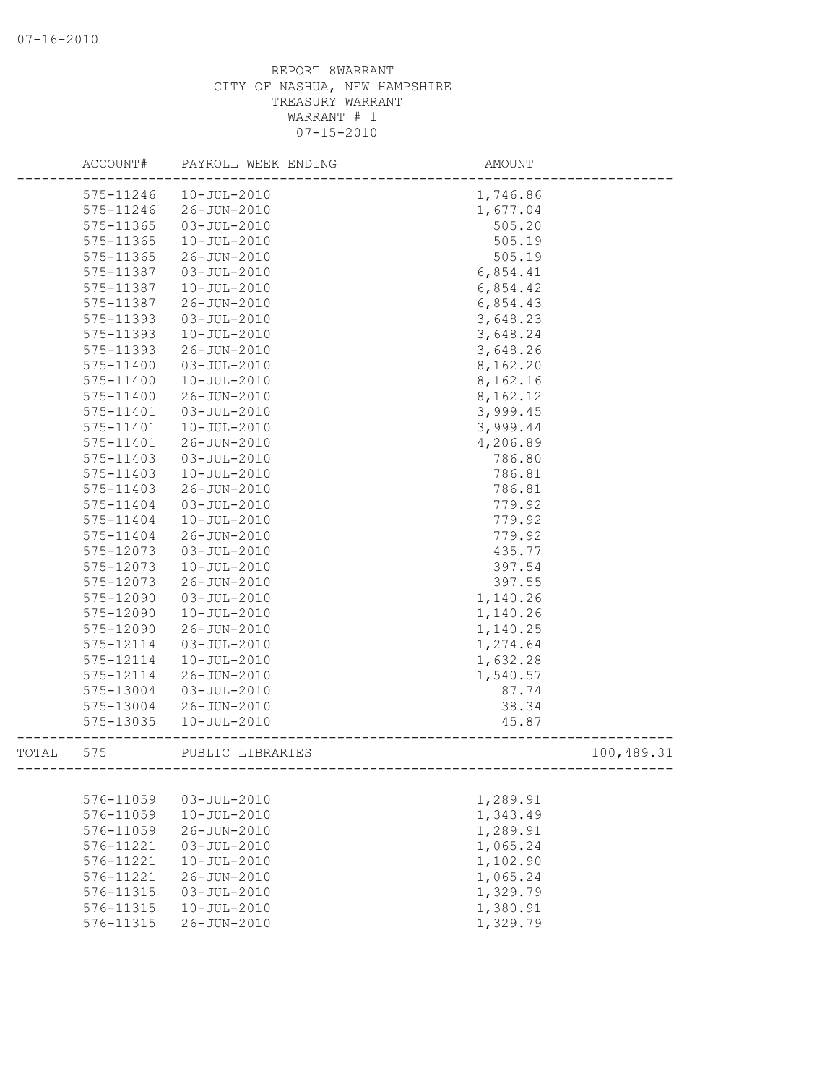|       | ACCOUNT#  | PAYROLL WEEK ENDING | AMOUNT                     |            |
|-------|-----------|---------------------|----------------------------|------------|
|       | 575-11246 | $10 - JUL - 2010$   | 1,746.86                   |            |
|       | 575-11246 | 26-JUN-2010         | 1,677.04                   |            |
|       | 575-11365 | $03 - JUL - 2010$   | 505.20                     |            |
|       | 575-11365 | $10 - JUL - 2010$   | 505.19                     |            |
|       | 575-11365 | 26-JUN-2010         | 505.19                     |            |
|       | 575-11387 | $03 - JUL - 2010$   | 6,854.41                   |            |
|       | 575-11387 | $10 - JUL - 2010$   | 6,854.42                   |            |
|       | 575-11387 | 26-JUN-2010         | 6,854.43                   |            |
|       | 575-11393 | $03 - JUL - 2010$   | 3,648.23                   |            |
|       | 575-11393 | $10 - JUL - 2010$   | 3,648.24                   |            |
|       | 575-11393 | 26-JUN-2010         | 3,648.26                   |            |
|       | 575-11400 | $03 - JUL - 2010$   | 8,162.20                   |            |
|       | 575-11400 | $10 - JUL - 2010$   | 8,162.16                   |            |
|       | 575-11400 | 26-JUN-2010         | 8,162.12                   |            |
|       | 575-11401 | $03 - JUL - 2010$   | 3,999.45                   |            |
|       | 575-11401 | $10 - JUL - 2010$   | 3,999.44                   |            |
|       | 575-11401 | 26-JUN-2010         | 4,206.89                   |            |
|       | 575-11403 | $03 - JUL - 2010$   | 786.80                     |            |
|       | 575-11403 | $10 - JUL - 2010$   | 786.81                     |            |
|       | 575-11403 | 26-JUN-2010         | 786.81                     |            |
|       | 575-11404 | $03 - JUL - 2010$   | 779.92                     |            |
|       | 575-11404 | $10 - JUL - 2010$   | 779.92                     |            |
|       | 575-11404 | 26-JUN-2010         | 779.92                     |            |
|       | 575-12073 | $03 - JUL - 2010$   | 435.77                     |            |
|       | 575-12073 | $10 - JUL - 2010$   | 397.54                     |            |
|       | 575-12073 | 26-JUN-2010         | 397.55                     |            |
|       | 575-12090 | $03 - JUL - 2010$   | 1,140.26                   |            |
|       | 575-12090 | $10 - JUL - 2010$   | 1,140.26                   |            |
|       | 575-12090 | $26 - JUN - 2010$   | 1,140.25                   |            |
|       | 575-12114 | $03 - JUL - 2010$   | 1,274.64                   |            |
|       | 575-12114 | $10 - JUL - 2010$   | 1,632.28                   |            |
|       | 575-12114 | $26 - JUN - 2010$   | 1,540.57                   |            |
|       | 575-13004 | $03 - JUL - 2010$   | 87.74                      |            |
|       | 575-13004 | 26-JUN-2010         | 38.34                      |            |
|       | 575-13035 | $10 - JUL - 2010$   | 45.87                      |            |
| TOTAL | 575       | PUBLIC LIBRARIES    | -------------------------- | 100,489.31 |
|       |           |                     |                            |            |
|       | 576-11059 | $03 - JUL - 2010$   | 1,289.91                   |            |
|       | 576-11059 | $10 - JUL - 2010$   | 1,343.49                   |            |
|       | 576-11059 | 26-JUN-2010         | 1,289.91                   |            |
|       | 576-11221 | $03 - JUL - 2010$   | 1,065.24                   |            |
|       | 576-11221 | $10 - JUL - 2010$   | 1,102.90                   |            |
|       | 576-11221 | 26-JUN-2010         | 1,065.24                   |            |
|       | 576-11315 | $03 - JUL - 2010$   | 1,329.79                   |            |
|       | 576-11315 | $10 - JUL - 2010$   | 1,380.91                   |            |
|       | 576-11315 | 26-JUN-2010         | 1,329.79                   |            |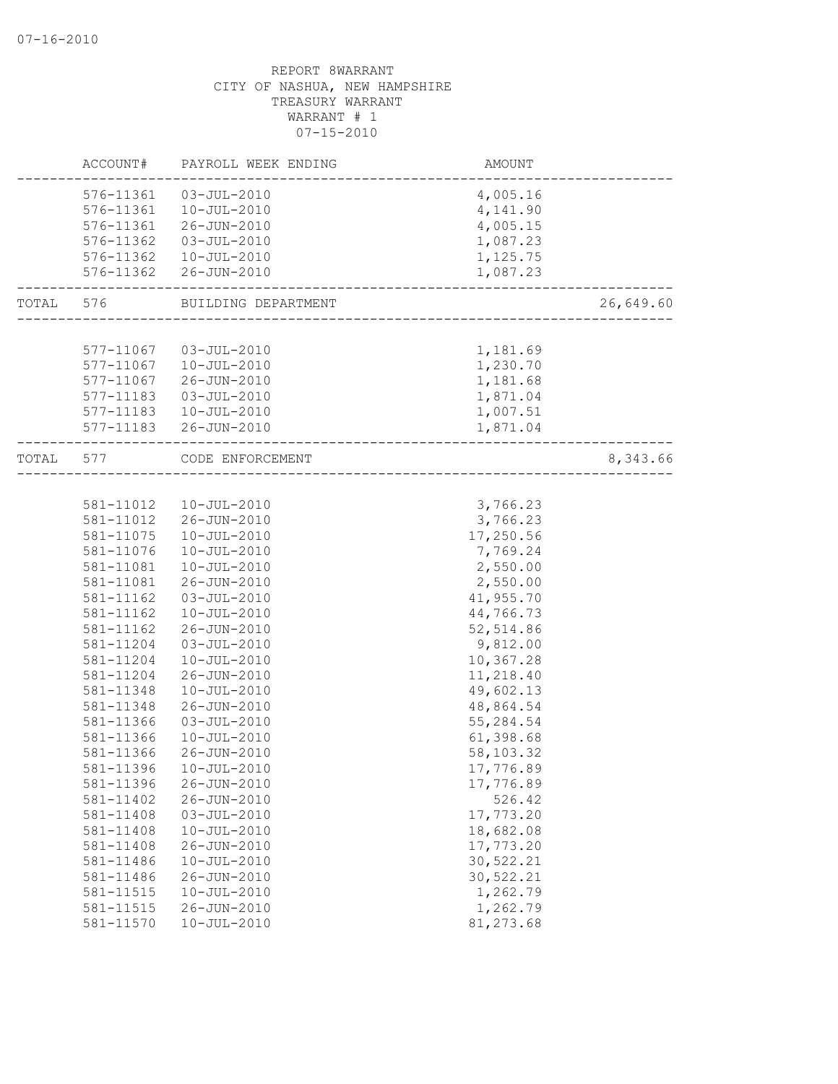|       | ACCOUNT#  | PAYROLL WEEK ENDING    | AMOUNT                          |           |
|-------|-----------|------------------------|---------------------------------|-----------|
|       | 576-11361 | 03-JUL-2010            | 4,005.16                        |           |
|       | 576-11361 | 10-JUL-2010            | 4,141.90                        |           |
|       | 576-11361 | 26-JUN-2010            | 4,005.15                        |           |
|       | 576-11362 | 03-JUL-2010            | 1,087.23                        |           |
|       |           | 576-11362  10-JUL-2010 | 1,125.75                        |           |
|       |           | 576-11362 26-JUN-2010  | 1,087.23                        |           |
| TOTAL | 576       | BUILDING DEPARTMENT    | __________________________      | 26,649.60 |
|       |           |                        |                                 |           |
|       | 577-11067 | 03-JUL-2010            | 1,181.69                        |           |
|       | 577-11067 | 10-JUL-2010            | 1,230.70                        |           |
|       | 577-11067 | 26-JUN-2010            | 1,181.68                        |           |
|       | 577-11183 | 03-JUL-2010            | 1,871.04                        |           |
|       | 577-11183 | 10-JUL-2010            | 1,007.51                        |           |
|       |           | 577-11183 26-JUN-2010  | 1,871.04                        |           |
| TOTAL | 577       | CODE ENFORCEMENT       | _______________________________ | 8,343.66  |
|       |           |                        |                                 |           |
|       | 581-11012 | 10-JUL-2010            | 3,766.23                        |           |
|       | 581-11012 | 26-JUN-2010            | 3,766.23                        |           |
|       | 581-11075 | $10 - JUL - 2010$      | 17,250.56                       |           |
|       | 581-11076 | $10 - JUL - 2010$      | 7,769.24                        |           |
|       | 581-11081 | $10 - JUL - 2010$      | 2,550.00                        |           |
|       | 581-11081 | 26-JUN-2010            | 2,550.00                        |           |
|       | 581-11162 | $03 - JUL - 2010$      | 41,955.70                       |           |
|       | 581-11162 | $10 - JUL - 2010$      | 44,766.73                       |           |
|       | 581-11162 | 26-JUN-2010            | 52, 514.86                      |           |
|       | 581-11204 | $03 - JUL - 2010$      | 9,812.00                        |           |
|       | 581-11204 | $10 - JUL - 2010$      | 10,367.28                       |           |
|       | 581-11204 | 26-JUN-2010            | 11,218.40                       |           |
|       | 581-11348 | $10 - JUL - 2010$      | 49,602.13                       |           |
|       | 581-11348 | 26-JUN-2010            | 48,864.54                       |           |
|       | 581-11366 | $03 - JUL - 2010$      | 55,284.54                       |           |
|       | 581-11366 | $10 - JUL - 2010$      | 61,398.68                       |           |
|       | 581-11366 | 26-JUN-2010            | 58,103.32                       |           |
|       | 581-11396 | $10 - JUL - 2010$      | 17,776.89                       |           |
|       | 581-11396 | 26-JUN-2010            | 17,776.89                       |           |
|       | 581-11402 | $26 - JUN - 2010$      | 526.42                          |           |
|       | 581-11408 | $03 - JUL - 2010$      | 17,773.20                       |           |
|       | 581-11408 | $10 - JUL - 2010$      | 18,682.08                       |           |
|       | 581-11408 | 26-JUN-2010            | 17,773.20                       |           |
|       | 581-11486 | $10 - JUL - 2010$      | 30,522.21                       |           |
|       | 581-11486 | 26-JUN-2010            | 30,522.21                       |           |
|       | 581-11515 | $10 - JUL - 2010$      | 1,262.79                        |           |
|       | 581-11515 | 26-JUN-2010            | 1,262.79                        |           |
|       | 581-11570 | $10 - JUL - 2010$      | 81, 273.68                      |           |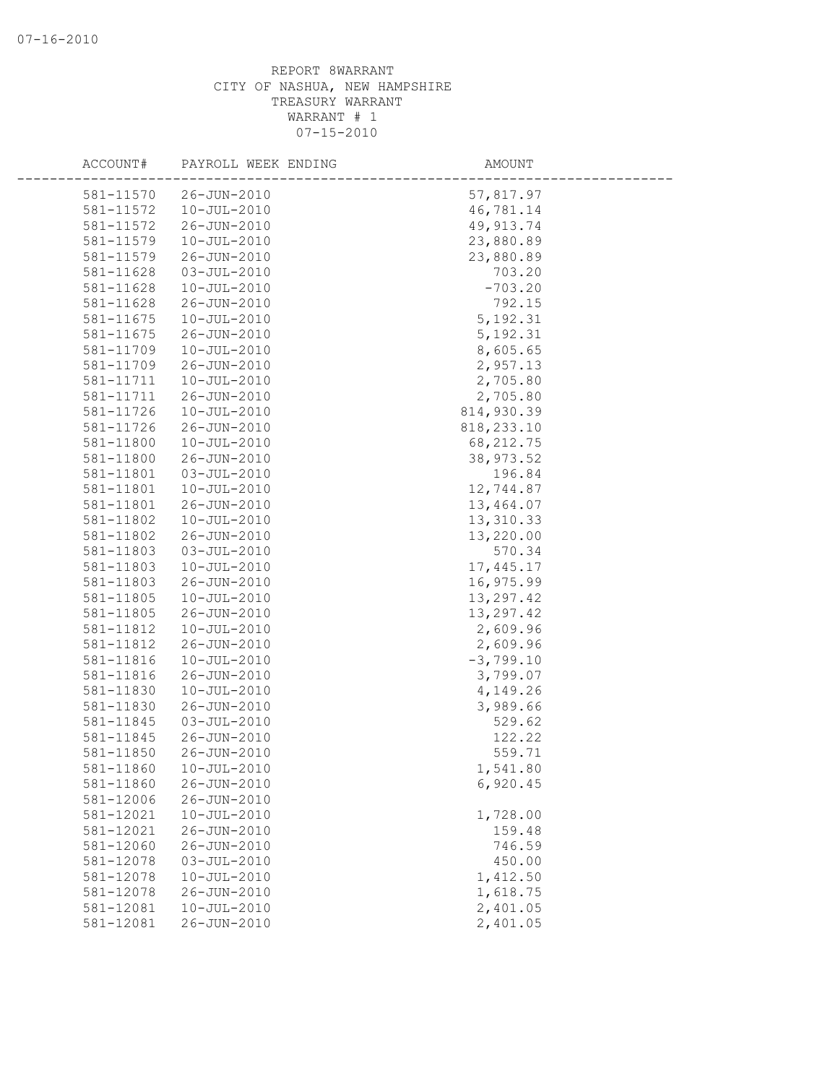| ACCOUNT#               | PAYROLL WEEK ENDING              | AMOUNT                  |
|------------------------|----------------------------------|-------------------------|
|                        |                                  |                         |
| 581-11570              | 26-JUN-2010<br>$10 - JUL - 2010$ | 57,817.97               |
| 581-11572              |                                  | 46,781.14<br>49, 913.74 |
| 581-11572              | 26-JUN-2010                      |                         |
| 581-11579              | $10 - JUL - 2010$                | 23,880.89               |
| 581-11579              | 26-JUN-2010                      | 23,880.89               |
| 581-11628              | $03 - JUL - 2010$                | 703.20                  |
| 581-11628              | $10 - JUL - 2010$                | $-703.20$               |
| 581-11628<br>581-11675 | 26-JUN-2010                      | 792.15                  |
| 581-11675              | $10 - JUL - 2010$<br>26-JUN-2010 | 5, 192.31               |
| 581-11709              | $10 - JUL - 2010$                | 5, 192.31<br>8,605.65   |
|                        |                                  | 2,957.13                |
| 581-11709              | 26-JUN-2010                      |                         |
| 581-11711<br>581-11711 | $10 - JUL - 2010$<br>26-JUN-2010 | 2,705.80<br>2,705.80    |
| 581-11726              | $10 - JUL - 2010$                | 814,930.39              |
| 581-11726              | 26-JUN-2010                      | 818, 233.10             |
| 581-11800              | $10 - JUL - 2010$                | 68, 212.75              |
| 581-11800              | 26-JUN-2010                      | 38,973.52               |
| 581-11801              | $03 - JUL - 2010$                | 196.84                  |
| 581-11801              | $10 - JUL - 2010$                | 12,744.87               |
| 581-11801              | 26-JUN-2010                      | 13,464.07               |
| 581-11802              | $10 - JUL - 2010$                | 13,310.33               |
| 581-11802              | 26-JUN-2010                      | 13,220.00               |
| 581-11803              | $03 - JUL - 2010$                | 570.34                  |
| 581-11803              | $10 - JUL - 2010$                | 17, 445.17              |
| 581-11803              | 26-JUN-2010                      | 16,975.99               |
| 581-11805              | $10 - JUL - 2010$                | 13, 297.42              |
| 581-11805              | 26-JUN-2010                      | 13,297.42               |
| 581-11812              | $10 - JUL - 2010$                | 2,609.96                |
| 581-11812              | 26-JUN-2010                      | 2,609.96                |
| 581-11816              | $10 - JUL - 2010$                | $-3,799.10$             |
| 581-11816              | 26-JUN-2010                      | 3,799.07                |
| 581-11830              | $10 - JUL - 2010$                | 4,149.26                |
| 581-11830              | 26-JUN-2010                      | 3,989.66                |
| 581-11845              | $03 - JUL - 2010$                | 529.62                  |
| 581-11845              | 26-JUN-2010                      | 122.22                  |
| 581-11850              | 26-JUN-2010                      | 559.71                  |
| 581-11860              | $10 - JUL - 2010$                | 1,541.80                |
| 581-11860              | 26-JUN-2010                      | 6,920.45                |
| 581-12006              | $26 - JUN - 2010$                |                         |
| 581-12021              | $10 - JUL - 2010$                | 1,728.00                |
| 581-12021              | 26-JUN-2010                      | 159.48                  |
| 581-12060              | 26-JUN-2010                      | 746.59                  |
| 581-12078              | $03 - JUL - 2010$                | 450.00                  |
| 581-12078              | $10 - JUL - 2010$                | 1,412.50                |
| 581-12078              | 26-JUN-2010                      | 1,618.75                |
| 581-12081              | $10 - JUL - 2010$                | 2,401.05                |
| 581-12081              | 26-JUN-2010                      | 2,401.05                |
|                        |                                  |                         |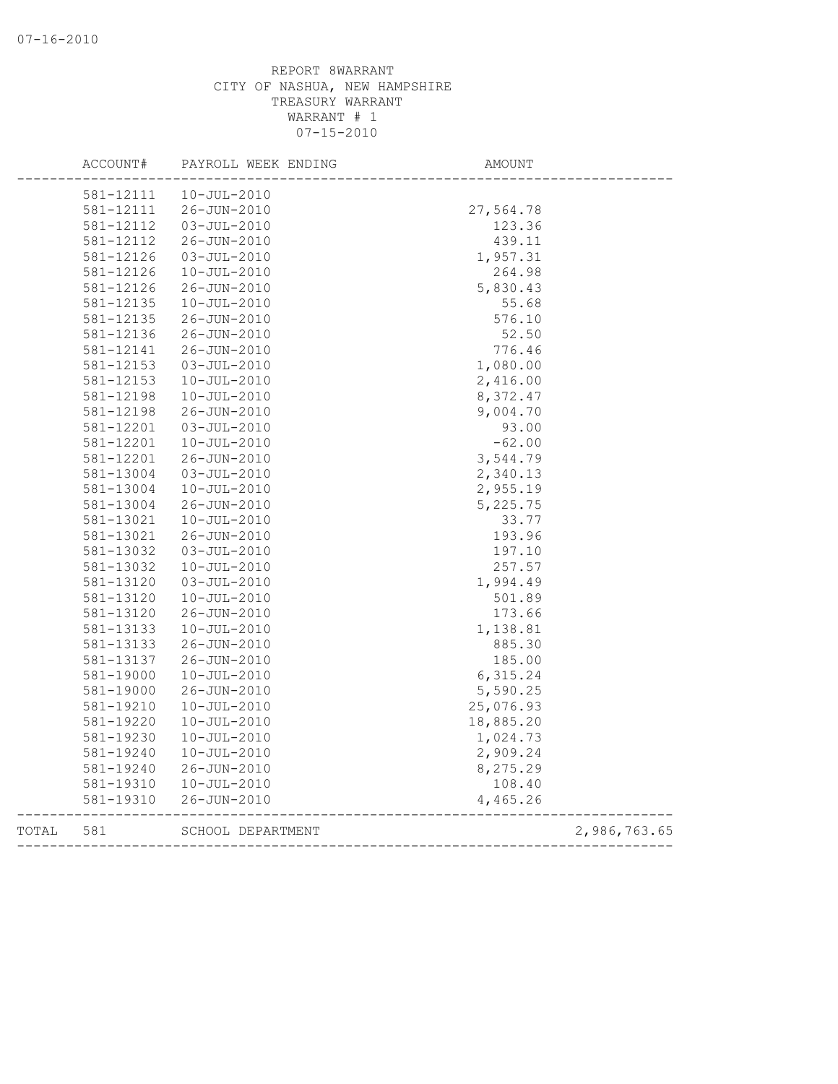|       | 581-12111 | $10 - JUL - 2010$ |                       |              |
|-------|-----------|-------------------|-----------------------|--------------|
|       | 581-12111 | 26-JUN-2010       | 27,564.78             |              |
|       | 581-12112 | $03 - JUL - 2010$ | 123.36                |              |
|       | 581-12112 | 26-JUN-2010       | 439.11                |              |
|       | 581-12126 | $03 - JUL - 2010$ | 1,957.31              |              |
|       | 581-12126 | $10 - JUL - 2010$ | 264.98                |              |
|       | 581-12126 | 26-JUN-2010       | 5,830.43              |              |
|       | 581-12135 | $10 - JUL - 2010$ | 55.68                 |              |
|       | 581-12135 | 26-JUN-2010       | 576.10                |              |
|       | 581-12136 | 26-JUN-2010       | 52.50                 |              |
|       | 581-12141 | 26-JUN-2010       | 776.46                |              |
|       | 581-12153 | $03 - JUL - 2010$ | 1,080.00              |              |
|       | 581-12153 | $10 - JUL - 2010$ | 2,416.00              |              |
|       | 581-12198 | $10 - JUL - 2010$ | 8,372.47              |              |
|       | 581-12198 | 26-JUN-2010       | 9,004.70              |              |
|       | 581-12201 | $03 - JUL - 2010$ | 93.00                 |              |
|       | 581-12201 | $10 - JUL - 2010$ | $-62.00$              |              |
|       | 581-12201 | 26-JUN-2010       | 3,544.79              |              |
|       | 581-13004 | $03 - JUL - 2010$ | 2,340.13              |              |
|       | 581-13004 | $10 - JUL - 2010$ | 2,955.19              |              |
|       | 581-13004 | 26-JUN-2010       | 5,225.75              |              |
|       | 581-13021 | $10 - JUL - 2010$ | 33.77                 |              |
|       | 581-13021 | 26-JUN-2010       | 193.96                |              |
|       | 581-13032 | $03 - JUL - 2010$ | 197.10                |              |
|       | 581-13032 | $10 - JUL - 2010$ | 257.57                |              |
|       | 581-13120 | $03 - JUL - 2010$ | 1,994.49              |              |
|       | 581-13120 | $10 - JUL - 2010$ | 501.89                |              |
|       | 581-13120 | 26-JUN-2010       | 173.66                |              |
|       | 581-13133 | $10 - JUL - 2010$ | 1,138.81              |              |
|       | 581-13133 | 26-JUN-2010       | 885.30                |              |
|       | 581-13137 | 26-JUN-2010       | 185.00                |              |
|       | 581-19000 | $10 - JUL - 2010$ | 6,315.24              |              |
|       | 581-19000 | 26-JUN-2010       | 5,590.25              |              |
|       | 581-19210 | $10 - JUL - 2010$ | 25,076.93             |              |
|       | 581-19220 | $10 - JUL - 2010$ | 18,885.20             |              |
|       | 581-19230 | $10 - JUL - 2010$ | 1,024.73              |              |
|       | 581-19240 | $10 - JUL - 2010$ | 2,909.24              |              |
|       | 581-19240 | 26-JUN-2010       | 8,275.29              |              |
|       | 581-19310 | $10 - JUL - 2010$ | 108.40                |              |
|       | 581-19310 | $26 - JUN - 2010$ | 4,465.26              |              |
| TOTAL | 581       | SCHOOL DEPARTMENT | _____________________ | 2,986,763.65 |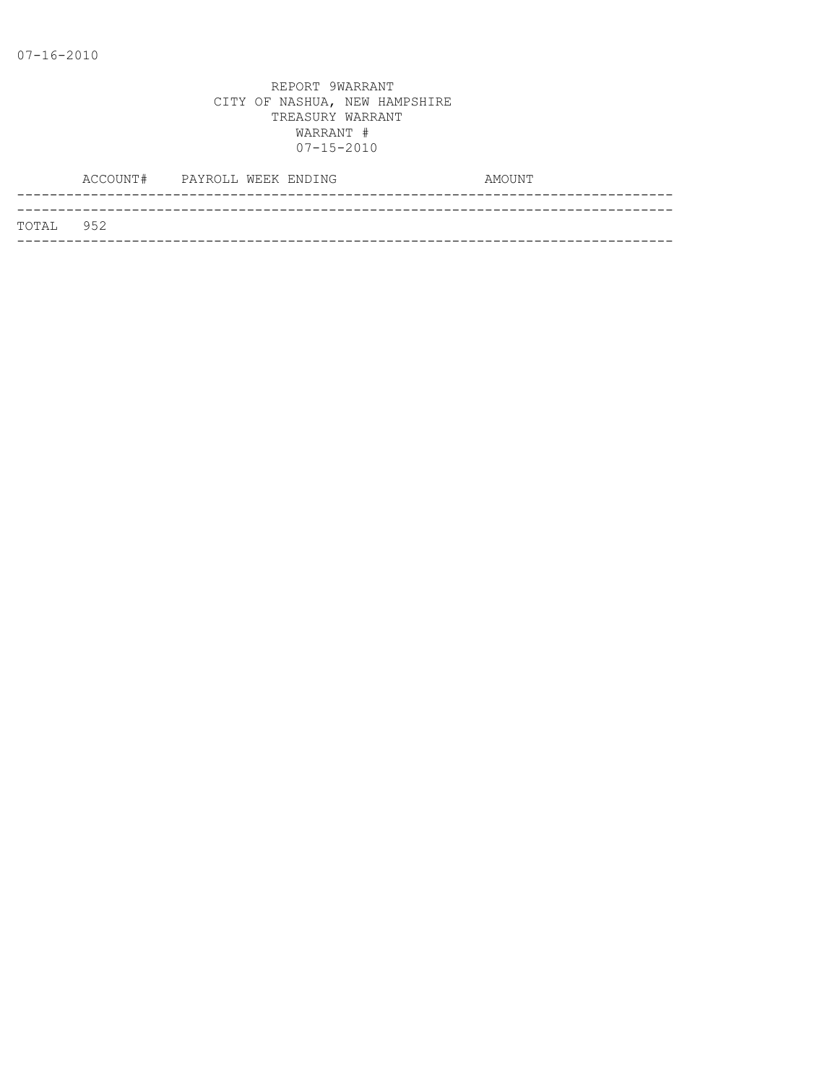|           | ACCOUNT# PAYROLL WEEK ENDING |  |  | AMOUNT |
|-----------|------------------------------|--|--|--------|
|           |                              |  |  |        |
| TOTAL 952 |                              |  |  |        |
|           |                              |  |  |        |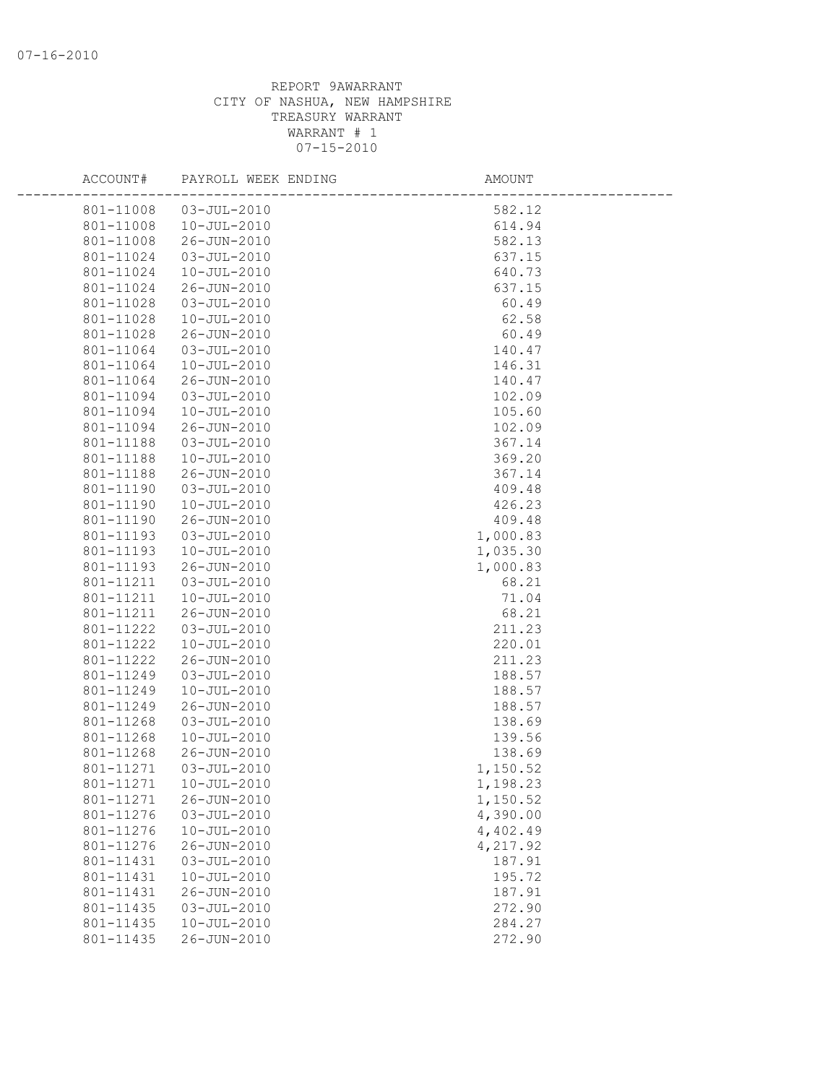| ACCOUNT#  | PAYROLL WEEK ENDING | AMOUNT   |
|-----------|---------------------|----------|
| 801-11008 | $03 - JUL - 2010$   | 582.12   |
| 801-11008 | $10 - JUL - 2010$   | 614.94   |
| 801-11008 | 26-JUN-2010         | 582.13   |
| 801-11024 | $03 - JUL - 2010$   | 637.15   |
| 801-11024 | $10 - JUL - 2010$   | 640.73   |
| 801-11024 | 26-JUN-2010         | 637.15   |
| 801-11028 | 03-JUL-2010         | 60.49    |
| 801-11028 | $10 - JUL - 2010$   | 62.58    |
| 801-11028 | 26-JUN-2010         | 60.49    |
| 801-11064 | 03-JUL-2010         | 140.47   |
| 801-11064 | $10 - JUL - 2010$   | 146.31   |
| 801-11064 | 26-JUN-2010         | 140.47   |
| 801-11094 | 03-JUL-2010         | 102.09   |
| 801-11094 | $10 - JUL - 2010$   | 105.60   |
| 801-11094 | 26-JUN-2010         | 102.09   |
| 801-11188 | $03 - JUL - 2010$   | 367.14   |
| 801-11188 | $10 - JUL - 2010$   | 369.20   |
| 801-11188 | 26-JUN-2010         | 367.14   |
| 801-11190 | $03 - JUL - 2010$   | 409.48   |
| 801-11190 | $10 - JUL - 2010$   | 426.23   |
| 801-11190 | 26-JUN-2010         | 409.48   |
| 801-11193 | 03-JUL-2010         | 1,000.83 |
| 801-11193 | $10 - JUL - 2010$   | 1,035.30 |
| 801-11193 | 26-JUN-2010         | 1,000.83 |
| 801-11211 | 03-JUL-2010         | 68.21    |
| 801-11211 | $10 - JUL - 2010$   | 71.04    |
| 801-11211 | 26-JUN-2010         | 68.21    |
| 801-11222 | $03 - JUL - 2010$   | 211.23   |
| 801-11222 | $10 - JUL - 2010$   | 220.01   |
| 801-11222 | 26-JUN-2010         | 211.23   |
| 801-11249 | $03 - JUL - 2010$   | 188.57   |
| 801-11249 | $10 - JUL - 2010$   | 188.57   |
| 801-11249 | 26-JUN-2010         | 188.57   |
| 801-11268 | $03 - JUL - 2010$   | 138.69   |
| 801-11268 | $10 - JUL - 2010$   | 139.56   |
| 801-11268 | 26-JUN-2010         | 138.69   |
| 801-11271 | $03 - JUL - 2010$   | 1,150.52 |
| 801-11271 | 10-JUL-2010         | 1,198.23 |
| 801-11271 | 26-JUN-2010         | 1,150.52 |
| 801-11276 | $03 - JUL - 2010$   | 4,390.00 |
| 801-11276 | $10 - JUL - 2010$   | 4,402.49 |
| 801-11276 | 26-JUN-2010         | 4,217.92 |
| 801-11431 | $03 - JUL - 2010$   | 187.91   |
| 801-11431 | $10 - JUL - 2010$   | 195.72   |
| 801-11431 | 26-JUN-2010         | 187.91   |
| 801-11435 | $03 - JUL - 2010$   | 272.90   |
| 801-11435 | $10 - JUL - 2010$   | 284.27   |
| 801-11435 | 26-JUN-2010         | 272.90   |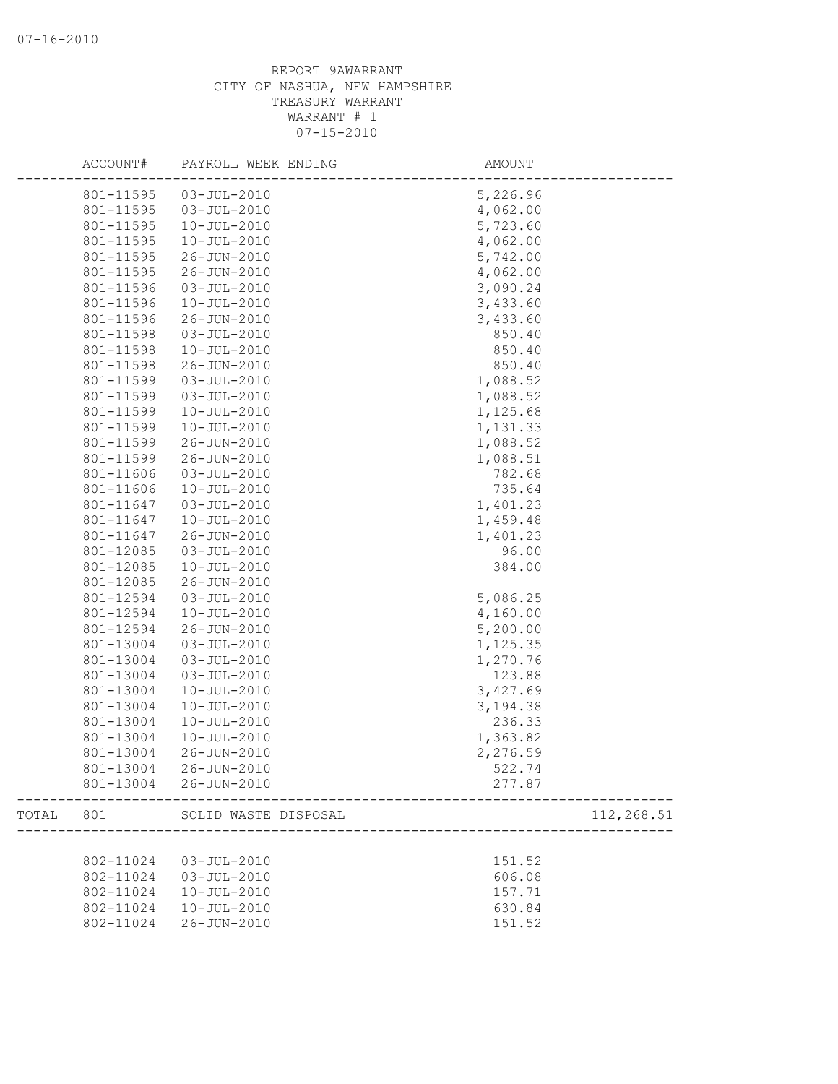|       | ACCOUNT#  | PAYROLL WEEK ENDING   | AMOUNT                          |            |
|-------|-----------|-----------------------|---------------------------------|------------|
|       | 801-11595 | $03 - JUL - 2010$     | 5,226.96                        |            |
|       | 801-11595 | 03-JUL-2010           | 4,062.00                        |            |
|       | 801-11595 | $10 - JUL - 2010$     | 5,723.60                        |            |
|       | 801-11595 | 10-JUL-2010           | 4,062.00                        |            |
|       | 801-11595 | 26-JUN-2010           | 5,742.00                        |            |
|       | 801-11595 | 26-JUN-2010           | 4,062.00                        |            |
|       | 801-11596 | $03 - JUL - 2010$     | 3,090.24                        |            |
|       | 801-11596 | $10 - JUL - 2010$     | 3,433.60                        |            |
|       | 801-11596 | 26-JUN-2010           | 3,433.60                        |            |
|       | 801-11598 | $03 - JUL - 2010$     | 850.40                          |            |
|       | 801-11598 | $10 - JUL - 2010$     | 850.40                          |            |
|       | 801-11598 | 26-JUN-2010           | 850.40                          |            |
|       | 801-11599 | $03 - JUL - 2010$     | 1,088.52                        |            |
|       | 801-11599 | $03 - JUL - 2010$     | 1,088.52                        |            |
|       | 801-11599 | $10 - JUL - 2010$     | 1,125.68                        |            |
|       | 801-11599 | $10 - JUL - 2010$     | 1,131.33                        |            |
|       | 801-11599 | 26-JUN-2010           | 1,088.52                        |            |
|       | 801-11599 | 26-JUN-2010           | 1,088.51                        |            |
|       | 801-11606 | $03 - JUL - 2010$     | 782.68                          |            |
|       | 801-11606 | $10 - JUL - 2010$     | 735.64                          |            |
|       | 801-11647 | $03 - JUL - 2010$     | 1,401.23                        |            |
|       | 801-11647 | $10 - JUL - 2010$     | 1,459.48                        |            |
|       | 801-11647 | 26-JUN-2010           | 1,401.23                        |            |
|       | 801-12085 | $03 - JUL - 2010$     | 96.00                           |            |
|       | 801-12085 | $10 - JUL - 2010$     | 384.00                          |            |
|       | 801-12085 | 26-JUN-2010           |                                 |            |
|       | 801-12594 | $03 - JUL - 2010$     | 5,086.25                        |            |
|       | 801-12594 | $10 - JUL - 2010$     | 4,160.00                        |            |
|       | 801-12594 | 26-JUN-2010           | 5,200.00                        |            |
|       | 801-13004 | $03 - JUL - 2010$     | 1,125.35                        |            |
|       | 801-13004 | $03 - JUL - 2010$     | 1,270.76                        |            |
|       | 801-13004 | $03 - JUL - 2010$     | 123.88                          |            |
|       | 801-13004 | $10 - JUL - 2010$     | 3,427.69                        |            |
|       | 801-13004 | $10 - JUL - 2010$     | 3,194.38                        |            |
|       | 801-13004 | $10 - JUL - 2010$     | 236.33                          |            |
|       | 801-13004 | $10 - JUL - 2010$     | 1,363.82                        |            |
|       | 801-13004 | 26-JUN-2010           | 2,276.59                        |            |
|       | 801-13004 | 26-JUN-2010           | 522.74                          |            |
|       |           | 801-13004 26-JUN-2010 | 277.87<br>--------------------- |            |
| TOTAL | 801       | SOLID WASTE DISPOSAL  |                                 | 112,268.51 |
|       |           |                       |                                 |            |
|       | 802-11024 | 03-JUL-2010           | 151.52                          |            |
|       | 802-11024 | $03 - JUL - 2010$     | 606.08                          |            |
|       | 802-11024 | $10 - JUL - 2010$     | 157.71                          |            |
|       | 802-11024 | $10 - JUL - 2010$     | 630.84                          |            |
|       | 802-11024 | 26-JUN-2010           | 151.52                          |            |
|       |           |                       |                                 |            |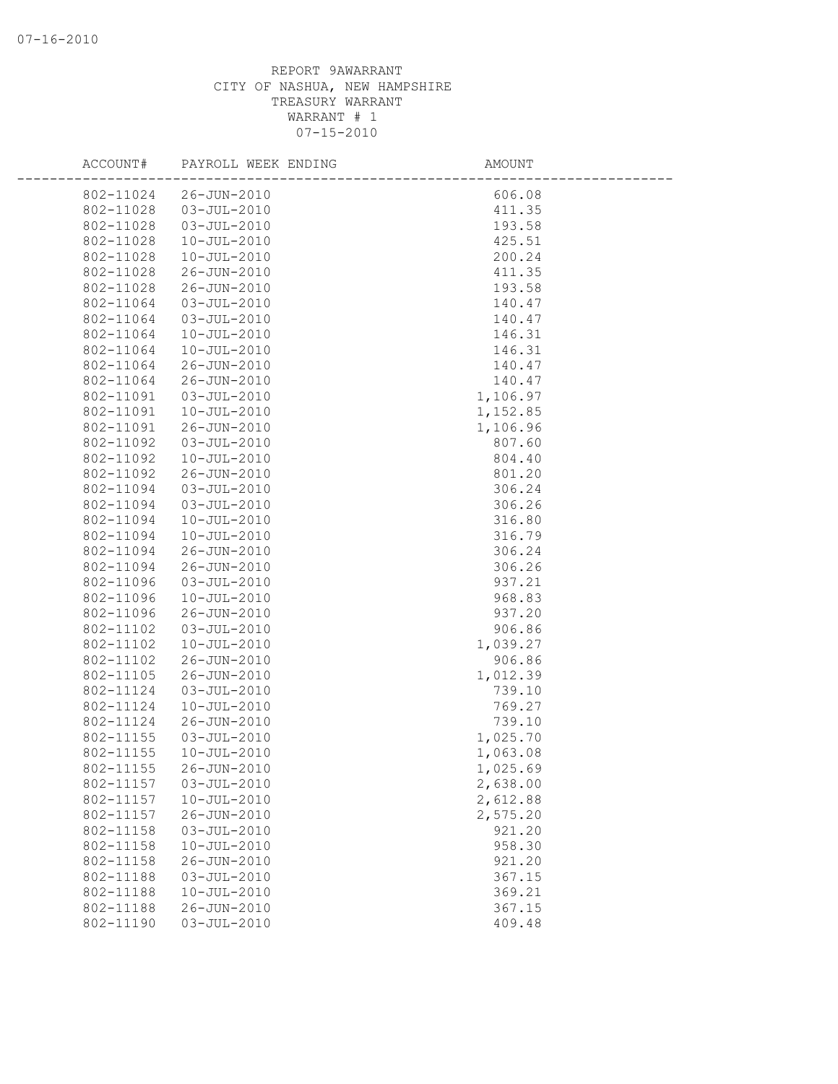| ACCOUNT#  | PAYROLL WEEK ENDING | AMOUNT   |
|-----------|---------------------|----------|
| 802-11024 | 26-JUN-2010         | 606.08   |
| 802-11028 | $03 - JUL - 2010$   | 411.35   |
| 802-11028 | $03 - JUL - 2010$   | 193.58   |
| 802-11028 | $10 - JUL - 2010$   | 425.51   |
| 802-11028 | $10 - JUL - 2010$   | 200.24   |
| 802-11028 | 26-JUN-2010         | 411.35   |
| 802-11028 | 26-JUN-2010         | 193.58   |
| 802-11064 | $03 - JUL - 2010$   | 140.47   |
| 802-11064 | $03 - JUL - 2010$   | 140.47   |
| 802-11064 | $10 - JUL - 2010$   | 146.31   |
| 802-11064 | $10 - JUL - 2010$   | 146.31   |
| 802-11064 | 26-JUN-2010         | 140.47   |
| 802-11064 | 26-JUN-2010         | 140.47   |
| 802-11091 | $03 - JUL - 2010$   | 1,106.97 |
| 802-11091 | $10 - JUL - 2010$   | 1,152.85 |
| 802-11091 | 26-JUN-2010         | 1,106.96 |
| 802-11092 | $03 - JUL - 2010$   | 807.60   |
| 802-11092 | $10 - JUL - 2010$   | 804.40   |
| 802-11092 | $26 - JUN - 2010$   | 801.20   |
| 802-11094 | $03 - JUL - 2010$   | 306.24   |
| 802-11094 | $03 - JUL - 2010$   | 306.26   |
| 802-11094 | $10 - JUL - 2010$   | 316.80   |
| 802-11094 | $10 - JUL - 2010$   | 316.79   |
| 802-11094 | 26-JUN-2010         | 306.24   |
| 802-11094 | 26-JUN-2010         | 306.26   |
| 802-11096 | $03 - JUL - 2010$   | 937.21   |
| 802-11096 | $10 - JUL - 2010$   | 968.83   |
| 802-11096 | 26-JUN-2010         | 937.20   |
| 802-11102 | $03 - JUL - 2010$   | 906.86   |
| 802-11102 | $10 - JUL - 2010$   | 1,039.27 |
| 802-11102 | 26-JUN-2010         | 906.86   |
| 802-11105 | 26-JUN-2010         | 1,012.39 |
| 802-11124 | $03 - JUL - 2010$   | 739.10   |
| 802-11124 | $10 - JUL - 2010$   | 769.27   |
| 802-11124 | 26-JUN-2010         | 739.10   |
| 802-11155 | $03 - JUL - 2010$   | 1,025.70 |
| 802-11155 | $10 - JUL - 2010$   | 1,063.08 |
| 802-11155 | 26-JUN-2010         | 1,025.69 |
| 802-11157 | $03 - JUL - 2010$   | 2,638.00 |
| 802-11157 | $10 - JUL - 2010$   | 2,612.88 |
| 802-11157 | 26-JUN-2010         | 2,575.20 |
| 802-11158 | $03 - JUL - 2010$   | 921.20   |
| 802-11158 | $10 - JUL - 2010$   | 958.30   |
| 802-11158 | 26-JUN-2010         | 921.20   |
| 802-11188 | $03 - JUL - 2010$   | 367.15   |
| 802-11188 | $10 - JUL - 2010$   | 369.21   |
| 802-11188 | 26-JUN-2010         | 367.15   |
| 802-11190 | $03 - JUL - 2010$   | 409.48   |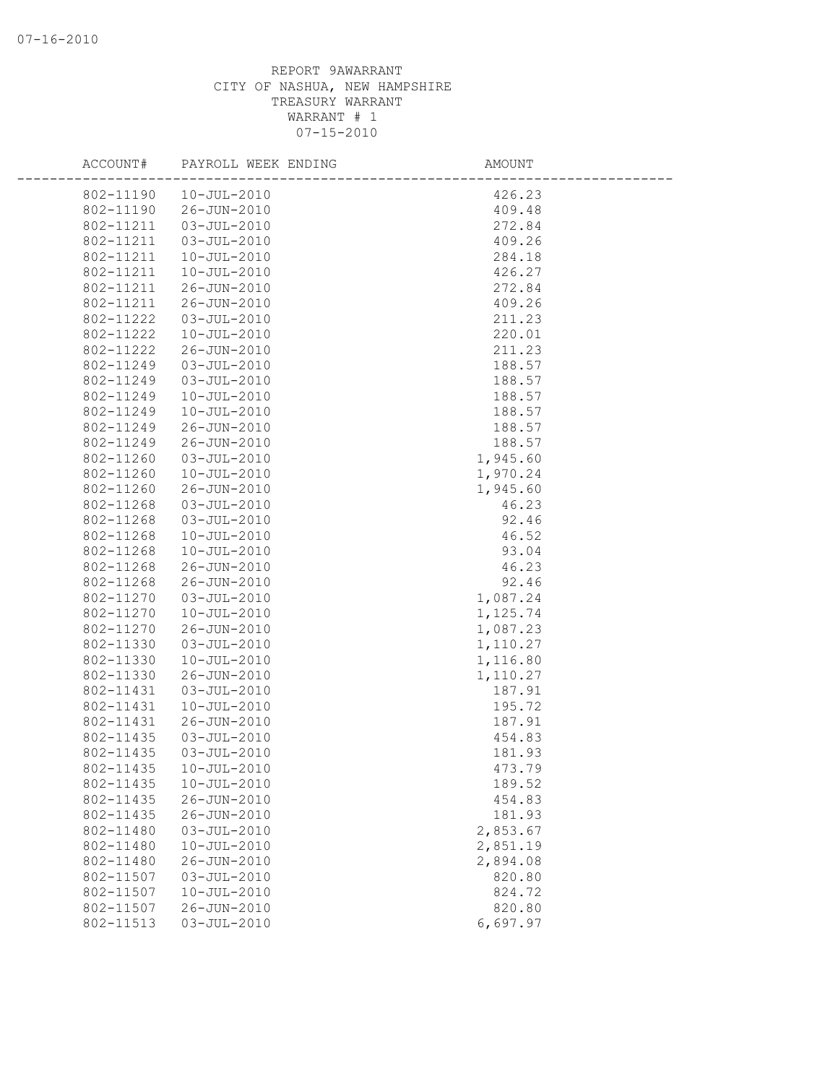| ACCOUNT#  | PAYROLL WEEK ENDING | AMOUNT   |  |
|-----------|---------------------|----------|--|
| 802-11190 | $10 - JUL - 2010$   | 426.23   |  |
| 802-11190 | 26-JUN-2010         | 409.48   |  |
| 802-11211 | $03 - JUL - 2010$   | 272.84   |  |
| 802-11211 | $03 - JUL - 2010$   | 409.26   |  |
| 802-11211 | $10 - JUL - 2010$   | 284.18   |  |
| 802-11211 | $10 - JUL - 2010$   | 426.27   |  |
| 802-11211 | 26-JUN-2010         | 272.84   |  |
| 802-11211 | 26-JUN-2010         | 409.26   |  |
| 802-11222 | $03 - JUL - 2010$   | 211.23   |  |
| 802-11222 | 10-JUL-2010         | 220.01   |  |
| 802-11222 | 26-JUN-2010         | 211.23   |  |
| 802-11249 | $03 - JUL - 2010$   | 188.57   |  |
| 802-11249 | $03 - JUL - 2010$   | 188.57   |  |
| 802-11249 | $10 - JUL - 2010$   | 188.57   |  |
| 802-11249 | $10 - JUL - 2010$   | 188.57   |  |
| 802-11249 | 26-JUN-2010         | 188.57   |  |
| 802-11249 | 26-JUN-2010         | 188.57   |  |
| 802-11260 | $03 - JUL - 2010$   | 1,945.60 |  |
| 802-11260 | $10 - JUL - 2010$   | 1,970.24 |  |
| 802-11260 | 26-JUN-2010         | 1,945.60 |  |
| 802-11268 | $03 - JUL - 2010$   | 46.23    |  |
| 802-11268 | $03 - JUL - 2010$   | 92.46    |  |
| 802-11268 | $10 - JUL - 2010$   | 46.52    |  |
| 802-11268 | $10 - JUL - 2010$   | 93.04    |  |
| 802-11268 | 26-JUN-2010         | 46.23    |  |
| 802-11268 | 26-JUN-2010         | 92.46    |  |
| 802-11270 | $03 - JUL - 2010$   | 1,087.24 |  |
| 802-11270 | $10 - JUL - 2010$   | 1,125.74 |  |
| 802-11270 | 26-JUN-2010         | 1,087.23 |  |
| 802-11330 | $03 - JUL - 2010$   | 1,110.27 |  |
| 802-11330 | $10 - JUL - 2010$   | 1,116.80 |  |
| 802-11330 | $26 - JUN - 2010$   | 1,110.27 |  |
| 802-11431 | $03 - JUL - 2010$   | 187.91   |  |
| 802-11431 | $10 - JUL - 2010$   | 195.72   |  |
| 802-11431 | 26-JUN-2010         | 187.91   |  |
| 802-11435 | $03 - JUL - 2010$   | 454.83   |  |
| 802-11435 | $03 - JUL - 2010$   | 181.93   |  |
| 802-11435 | $10 - JUL - 2010$   | 473.79   |  |
| 802-11435 | $10 - JUL - 2010$   | 189.52   |  |
| 802-11435 | $26 - JUN - 2010$   | 454.83   |  |
| 802-11435 | 26-JUN-2010         | 181.93   |  |
| 802-11480 | $03 - JUL - 2010$   | 2,853.67 |  |
| 802-11480 | $10 - JUL - 2010$   | 2,851.19 |  |
| 802-11480 | 26-JUN-2010         | 2,894.08 |  |
| 802-11507 | $03 - JUL - 2010$   | 820.80   |  |
| 802-11507 | $10 - JUL - 2010$   | 824.72   |  |
| 802-11507 | 26-JUN-2010         | 820.80   |  |
| 802-11513 | $03 - JUL - 2010$   | 6,697.97 |  |
|           |                     |          |  |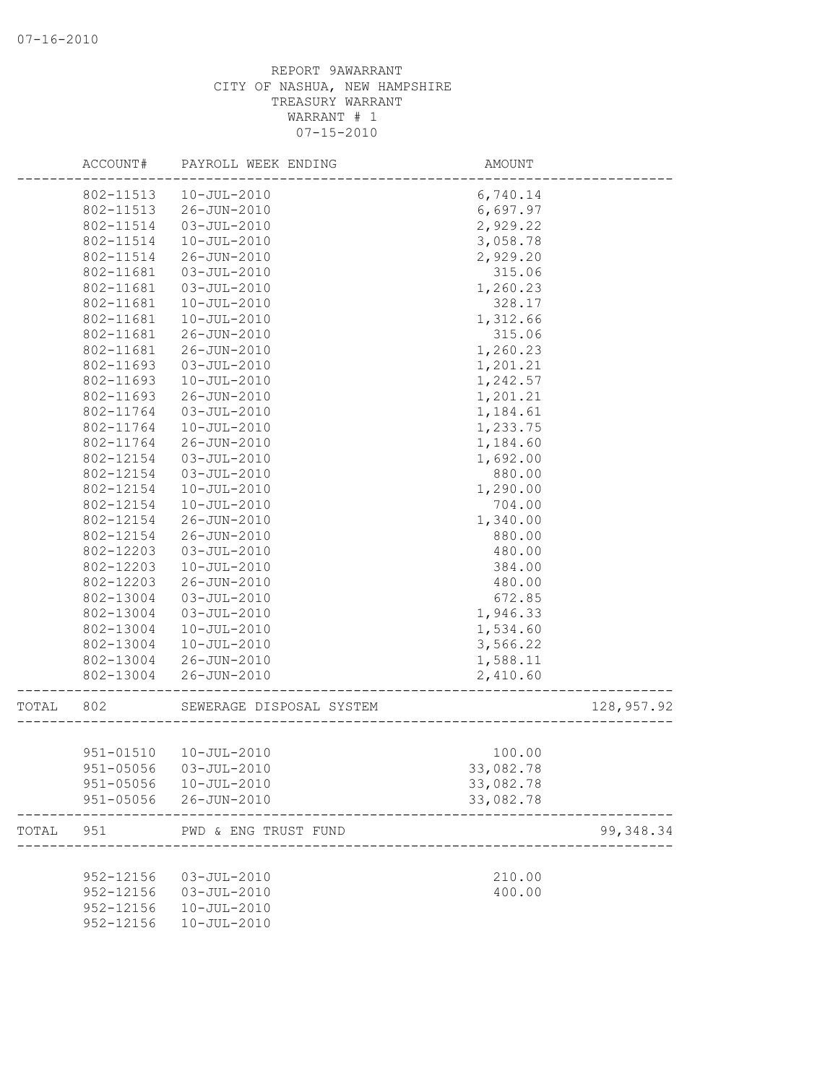|       | ACCOUNT#  | PAYROLL WEEK ENDING      | AMOUNT    |            |
|-------|-----------|--------------------------|-----------|------------|
|       | 802-11513 | 10-JUL-2010              | 6,740.14  |            |
|       | 802-11513 | 26-JUN-2010              | 6,697.97  |            |
|       | 802-11514 | $03 - JUL - 2010$        | 2,929.22  |            |
|       | 802-11514 | $10 - JUL - 2010$        | 3,058.78  |            |
|       | 802-11514 | 26-JUN-2010              | 2,929.20  |            |
|       | 802-11681 | $03 - JUL - 2010$        | 315.06    |            |
|       | 802-11681 | $03 - JUL - 2010$        | 1,260.23  |            |
|       | 802-11681 | $10 - JUL - 2010$        | 328.17    |            |
|       | 802-11681 | $10 - JUL - 2010$        | 1,312.66  |            |
|       | 802-11681 | 26-JUN-2010              | 315.06    |            |
|       | 802-11681 | $26 - JUN - 2010$        | 1,260.23  |            |
|       | 802-11693 | $03 - JUL - 2010$        | 1,201.21  |            |
|       | 802-11693 | $10 - JUL - 2010$        | 1,242.57  |            |
|       | 802-11693 | 26-JUN-2010              | 1,201.21  |            |
|       | 802-11764 | $03 - JUL - 2010$        | 1,184.61  |            |
|       | 802-11764 | $10 - JUL - 2010$        | 1,233.75  |            |
|       | 802-11764 | 26-JUN-2010              | 1,184.60  |            |
|       | 802-12154 | $03 - JUL - 2010$        | 1,692.00  |            |
|       | 802-12154 | $03 - JUL - 2010$        | 880.00    |            |
|       | 802-12154 | $10 - JUL - 2010$        | 1,290.00  |            |
|       | 802-12154 | $10 - JUL - 2010$        | 704.00    |            |
|       | 802-12154 | 26-JUN-2010              | 1,340.00  |            |
|       | 802-12154 | 26-JUN-2010              | 880.00    |            |
|       | 802-12203 | $03 - JUL - 2010$        | 480.00    |            |
|       | 802-12203 | $10 - JUL - 2010$        | 384.00    |            |
|       | 802-12203 | 26-JUN-2010              | 480.00    |            |
|       | 802-13004 | $03 - JUL - 2010$        | 672.85    |            |
|       | 802-13004 | $03 - JUL - 2010$        | 1,946.33  |            |
|       | 802-13004 | $10 - JUL - 2010$        | 1,534.60  |            |
|       | 802-13004 | $10 - JUL - 2010$        | 3,566.22  |            |
|       | 802-13004 | 26-JUN-2010              | 1,588.11  |            |
|       | 802-13004 | 26-JUN-2010              | 2,410.60  |            |
|       |           |                          |           |            |
| TOTAL | 802       | SEWERAGE DISPOSAL SYSTEM |           | 128,957.92 |
|       | 951-01510 | $10 - JUL - 2010$        | 100.00    |            |
|       |           | 951-05056 03-JUL-2010    |           |            |
|       |           |                          | 33,082.78 |            |
|       |           | 951-05056  10-JUL-2010   | 33,082.78 |            |
|       |           | 951-05056 26-JUN-2010    | 33,082.78 |            |
| TOTAL | 951       | PWD & ENG TRUST FUND     |           | 99, 348.34 |
|       |           |                          |           |            |
|       | 952-12156 | $03 - JUL - 2010$        | 210.00    |            |
|       | 952-12156 | $03 - JUL - 2010$        | 400.00    |            |
|       | 952-12156 | $10 - JUL - 2010$        |           |            |
|       | 952-12156 | $10 - JUL - 2010$        |           |            |